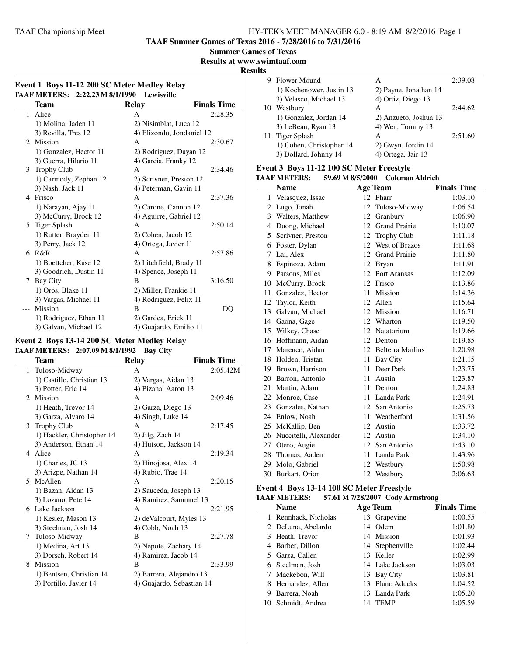**TAAF Summer Games of Texas 2016 - 7/28/2016 to 7/31/2016**

**Summer Games of Texas**

**Results at www.swimtaaf.com**

**Results**

| Event 1 Boys 11-12 200 SC Meter Medley Relay |                                 |                           |                    |  |
|----------------------------------------------|---------------------------------|---------------------------|--------------------|--|
|                                              | TAAF METERS: 2:22.23 M 8/1/1990 | Lewisville                |                    |  |
|                                              | Team                            | <b>Relay</b>              | <b>Finals Time</b> |  |
| $\mathbf{1}$                                 | Alice                           | A                         | 2:28.35            |  |
|                                              | 1) Molina, Jaden 11             | 2) Nisimblat, Luca 12     |                    |  |
|                                              | 3) Revilla, Tres 12             | 4) Elizondo, Jondaniel 12 |                    |  |
| $\mathcal{D}_{\mathcal{L}}$                  | Mission                         | A                         | 2:30.67            |  |
|                                              | 1) Gonzalez, Hector 11          | 2) Rodriguez, Dayan 12    |                    |  |
|                                              | 3) Guerra, Hilario 11           | 4) Garcia, Franky 12      |                    |  |
| 3                                            | <b>Trophy Club</b>              | A                         | 2:34.46            |  |
|                                              | 1) Carmody, Zephan 12           | 2) Scrivner, Preston 12   |                    |  |
|                                              | 3) Nash, Jack 11                | 4) Peterman, Gavin 11     |                    |  |
| 4                                            | Frisco                          | A                         | 2:37.36            |  |
|                                              | 1) Narayan, Ajay 11             | 2) Carone, Cannon 12      |                    |  |
|                                              | 3) McCurry, Brock 12            | 4) Aguirre, Gabriel 12    |                    |  |
| 5                                            | Tiger Splash                    | A                         | 2:50.14            |  |
|                                              | 1) Rutter, Brayden 11           | 2) Cohen, Jacob 12        |                    |  |
|                                              | 3) Perry, Jack 12               | 4) Ortega, Javier 11      |                    |  |
|                                              | 6 R&R                           | A                         | 2:57.86            |  |
|                                              | 1) Boettcher, Kase 12           | 2) Litchfield, Brady 11   |                    |  |
|                                              | 3) Goodrich, Dustin 11          | 4) Spence, Joseph 11      |                    |  |
| 7                                            | Bay City                        | B                         | 3:16.50            |  |
|                                              | 1) Oros, Blake 11               | 2) Miller, Frankie 11     |                    |  |
|                                              | 3) Vargas, Michael 11           | 4) Rodriguez, Felix 11    |                    |  |
|                                              | Mission                         | B                         | DQ                 |  |
|                                              | 1) Rodriguez, Ethan 11          | 2) Gardea, Erick 11       |                    |  |
|                                              | 3) Galvan, Michael 12           | 4) Guajardo, Emilio 11    |                    |  |

#### **Event 2 Boys 13-14 200 SC Meter Medley Relay TAAF METERS: 2:07.09 M 8/1/1992 Bay City**

|   | Team                       | <b>Relay</b>              | <b>Finals Time</b> |
|---|----------------------------|---------------------------|--------------------|
| 1 | Tuloso-Midway              | A                         | 2:05.42M           |
|   | 1) Castillo, Christian 13  | 2) Vargas, Aidan 13       |                    |
|   | 3) Potter, Eric 14         | 4) Pizana, Aaron 13       |                    |
|   | 2 Mission                  | A                         | 2:09.46            |
|   | 1) Heath, Trevor 14        | 2) Garza, Diego 13        |                    |
|   | 3) Garza, Alvaro 14        | 4) Singh, Luke 14         |                    |
| 3 | <b>Trophy Club</b>         | A                         | 2:17.45            |
|   | 1) Hackler, Christopher 14 | $2)$ Jilg, Zach 14        |                    |
|   | 3) Anderson, Ethan 14      | 4) Hutson, Jackson 14     |                    |
|   | 4 Alice                    | $\mathsf{A}$              | 2:19.34            |
|   | 1) Charles, JC 13          | 2) Hinojosa, Alex 14      |                    |
|   | 3) Arizpe, Nathan 14       | 4) Rubio, Trae 14         |                    |
|   | 5 McAllen                  | A                         | 2:20.15            |
|   | 1) Bazan, Aidan 13         | 2) Sauceda, Joseph 13     |                    |
|   | 3) Lozano, Pete 14         | 4) Ramirez, Sammuel 13    |                    |
|   | 6 Lake Jackson             | A                         | 2:21.95            |
|   | 1) Kesler, Mason 13        | 2) deValcourt, Myles 13   |                    |
|   | 3) Steelman, Josh 14       | 4) Cobb, Noah 13          |                    |
|   | 7 Tuloso-Midway            | B                         | 2:27.78            |
|   | 1) Medina, Art 13          | 2) Nepote, Zachary 14     |                    |
|   | 3) Dorsch, Robert 14       | 4) Ramirez, Jacob 14      |                    |
| 8 | Mission                    | B                         | 2:33.99            |
|   | 1) Bentsen, Christian 14   | 2) Barrera, Alejandro 13  |                    |
|   | 3) Portillo, Javier 14     | 4) Guajardo, Sebastian 14 |                    |
|   |                            |                           |                    |

| . . |                          |                       |         |
|-----|--------------------------|-----------------------|---------|
| 9   | Flower Mound             | А                     | 2:39.08 |
|     | 1) Kochenower, Justin 13 | 2) Payne, Jonathan 14 |         |
|     | 3) Velasco, Michael 13   | 4) Ortiz, Diego 13    |         |
|     | 10 Westbury              | A                     | 2:44.62 |
|     | 1) Gonzalez, Jordan 14   | 2) Anzueto, Joshua 13 |         |
|     | 3) LeBeau, Ryan 13       | 4) Wen, Tommy 13      |         |
|     | 11 Tiger Splash          | А                     | 2:51.60 |
|     | 1) Cohen, Christopher 14 | $2)$ Gwyn, Jordin 14  |         |
|     | 3) Dollard, Johnny 14    | 4) Ortega, Jair 13    |         |

#### **Event 3 Boys 11-12 100 SC Meter Freestyle TAAF METERS: 59.69 M 8/5/2000 Coleman Aldrich**

|                | ллг иштему.           |    | $32.02$ M $0/3/2000$ Coleman Altrich |                    |
|----------------|-----------------------|----|--------------------------------------|--------------------|
|                | <b>Name</b>           |    | <b>Age Team</b>                      | <b>Finals Time</b> |
|                | 1 Velasquez, Issac    |    | 12 Pharr                             | 1:03.10            |
| $\overline{2}$ | Lugo, Jonah           | 12 | Tuloso-Midway                        | 1:06.54            |
|                | 3 Walters, Matthew    | 12 | Granbury                             | 1:06.90            |
|                | 4 Duong, Michael      | 12 | <b>Grand Prairie</b>                 | 1:10.07            |
| 5              | Scrivner, Preston     | 12 | <b>Trophy Club</b>                   | 1:11.18            |
| 6              | Foster, Dylan         | 12 | West of Brazos                       | 1:11.68            |
| 7              | Lai, Alex             | 12 | <b>Grand Prairie</b>                 | 1:11.80            |
| 8              | Espinoza, Adam        | 12 | <b>Bryan</b>                         | 1:11.91            |
|                | 9 Parsons, Miles      |    | 12 Port Aransas                      | 1:12.09            |
| 10             | McCurry, Brock        |    | 12 Frisco                            | 1:13.86            |
| 11             | Gonzalez, Hector      | 11 | <b>Mission</b>                       | 1:14.36            |
|                | 12 Taylor, Keith      | 12 | Allen                                | 1:15.64            |
| 13             | Galvan, Michael       | 12 | Mission                              | 1:16.71            |
|                | 14 Gaona, Gage        | 12 | Wharton                              | 1:19.50            |
|                | 15 Wilkey, Chase      |    | 12 Natatorium                        | 1:19.66            |
| 16             | Hoffmann, Aidan       | 12 | Denton                               | 1:19.85            |
|                | 17 Marenco, Aidan     |    | 12 Belterra Marlins                  | 1:20.98            |
|                | 18 Holden, Tristan    | 11 | Bay City                             | 1:21.15            |
|                | 19 Brown, Harrison    | 11 | Deer Park                            | 1:23.75            |
|                | 20 Barron, Antonio    | 11 | Austin                               | 1:23.87            |
| 21             | Martin, Adam          | 11 | Denton                               | 1:24.83            |
| 22             | Monroe, Case          | 11 | Landa Park                           | 1:24.91            |
| 23             | Gonzales, Nathan      |    | 12 San Antonio                       | 1:25.73            |
| 24             | Enlow, Noah           | 11 | Weatherford                          | 1:31.56            |
|                | 25 McKallip, Ben      | 12 | Austin                               | 1:33.72            |
| 26             | Nuccitelli, Alexander | 12 | Austin                               | 1:34.10            |
| 27             | Otero, Augie          | 12 | San Antonio                          | 1:43.10            |
|                | 28 Thomas, Aaden      | 11 | Landa Park                           | 1:43.96            |
| 29             | Molo, Gabriel         | 12 | Westbury                             | 1:50.98            |
|                | 30 Burkart, Orion     | 12 | Westbury                             | 2:06.63            |

### **Event 4 Boys 13-14 100 SC Meter Freestyle**

**TAAF METERS: 57.61 M 7/28/2007 Cody Armstrong**

|   | Name                 |    | <b>Age Team</b> | <b>Finals Time</b> |
|---|----------------------|----|-----------------|--------------------|
|   | 1 Rennhack, Nicholas |    | 13 Grapevine    | 1:00.55            |
|   | 2 DeLuna, Abelardo   |    | 14 Odem         | 1:01.80            |
|   | 3 Heath, Trevor      |    | 14 Mission      | 1:01.93            |
|   | 4 Barber, Dillon     |    | 14 Stephenville | 1:02.44            |
|   | 5 Garza, Callen      |    | 13 Keller       | 1:02.99            |
|   | 6 Steelman, Josh     |    | 14 Lake Jackson | 1:03.03            |
|   | 7 Mackebon, Will     |    | 13 Bay City     | 1:03.81            |
|   | 8 Hernandez, Allen   |    | 13 Plano Aducks | 1:04.52            |
| 9 | Barrera, Noah        |    | 13 Landa Park   | 1:05.20            |
|   | 10 Schmidt, Andrea   | 14 | <b>TEMP</b>     | 1:05.59            |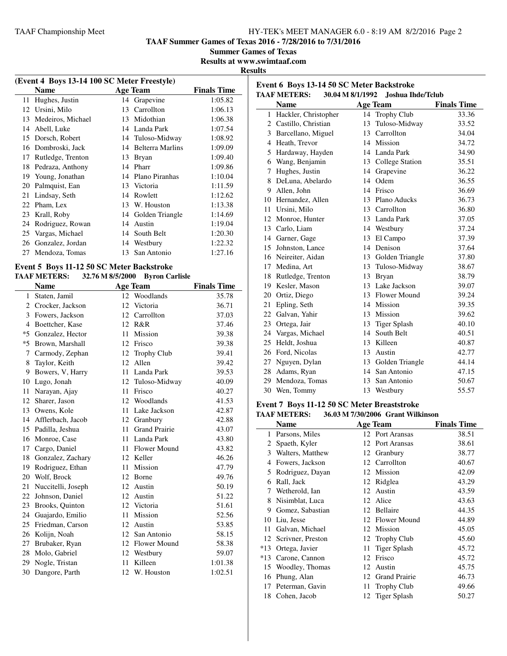**Event 6 Boys 13-14 50 SC Meter Backstroke**

**TAAF Summer Games of Texas 2016 - 7/28/2016 to 7/31/2016**

**Summer Games of Texas**

**Results at www.swimtaaf.com**

#### **Results**

| (Event 4 Boys 13-14 100 SC Meter Freestyle) |                   |    |                         |                    |  |  |
|---------------------------------------------|-------------------|----|-------------------------|--------------------|--|--|
|                                             | <b>Name</b>       |    | Age Team                | <b>Finals Time</b> |  |  |
| 11                                          | Hughes, Justin    | 14 | Grapevine               | 1:05.82            |  |  |
| 12                                          | Ursini, Milo      | 13 | Carrollton              | 1:06.13            |  |  |
| 13                                          | Medeiros, Michael | 13 | Midothian               | 1:06.38            |  |  |
| 14                                          | Abell, Luke       |    | 14 Landa Park           | 1:07.54            |  |  |
| 15                                          | Dorsch, Robert    |    | 14 Tuloso-Midway        | 1:08.92            |  |  |
| 16                                          | Dombroski, Jack   | 14 | <b>Belterra Marlins</b> | 1:09.09            |  |  |
| 17                                          | Rutledge, Trenton | 13 | <b>Bryan</b>            | 1:09.40            |  |  |
| 18                                          | Pedraza, Anthony  | 14 | Pharr                   | 1:09.86            |  |  |
| 19                                          | Young, Jonathan   | 14 | Plano Piranhas          | 1:10.04            |  |  |
| 20                                          | Palmquist, Ean    | 13 | Victoria                | 1:11.59            |  |  |
| 21                                          | Lindsay, Seth     | 14 | Rowlett                 | 1:12.62            |  |  |
| 22                                          | Pham, Lex         | 13 | W. Houston              | 1:13.38            |  |  |
| 23                                          | Krall, Roby       |    | 14 Golden Triangle      | 1:14.69            |  |  |
| 24                                          | Rodriguez, Rowan  | 14 | Austin                  | 1:19.04            |  |  |
| 25                                          | Vargas, Michael   | 14 | South Belt              | 1:20.30            |  |  |
| 26                                          | Gonzalez, Jordan  | 14 | Westbury                | 1:22.32            |  |  |
| 27                                          | Mendoza, Tomas    | 13 | San Antonio             | 1:27.16            |  |  |
|                                             |                   |    |                         |                    |  |  |

#### **Event 5 Boys 11-12 50 SC Meter Backstroke TAAF METERS: 32.76 M 8/5/2000 Byron Carlisle**

| 17171 1111 11110.       |    |                      |                                                                                                                                                                                                                                           |
|-------------------------|----|----------------------|-------------------------------------------------------------------------------------------------------------------------------------------------------------------------------------------------------------------------------------------|
| Name                    |    |                      | <b>Finals Time</b>                                                                                                                                                                                                                        |
| Staten, Jamil           |    | Woodlands            | 35.78                                                                                                                                                                                                                                     |
| 2 Crocker, Jackson      | 12 |                      | 36.71                                                                                                                                                                                                                                     |
| Fowers, Jackson         | 12 | Carrollton           | 37.03                                                                                                                                                                                                                                     |
| Boettcher, Kase         | 12 |                      | 37.46                                                                                                                                                                                                                                     |
| Gonzalez, Hector        | 11 | Mission              | 39.38                                                                                                                                                                                                                                     |
| Brown, Marshall         | 12 | Frisco               | 39.38                                                                                                                                                                                                                                     |
| Carmody, Zephan         |    |                      | 39.41                                                                                                                                                                                                                                     |
| Taylor, Keith           | 12 | Allen                | 39.42                                                                                                                                                                                                                                     |
| Bowers, V, Harry        |    |                      | 39.53                                                                                                                                                                                                                                     |
| Lugo, Jonah             |    |                      | 40.09                                                                                                                                                                                                                                     |
| Narayan, Ajay           | 11 | Frisco               | 40.27                                                                                                                                                                                                                                     |
| Sharer, Jason<br>12     | 12 | Woodlands            | 41.53                                                                                                                                                                                                                                     |
| 13 Owens, Kole          | 11 | Lake Jackson         | 42.87                                                                                                                                                                                                                                     |
| Afflerbach, Jacob<br>14 |    | Granbury             | 42.88                                                                                                                                                                                                                                     |
| 15 Padilla, Jeshua      |    | <b>Grand Prairie</b> | 43.07                                                                                                                                                                                                                                     |
| Monroe, Case            | 11 | Landa Park           | 43.80                                                                                                                                                                                                                                     |
| Cargo, Daniel           | 11 | <b>Flower Mound</b>  | 43.82                                                                                                                                                                                                                                     |
| Gonzalez, Zachary<br>18 |    |                      | 46.26                                                                                                                                                                                                                                     |
| Rodriguez, Ethan<br>19  | 11 | Mission              | 47.79                                                                                                                                                                                                                                     |
| 20 Wolf, Brock          | 12 | Borne                | 49.76                                                                                                                                                                                                                                     |
| Nuccitelli, Joseph      | 12 |                      | 50.19                                                                                                                                                                                                                                     |
| Johnson, Daniel         | 12 | Austin               | 51.22                                                                                                                                                                                                                                     |
| Brooks, Quinton         |    |                      | 51.61                                                                                                                                                                                                                                     |
| Guajardo, Emilio        | 11 | Mission              | 52.56                                                                                                                                                                                                                                     |
| Friedman, Carson        | 12 | Austin               | 53.85                                                                                                                                                                                                                                     |
| Kolijn, Noah            |    | San Antonio          | 58.15                                                                                                                                                                                                                                     |
| Brubaker, Ryan          | 12 | Flower Mound         | 58.38                                                                                                                                                                                                                                     |
| Molo, Gabriel           | 12 |                      | 59.07                                                                                                                                                                                                                                     |
| Nogle, Tristan          | 11 | Killeen              | 1:01.38                                                                                                                                                                                                                                   |
| Dangore, Parth          | 12 |                      | 1:02.51                                                                                                                                                                                                                                   |
|                         |    |                      | $52.70$ M $0/5/2000$ Dyron Carnsic<br><b>Age Team</b><br>12 <sup>12</sup><br>Victoria<br>R&R<br>12 Trophy Club<br>11 Landa Park<br>12 Tuloso-Midway<br>12<br>$11 -$<br>12 Keller<br>Austin<br>12 Victoria<br>12<br>Westbury<br>W. Houston |

|    | <b>TAAF METERS:</b>   |    | 30.04 M 8/1/1992 Joshua Ihde/Tclub |                    |
|----|-----------------------|----|------------------------------------|--------------------|
|    | <b>Name</b>           |    | <b>Age Team</b>                    | <b>Finals Time</b> |
| 1  | Hackler, Christopher  | 14 | Trophy Club                        | 33.36              |
|    | 2 Castillo, Christian | 13 | Tuloso-Midway                      | 33.52              |
|    | 3 Barcellano, Miguel  |    | 13 Carrollton                      | 34.04              |
|    | 4 Heath, Trevor       | 14 | Mission                            | 34.72              |
| 5  | Hardaway, Hayden      |    | 14 Landa Park                      | 34.90              |
|    | 6 Wang, Benjamin      |    | 13 College Station                 | 35.51              |
| 7  | Hughes, Justin        | 14 | Grapevine                          | 36.22              |
| 8  | DeLuna, Abelardo      | 14 | Odem                               | 36.55              |
| 9. | Allen, John           |    | 14 Frisco                          | 36.69              |
|    | 10 Hernandez, Allen   |    | 13 Plano Aducks                    | 36.73              |
| 11 | Ursini, Milo          | 13 | Carrollton                         | 36.80              |
|    | 12 Monroe, Hunter     |    | 13 Landa Park                      | 37.05              |
|    | 13 Carlo, Liam        |    | 14 Westbury                        | 37.24              |
|    | 14 Garner, Gage       | 13 | El Campo                           | 37.39              |
|    | 15 Johnston, Lance    |    | 14 Denison                         | 37.64              |
|    | 16 Neireiter, Aidan   |    | 13 Golden Triangle                 | 37.80              |
|    | 17 Medina, Art        | 13 | Tuloso-Midway                      | 38.67              |
|    | 18 Rutledge, Trenton  |    | 13 Bryan                           | 38.79              |
| 19 | Kesler, Mason         |    | 13 Lake Jackson                    | 39.07              |
| 20 | Ortiz, Diego          | 13 | Flower Mound                       | 39.24              |
| 21 | Epling, Seth          |    | 14 Mission                         | 39.35              |
|    | 22 Galvan, Yahir      |    | 13 Mission                         | 39.62              |
|    | 23 Ortega, Jair       | 13 | <b>Tiger Splash</b>                | 40.10              |
|    | 24 Vargas, Michael    |    | 14 South Belt                      | 40.51              |
| 25 | Heldt, Joshua         | 13 | Killeen                            | 40.87              |
| 26 | Ford, Nicolas         | 13 | Austin                             | 42.77              |
| 27 | Nguyen, Dylan         |    | 13 Golden Triangle                 | 44.14              |
|    | 28 Adams, Ryan        |    | 14 San Antonio                     | 47.15              |
| 29 | Mendoza, Tomas        | 13 | San Antonio                        | 50.67              |
|    | 30 Wen, Tommy         | 13 | Westbury                           | 55.57              |

#### **Event 7 Boys 11-12 50 SC Meter Breaststroke**

| <b>TAAF METERS:</b> | 36.03 M 7/30/2006 Grant Wilkinson |  |
|---------------------|-----------------------------------|--|
|---------------------|-----------------------------------|--|

|       | Name              |    | Age Team             | <b>Finals Time</b> |
|-------|-------------------|----|----------------------|--------------------|
| 1     | Parsons, Miles    |    | 12 Port Aransas      | 38.51              |
| 2     | Spaeth, Kyler     |    | 12 Port Aransas      | 38.61              |
| 3     | Walters, Matthew  |    | 12 Granbury          | 38.77              |
| 4     | Fowers, Jackson   |    | 12 Carrollton        | 40.67              |
| 5     | Rodriguez, Dayan  | 12 | Mission              | 42.09              |
| 6     | Rall, Jack        | 12 | Ridglea              | 43.29              |
| 7     | Wetherold, Ian    |    | 12 Austin            | 43.59              |
| 8     | Nisimblat, Luca   |    | 12 Alice             | 43.63              |
| 9     | Gomez, Sabastian  |    | 12 Bellaire          | 44.35              |
| 10    | Liu, Jesse        |    | 12 Flower Mound      | 44.89              |
| 11    | Galvan, Michael   |    | 12 Mission           | 45.05              |
| 12    | Scrivner, Preston |    | 12 Trophy Club       | 45.60              |
| $*13$ | Ortega, Javier    | 11 | Tiger Splash         | 45.72              |
| $*13$ | Carone, Cannon    | 12 | Frisco               | 45.72              |
| 15    | Woodley, Thomas   | 12 | Austin               | 45.75              |
| 16    | Phung, Alan       | 12 | <b>Grand Prairie</b> | 46.73              |
| 17    | Peterman, Gavin   | 11 | <b>Trophy Club</b>   | 49.66              |
| 18    | Cohen, Jacob      | 12 | Tiger Splash         | 50.27              |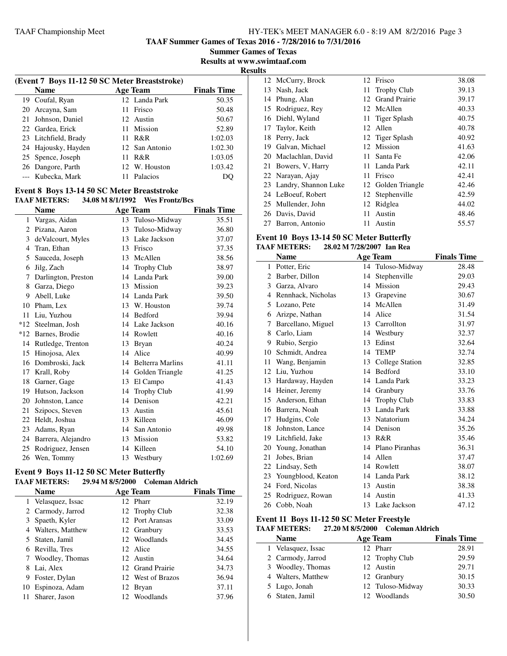**TAAF Summer Games of Texas 2016 - 7/28/2016 to 7/31/2016**

**Summer Games of Texas Results at www.swimtaaf.com**

**Results**

|    | (Event 7 Boys 11-12 50 SC Meter Breaststroke) |                 |                    |  |  |
|----|-----------------------------------------------|-----------------|--------------------|--|--|
|    | <b>Name</b>                                   | <b>Age Team</b> | <b>Finals Time</b> |  |  |
|    | 19 Coufal, Ryan                               | 12 Landa Park   | 50.35              |  |  |
|    | 20 Arcayna, Sam                               | 11 Frisco       | 50.48              |  |  |
| 21 | Johnson, Daniel                               | 12. Austin      | 50.67              |  |  |
|    | 22 Gardea, Erick                              | 11 Mission      | 52.89              |  |  |
|    | 23 Litchfield, Brady                          | 11 $R\&R$       | 1:02.03            |  |  |
|    | 24 Hajousky, Hayden                           | 12 San Antonio  | 1:02.30            |  |  |
|    | 25 Spence, Joseph                             | R&R<br>11       | 1:03.05            |  |  |
|    | 26 Dangore, Parth                             | 12 W. Houston   | 1:03.42            |  |  |
|    | --- Kubecka, Mark                             | Palacios        | DO.                |  |  |

#### **Event 8 Boys 13-14 50 SC Meter Breaststroke TAAF METERS: 34.08 M 8/1/1992 Wes Frontz/Bcs**

|       | <b>Name</b>         |    | <b>Age Team</b>         | <b>Finals Time</b> |
|-------|---------------------|----|-------------------------|--------------------|
| 1     | Vargas, Aidan       | 13 | Tuloso-Midway           | 35.51              |
| 2     | Pizana, Aaron       | 13 | Tuloso-Midway           | 36.80              |
| 3     | de Valcourt, Myles  | 13 | Lake Jackson            | 37.07              |
| 4     | Tran, Ethan         | 13 | Frisco                  | 37.35              |
| 5     | Sauceda, Joseph     | 13 | McAllen                 | 38.56              |
| 6     | Jilg, Zach          | 14 | <b>Trophy Club</b>      | 38.97              |
| 7     | Darlington, Preston | 14 | Landa Park              | 39.00              |
| 8     | Garza, Diego        | 13 | Mission                 | 39.23              |
| 9     | Abell, Luke         | 14 | Landa Park              | 39.50              |
| 10    | Pham, Lex           | 13 | W. Houston              | 39.74              |
| 11    | Liu, Yuzhou         | 14 | Bedford                 | 39.94              |
| $*12$ | Steelman, Josh      | 14 | Lake Jackson            | 40.16              |
| $*12$ | Barnes, Brodie      | 14 | Rowlett                 | 40.16              |
| 14    | Rutledge, Trenton   | 13 | <b>Bryan</b>            | 40.24              |
| 15    | Hinojosa, Alex      | 14 | Alice                   | 40.99              |
| 16    | Dombroski, Jack     | 14 | <b>Belterra Marlins</b> | 41.11              |
| 17    | Krall, Roby         | 14 | Golden Triangle         | 41.25              |
| 18    | Garner, Gage        | 13 | El Campo                | 41.43              |
| 19    | Hutson, Jackson     | 14 | <b>Trophy Club</b>      | 41.99              |
| 20    | Johnston, Lance     | 14 | Denison                 | 42.21              |
| 21    | Szipocs, Steven     | 13 | Austin                  | 45.61              |
| 22    | Heldt, Joshua       | 13 | Killeen                 | 46.09              |
| 23    | Adams, Ryan         | 14 | San Antonio             | 49.98              |
| 24    | Barrera, Alejandro  |    | 13 Mission              | 53.82              |
| 25    | Rodriguez, Jensen   | 14 | Killeen                 | 54.10              |
|       | 26 Wen, Tommy       |    | 13 Westbury             | 1:02.69            |

# **Event 9 Boys 11-12 50 SC Meter Butterfly**

| <b>TAAF METERS:</b> | 29.94 M 8/5/2000 | Coleman Aldrich |
|---------------------|------------------|-----------------|
|                     |                  |                 |

| <b>Name</b>        |     | <b>Age Team</b>   | <b>Finals Time</b> |
|--------------------|-----|-------------------|--------------------|
| 1 Velasquez, Issac |     | 12 Pharr          | 32.19              |
| 2 Carmody, Jarrod  |     | 12 Trophy Club    | 32.38              |
| 3 Spaeth, Kyler    |     | 12 Port Aransas   | 33.09              |
| 4 Walters, Matthew |     | 12 Granbury       | 33.53              |
| 5 Staten, Jamil    |     | 12 Woodlands      | 34.45              |
| 6 Revilla, Tres    |     | 12 Alice          | 34.55              |
| 7 Woodley, Thomas  |     | 12 Austin         | 34.64              |
| 8 Lai, Alex        |     | 12 Grand Prairie  | 34.73              |
| 9 Foster, Dylan    |     | 12 West of Brazos | 36.94              |
| 10 Espinoza, Adam  | 12  | Bryan             | 37.11              |
| Sharer, Jason      | 12. | Woodlands         | 37.96              |

| w  |                         |     |                    |       |
|----|-------------------------|-----|--------------------|-------|
|    | 12 McCurry, Brock       |     | 12 Frisco          | 38.08 |
| 13 | Nash, Jack              |     | 11 Trophy Club     | 39.13 |
|    | 14 Phung, Alan          |     | 12 Grand Prairie   | 39.17 |
|    | 15 Rodriguez, Rey       |     | 12 McAllen         | 40.33 |
|    | 16 Diehl, Wyland        |     | 11 Tiger Splash    | 40.75 |
|    | 17 Taylor, Keith        |     | 12 Allen           | 40.78 |
| 18 | Perry, Jack             |     | 12 Tiger Splash    | 40.92 |
| 19 | Galvan, Michael         |     | 12 Mission         | 41.63 |
|    | 20 Maclachlan, David    |     | 11 Santa Fe        | 42.06 |
| 21 | Bowers, V, Harry        |     | 11 Landa Park      | 42.11 |
|    | 22 Narayan, Ajay        |     | 11 Frisco          | 42.41 |
|    | 23 Landry, Shannon Luke |     | 12 Golden Triangle | 42.46 |
|    | 24 LeBoeuf, Robert      |     | 12 Stephenville    | 42.59 |
|    | 25 Mullender, John      |     | 12 Ridglea         | 44.02 |
|    | 26 Davis, David         | 11  | Austin             | 48.46 |
| 27 | Barron, Antonio         | 11. | Austin             | 55.57 |

#### **Event 10 Boys 13-14 50 SC Meter Butterfly TAAF METERS: 28.02 M 7/28/2007 Ian Rea**

|              | <b>Name</b>        |    | <b>Age Team</b>   | <b>Finals Time</b> |
|--------------|--------------------|----|-------------------|--------------------|
| $\mathbf{1}$ | Potter, Eric       |    | 14 Tuloso-Midway  | 28.48              |
| 2            | Barber, Dillon     | 14 | Stephenville      | 29.03              |
| 3            | Garza, Alvaro      | 14 | Mission           | 29.43              |
| 4            | Rennhack, Nicholas | 13 | Grapevine         | 30.67              |
| 5            | Lozano, Pete       | 14 | McAllen           | 31.49              |
| 6            | Arizpe, Nathan     | 14 | Alice             | 31.54              |
| 7            | Barcellano, Miguel |    | 13 Carrollton     | 31.97              |
| 8            | Carlo, Liam        |    | 14 Westbury       | 32.37              |
| 9            | Rubio, Sergio      | 13 | Edinst            | 32.64              |
| 10           | Schmidt, Andrea    | 14 | <b>TEMP</b>       | 32.74              |
| 11           | Wang, Benjamin     | 13 | College Station   | 32.85              |
| 12           | Liu, Yuzhou        |    | 14 Bedford        | 33.10              |
| 13           | Hardaway, Hayden   |    | 14 Landa Park     | 33.23              |
| 14           | Heiner, Jeremy     | 14 | Granbury          | 33.76              |
| 15           | Anderson, Ethan    | 14 | Trophy Club       | 33.83              |
| 16           | Barrera, Noah      | 13 | Landa Park        | 33.88              |
| 17           | Hudgins, Cole      | 13 | Natatorium        | 34.24              |
| 18           | Johnston, Lance    | 14 | Denison           | 35.26              |
| 19           | Litchfield, Jake   | 13 | R&R               | 35.46              |
| 20           | Young, Jonathan    |    | 14 Plano Piranhas | 36.31              |
| 21           | Jobes, Brian       | 14 | Allen             | 37.47              |
| 22           | Lindsay, Seth      | 14 | Rowlett           | 38.07              |
| 23           | Youngblood, Keaton |    | 14 Landa Park     | 38.12              |
| 24           | Ford, Nicolas      |    | 13 Austin         | 38.38              |
| 25           | Rodriguez, Rowan   | 14 | Austin            | 41.33              |
|              | 26 Cobb, Noah      |    | 13 Lake Jackson   | 47.12              |

# **Event 11 Boys 11-12 50 SC Meter Freestyle**

# **TAAF METERS: 27.20 M 8/5/2000 Coleman Aldrich**

| <b>Name</b>        | <b>Age Team</b>  | <b>Finals Time</b> |
|--------------------|------------------|--------------------|
| 1 Velasquez, Issac | 12 Pharr         | 28.91              |
| 2 Carmody, Jarrod  | 12 Trophy Club   | 29.59              |
| 3 Woodley, Thomas  | 12 Austin        | 29.71              |
| 4 Walters, Matthew | 12 Granbury      | 30.15              |
| 5 Lugo, Jonah      | 12 Tuloso-Midway | 30.33              |
| 6 Staten, Jamil    | 12 Woodlands     | 30.50              |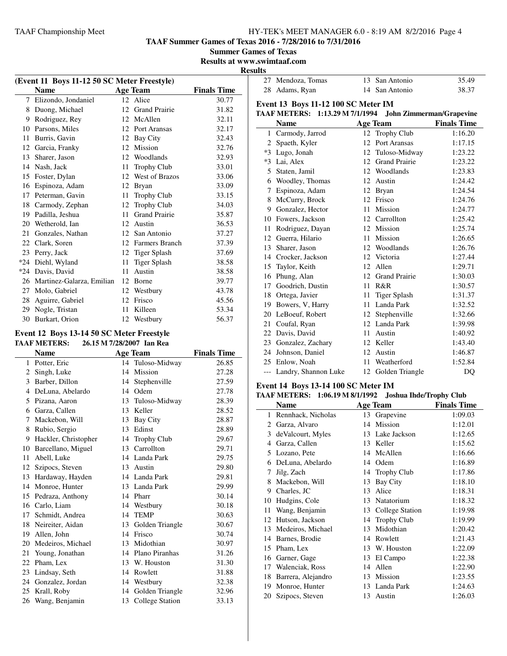**TAAF Summer Games of Texas 2016 - 7/28/2016 to 7/31/2016**

**Summer Games of Texas**

**Results at www.swimtaaf.com Results** 

| (Event 11 Boys 11-12 50 SC Meter Freestyle) |                           |    |                      |                    |
|---------------------------------------------|---------------------------|----|----------------------|--------------------|
|                                             | <b>Name</b>               |    | Age Team             | <b>Finals Time</b> |
| 7                                           | Elizondo, Jondaniel       |    | 12 Alice             | 30.77              |
| 8                                           | Duong, Michael            | 12 | <b>Grand Prairie</b> | 31.82              |
| 9                                           | Rodriguez, Rey            | 12 | McAllen              | 32.11              |
| 10                                          | Parsons, Miles            | 12 | Port Aransas         | 32.17              |
| 11                                          | Burris, Gavin             | 12 | Bay City             | 32.43              |
| 12                                          | Garcia, Franky            | 12 | Mission              | 32.76              |
| 13                                          | Sharer, Jason             | 12 | Woodlands            | 32.93              |
| 14                                          | Nash, Jack                | 11 | <b>Trophy Club</b>   | 33.01              |
| 15                                          | Foster, Dylan             | 12 | West of Brazos       | 33.06              |
| 16                                          | Espinoza, Adam            | 12 | <b>Bryan</b>         | 33.09              |
| 17                                          | Peterman, Gavin           | 11 | <b>Trophy Club</b>   | 33.15              |
| 18                                          | Carmody, Zephan           | 12 | <b>Trophy Club</b>   | 34.03              |
| 19                                          | Padilla, Jeshua           | 11 | <b>Grand Prairie</b> | 35.87              |
| 20                                          | Wetherold, Ian            | 12 | Austin               | 36.53              |
| 21                                          | Gonzales, Nathan          | 12 | San Antonio          | 37.27              |
| 22                                          | Clark, Soren              | 12 | Farmers Branch       | 37.39              |
| 23                                          | Perry, Jack               | 12 | <b>Tiger Splash</b>  | 37.69              |
| $*24$                                       | Diehl, Wyland             | 11 | <b>Tiger Splash</b>  | 38.58              |
| $*24$                                       | Davis, David              | 11 | Austin               | 38.58              |
| 26                                          | Martinez-Galarza, Emilian | 12 | Borne                | 39.77              |
| 27                                          | Molo, Gabriel             | 12 | Westbury             | 43.78              |
| 28                                          | Aguirre, Gabriel          | 12 | Frisco               | 45.56              |
| 29                                          | Nogle, Tristan            | 11 | Killeen              | 53.34              |
| 30                                          | Burkart, Orion            | 12 | Westbury             | 56.37              |

#### **Event 12 Boys 13-14 50 SC Meter Freestyle TAAF METERS: 26.15 M 7/28/2007 Ian Rea**

|                       | <b>Name</b>          |    | <b>Age Team</b>    | <b>Finals Time</b> |
|-----------------------|----------------------|----|--------------------|--------------------|
|                       | 1 Potter, Eric       |    | 14 Tuloso-Midway   | 26.85              |
| $\mathbf{2}^{\prime}$ | Singh, Luke          | 14 | Mission            | 27.28              |
| 3                     | Barber, Dillon       | 14 | Stephenville       | 27.59              |
| 4                     | DeLuna, Abelardo     | 14 | Odem               | 27.78              |
| 5                     | Pizana, Aaron        | 13 | Tuloso-Midway      | 28.39              |
| 6                     | Garza, Callen        | 13 | Keller             | 28.52              |
| 7                     | Mackebon, Will       | 13 | <b>Bay City</b>    | 28.87              |
| 8                     | Rubio, Sergio        | 13 | Edinst             | 28.89              |
| 9                     | Hackler, Christopher | 14 | <b>Trophy Club</b> | 29.67              |
| 10                    | Barcellano, Miguel   | 13 | Carrollton         | 29.71              |
| 11                    | Abell, Luke          | 14 | Landa Park         | 29.75              |
| 12                    | Szipocs, Steven      |    | 13 Austin          | 29.80              |
| 13                    | Hardaway, Hayden     |    | 14 Landa Park      | 29.81              |
| 14                    | Monroe, Hunter       | 13 | Landa Park         | 29.99              |
| 15                    | Pedraza, Anthony     |    | 14 Pharr           | 30.14              |
|                       | 16 Carlo, Liam       |    | 14 Westbury        | 30.18              |
| 17                    | Schmidt, Andrea      | 14 | <b>TEMP</b>        | 30.63              |
| 18                    | Neireiter, Aidan     | 13 | Golden Triangle    | 30.67              |
| 19                    | Allen, John          | 14 | Frisco             | 30.74              |
| 20                    | Medeiros, Michael    | 13 | Midothian          | 30.97              |
| 21                    | Young, Jonathan      | 14 | Plano Piranhas     | 31.26              |
| 22                    | Pham, Lex            | 13 | W. Houston         | 31.30              |
| 23                    | Lindsay, Seth        | 14 | Rowlett            | 31.88              |
| 24                    | Gonzalez, Jordan     |    | 14 Westbury        | 32.38              |
| 25                    | Krall, Roby          | 14 | Golden Triangle    | 32.96              |
|                       | 26 Wang, Benjamin    | 13 | College Station    | 33.13              |
|                       |                      |    |                    |                    |

| 27 Mendoza, Tomas | 13 San Antonio | 35.49 |
|-------------------|----------------|-------|
| 28 Adams, Ryan    | 14 San Antonio | 38.37 |

#### **Event 13 Boys 11-12 100 SC Meter IM TAAF METERS: 1:13.29 M 7/1/1994 John Zimmerman/Grapevine**

|              | <b>Name</b>              |    | <b>Age Team</b>      | <b>Finals Time</b> |
|--------------|--------------------------|----|----------------------|--------------------|
| $\mathbf{1}$ | Carmody, Jarrod          |    | 12 Trophy Club       | 1:16.20            |
| 2            | Spaeth, Kyler            | 12 | Port Aransas         | 1:17.15            |
| $*3$         | Lugo, Jonah              | 12 | Tuloso-Midway        | 1:23.22            |
| $*3$         | Lai, Alex                | 12 | <b>Grand Prairie</b> | 1:23.22            |
| 5            | Staten, Jamil            | 12 | Woodlands            | 1:23.83            |
| 6            | Woodley, Thomas          | 12 | Austin               | 1:24.42            |
| 7            | Espinoza, Adam           |    | 12 Bryan             | 1:24.54            |
| 8            | McCurry, Brock           | 12 | Frisco               | 1:24.76            |
| 9            | Gonzalez, Hector         | 11 | Mission              | 1:24.77            |
| 10           | Fowers, Jackson          |    | 12 Carrollton        | 1:25.42            |
| 11           | Rodriguez, Dayan         | 12 | Mission              | 1:25.74            |
| 12           | Guerra, Hilario          | 11 | Mission              | 1:26.65            |
| 13           | Sharer, Jason            | 12 | Woodlands            | 1:26.76            |
| 14           | Crocker, Jackson         | 12 | Victoria             | 1:27.44            |
| 15           | Taylor, Keith            | 12 | Allen                | 1:29.71            |
| 16           | Phung, Alan              | 12 | <b>Grand Prairie</b> | 1:30.03            |
| 17           | Goodrich, Dustin         | 11 | R&R                  | 1:30.57            |
| 18           | Ortega, Javier           | 11 | <b>Tiger Splash</b>  | 1:31.37            |
| 19           | Bowers, V, Harry         | 11 | Landa Park           | 1:32.52            |
| 20           | LeBoeuf, Robert          | 12 | Stephenville         | 1:32.66            |
| 21           | Coufal, Ryan             |    | 12 Landa Park        | 1:39.98            |
| 22           | Davis, David             | 11 | Austin               | 1:40.92            |
| 23           | Gonzalez, Zachary        | 12 | Keller               | 1:43.40            |
| 24           | Johnson, Daniel          | 12 | Austin               | 1:46.87            |
|              | 25 Enlow, Noah           | 11 | Weatherford          | 1:52.84            |
|              | --- Landry, Shannon Luke | 12 | Golden Triangle      | DQ                 |

# **Event 14 Boys 13-14 100 SC Meter IM**

|    | TAAF METERS: 1:06.19 M 8/1/1992 Joshua Ihde/Trophy Club |    |                    |                    |
|----|---------------------------------------------------------|----|--------------------|--------------------|
|    | <b>Name</b>                                             |    | <b>Age Team</b>    | <b>Finals Time</b> |
| 1  | Rennhack, Nicholas                                      | 13 | Grapevine          | 1:09.03            |
| 2  | Garza, Alvaro                                           | 14 | Mission            | 1:12.01            |
| 3  | de Valcourt, Myles                                      | 13 | Lake Jackson       | 1:12.65            |
| 4  | Garza, Callen                                           | 13 | Keller             | 1:15.62            |
| 5  | Lozano, Pete                                            | 14 | McAllen            | 1:16.66            |
| 6  | DeLuna, Abelardo                                        | 14 | Odem               | 1:16.89            |
| 7  | Jilg, Zach                                              | 14 | <b>Trophy Club</b> | 1:17.86            |
| 8  | Mackebon, Will                                          | 13 | Bay City           | 1:18.10            |
| 9  | Charles, JC                                             | 13 | Alice              | 1:18.31            |
| 10 | Hudgins, Cole                                           | 13 | Natatorium         | 1:18.32            |
| 11 | Wang, Benjamin                                          | 13 | College Station    | 1:19.98            |
| 12 | Hutson, Jackson                                         | 14 | <b>Trophy Club</b> | 1:19.99            |
| 13 | Medeiros, Michael                                       | 13 | Midothian          | 1:20.42            |
| 14 | Barnes, Brodie                                          | 14 | Rowlett            | 1:21.43            |
| 15 | Pham, Lex                                               | 13 | W. Houston         | 1:22.09            |
| 16 | Garner, Gage                                            | 13 | El Campo           | 1:22.38            |
| 17 | Walenciak, Ross                                         | 14 | Allen              | 1:22.90            |
| 18 | Barrera, Alejandro                                      | 13 | Mission            | 1:23.55            |
| 19 | Monroe, Hunter                                          | 13 | Landa Park         | 1:24.63            |
| 20 | Szipocs, Steven                                         |    | 13 Austin          | 1:26.03            |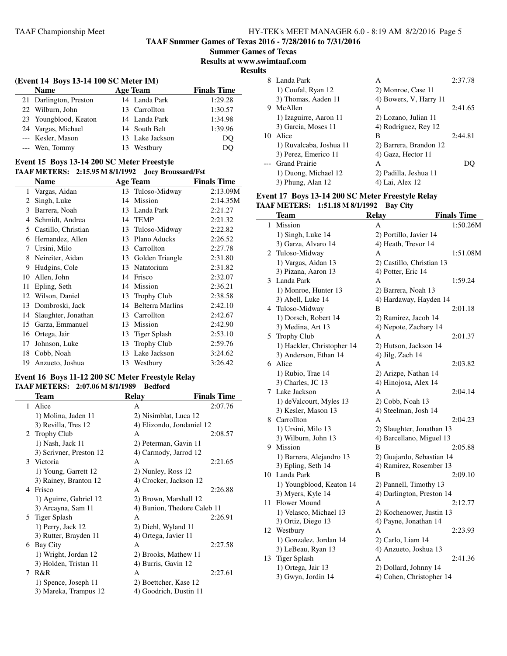**TAAF Summer Games of Texas 2016 - 7/28/2016 to 7/31/2016**

**Summer Games of Texas**

**Results at www.swimtaaf.com**

**Results**

#### **(Event 14 Boys 13-14 100 SC Meter IM) Name Age Team Finals Time** 21 Darlington, Preston 14 Landa Park 1:29.28 22 Wilburn, John 13 Carrollton 1:30.57 23 Youngblood, Keaton 14 Landa Park 1:34.98 24 Vargas, Michael 14 South Belt 1:39.96 --- Kesler, Mason 13 Lake Jackson DQ --- Wen, Tommy 13 Westbury DQ

### **Event 15 Boys 13-14 200 SC Meter Freestyle**

#### **TAAF METERS: 2:15.95 M 8/1/1992 Joey Broussard/Fst**

|    | <b>Name</b>         |    | Age Team                | <b>Finals Time</b> |
|----|---------------------|----|-------------------------|--------------------|
| 1  | Vargas, Aidan       |    | 13 Tuloso-Midway        | 2:13.09M           |
| 2  | Singh, Luke         | 14 | Mission                 | 2:14.35M           |
| 3  | Barrera, Noah       | 13 | Landa Park              | 2:21.27            |
| 4  | Schmidt, Andrea     | 14 | <b>TEMP</b>             | 2:21.32            |
| 5  | Castillo, Christian | 13 | Tuloso-Midway           | 2:22.82            |
| 6  | Hernandez, Allen    | 13 | Plano Aducks            | 2:26.52            |
| 7  | Ursini, Milo        | 13 | Carrollton              | 2:27.78            |
| 8  | Neireiter, Aidan    | 13 | Golden Triangle         | 2:31.80            |
| 9  | Hudgins, Cole       | 13 | Natatorium              | 2:31.82            |
| 10 | Allen, John         | 14 | Frisco                  | 2:32.07            |
| 11 | Epling, Seth        | 14 | Mission                 | 2:36.21            |
| 12 | Wilson, Daniel      | 13 | <b>Trophy Club</b>      | 2:38.58            |
| 13 | Dombroski, Jack     | 14 | <b>Belterra Marlins</b> | 2:42.10            |
| 14 | Slaughter, Jonathan | 13 | Carrollton              | 2:42.67            |
| 15 | Garza, Emmanuel     | 13 | Mission                 | 2:42.90            |
| 16 | Ortega, Jair        | 13 | Tiger Splash            | 2:53.10            |
| 17 | Johnson, Luke       | 13 | <b>Trophy Club</b>      | 2:59.76            |
| 18 | Cobb, Noah          | 13 | Lake Jackson            | 3:24.62            |
| 19 | Anzueto, Joshua     | 13 | Westbury                | 3:26.42            |

#### **Event 16 Boys 11-12 200 SC Meter Freestyle Relay TAAF METERS: 2:07.06 M 8/1/1989 Bedford**

|              | Team                    | Relay                  | <b>Finals Time</b>          |
|--------------|-------------------------|------------------------|-----------------------------|
| $\mathbf{1}$ | Alice                   | A                      | 2:07.76                     |
|              | 1) Molina, Jaden 11     | 2) Nisimblat, Luca 12  |                             |
|              | 3) Revilla, Tres 12     |                        | 4) Elizondo, Jondaniel 12   |
|              | 2 Trophy Club           | A                      | 2:08.57                     |
|              | 1) Nash, Jack 11        | 2) Peterman, Gavin 11  |                             |
|              | 3) Scrivner, Preston 12 | 4) Carmody, Jarrod 12  |                             |
|              | 3 Victoria              | A                      | 2:21.65                     |
|              | 1) Young, Garrett 12    | 2) Nunley, Ross 12     |                             |
|              | 3) Rainey, Branton 12   | 4) Crocker, Jackson 12 |                             |
|              | 4 Frisco                | A                      | 2:26.88                     |
|              | 1) Aguirre, Gabriel 12  | 2) Brown, Marshall 12  |                             |
|              | 3) Arcayna, Sam 11      |                        | 4) Bunion, Thedore Caleb 11 |
|              | 5 Tiger Splash          | A                      | 2:26.91                     |
|              | 1) Perry, Jack 12       | 2) Diehl, Wyland 11    |                             |
|              | 3) Rutter, Brayden 11   | 4) Ortega, Javier 11   |                             |
|              | 6 Bay City              | A                      | 2:27.58                     |
|              | 1) Wright, Jordan 12    | 2) Brooks, Mathew 11   |                             |
|              | 3) Holden, Tristan 11   | 4) Burris, Gavin 12    |                             |
| 7            | R&R                     | A                      | 2:27.61                     |
|              | 1) Spence, Joseph 11    | 2) Boettcher, Kase 12  |                             |
|              | 3) Mareka, Trampus 12   | 4) Goodrich, Dustin 11 |                             |
|              |                         |                        |                             |

| 8  | Landa Park              | А                      | 2:37.78 |
|----|-------------------------|------------------------|---------|
|    | 1) Coufal, Ryan 12      | 2) Monroe, Case 11     |         |
|    | 3) Thomas, Aaden 11     | 4) Bowers, V, Harry 11 |         |
| 9  | McAllen                 | А                      | 2:41.65 |
|    | 1) Izaguirre, Aaron 11  | 2) Lozano, Julian 11   |         |
|    | 3) Garcia, Moses 11     | 4) Rodriguez, Rey 12   |         |
| 10 | Alice                   | в                      | 2:44.81 |
|    | 1) Ruvalcaba, Joshua 11 | 2) Barrera, Brandon 12 |         |
|    | 3) Perez, Emerico 11    | 4) Gaza, Hector 11     |         |
|    | <b>Grand Prairie</b>    | А                      |         |
|    | 1) Duong, Michael 12    | 2) Padilla, Jeshua 11  |         |
|    | 3) Phung, Alan 12       | 4) Lai, Alex 12        |         |

#### **Event 17 Boys 13-14 200 SC Meter Freestyle Relay TAAF METERS: 1:51.18 M 8/1/1992 Bay City**

|              | Team                       | <b>Relay</b>              | <b>Finals Time</b> |
|--------------|----------------------------|---------------------------|--------------------|
| $\mathbf{1}$ | Mission                    | A                         | 1:50.26M           |
|              | 1) Singh, Luke 14          | 2) Portillo, Javier 14    |                    |
|              | 3) Garza, Alvaro 14        | 4) Heath, Trevor 14       |                    |
| 2            | Tuloso-Midway              | А                         | 1:51.08M           |
|              | 1) Vargas, Aidan 13        | 2) Castillo, Christian 13 |                    |
|              | 3) Pizana, Aaron 13        | 4) Potter, Eric 14        |                    |
| 3            | Landa Park                 | A                         | 1:59.24            |
|              | 1) Monroe, Hunter 13       | 2) Barrera, Noah 13       |                    |
|              | 3) Abell, Luke 14          | 4) Hardaway, Hayden 14    |                    |
| 4            | Tuloso-Midway              | B                         | 2:01.18            |
|              | 1) Dorsch, Robert 14       | 2) Ramirez, Jacob 14      |                    |
|              | 3) Medina, Art 13          | 4) Nepote, Zachary 14     |                    |
| 5            | <b>Trophy Club</b>         | А                         | 2:01.37            |
|              | 1) Hackler, Christopher 14 | 2) Hutson, Jackson 14     |                    |
|              | 3) Anderson, Ethan 14      | 4) Jilg, Zach 14          |                    |
|              | 6 Alice                    | A                         | 2:03.82            |
|              | 1) Rubio, Trae 14          | 2) Arizpe, Nathan 14      |                    |
|              | 3) Charles, JC 13          | 4) Hinojosa, Alex 14      |                    |
|              | 7 Lake Jackson             | А                         | 2:04.14            |
|              | 1) deValcourt, Myles 13    | 2) Cobb, Noah 13          |                    |
|              | 3) Kesler, Mason 13        | 4) Steelman, Josh 14      |                    |
| 8            | Carrollton                 | A                         | 2:04.23            |
|              | 1) Ursini, Milo 13         | 2) Slaughter, Jonathan 13 |                    |
|              | 3) Wilburn, John 13        | 4) Barcellano, Miguel 13  |                    |
| 9.           | Mission                    | B                         | 2:05.88            |
|              | 1) Barrera, Alejandro 13   | 2) Guajardo, Sebastian 14 |                    |
|              | 3) Epling, Seth 14         | 4) Ramirez, Rosember 13   |                    |
| 10           | Landa Park                 | B                         | 2:09.10            |
|              | 1) Youngblood, Keaton 14   | 2) Pannell, Timothy 13    |                    |
|              | 3) Myers, Kyle 14          | 4) Darlington, Preston 14 |                    |
| 11           | Flower Mound               | А                         | 2:12.77            |
|              | 1) Velasco, Michael 13     | 2) Kochenower, Justin 13  |                    |
|              | 3) Ortiz, Diego 13         | 4) Payne, Jonathan 14     |                    |
| 12           | Westbury                   | A                         | 2:23.93            |
|              | 1) Gonzalez, Jordan 14     | 2) Carlo, Liam 14         |                    |
|              | 3) LeBeau, Ryan 13         | 4) Anzueto, Joshua 13     |                    |
| 13           | <b>Tiger Splash</b>        | А                         | 2:41.36            |
|              | 1) Ortega, Jair 13         | 2) Dollard, Johnny 14     |                    |
|              | 3) Gwyn, Jordin 14         | 4) Cohen, Christopher 14  |                    |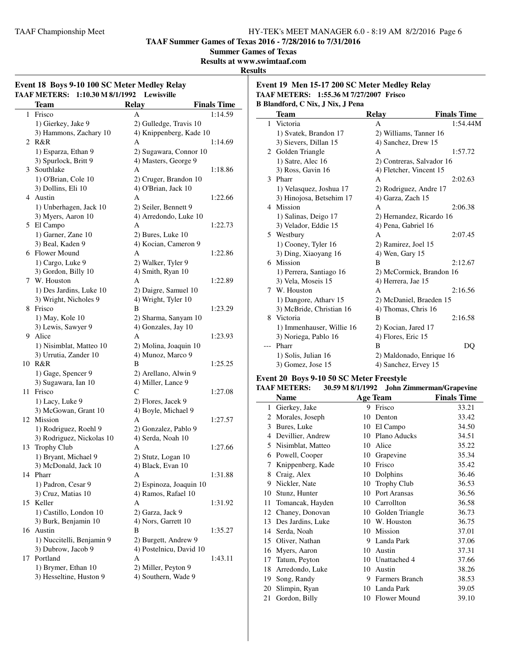**TAAF Summer Games of Texas 2016 - 7/28/2016 to 7/31/2016**

**Summer Games of Texas**

**Results at www.swimtaaf.com**

**Results**

 $\overline{a}$ 

| Event 18 Boys 9-10 100 SC Meter Medley Relay<br><b>TAAF METERS:</b><br>1:10.30 M 8/1/1992<br>Lewisville |                           |                         |                    |  |  |
|---------------------------------------------------------------------------------------------------------|---------------------------|-------------------------|--------------------|--|--|
|                                                                                                         | <b>Team</b>               | <b>Relay</b>            | <b>Finals Time</b> |  |  |
| 1                                                                                                       | Frisco                    | А                       | 1:14.59            |  |  |
|                                                                                                         | 1) Gierkey, Jake 9        | 2) Gulledge, Travis 10  |                    |  |  |
|                                                                                                         | 3) Hammons, Zachary 10    | 4) Knippenberg, Kade 10 |                    |  |  |
|                                                                                                         | 2 R&R                     | A                       | 1:14.69            |  |  |
|                                                                                                         | 1) Esparza, Ethan 9       | 2) Sugawara, Connor 10  |                    |  |  |
|                                                                                                         | 3) Spurlock, Britt 9      | 4) Masters, George 9    |                    |  |  |
|                                                                                                         | 3 Southlake               | А                       | 1:18.86            |  |  |
|                                                                                                         | 1) O'Brian, Cole 10       | 2) Cruger, Brandon 10   |                    |  |  |
|                                                                                                         | 3) Dollins, Eli 10        | 4) O'Brian, Jack 10     |                    |  |  |
|                                                                                                         | 4 Austin                  | A                       | 1:22.66            |  |  |
|                                                                                                         | 1) Unberhagen, Jack 10    | 2) Seiler, Bennett 9    |                    |  |  |
|                                                                                                         | 3) Myers, Aaron 10        | 4) Arredondo, Luke 10   |                    |  |  |
|                                                                                                         | 5 El Campo                | A                       | 1:22.73            |  |  |
|                                                                                                         | 1) Garner, Zane 10        | 2) Bures, Luke 10       |                    |  |  |
|                                                                                                         | 3) Beal, Kaden 9          | 4) Kocian, Cameron 9    |                    |  |  |
|                                                                                                         | 6 Flower Mound            | A                       | 1:22.86            |  |  |
|                                                                                                         | 1) Cargo, Luke 9          | 2) Walker, Tyler 9      |                    |  |  |
|                                                                                                         | 3) Gordon, Billy 10       | 4) Smith, Ryan 10       |                    |  |  |
|                                                                                                         | 7 W. Houston              | A                       | 1:22.89            |  |  |
|                                                                                                         | 1) Des Jardins, Luke 10   | 2) Daigre, Samuel 10    |                    |  |  |
|                                                                                                         | 3) Wright, Nicholes 9     | 4) Wright, Tyler 10     |                    |  |  |
|                                                                                                         | 8 Frisco                  | В                       | 1:23.29            |  |  |
|                                                                                                         | 1) May, Kole 10           | 2) Sharma, Sanyam 10    |                    |  |  |
|                                                                                                         | 3) Lewis, Sawyer 9        | 4) Gonzales, Jay 10     |                    |  |  |
|                                                                                                         | 9 Alice                   | A                       | 1:23.93            |  |  |
|                                                                                                         | 1) Nisimblat, Matteo 10   | 2) Molina, Joaquin 10   |                    |  |  |
|                                                                                                         | 3) Urrutia, Zander 10     | 4) Munoz, Marco 9       |                    |  |  |
| 10                                                                                                      | R&R                       | В                       | 1:25.25            |  |  |
|                                                                                                         | 1) Gage, Spencer 9        | 2) Arellano, Alwin 9    |                    |  |  |
|                                                                                                         | 3) Sugawara, Ian 10       | 4) Miller, Lance 9      |                    |  |  |
| 11                                                                                                      | Frisco                    | C                       | 1:27.08            |  |  |
|                                                                                                         | 1) Lacy, Luke 9           | 2) Flores, Jacek 9      |                    |  |  |
|                                                                                                         | 3) McGowan, Grant 10      | 4) Boyle, Michael 9     |                    |  |  |
|                                                                                                         | 12 Mission                | A                       | 1:27.57            |  |  |
|                                                                                                         | 1) Rodriguez, Roehl 9     | 2) Gonzalez, Pablo 9    |                    |  |  |
|                                                                                                         | 3) Rodriguez, Nickolas 10 | 4) Serda, Noah 10       |                    |  |  |
| 13                                                                                                      | <b>Trophy Club</b>        | А                       | 1:27.66            |  |  |
|                                                                                                         | 1) Bryant, Michael 9      | 2) Stutz, Logan 10      |                    |  |  |
|                                                                                                         | 3) McDonald, Jack 10      | 4) Black, Evan 10       |                    |  |  |
|                                                                                                         | 14 Pharr                  | A                       | 1:31.88            |  |  |
|                                                                                                         | 1) Padron, Cesar 9        | 2) Espinoza, Joaquin 10 |                    |  |  |
|                                                                                                         | 3) Cruz, Matias 10        | 4) Ramos, Rafael 10     |                    |  |  |
| 15                                                                                                      | Keller                    | А                       | 1:31.92            |  |  |
|                                                                                                         | 1) Castillo, London 10    | 2) Garza, Jack 9        |                    |  |  |
|                                                                                                         | 3) Burk, Benjamin 10      | 4) Nors, Garrett 10     |                    |  |  |
|                                                                                                         | 16 Austin                 | B                       | 1:35.27            |  |  |
|                                                                                                         | 1) Nuccitelli, Benjamin 9 | 2) Burgett, Andrew 9    |                    |  |  |
|                                                                                                         | 3) Dubrow, Jacob 9        | 4) Postelnicu, David 10 |                    |  |  |
| 17                                                                                                      | Portland                  | A                       | 1:43.11            |  |  |
|                                                                                                         | 1) Brymer, Ethan 10       | 2) Miller, Peyton 9     |                    |  |  |
|                                                                                                         | 3) Hesseltine, Huston 9   | 4) Southern, Wade 9     |                    |  |  |

**Event 19 Men 15-17 200 SC Meter Medley Relay TAAF METERS: 1:55.36 M 7/27/2007 Frisco B Blandford, C Nix, J Nix, J Pena**

|     | <b>Team</b>               | <b>Relay</b>              | <b>Finals Time</b> |
|-----|---------------------------|---------------------------|--------------------|
| 1   | Victoria                  | A                         | 1:54.44M           |
|     | 1) Svatek, Brandon 17     | 2) Williams, Tanner 16    |                    |
|     | 3) Sievers, Dillan 15     | 4) Sanchez, Drew 15       |                    |
|     | 2 Golden Triangle         | А                         | 1:57.72            |
|     | 1) Satre, Alec 16         | 2) Contreras, Salvador 16 |                    |
|     | 3) Ross, Gavin 16         | 4) Fletcher, Vincent 15   |                    |
| 3   | Pharr                     | A                         | 2:02.63            |
|     | 1) Velasquez, Joshua 17   | 2) Rodriguez, Andre 17    |                    |
|     | 3) Hinojosa, Betsehim 17  | 4) Garza, Zach 15         |                    |
|     | 4 Mission                 | A                         | 2:06.38            |
|     | 1) Salinas, Deigo 17      | 2) Hernandez, Ricardo 16  |                    |
|     | 3) Velador, Eddie 15      | 4) Pena, Gabriel 16       |                    |
|     | 5 Westbury                | A                         | 2:07.45            |
|     | 1) Cooney, Tyler 16       | 2) Ramirez, Joel 15       |                    |
|     | 3) Ding, Xiaoyang 16      | 4) Wen, Gary 15           |                    |
| 6   | Mission                   | B                         | 2:12.67            |
|     | 1) Perrera, Santiago 16   | 2) McCormick, Brandon 16  |                    |
|     | 3) Vela, Moseis 15        | 4) Herrera, Jae 15        |                    |
| 7   | W. Houston                | A                         | 2:16.56            |
|     | 1) Dangore, Athary 15     | 2) McDaniel, Braeden 15   |                    |
|     | 3) McBride, Christian 16  | 4) Thomas, Chris 16       |                    |
| 8   | Victoria                  | B                         | 2:16.58            |
|     | 1) Immenhauser, Willie 16 | 2) Kocian, Jared 17       |                    |
|     | 3) Noriega, Pablo 16      | 4) Flores, Eric 15        |                    |
| --- | Pharr                     | B                         | DQ                 |
|     | 1) Solis, Julian 16       | 2) Maldonado, Enrique 16  |                    |
|     | 3) Gomez, Jose 15         | 4) Sanchez, Ervey 15      |                    |

#### **Event 20 Boys 9-10 50 SC Meter Freestyle**

| <b>TAAF METERS:</b> |  | 30.59 M 8/1/1992 John Zimmerman/Grapevine |
|---------------------|--|-------------------------------------------|
|---------------------|--|-------------------------------------------|

|    | Name              |    | <b>Age Team</b>    | <b>Finals Time</b> |
|----|-------------------|----|--------------------|--------------------|
| 1  | Gierkey, Jake     | 9  | Frisco             | 33.21              |
| 2  | Morales, Joseph   | 10 | Denton             | 33.42              |
| 3  | Bures, Luke       | 10 | El Campo           | 34.50              |
| 4  | Devillier, Andrew | 10 | Plano Aducks       | 34.51              |
| 5  | Nisimblat, Matteo | 10 | Alice              | 35.22              |
| 6  | Powell, Cooper    | 10 | Grapevine          | 35.34              |
| 7  | Knippenberg, Kade | 10 | Frisco             | 35.42              |
| 8  | Craig, Alex       | 10 | Dolphins           | 36.46              |
| 9  | Nickler, Nate     | 10 | <b>Trophy Club</b> | 36.53              |
| 10 | Stunz, Hunter     | 10 | Port Aransas       | 36.56              |
| 11 | Tomancak, Hayden  | 10 | Carrollton         | 36.58              |
| 12 | Chaney, Donovan   | 10 | Golden Triangle    | 36.73              |
| 13 | Des Jardins, Luke | 10 | W. Houston         | 36.75              |
| 14 | Serda, Noah       | 10 | Mission            | 37.01              |
| 15 | Oliver, Nathan    | 9  | Landa Park         | 37.06              |
| 16 | Myers, Aaron      | 10 | Austin             | 37.31              |
| 17 | Tatum, Peyton     | 10 | Unattached 4       | 37.66              |
| 18 | Arredondo, Luke   | 10 | Austin             | 38.26              |
| 19 | Song, Randy       | 9  | Farmers Branch     | 38.53              |
| 20 | Slimpin, Ryan     | 10 | Landa Park         | 39.05              |
| 21 | Gordon, Billy     | 10 | Flower Mound       | 39.10              |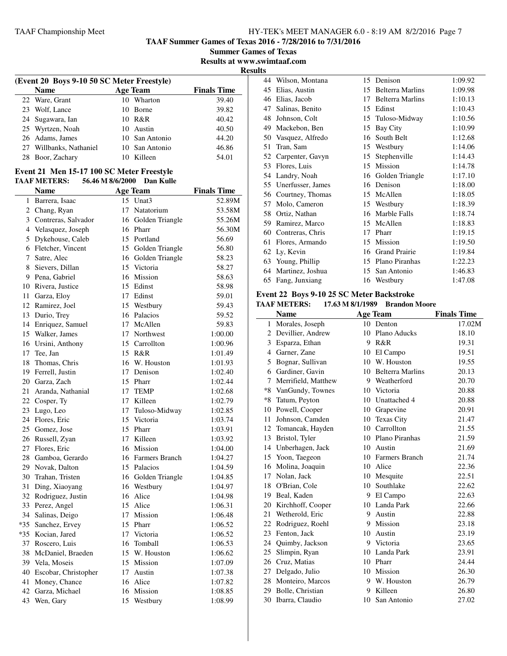**TAAF Summer Games of Texas 2016 - 7/28/2016 to 7/31/2016**

**Summer Games of Texas Results at www.swimtaaf.com**

**Results**

| (Event 20 Boys 9-10 50 SC Meter Freestyle) |     |                 |                    |
|--------------------------------------------|-----|-----------------|--------------------|
| <b>Name</b>                                |     | <b>Age Team</b> | <b>Finals Time</b> |
| 22 Ware, Grant                             | 10  | Wharton         | 39.40              |
| 23 Wolf, Lance                             | 1() | <b>Borne</b>    | 39.82              |
| 24 Sugawara, Ian                           |     | 10 R&R          | 40.42              |
| 25 Wyrtzen, Noah                           |     | 10 Austin       | 40.50              |
| 26 Adams, James                            |     | 10 San Antonio  | 44.20              |
| 27 Willbanks, Nathaniel                    |     | 10 San Antonio  | 46.86              |
| 28 Boor, Zachary                           | 10  | Killeen         | 54.01              |
|                                            |     |                 |                    |

#### **Event 21 Men 15-17 100 SC Meter Freestyle TAAF METERS: 56.46 M 8/6/2000 Dan Kulle**

|    | Name                    |    | <b>Age Team</b>    | <b>Finals Time</b> |
|----|-------------------------|----|--------------------|--------------------|
| 1  | Barrera, Isaac          |    | 15 Unat3           | 52.89M             |
|    | 2 Chang, Ryan           |    | 17 Natatorium      | 53.58M             |
|    | 3 Contreras, Salvador   |    | 16 Golden Triangle | 55.26M             |
|    | 4 Velasquez, Joseph     |    | 16 Pharr           | 56.30M             |
|    | 5 Dykehouse, Caleb      |    | 15 Portland        | 56.69              |
|    | 6 Fletcher, Vincent     |    | 15 Golden Triangle | 56.80              |
|    | 7 Satre, Alec           |    | 16 Golden Triangle | 58.23              |
|    | 8 Sievers, Dillan       | 15 | Victoria           | 58.27              |
| 9  | Pena, Gabriel           |    | 16 Mission         | 58.63              |
|    | 10 Rivera, Justice      |    | 15 Edinst          | 58.98              |
|    | 11 Garza, Eloy          |    | 17 Edinst          | 59.01              |
|    | 12 Ramirez, Joel        |    | 15 Westbury        | 59.43              |
|    | 13 Durio, Trey          |    | 16 Palacios        | 59.52              |
|    | 14 Enriquez, Samuel     |    | 17 McAllen         | 59.83              |
|    | 15 Walker, James        |    | 17 Northwest       | 1:00.00            |
|    | 16 Ursini, Anthony      |    | 15 Carrollton      | 1:00.96            |
|    | 17 Tee, Jan             |    | 15 R&R             | 1:01.49            |
| 18 | Thomas, Chris           | 16 | W. Houston         | 1:01.93            |
|    | 19 Ferrell, Justin      |    | 17 Denison         | 1:02.40            |
|    | 20 Garza, Zach          |    | 15 Pharr           | 1:02.44            |
|    | 21 Aranda, Nathanial    |    | 17 TEMP            | 1:02.68            |
|    | 22 Cosper, Ty           |    | 17 Killeen         | 1:02.79            |
|    | 23 Lugo, Leo            |    | 17 Tuloso-Midway   | 1:02.85            |
|    | 24 Flores, Eric         | 15 | Victoria           | 1:03.74            |
|    | 25 Gomez, Jose          |    | 15 Pharr           | 1:03.91            |
|    | 26 Russell, Zyan        |    | 17 Killeen         | 1:03.92            |
|    | 27 Flores, Eric         |    | 16 Mission         | 1:04.00            |
|    | 28 Gamboa, Gerardo      |    | 16 Farmers Branch  | 1:04.27            |
|    | 29 Novak, Dalton        |    | 15 Palacios        | 1:04.59            |
|    | 30 Trahan, Tristen      |    | 16 Golden Triangle | 1:04.85            |
| 31 | Ding, Xiaoyang          |    | 16 Westbury        | 1:04.97            |
|    | 32 Rodriguez, Justin    |    | 16 Alice           | 1:04.98            |
|    | 33 Perez, Angel         | 15 | Alice              | 1:06.31            |
|    | 34 Salinas, Deigo       |    | 17 Mission         | 1:06.48            |
|    | *35 Sanchez, Ervey      |    | 15 Pharr           | 1:06.52            |
|    | *35 Kocian, Jared       | 17 | Victoria           | 1:06.52            |
|    | 37 Roscero, Luis        | 16 | Tomball            | 1:06.53            |
| 38 | McDaniel, Braeden       |    | 15 W. Houston      | 1:06.62            |
|    | 39 Vela, Moseis         |    | 15 Mission         | 1:07.09            |
|    | 40 Escobar, Christopher |    | 17 Austin          | 1:07.38            |
| 41 | Money, Chance           |    | 16 Alice           | 1:07.82            |
|    | 42 Garza, Michael       |    | 16 Mission         | 1:08.85            |
| 43 | Wen, Gary               | 15 | Westbury           | 1:08.99            |

| 44 | Wilson, Montana   | 15 | Denison                 | 1:09.92 |
|----|-------------------|----|-------------------------|---------|
| 45 | Elias, Austin     | 15 | <b>Belterra Marlins</b> | 1:09.98 |
| 46 | Elias, Jacob      | 17 | Belterra Marlins        | 1:10.13 |
| 47 | Salinas, Benito   | 15 | Edinst                  | 1:10.43 |
| 48 | Johnson, Colt     | 15 | Tuloso-Midway           | 1:10.56 |
| 49 | Mackebon, Ben     | 15 | Bay City                | 1:10.99 |
| 50 | Vasquez, Alfredo  | 16 | South Belt              | 1:12.68 |
| 51 | Tran, Sam         | 15 | Westbury                | 1:14.06 |
| 52 | Carpenter, Gavyn  | 15 | Stephenville            | 1:14.43 |
| 53 | Flores, Luis      | 15 | Mission                 | 1:14.78 |
| 54 | Landry, Noah      | 16 | Golden Triangle         | 1:17.10 |
| 55 | Unerfusser, James | 16 | Denison                 | 1:18.00 |
| 56 | Courtney, Thomas  | 15 | McAllen                 | 1:18.05 |
| 57 | Molo, Cameron     | 15 | Westbury                | 1:18.39 |
| 58 | Ortiz, Nathan     | 16 | Marble Falls            | 1:18.74 |
| 59 | Ramirez, Marco    | 15 | McAllen                 | 1:18.83 |
| 60 | Contreras, Chris  | 17 | Pharr                   | 1:19.15 |
| 61 | Flores, Armando   | 15 | Mission                 | 1:19.50 |
| 62 | Ly, Kevin         | 16 | <b>Grand Prairie</b>    | 1:19.84 |
| 63 | Young, Phillip    | 15 | Plano Piranhas          | 1:22.23 |
| 64 | Martinez, Joshua  | 15 | San Antonio             | 1:46.83 |
| 65 | Fang, Junxiang    |    | 16 Westbury             | 1:47.08 |
|    |                   |    |                         |         |

#### **Event 22 Boys 9-10 25 SC Meter Backstroke**

| <b>TAAF METERS:</b> | 17.63 M 8/1/1989 | <b>Brandon Moore</b> |
|---------------------|------------------|----------------------|
|                     |                  |                      |

|                | <b>Name</b>         |    | <b>Age Team</b>         | <b>Finals Time</b> |
|----------------|---------------------|----|-------------------------|--------------------|
| 1              | Morales, Joseph     |    | 10 Denton               | 17.02M             |
| 2              | Devillier, Andrew   | 10 | Plano Aducks            | 18.10              |
| 3              | Esparza, Ethan      | 9  | R&R                     | 19.31              |
| $\overline{4}$ | Garner, Zane        |    | 10 El Campo             | 19.51              |
| 5              | Bognar, Sullivan    |    | 10 W. Houston           | 19.55              |
| 6              | Gardiner, Gavin     | 10 | <b>Belterra Marlins</b> | 20.13              |
| 7              | Merrifield, Matthew | 9  | Weatherford             | 20.70              |
| *8             | VanGundy, Townes    | 10 | Victoria                | 20.88              |
| $*8$           | Tatum, Peyton       | 10 | Unattached 4            | 20.88              |
| 10             | Powell, Cooper      |    | 10 Grapevine            | 20.91              |
| 11             | Johnson, Camden     |    | 10 Texas City           | 21.47              |
| 12             | Tomancak, Hayden    | 10 | Carrollton              | 21.55              |
| 13             | Bristol, Tyler      | 10 | Plano Piranhas          | 21.59              |
|                | 14 Unberhagen, Jack |    | 10 Austin               | 21.69              |
| 15             | Yoon, Taegeon       |    | 10 Farmers Branch       | 21.74              |
| 16             | Molina, Joaquin     |    | 10 Alice                | 22.36              |
| 17             | Nolan, Jack         | 10 | Mesquite                | 22.51              |
| 18             | O'Brian, Cole       | 10 | Southlake               | 22.62              |
|                | 19 Beal, Kaden      |    | 9 El Campo              | 22.63              |
| 20             | Kirchhoff, Cooper   |    | 10 Landa Park           | 22.66              |
| 21             | Wetherold, Eric     | 9  | Austin                  | 22.88              |
| 22             | Rodriguez, Roehl    | 9  | Mission                 | 23.18              |
| 23             | Fenton, Jack        | 10 | Austin                  | 23.19              |
| 24             | Quimby, Jackson     | 9  | Victoria                | 23.65              |
| 25             | Slimpin, Ryan       |    | 10 Landa Park           | 23.91              |
|                | 26 Cruz, Matias     |    | 10 Pharr                | 24.44              |
| 27             | Delgado, Julio      | 10 | Mission                 | 26.30              |
| 28             | Monteiro, Marcos    | 9  | W. Houston              | 26.79              |
|                | 29 Bolle, Christian | 9  | Killeen                 | 26.80              |
| 30             | Ibarra, Claudio     |    | 10 San Antonio          | 27.02              |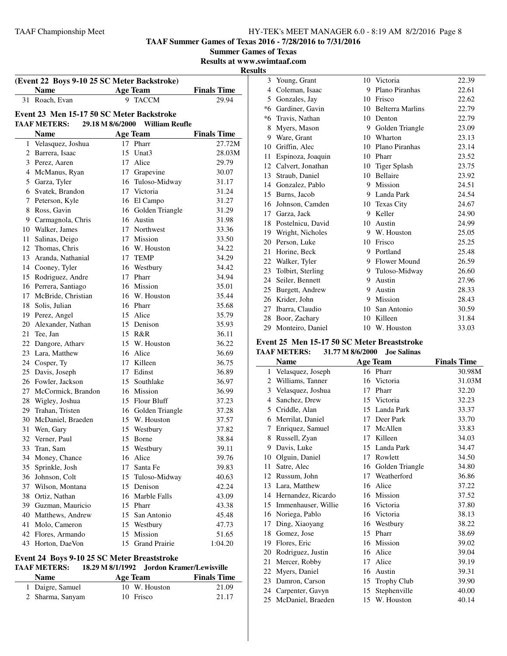**TAAF Summer Games of Texas 2016 - 7/28/2016 to 7/31/2016**

**Summer Games of Texas**

**Results at www.swimtaaf.com**

## **Results**

|    | <b>Name</b>                               |    | <b>Age Team</b>       | <b>Finals Time</b> |
|----|-------------------------------------------|----|-----------------------|--------------------|
| 31 | Roach, Evan                               | 9  | <b>TACCM</b>          | 29.94              |
|    | Event 23 Men 15-17 50 SC Meter Backstroke |    |                       |                    |
|    | 29.18 M 8/6/2000<br><b>TAAF METERS:</b>   |    | <b>William Reufle</b> |                    |
|    | <b>Name</b>                               |    | <b>Age Team</b>       | <b>Finals Time</b> |
|    | 1 Velasquez, Joshua                       |    | 17 Pharr              | 27.72M             |
|    | 2 Barrera, Isaac                          |    | 15 Unat3              | 28.03M             |
|    | 3 Perez, Aaren                            |    | 17 Alice              | 29.79              |
|    | 4 McManus, Ryan                           |    | 17 Grapevine          | 30.07              |
|    | 5 Garza, Tyler                            |    | 16 Tuloso-Midway      | 31.17              |
|    | 6 Svatek, Brandon                         |    | 17 Victoria           | 31.24              |
|    | 7 Peterson, Kyle                          |    | 16 El Campo           | 31.27              |
|    | 8 Ross, Gavin                             |    | 16 Golden Triangle    | 31.29              |
|    | 9 Carmagnola, Chris                       |    | 16 Austin             | 31.98              |
|    | 10 Walker, James                          |    | 17 Northwest          | 33.36              |
| 11 | Salinas, Deigo                            |    | 17 Mission            | 33.50              |
|    | 12 Thomas, Chris                          |    | 16 W. Houston         | 34.22              |
|    | 13 Aranda, Nathanial                      |    | 17 TEMP               | 34.29              |
|    | 14 Cooney, Tyler                          |    | 16 Westbury           | 34.42              |
|    | 15 Rodriguez, Andre                       |    | 17 Pharr              | 34.94              |
|    | 16 Perrera, Santiago                      |    | 16 Mission            | 35.01              |
|    | 17 McBride, Christian                     |    | 16 W. Houston         | 35.44              |
|    | 18 Solis, Julian                          |    | 16 Pharr              | 35.68              |
|    | 19 Perez, Angel                           |    | 15 Alice              | 35.79              |
|    | 20 Alexander, Nathan                      |    | 15 Denison            | 35.93              |
|    | 21 Tee, Jan                               |    | 15 R&R                | 36.11              |
|    | 22 Dangore, Atharv                        |    | 15 W. Houston         | 36.22              |
|    | 23 Lara, Matthew                          |    | 16 Alice              | 36.69              |
|    | 24 Cosper, Ty                             |    | 17 Killeen            | 36.75              |
|    | 25 Davis, Joseph                          |    | 17 Edinst             | 36.89              |
|    | 26 Fowler, Jackson                        |    | 15 Southlake          | 36.97              |
|    | 27 McCormick, Brandon                     |    | 16 Mission            | 36.99              |
|    | 28 Wigley, Joshua                         |    | 15 Flour Bluff        | 37.23              |
|    | 29 Trahan, Tristen                        |    | 16 Golden Triangle    | 37.28              |
|    | 30 McDaniel, Braeden                      |    | 15 W. Houston         | 37.57              |
|    | 31 Wen, Gary                              |    | 15 Westbury           | 37.82              |
|    | 32 Verner, Paul                           |    | 15 Borne              | 38.84              |
|    | 33 Tran, Sam                              |    | 15 Westbury           | 39.11              |
|    | 34 Money, Chance                          |    | 16 Alice              | 39.76              |
| 35 | Sprinkle, Josh                            | 17 | Santa Fe              | 39.83              |
| 36 | Johnson, Colt                             |    | 15 Tuloso-Midway      | 40.63              |
| 37 | Wilson, Montana                           |    | 15 Denison            | 42.24              |
| 38 | Ortiz, Nathan                             |    | 16 Marble Falls       | 43.09              |
|    | 39 Guzman, Mauricio                       |    | 15 Pharr              | 43.38              |
| 40 | Matthews, Andrew                          |    | 15 San Antonio        | 45.48              |
| 41 | Molo, Cameron                             |    | 15 Westbury           | 47.73              |
|    | 42 Flores, Armando                        |    | 15 Mission            | 51.65              |
| 43 | Horton, DaeVon                            |    | 15 Grand Prairie      | 1:04.20            |

#### **Event 24 Boys 9-10 25 SC Meter Breaststroke**

### **TAAF METERS: 18.29 M 8/1/1992 Jordon Kramer/Lewisville**

| <b>Name</b>      | Age Team      | <b>Finals Time</b> |
|------------------|---------------|--------------------|
| 1 Daigre, Samuel | 10 W. Houston | 21.09              |
| 2 Sharma, Sanyam | 10 Frisco     | 21.17              |

| 3  | Young, Grant      | 10 | Victoria                | 22.39 |
|----|-------------------|----|-------------------------|-------|
| 4  | Coleman, Isaac    | 9  | Plano Piranhas          | 22.61 |
| 5  | Gonzales, Jay     | 10 | Frisco                  | 22.62 |
| *6 | Gardiner, Gavin   | 10 | <b>Belterra Marlins</b> | 22.79 |
| *6 | Travis, Nathan    | 10 | Denton                  | 22.79 |
| 8  | Myers, Mason      | 9  | Golden Triangle         | 23.09 |
| 9  | Ware, Grant       | 10 | Wharton                 | 23.13 |
| 10 | Griffin, Alec     | 10 | Plano Piranhas          | 23.14 |
| 11 | Espinoza, Joaquin | 10 | Pharr                   | 23.52 |
| 12 | Calvert, Jonathan | 10 | Tiger Splash            | 23.75 |
| 13 | Straub, Daniel    | 10 | <b>Bellaire</b>         | 23.92 |
| 14 | Gonzalez, Pablo   | 9  | Mission                 | 24.51 |
| 15 | Burns, Jacob      | 9  | Landa Park              | 24.54 |
| 16 | Johnson, Camden   | 10 | <b>Texas City</b>       | 24.67 |
| 17 | Garza, Jack       | 9  | Keller                  | 24.90 |
| 18 | Postelnicu, David | 10 | Austin                  | 24.99 |
| 19 | Wright, Nicholes  | 9  | W. Houston              | 25.05 |
| 20 | Person, Luke      | 10 | Frisco                  | 25.25 |
| 21 | Horine, Beck      | 9  | Portland                | 25.48 |
| 22 | Walker, Tyler     | 9  | Flower Mound            | 26.59 |
| 23 | Tolbirt, Sterling | 9  | Tuloso-Midway           | 26.60 |
| 24 | Seiler, Bennett   | 9  | Austin                  | 27.96 |
| 25 | Burgett, Andrew   | 9  | Austin                  | 28.33 |
| 26 | Krider, John      | 9  | Mission                 | 28.43 |
| 27 | Ibarra, Claudio   | 10 | San Antonio             | 30.59 |
| 28 | Boor, Zachary     | 10 | Killeen                 | 31.84 |
| 29 | Monteiro, Daniel  | 10 | W. Houston              | 33.03 |

#### **Event 25 Men 15-17 50 SC Meter Breaststroke TAAF METERS: 31.77 M 8/6/2000 Joe Salinas**

|    | <b>Name</b>         |    | <b>Age Team</b>    | <b>Finals Time</b> |
|----|---------------------|----|--------------------|--------------------|
| 1  | Velasquez, Joseph   |    | 16 Pharr           | 30.98M             |
| 2  | Williams, Tanner    | 16 | Victoria           | 31.03M             |
| 3  | Velasquez, Joshua   | 17 | Pharr              | 32.20              |
| 4  | Sanchez, Drew       | 15 | Victoria           | 32.23              |
| 5  | Criddle, Alan       | 15 | Landa Park         | 33.37              |
| 6  | Merrilat, Daniel    | 17 | Deer Park          | 33.70              |
| 7  | Enriquez, Samuel    | 17 | McAllen            | 33.83              |
| 8  | Russell, Zyan       | 17 | Killeen            | 34.03              |
| 9  | Davis, Luke         | 15 | Landa Park         | 34.47              |
| 10 | Olguin, Daniel      | 17 | Rowlett            | 34.50              |
| 11 | Satre, Alec         | 16 | Golden Triangle    | 34.80              |
| 12 | Russum, John        | 17 | Weatherford        | 36.86              |
| 13 | Lara, Matthew       | 16 | Alice              | 37.22              |
| 14 | Hernandez, Ricardo  | 16 | Mission            | 37.52              |
| 15 | Immenhauser, Willie | 16 | Victoria           | 37.80              |
| 16 | Noriega, Pablo      | 16 | Victoria           | 38.13              |
| 17 | Ding, Xiaoyang      | 16 | Westbury           | 38.22              |
| 18 | Gomez, Jose         | 15 | Pharr              | 38.69              |
| 19 | Flores, Eric        | 16 | Mission            | 39.02              |
| 20 | Rodriguez, Justin   | 16 | Alice              | 39.04              |
| 21 | Mercer, Robby       | 17 | Alice              | 39.19              |
| 22 | Myers, Daniel       | 16 | Austin             | 39.31              |
| 23 | Damron, Carson      | 15 | <b>Trophy Club</b> | 39.90              |
| 24 | Carpenter, Gavyn    | 15 | Stephenville       | 40.00              |
| 25 | McDaniel, Braeden   | 15 | W. Houston         | 40.14              |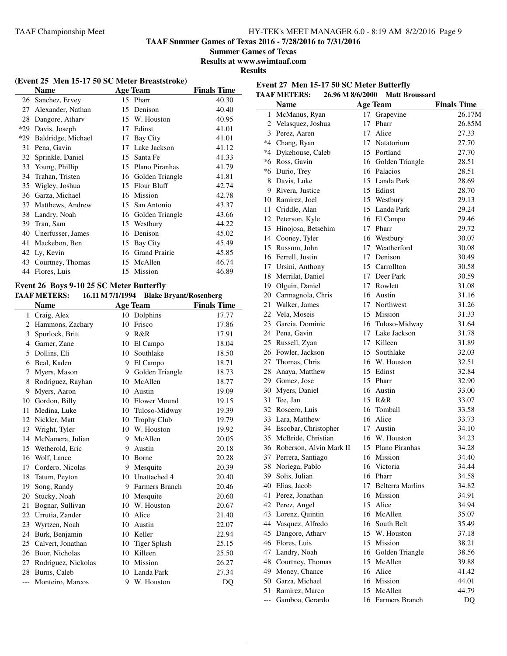**Event 27 Men 15-17 50 SC Meter Butterfly**

**TAAF Summer Games of Texas 2016 - 7/28/2016 to 7/31/2016**

**Summer Games of Texas**

**Results at www.swimtaaf.com**

#### **Results**

 $\overline{\phantom{a}}$ 

| (Event 25 Men 15-17 50 SC Meter Breaststroke) |                    |    |                      |                    |  |
|-----------------------------------------------|--------------------|----|----------------------|--------------------|--|
|                                               | Name               |    | <b>Age Team</b>      | <b>Finals Time</b> |  |
| 26                                            | Sanchez, Ervey     |    | 15 Pharr             | 40.30              |  |
| 27                                            | Alexander, Nathan  | 15 | Denison              | 40.40              |  |
| 28                                            | Dangore, Athary    | 15 | W. Houston           | 40.95              |  |
| *29                                           | Davis, Joseph      | 17 | Edinst               | 41.01              |  |
| *29                                           | Baldridge, Michael | 17 | Bay City             | 41.01              |  |
| 31                                            | Pena, Gavin        | 17 | Lake Jackson         | 41.12              |  |
| 32                                            | Sprinkle, Daniel   | 15 | Santa Fe             | 41.33              |  |
| 33                                            | Young, Phillip     | 15 | Plano Piranhas       | 41.79              |  |
| 34                                            | Trahan, Tristen    | 16 | Golden Triangle      | 41.81              |  |
| 35                                            | Wigley, Joshua     | 15 | Flour Bluff          | 42.74              |  |
| 36                                            | Garza, Michael     | 16 | Mission              | 42.78              |  |
| 37                                            | Matthews, Andrew   | 15 | San Antonio          | 43.37              |  |
| 38                                            | Landry, Noah       | 16 | Golden Triangle      | 43.66              |  |
| 39                                            | Tran, Sam          | 15 | Westbury             | 44.22              |  |
| 40                                            | Unerfusser, James  | 16 | Denison              | 45.02              |  |
| 41                                            | Mackebon, Ben      | 15 | Bay City             | 45.49              |  |
| 42                                            | Ly, Kevin          | 16 | <b>Grand Prairie</b> | 45.85              |  |
| 43                                            | Courtney, Thomas   | 15 | McAllen              | 46.74              |  |
| 44                                            | Flores, Luis       | 15 | Mission              | 46.89              |  |

## **Event 26 Boys 9-10 25 SC Meter Butterfly**

#### **TAAF METERS: 16.11 M 7/1/1994 Blake Bryant/Rosenberg**

|       | Name                |    | <b>Age Team</b>       | <b>Finals Time</b> |
|-------|---------------------|----|-----------------------|--------------------|
| 1     | Craig, Alex         | 10 | Dolphins              | 17.77              |
| 2     | Hammons, Zachary    | 10 | Frisco                | 17.86              |
| 3     | Spurlock, Britt     | 9  | R&R                   | 17.91              |
| 4     | Garner, Zane        | 10 | El Campo              | 18.04              |
| 5     | Dollins, Eli        | 10 | Southlake             | 18.50              |
| 6     | Beal, Kaden         | 9  | El Campo              | 18.71              |
| 7     | Myers, Mason        | 9  | Golden Triangle       | 18.73              |
| 8     | Rodriguez, Rayhan   | 10 | McAllen               | 18.77              |
| 9     | Myers, Aaron        | 10 | Austin                | 19.09              |
| 10    | Gordon, Billy       | 10 | <b>Flower Mound</b>   | 19.15              |
| 11    | Medina, Luke        | 10 | Tuloso-Midway         | 19.39              |
| 12    | Nickler, Matt       | 10 | <b>Trophy Club</b>    | 19.79              |
| 13    | Wright, Tyler       | 10 | W. Houston            | 19.92              |
| 14    | McNamera, Julian    | 9  | McAllen               | 20.05              |
| 15    | Wetherold, Eric     | 9  | Austin                | 20.18              |
| 16    | Wolf, Lance         | 10 | <b>Borne</b>          | 20.28              |
| 17    | Cordero, Nicolas    | 9  | Mesquite              | 20.39              |
| 18    | Tatum, Peyton       |    | 10 Unattached 4       | 20.40              |
| 19    | Song, Randy         | 9  | <b>Farmers Branch</b> | 20.46              |
| 20    | Stucky, Noah        | 10 | Mesquite              | 20.60              |
| 21    | Bognar, Sullivan    | 10 | W. Houston            | 20.67              |
| 22    | Urrutia, Zander     | 10 | Alice                 | 21.40              |
| 23    | Wyrtzen, Noah       | 10 | Austin                | 22.07              |
| 24    | Burk, Benjamin      | 10 | Keller                | 22.94              |
| 25    | Calvert, Jonathan   | 10 | <b>Tiger Splash</b>   | 25.15              |
| 26    | Boor, Nicholas      | 10 | Killeen               | 25.50              |
| 27    | Rodriguez, Nickolas | 10 | Mission               | 26.27              |
| 28    | Burns, Caleb        | 10 | Landa Park            | 27.34              |
| $---$ | Monteiro, Marcos    |    | 9 W. Houston          | DQ                 |
|       |                     |    |                       |                    |

|     | 26.96 M 8/6/2000<br><b>TAAF METERS:</b>  |                 | <b>Matt Broussard</b> |                    |
|-----|------------------------------------------|-----------------|-----------------------|--------------------|
|     | <b>Name</b>                              |                 | <b>Age Team</b>       | <b>Finals Time</b> |
|     | 1 McManus, Ryan                          | 17              | Grapevine             | 26.17M             |
|     | 2 Velasquez, Joshua                      | 17              | Pharr                 | 26.85M             |
|     | 3 Perez, Aaren                           | 17 <sup>7</sup> | Alice                 | 27.33              |
|     | *4 Chang, Ryan                           |                 | 17 Natatorium         | 27.70              |
|     | *4 Dykehouse, Caleb                      |                 | 15 Portland           | 27.70              |
|     | *6 Ross, Gavin                           |                 | 16 Golden Triangle    | 28.51              |
|     | *6 Durio, Trey                           |                 | 16 Palacios           | 28.51              |
|     | 8 Davis, Luke                            |                 | 15 Landa Park         | 28.69              |
|     | 9 Rivera, Justice                        |                 | 15 Edinst             | 28.70              |
|     | 10 Ramirez, Joel                         |                 | 15 Westbury           | 29.13              |
|     | 11 Criddle, Alan                         |                 | 15 Landa Park         | 29.24              |
|     | 12 Peterson, Kyle                        |                 | 16 El Campo           | 29.46              |
|     | 13 Hinojosa, Betsehim                    |                 | 17 Pharr              | 29.72              |
|     | 14 Cooney, Tyler                         |                 | 16 Westbury           | 30.07              |
|     | 15 Russum, John                          |                 | 17 Weatherford        | 30.08              |
|     | 16 Ferrell, Justin                       |                 | 17 Denison            | 30.49              |
| 17  | Ursini, Anthony                          |                 | 15 Carrollton         | 30.58              |
|     | 18 Merrilat, Daniel                      |                 | 17 Deer Park          | 30.59              |
|     | 19 Olguin, Daniel                        |                 | 17 Rowlett            | 31.08              |
|     |                                          |                 |                       |                    |
|     | 20 Carmagnola, Chris<br>21 Walker, James |                 | 16 Austin             | 31.16              |
|     |                                          |                 | 17 Northwest          | 31.26              |
|     | 22 Vela, Moseis                          |                 | 15 Mission            | 31.33              |
|     | 23 Garcia, Dominic                       |                 | 16 Tuloso-Midway      | 31.64              |
|     | 24 Pena, Gavin                           |                 | 17 Lake Jackson       | 31.78              |
| 25  | Russell, Zyan                            |                 | 17 Killeen            | 31.89              |
|     | 26 Fowler, Jackson                       |                 | 15 Southlake          | 32.03              |
|     | 27 Thomas, Chris                         |                 | 16 W. Houston         | 32.51              |
| 28  | Anaya, Matthew                           |                 | 15 Edinst             | 32.84              |
|     | 29 Gomez, Jose                           |                 | 15 Pharr              | 32.90              |
| 30  | Myers, Daniel                            |                 | 16 Austin             | 33.00              |
| 31  | Tee, Jan                                 |                 | 15 R&R                | 33.07              |
|     | 32 Roscero, Luis                         |                 | 16 Tomball            | 33.58              |
|     | 33 Lara, Matthew                         |                 | 16 Alice              | 33.73              |
|     | 34 Escobar, Christopher                  |                 | 17 Austin             | 34.10              |
|     | 35 McBride, Christian                    |                 | 16 W. Houston         | 34.23              |
|     | 36 Roberson, Alvin Mark II               |                 | 15 Plano Piranhas     | 34.28              |
| 37  | Perrera, Santiago                        |                 | 16 Mission            | 34.40              |
| 38  | Noriega, Pablo                           |                 | 16 Victoria           | 34.44              |
| 39  | Solis, Julian                            |                 | 16 Pharr              | 34.58              |
| 40  | Elias, Jacob                             |                 | 17 Belterra Marlins   | 34.82              |
| 41  | Perez, Jonathan                          |                 | 16 Mission            | 34.91              |
|     | 42 Perez, Angel                          |                 | 15 Alice              | 34.94              |
| 43  | Lorenz, Quintin                          |                 | 16 McAllen            | 35.07              |
| 44  | Vasquez, Alfredo                         |                 | 16 South Belt         | 35.49              |
| 45  | Dangore, Atharv                          |                 | 15 W. Houston         | 37.18              |
|     | 46 Flores, Luis                          |                 | 15 Mission            | 38.21              |
|     | 47 Landry, Noah                          |                 | 16 Golden Triangle    | 38.56              |
|     | 48 Courtney, Thomas                      |                 | 15 McAllen            | 39.88              |
| 49  | Money, Chance                            |                 | 16 Alice              | 41.42              |
|     | 50 Garza, Michael                        |                 | 16 Mission            | 44.01              |
| 51  | Ramirez, Marco                           |                 | 15 McAllen            | 44.79              |
| --- | Gamboa, Gerardo                          |                 | 16 Farmers Branch     | DQ                 |
|     |                                          |                 |                       |                    |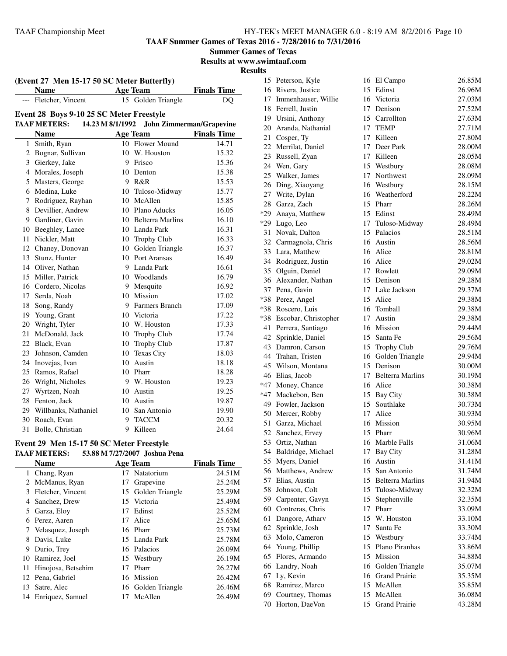**TAAF Summer Games of Texas 2016 - 7/28/2016 to 7/31/2016**

**Summer Games of Texas**

**Results at www.swimtaaf.com**

### **Results**

|                                                                                                                        | <b>Name</b>                              |   | <b>Age Team</b>     | <b>Finals Time</b> |  |  |
|------------------------------------------------------------------------------------------------------------------------|------------------------------------------|---|---------------------|--------------------|--|--|
|                                                                                                                        | --- Fletcher, Vincent                    |   | 15 Golden Triangle  | DQ                 |  |  |
|                                                                                                                        |                                          |   |                     |                    |  |  |
| Event 28 Boys 9-10 25 SC Meter Freestyle<br><b>TAAF METERS:</b><br>14.23 M 8/1/1992<br><b>John Zimmerman/Grapevine</b> |                                          |   |                     |                    |  |  |
|                                                                                                                        | <b>Name</b>                              |   | <b>Age Team</b>     | <b>Finals Time</b> |  |  |
| 1                                                                                                                      | Smith, Ryan                              |   | 10 Flower Mound     | 14.71              |  |  |
|                                                                                                                        | 2 Bognar, Sullivan                       |   | 10 W. Houston       | 15.32              |  |  |
|                                                                                                                        | 3 Gierkey, Jake                          |   | 9 Frisco            | 15.36              |  |  |
|                                                                                                                        | 4 Morales, Joseph                        |   | 10 Denton           | 15.38              |  |  |
|                                                                                                                        | 5 Masters, George                        |   | 9 R&R               | 15.53              |  |  |
|                                                                                                                        | 6 Medina, Luke                           |   | 10 Tuloso-Midway    | 15.77              |  |  |
|                                                                                                                        | 7 Rodriguez, Rayhan                      |   | 10 McAllen          | 15.85              |  |  |
|                                                                                                                        | 8 Devillier, Andrew                      |   | 10 Plano Aducks     | 16.05              |  |  |
|                                                                                                                        | 9 Gardiner, Gavin                        |   | 10 Belterra Marlins | 16.10              |  |  |
|                                                                                                                        | 10 Beeghley, Lance                       |   | 10 Landa Park       | 16.31              |  |  |
|                                                                                                                        | 11 Nickler, Matt                         |   | 10 Trophy Club      | 16.33              |  |  |
|                                                                                                                        | 12 Chaney, Donovan                       |   | 10 Golden Triangle  | 16.37              |  |  |
|                                                                                                                        | 13 Stunz, Hunter                         |   | 10 Port Aransas     | 16.49              |  |  |
|                                                                                                                        | 14 Oliver, Nathan                        |   | 9 Landa Park        | 16.61              |  |  |
|                                                                                                                        | 15 Miller, Patrick                       |   | 10 Woodlands        | 16.79              |  |  |
|                                                                                                                        | 16 Cordero, Nicolas                      |   | 9 Mesquite          | 16.92              |  |  |
|                                                                                                                        | 17 Serda, Noah                           |   | 10 Mission          | 17.02              |  |  |
|                                                                                                                        | 18 Song, Randy                           |   | 9 Farmers Branch    | 17.09              |  |  |
|                                                                                                                        | 19 Young, Grant                          |   | 10 Victoria         | 17.22              |  |  |
|                                                                                                                        | 20 Wright, Tyler                         |   | 10 W. Houston       | 17.33              |  |  |
|                                                                                                                        | 21 McDonald, Jack                        |   | 10 Trophy Club      | 17.74              |  |  |
|                                                                                                                        | 22 Black, Evan                           |   | 10 Trophy Club      | 17.87              |  |  |
|                                                                                                                        | 23 Johnson, Camden                       |   | 10 Texas City       | 18.03              |  |  |
|                                                                                                                        | 24 Inovejas, Ivan                        |   | 10 Austin           | 18.18              |  |  |
|                                                                                                                        | 25 Ramos, Rafael                         |   | 10 Pharr            | 18.28              |  |  |
|                                                                                                                        | 26 Wright, Nicholes                      |   | 9 W. Houston        | 19.23              |  |  |
|                                                                                                                        | 27 Wyrtzen, Noah                         |   | 10 Austin           | 19.25              |  |  |
|                                                                                                                        | 28 Fenton, Jack                          |   | 10 Austin           | 19.87              |  |  |
|                                                                                                                        | 29 Willbanks, Nathaniel                  |   | 10 San Antonio      | 19.90              |  |  |
|                                                                                                                        | 30 Roach, Evan                           |   | 9 TACCM             | 20.32              |  |  |
|                                                                                                                        | 31 Bolle, Christian                      | 9 | Killeen             | 24.64              |  |  |
|                                                                                                                        | Event 29 Men 15-17 50 SC Meter Freestyle |   |                     |                    |  |  |
|                                                                                                                        |                                          |   |                     |                    |  |  |

# **TAAF METERS: 53.88 M 7/27/2007 Joshua Pena**

|              | Name               |    | <b>Age Team</b>    | <b>Finals Time</b> |
|--------------|--------------------|----|--------------------|--------------------|
|              | 1 Chang, Ryan      |    | 17 Natatorium      | 24.51M             |
| $\mathbf{2}$ | McManus, Ryan      | 17 | Grapevine          | 25.24M             |
| 3            | Fletcher, Vincent  | 15 | Golden Triangle    | 25.29M             |
| 4            | Sanchez, Drew      |    | 15 Victoria        | 25.49M             |
| 5            | Garza, Elov        |    | 17 Edinst          | 25.52M             |
| 6            | Perez, Aaren       |    | 17 Alice           | 25.65M             |
|              | Velasquez, Joseph  |    | 16 Pharr           | 25.73M             |
| 8            | Davis, Luke        |    | 15 Landa Park      | 25.78M             |
| 9            | Durio, Trey        |    | 16 Palacios        | 26.09M             |
| 10           | Ramirez, Joel      |    | 15 Westbury        | 26.19M             |
| 11           | Hinojosa, Betsehim | 17 | Pharr              | 26.27M             |
| 12           | Pena, Gabriel      |    | 16 Mission         | 26.42M             |
| 13           | Satre, Alec        |    | 16 Golden Triangle | 26.46M             |
| 14           | Enriquez, Samuel   | 17 | McAllen            | 26.49M             |
|              |                    |    |                    |                    |

|     | 15 Peterson, Kyle      |    | 16 El Campo                            | 26.85M           |
|-----|------------------------|----|----------------------------------------|------------------|
|     | 16 Rivera, Justice     | 15 | Edinst                                 | 26.96M           |
|     | 17 Immenhauser, Willie | 16 | Victoria                               | 27.03M           |
|     | 18 Ferrell, Justin     | 17 | Denison                                | 27.52M           |
|     | 19 Ursini, Anthony     |    | 15 Carrollton                          | 27.63M           |
|     | 20 Aranda, Nathanial   |    | 17 TEMP                                | 27.71M           |
| 21  | Cosper, Ty             | 17 | Killeen                                | 27.80M           |
|     | 22 Merrilat, Daniel    |    | 17 Deer Park                           | 28.00M           |
|     | 23 Russell, Zyan       | 17 | Killeen                                | 28.05M           |
|     | 24 Wen, Gary           | 15 | Westbury                               | 28.08M           |
|     | 25 Walker, James       | 17 | Northwest                              | 28.09M           |
|     | 26 Ding, Xiaoyang      | 16 | Westbury                               | 28.15M           |
|     | 27 Write, Dylan        | 16 | Weatherford                            | 28.22M           |
| 28  | Garza, Zach            |    | 15 Pharr                               | 28.26M           |
| *29 | Anaya, Matthew         |    | 15 Edinst                              | 28.49M           |
|     | *29 Lugo, Leo          |    | 17 Tuloso-Midway                       | 28.49M           |
| 31  | Novak, Dalton          |    | 15 Palacios                            | 28.51M           |
|     | 32 Carmagnola, Chris   |    | 16 Austin                              | 28.56M           |
| 33  | Lara, Matthew          |    | 16 Alice                               | 28.81M           |
|     | 34 Rodriguez, Justin   |    | 16 Alice                               | 29.02M           |
|     | 35 Olguin, Daniel      | 17 | Rowlett                                | 29.09M           |
| 36  | Alexander, Nathan      | 15 | Denison                                | 29.28M           |
|     | 37 Pena, Gavin         | 17 | Lake Jackson                           | 29.37M           |
|     | *38 Perez, Angel       | 15 | Alice                                  | 29.38M           |
|     | *38 Roscero, Luis      |    | 16 Tomball                             | 29.38M           |
| *38 | Escobar, Christopher   | 17 | Austin                                 | 29.38M           |
| 41  | Perrera, Santiago      | 16 | Mission                                | 29.44M           |
| 42  | Sprinkle, Daniel       |    | 15 Santa Fe                            | 29.56M           |
| 43  | Damron, Carson         | 15 | Trophy Club                            | 29.76M           |
|     | 44 Trahan, Tristen     | 16 | Golden Triangle                        | 29.94M           |
| 45  | Wilson, Montana        |    | 15 Denison                             | 30.00M           |
|     | 46 Elias, Jacob        |    | 17 Belterra Marlins                    | 30.19M           |
|     | *47 Money, Chance      | 16 | Alice                                  | 30.38M           |
|     | *47 Mackebon, Ben      | 15 | Bay City                               | 30.38M           |
|     | 49 Fowler, Jackson     |    | 15 Southlake                           | 30.73M           |
|     | 50 Mercer, Robby       | 17 | Alice                                  | 30.93M           |
| 51  | Garza, Michael         | 16 | Mission                                | 30.95M           |
| 52  | Sanchez, Ervey         | 15 | Pharr                                  | 30.96M           |
| 53  | Ortiz, Nathan          | 16 | Marble Falls                           | 31.06M           |
| 54  | Baldridge, Michael     | 17 | <b>Bay City</b>                        | 31.28M           |
| 55  | Myers, Daniel          | 16 | Austin                                 | 31.41M           |
| 56  | Matthews, Andrew       |    | 15 San Antonio                         | 31.74M           |
| 57  | Elias, Austin          |    | 15 Belterra Marlins                    | 31.94M           |
| 58  | Johnson, Colt          |    | 15 Tuloso-Midway                       | 32.32M           |
| 59  | Carpenter, Gavyn       | 15 | Stephenville                           | 32.35M           |
|     | 60 Contreras, Chris    | 17 | Pharr                                  | 33.09M           |
| 61  | Dangore, Atharv        |    | 15 W. Houston                          | 33.10M           |
| 62  | Sprinkle, Josh         | 17 | Santa Fe                               | 33.30M           |
| 63  | Molo, Cameron          | 15 | Westbury                               |                  |
|     | 64 Young, Phillip      | 15 | Plano Piranhas                         | 33.74M<br>33.86M |
| 65  | Flores, Armando        | 15 | Mission                                | 34.88M           |
| 66  | Landry, Noah           |    |                                        |                  |
| 67  | Ly, Kevin              |    | 16 Golden Triangle<br>16 Grand Prairie | 35.07M           |
| 68  | Ramirez, Marco         |    | 15 McAllen                             | 35.35M           |
|     |                        |    | McAllen                                | 35.85M           |
| 69  | Courtney, Thomas       | 15 |                                        | 36.08M           |
| 70  | Horton, DaeVon         | 15 | Grand Prairie                          | 43.28M           |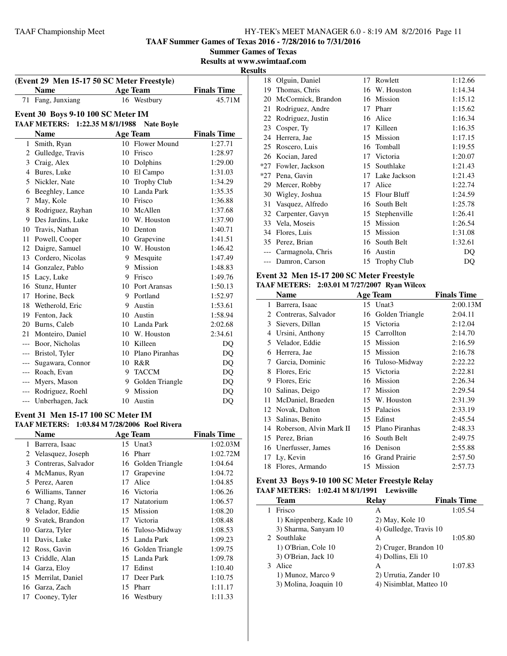**TAAF Summer Games of Texas 2016 - 7/28/2016 to 7/31/2016**

**Results at www.swimtaaf.com**

# **Results**

| (Event 29 Men 15-17 50 SC Meter Freestyle)           |                                    |    |                    |                    |  |  |  |  |
|------------------------------------------------------|------------------------------------|----|--------------------|--------------------|--|--|--|--|
|                                                      | <b>Name</b>                        |    | <b>Age Team</b>    | <b>Finals Time</b> |  |  |  |  |
| 71                                                   | Fang, Junxiang                     |    | 16 Westbury        | 45.71M             |  |  |  |  |
|                                                      | Event 30 Boys 9-10 100 SC Meter IM |    |                    |                    |  |  |  |  |
| TAAF METERS: 1:22.35 M 8/1/1988<br><b>Nate Boyle</b> |                                    |    |                    |                    |  |  |  |  |
|                                                      | <b>Name</b>                        |    | <b>Age Team</b>    | <b>Finals Time</b> |  |  |  |  |
| $\mathbf{1}$                                         | Smith, Ryan                        |    | 10 Flower Mound    | 1:27.71            |  |  |  |  |
|                                                      | 2 Gulledge, Travis                 |    | 10 Frisco          | 1:28.97            |  |  |  |  |
| 3                                                    | Craig, Alex                        |    | 10 Dolphins        | 1:29.00            |  |  |  |  |
| $\overline{4}$                                       | Bures, Luke                        |    | 10 El Campo        | 1:31.03            |  |  |  |  |
| 5                                                    | Nickler, Nate                      | 10 | <b>Trophy Club</b> | 1:34.29            |  |  |  |  |
| 6                                                    | Beeghley, Lance                    |    | 10 Landa Park      | 1:35.35            |  |  |  |  |
| 7                                                    | May, Kole                          |    | 10 Frisco          | 1:36.88            |  |  |  |  |
| 8                                                    | Rodriguez, Rayhan                  |    | 10 McAllen         | 1:37.68            |  |  |  |  |
| 9                                                    | Des Jardins, Luke                  |    | 10 W. Houston      | 1:37.90            |  |  |  |  |
|                                                      | 10 Travis, Nathan                  | 10 | Denton             | 1:40.71            |  |  |  |  |
| 11                                                   | Powell, Cooper                     |    | 10 Grapevine       | 1:41.51            |  |  |  |  |
| 12                                                   | Daigre, Samuel                     |    | 10 W. Houston      | 1:46.42            |  |  |  |  |
| 13                                                   | Cordero, Nicolas                   |    | 9 Mesquite         | 1:47.49            |  |  |  |  |
|                                                      | 14 Gonzalez, Pablo                 |    | 9 Mission          | 1:48.83            |  |  |  |  |
| 15                                                   | Lacy, Luke                         |    | 9 Frisco           | 1:49.76            |  |  |  |  |
|                                                      | 16 Stunz, Hunter                   |    | 10 Port Aransas    | 1:50.13            |  |  |  |  |
|                                                      | 17 Horine, Beck                    | 9  | Portland           | 1:52.97            |  |  |  |  |
| 18                                                   | Wetherold, Eric                    | 9  | Austin             | 1:53.61            |  |  |  |  |
| 19                                                   | Fenton, Jack                       | 10 | Austin             | 1:58.94            |  |  |  |  |
| 20                                                   | Burns, Caleb                       | 10 | Landa Park         | 2:02.68            |  |  |  |  |
| 21                                                   | Monteiro, Daniel                   | 10 | W. Houston         | 2:34.61            |  |  |  |  |
|                                                      | --- Boor, Nicholas                 |    | 10 Killeen         | DQ                 |  |  |  |  |
| ---                                                  | Bristol, Tyler                     |    | 10 Plano Piranhas  | DQ                 |  |  |  |  |
| $---$                                                | Sugawara, Connor                   | 10 | R&R                | DQ                 |  |  |  |  |
| $---$                                                | Roach, Evan                        | 9  | <b>TACCM</b>       | DQ                 |  |  |  |  |
| $---$                                                | Myers, Mason                       | 9  | Golden Triangle    | DQ                 |  |  |  |  |
| $---$                                                | Rodriguez, Roehl                   | 9  | Mission            | DQ                 |  |  |  |  |
|                                                      | --- Unberhagen, Jack               |    | 10 Austin          | DQ                 |  |  |  |  |

#### **Event 31 Men 15-17 100 SC Meter IM TAAF METERS: 1:03.84 M 7/28/2006 Roel Rivera**

|    | TAAF METERS:   1:0 <i>5.</i> 84 M //28/2000  R0el Rivera |    |                  |                    |
|----|----------------------------------------------------------|----|------------------|--------------------|
|    | Name                                                     |    | <b>Age Team</b>  | <b>Finals Time</b> |
| 1  | Barrera, Isaac                                           |    | 15 Unat3         | 1:02.03M           |
| 2  | Velasquez, Joseph                                        | 16 | Pharr            | 1:02.72M           |
| 3  | Contreras, Salvador                                      | 16 | Golden Triangle  | 1:04.64            |
| 4  | McManus, Ryan                                            | 17 | Grapevine        | 1:04.72            |
| 5  | Perez, Aaren                                             | 17 | Alice            | 1:04.85            |
| 6  | Williams, Tanner                                         |    | 16 Victoria      | 1:06.26            |
| 7  | Chang, Ryan                                              | 17 | Natatorium       | 1:06.57            |
| 8  | Velador, Eddie                                           | 15 | <b>Mission</b>   | 1:08.20            |
| 9  | Svatek, Brandon                                          | 17 | Victoria         | 1:08.48            |
| 10 | Garza, Tyler                                             |    | 16 Tuloso-Midway | 1:08.53            |
| 11 | Davis, Luke                                              | 15 | Landa Park       | 1:09.23            |
| 12 | Ross, Gavin                                              | 16 | Golden Triangle  | 1:09.75            |
| 13 | Criddle, Alan                                            | 15 | Landa Park       | 1:09.78            |
| 14 | Garza, Eloy                                              | 17 | Edinst           | 1:10.40            |
| 15 | Merrilat, Daniel                                         | 17 | Deer Park        | 1:10.75            |
| 16 | Garza, Zach                                              | 15 | Pharr            | 1:11.17            |
| 17 | Cooney, Tyler                                            | 16 | Westbury         | 1:11.33            |
|    |                                                          |    |                  |                    |

| 18  | Olguin, Daniel     |    | 17 Rowlett     | 1:12.66 |
|-----|--------------------|----|----------------|---------|
| 19  | Thomas, Chris      | 16 | W. Houston     | 1:14.34 |
| 20  | McCormick, Brandon | 16 | Mission        | 1:15.12 |
| 21  | Rodriguez, Andre   | 17 | Pharr          | 1:15.62 |
| 22  | Rodriguez, Justin  | 16 | Alice          | 1:16.34 |
| 23  | Cosper, Ty         | 17 | Killeen        | 1:16.35 |
| 24  | Herrera, Jae       | 15 | Mission        | 1:17.15 |
| 25  | Roscero, Luis      | 16 | Tomball        | 1:19.55 |
| 26  | Kocian, Jared      | 17 | Victoria       | 1:20.07 |
| *27 | Fowler, Jackson    |    | 15 Southlake   | 1:21.43 |
| *27 | Pena, Gavin        | 17 | Lake Jackson   | 1:21.43 |
| 29  | Mercer, Robby      | 17 | Alice          | 1:22.74 |
| 30  | Wigley, Joshua     | 15 | Flour Bluff    | 1:24.59 |
| 31  | Vasquez, Alfredo   | 16 | South Belt     | 1:25.78 |
| 32  | Carpenter, Gavyn   | 15 | Stephenville   | 1:26.41 |
| 33  | Vela, Moseis       | 15 | Mission        | 1:26.54 |
| 34  | Flores, Luis       | 15 | Mission        | 1:31.08 |
| 35  | Perez, Brian       |    | 16 South Belt  | 1:32.61 |
|     | Carmagnola, Chris  | 16 | Austin         | DQ      |
|     | Damron, Carson     |    | 15 Trophy Club | DQ      |

#### **Event 32 Men 15-17 200 SC Meter Freestyle TAAF METERS: 2:03.01 M 7/27/2007 Ryan Wilcox**

|    | Name                    |    | <b>Age Team</b>      | <b>Finals Time</b> |
|----|-------------------------|----|----------------------|--------------------|
| 1  | Barrera, Isaac          |    | 15 Unat3             | 2:00.13M           |
| 2  | Contreras, Salvador     |    | 16 Golden Triangle   | 2:04.11            |
| 3  | Sievers, Dillan         | 15 | Victoria             | 2:12.04            |
| 4  | Ursini, Anthony         | 15 | Carrollton           | 2:14.70            |
| 5  | Velador, Eddie          |    | 15 Mission           | 2:16.59            |
| 6  | Herrera, Jae            | 15 | Mission              | 2:16.78            |
| 7  | Garcia, Dominic         |    | 16 Tuloso-Midway     | 2:22.22            |
| 8  | Flores, Eric            | 15 | Victoria             | 2:22.81            |
| 9  | Flores, Eric            | 16 | Mission              | 2:26.34            |
| 10 | Salinas, Deigo          | 17 | Mission              | 2:29.54            |
| 11 | McDaniel, Braeden       |    | 15 W. Houston        | 2:31.39            |
|    | 12 Novak, Dalton        | 15 | Palacios             | 2:33.19            |
| 13 | Salinas, Benito         | 15 | Edinst               | 2:45.54            |
| 14 | Roberson, Alvin Mark II | 15 | Plano Piranhas       | 2:48.33            |
|    | 15 Perez, Brian         |    | 16 South Belt        | 2:49.75            |
|    | 16 Unerfusser, James    | 16 | Denison              | 2:55.88            |
|    | 17 Ly, Kevin            | 16 | <b>Grand Prairie</b> | 2:57.50            |
|    | 18 Flores, Armando      |    | 15 Mission           | 2:57.73            |

#### **Event 33 Boys 9-10 100 SC Meter Freestyle Relay TAAF METERS: 1:02.41 M 8/1/1991 Lewisville**

|   | <b>Team</b>             | Relav                   | <b>Finals Time</b> |
|---|-------------------------|-------------------------|--------------------|
|   | Frisco                  | А                       | 1:05.54            |
|   | 1) Knippenberg, Kade 10 | $2)$ May, Kole 10       |                    |
|   | 3) Sharma, Sanyam 10    | 4) Gulledge, Travis 10  |                    |
|   | 2 Southlake             | A                       | 1:05.80            |
|   | 1) O'Brian, Cole 10     | 2) Cruger, Brandon 10   |                    |
|   | 3) O'Brian, Jack 10     | 4) Dollins, Eli 10      |                    |
| 3 | Alice                   | A                       | 1:07.83            |
|   | 1) Munoz, Marco 9       | 2) Urrutia, Zander 10   |                    |
|   | 3) Molina, Joaquin 10   | 4) Nisimblat, Matteo 10 |                    |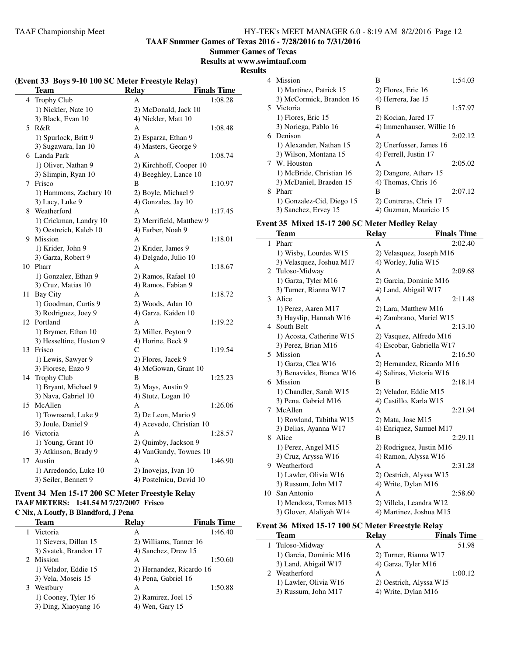**TAAF Summer Games of Texas 2016 - 7/28/2016 to 7/31/2016**

**Summer Games of Texas**

**Results at www.swimtaaf.com**

#### **Results**

| (Event 33 Boys 9-10 100 SC Meter Freestyle Relay) |                         |                          |                    |  |
|---------------------------------------------------|-------------------------|--------------------------|--------------------|--|
|                                                   | Team                    | <b>Relay</b>             | <b>Finals Time</b> |  |
|                                                   | 4 Trophy Club           | A                        | 1:08.28            |  |
|                                                   | 1) Nickler, Nate 10     | 2) McDonald, Jack 10     |                    |  |
|                                                   | 3) Black, Evan 10       | 4) Nickler, Matt 10      |                    |  |
|                                                   | 5 R&R                   | A                        | 1:08.48            |  |
|                                                   | 1) Spurlock, Britt 9    | 2) Esparza, Ethan 9      |                    |  |
|                                                   | 3) Sugawara, Ian 10     | 4) Masters, George 9     |                    |  |
|                                                   | 6 Landa Park            | A                        | 1:08.74            |  |
|                                                   | 1) Oliver, Nathan 9     | 2) Kirchhoff, Cooper 10  |                    |  |
|                                                   | 3) Slimpin, Ryan 10     | 4) Beeghley, Lance 10    |                    |  |
| 7                                                 | Frisco                  | B                        | 1:10.97            |  |
|                                                   | 1) Hammons, Zachary 10  | 2) Boyle, Michael 9      |                    |  |
|                                                   | 3) Lacy, Luke 9         | 4) Gonzales, Jay 10      |                    |  |
|                                                   | 8 Weatherford           | A                        | 1:17.45            |  |
|                                                   | 1) Crickman, Landry 10  | 2) Merrifield, Matthew 9 |                    |  |
|                                                   | 3) Oestreich, Kaleb 10  | 4) Farber, Noah 9        |                    |  |
| 9                                                 | Mission                 | A                        | 1:18.01            |  |
|                                                   | 1) Krider, John 9       | 2) Krider, James 9       |                    |  |
|                                                   | 3) Garza, Robert 9      | 4) Delgado, Julio 10     |                    |  |
|                                                   | 10 Pharr                | A                        | 1:18.67            |  |
|                                                   | 1) Gonzalez, Ethan 9    | 2) Ramos, Rafael 10      |                    |  |
|                                                   | 3) Cruz, Matias 10      | 4) Ramos, Fabian 9       |                    |  |
| 11                                                | <b>Bay City</b>         | A                        | 1:18.72            |  |
|                                                   | 1) Goodman, Curtis 9    | 2) Woods, Adan 10        |                    |  |
|                                                   | 3) Rodriguez, Joey 9    | 4) Garza, Kaiden 10      |                    |  |
| 12                                                | Portland                | А                        | 1:19.22            |  |
|                                                   | 1) Brymer, Ethan 10     | 2) Miller, Peyton 9      |                    |  |
|                                                   | 3) Hesseltine, Huston 9 | 4) Horine, Beck 9        |                    |  |
|                                                   | 13 Frisco               | C                        | 1:19.54            |  |
|                                                   | 1) Lewis, Sawyer 9      | 2) Flores, Jacek 9       |                    |  |
|                                                   | 3) Fiorese, Enzo 9      | 4) McGowan, Grant 10     |                    |  |
|                                                   | 14 Trophy Club          | B                        | 1:25.23            |  |
|                                                   | 1) Bryant, Michael 9    | 2) Mays, Austin 9        |                    |  |
|                                                   | 3) Nava, Gabriel 10     | 4) Stutz, Logan 10       |                    |  |
|                                                   | 15 McAllen              | A                        | 1:26.06            |  |
|                                                   | 1) Townsend, Luke 9     | 2) De Leon, Mario 9      |                    |  |
|                                                   | 3) Joule, Daniel 9      | 4) Acevedo, Christian 10 |                    |  |
|                                                   | 16 Victoria             | A                        | 1:28.57            |  |
|                                                   | 1) Young, Grant 10      | 2) Quimby, Jackson 9     |                    |  |
|                                                   | 3) Atkinson, Brady 9    | 4) VanGundy, Townes 10   |                    |  |
|                                                   | 17 Austin               | A                        | 1:46.90            |  |
|                                                   | 1) Arredondo, Luke 10   | 2) Inovejas, Ivan 10     |                    |  |
|                                                   | 3) Seiler, Bennett 9    | 4) Postelnicu, David 10  |                    |  |

#### **Event 34 Men 15-17 200 SC Meter Freestyle Relay TAAF METERS: 1:41.54 M 7/27/2007 Frisco C Nix, A Loutfy, B Blandford, J Pena**

|   | Team                  | Relay                    | <b>Finals Time</b> |
|---|-----------------------|--------------------------|--------------------|
|   | Victoria              | A                        | 1:46.40            |
|   | 1) Sievers, Dillan 15 | 2) Williams, Tanner 16   |                    |
|   | 3) Svatek, Brandon 17 | 4) Sanchez, Drew 15      |                    |
|   | 2 Mission             | A                        | 1:50.60            |
|   | 1) Velador, Eddie 15  | 2) Hernandez, Ricardo 16 |                    |
|   | 3) Vela, Moseis 15    | 4) Pena, Gabriel 16      |                    |
| 3 | Westbury              | A                        | 1:50.88            |
|   | 1) Cooney, Tyler 16   | 2) Ramirez, Joel 15      |                    |
|   | 3) Ding, Xiaoyang 16  | 4) Wen, Gary 15          |                    |

| ت |                           |                           |         |
|---|---------------------------|---------------------------|---------|
|   | 4 Mission                 | B                         | 1:54.03 |
|   | 1) Martinez, Patrick 15   | 2) Flores, Eric 16        |         |
|   | 3) McCormick, Brandon 16  | 4) Herrera, Jae 15        |         |
|   | 5 Victoria                | B                         | 1:57.97 |
|   | 1) Flores, Eric 15        | 2) Kocian, Jared 17       |         |
|   | 3) Noriega, Pablo 16      | 4) Immenhauser, Willie 16 |         |
|   | 6 Denison                 | A                         | 2:02.12 |
|   | 1) Alexander, Nathan 15   | 2) Unerfusser, James 16   |         |
|   | 3) Wilson, Montana 15     | 4) Ferrell, Justin 17     |         |
|   | 7 W. Houston              | A                         | 2:05.02 |
|   | 1) McBride, Christian 16  | 2) Dangore, Athary 15     |         |
|   | 3) McDaniel, Braeden 15   | 4) Thomas, Chris 16       |         |
| 8 | Pharr                     | B                         | 2:07.12 |
|   | 1) Gonzalez-Cid, Diego 15 | 2) Contreras, Chris 17    |         |
|   | 3) Sanchez, Ervey 15      | 4) Guzman, Mauricio 15    |         |

#### **Event 35 Mixed 15-17 200 SC Meter Medley Relay**

|               | <b>Team</b>              | <b>Relay</b>              | <b>Finals Time</b> |
|---------------|--------------------------|---------------------------|--------------------|
| 1             | Pharr                    | A                         | 2:02.40            |
|               | 1) Wisby, Lourdes W15    | 2) Velasquez, Joseph M16  |                    |
|               | 3) Velasquez, Joshua M17 | 4) Worley, Julia W15      |                    |
|               | 2 Tuloso-Midway          | А                         | 2:09.68            |
|               | 1) Garza, Tyler M16      | 2) Garcia, Dominic M16    |                    |
|               | 3) Turner, Rianna W17    | 4) Land, Abigail W17      |                    |
| $\mathcal{E}$ | Alice                    | A                         | 2:11.48            |
|               | 1) Perez, Aaren M17      | 2) Lara, Matthew M16      |                    |
|               | 3) Hayslip, Hannah W16   | 4) Zambrano, Mariel W15   |                    |
|               | 4 South Belt             | A                         | 2:13.10            |
|               | 1) Acosta, Catherine W15 | 2) Vasquez, Alfredo M16   |                    |
|               | 3) Perez, Brian M16      | 4) Escobar, Gabriella W17 |                    |
| 5.            | Mission                  | A                         | 2:16.50            |
|               | 1) Garza, Clea W16       | 2) Hernandez, Ricardo M16 |                    |
|               | 3) Benavides, Bianca W16 | 4) Salinas, Victoria W16  |                    |
|               | 6 Mission                | B                         | 2:18.14            |
|               | 1) Chandler, Sarah W15   | 2) Velador, Eddie M15     |                    |
|               | 3) Pena, Gabriel M16     | 4) Castillo, Karla W15    |                    |
| 7             | McAllen                  | A                         | 2:21.94            |
|               | 1) Rowland, Tabitha W15  | 2) Mata, Jose M15         |                    |
|               | 3) Delias, Ayanna W17    | 4) Enriquez, Samuel M17   |                    |
| 8             | Alice                    | B                         | 2:29.11            |
|               | 1) Perez, Angel M15      | 2) Rodriguez, Justin M16  |                    |
|               | 3) Cruz, Aryssa W16      | 4) Ramon, Alyssa W16      |                    |
|               | 9 Weatherford            | A                         | 2:31.28            |
|               | 1) Lawler, Olivia W16    | 2) Oestrich, Alyssa W15   |                    |
|               | 3) Russum, John M17      | 4) Write, Dylan M16       |                    |
| 10            | San Antonio              | А                         | 2:58.60            |
|               | 1) Mendoza, Tomas M13    | 2) Villela, Leandra W12   |                    |
|               | 3) Glover, Alaliyah W14  | 4) Martinez, Joshua M15   |                    |

#### **Event 36 Mixed 15-17 100 SC Meter Freestyle Relay**

| <b>Team</b>            | Relay                   | <b>Finals Time</b> |
|------------------------|-------------------------|--------------------|
| 1 Tuloso-Midway        | А                       | 51.98              |
| 1) Garcia, Dominic M16 | 2) Turner, Rianna W17   |                    |
| 3) Land, Abigail W17   | 4) Garza, Tyler M16     |                    |
| 2 Weatherford          | А                       | 1:00.12            |
| 1) Lawler, Olivia W16  | 2) Oestrich, Alyssa W15 |                    |
| 3) Russum, John M17    | 4) Write, Dylan M16     |                    |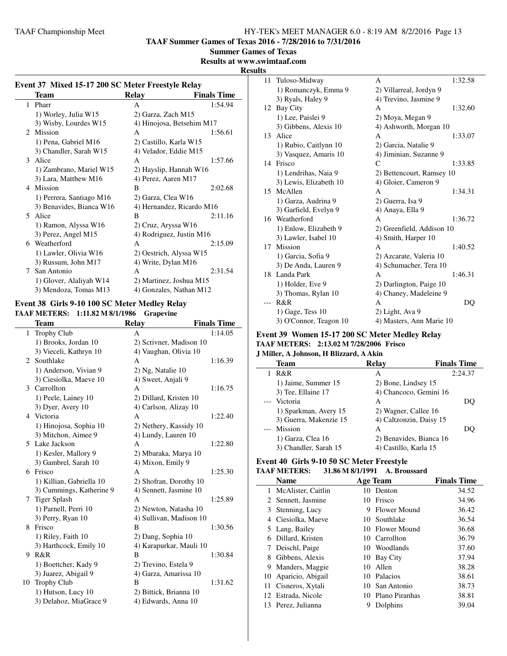**TAAF Summer Games of Texas 2016 - 7/28/2016 to 7/31/2016**

#### **Summer Games of Texas**

**Results at www.swimtaaf.com**

#### **Results**

| Event 37 Mixed 15-17 200 SC Meter Freestyle Relay |                          |                           |                    |
|---------------------------------------------------|--------------------------|---------------------------|--------------------|
|                                                   | Team                     | Relay                     | <b>Finals Time</b> |
|                                                   | 1 Pharr                  | A                         | 1:54.94            |
|                                                   | 1) Worley, Julia W15     | 2) Garza, Zach M15        |                    |
|                                                   | 3) Wisby, Lourdes W15    | 4) Hinojosa, Betsehim M17 |                    |
| $\mathfrak{D}$                                    | Mission                  | $\mathsf{A}$              | 1:56.61            |
|                                                   | 1) Pena, Gabriel M16     | 2) Castillo, Karla W15    |                    |
|                                                   | 3) Chandler, Sarah W15   | 4) Velador, Eddie M15     |                    |
| 3                                                 | Alice                    | A                         | 1:57.66            |
|                                                   | 1) Zambrano, Mariel W15  | 2) Hayslip, Hannah W16    |                    |
|                                                   | 3) Lara, Matthew M16     | 4) Perez, Aaren M17       |                    |
| 4                                                 | Mission                  | B                         | 2:02.68            |
|                                                   | 1) Perrera, Santiago M16 | 2) Garza, Clea W16        |                    |
|                                                   | 3) Benavides, Bianca W16 | 4) Hernandez, Ricardo M16 |                    |
| 5.                                                | Alice                    | B                         | 2:11.16            |
|                                                   | 1) Ramon, Alyssa W16     | 2) Cruz, Aryssa W16       |                    |
|                                                   | 3) Perez, Angel M15      | 4) Rodriguez, Justin M16  |                    |
|                                                   | 6 Weatherford            | A                         | 2:15.09            |
|                                                   | 1) Lawler, Olivia W16    | 2) Oestrich, Alyssa W15   |                    |
|                                                   | 3) Russum, John M17      | 4) Write, Dylan M16       |                    |
| 7                                                 | San Antonio              | A                         | 2:31.54            |
|                                                   | 1) Glover, Alaliyah W14  | 2) Martinez, Joshua M15   |                    |
|                                                   | 3) Mendoza, Tomas M13    | 4) Gonzales, Nathan M12   |                    |

#### **Event 38 Girls 9-10 100 SC Meter Medley Relay TAAF METERS: 1:11.82 M 8/1/1986 Grapevine**

L.

|                       | <b>Team</b>              | <b>Relay</b>            | <b>Finals Time</b> |
|-----------------------|--------------------------|-------------------------|--------------------|
| 1                     | <b>Trophy Club</b>       | A                       | 1:14.05            |
|                       | 1) Brooks, Jordan 10     | 2) Scrivner, Madison 10 |                    |
|                       | 3) Vieceli, Kathryn 10   | 4) Vaughan, Olivia 10   |                    |
| $\mathcal{D}_{\cdot}$ | Southlake                | A                       | 1:16.39            |
|                       | 1) Anderson, Vivian 9    | 2) Ng, Natalie 10       |                    |
|                       | 3) Ciesiolka, Maeve 10   | 4) Sweet, Anjali 9      |                    |
| 3                     | Carrollton               | A                       | 1:16.75            |
|                       | 1) Peele, Lainey 10      | 2) Dillard, Kristen 10  |                    |
|                       | 3) Dyer, Avery 10        | 4) Carlson, Alizay 10   |                    |
| 4                     | Victoria                 | A                       | 1:22.40            |
|                       | 1) Hinojosa, Sophia 10   | 2) Nethery, Kassidy 10  |                    |
|                       | 3) Mitchon, Aimee 9      | 4) Lundy, Lauren 10     |                    |
| 5.                    | Lake Jackson             | A                       | 1:22.80            |
|                       | 1) Kesler, Mallory 9     | 2) Mbaraka, Marya 10    |                    |
|                       | 3) Gambrel, Sarah 10     | 4) Mixon, Emily 9       |                    |
| 6                     | Frisco                   | A                       | 1:25.30            |
|                       | 1) Killian, Gabriella 10 | 2) Shofran, Dorothy 10  |                    |
|                       | 3) Cummings, Katherine 9 | 4) Sennett, Jasmine 10  |                    |
| 7                     | <b>Tiger Splash</b>      | A                       | 1:25.89            |
|                       | 1) Parnell, Perri 10     | 2) Newton, Natasha 10   |                    |
|                       | 3) Perry, Ryan 10        | 4) Sullivan, Madison 10 |                    |
| 8                     | Frisco                   | B                       | 1:30.56            |
|                       | 1) Riley, Faith 10       | 2) Dang, Sophia 10      |                    |
|                       | 3) Harthcock, Emily 10   | 4) Karapurkar, Mauli 10 |                    |
| 9                     | R&R                      | B                       | 1:30.84            |
|                       | 1) Boettcher, Kady 9     | 2) Trevino, Estela 9    |                    |
|                       | 3) Juarez, Abigail 9     | 4) Garza, Amarissa 10   |                    |
| 10                    | <b>Trophy Club</b>       | B                       | 1:31.62            |
|                       | 1) Hutson, Lucy 10       | 2) Bittick, Brianna 10  |                    |
|                       | 3) Delahoz, MiaGrace 9   | 4) Edwards, Anna 10     |                    |
|                       |                          |                         |                    |

|    | 11 Tuloso-Midway       | A                         | 1:32.58 |
|----|------------------------|---------------------------|---------|
|    | 1) Romanczyk, Emma 9   | 2) Villarreal, Jordyn 9   |         |
|    | 3) Ryals, Haley 9      | 4) Trevino, Jasmine 9     |         |
|    | 12 Bay City            | A                         | 1:32.60 |
|    | 1) Lee, Paislei 9      | 2) Moya, Megan 9          |         |
|    | 3) Gibbens, Alexis 10  | 4) Ashworth, Morgan 10    |         |
|    | 13 Alice               | А                         | 1:33.07 |
|    | 1) Rubio, Caitlynn 10  | 2) Garcia, Natalie 9      |         |
|    | 3) Vasquez, Amaris 10  | 4) Jiminian, Suzanne 9    |         |
|    | 14 Frisco              | C                         | 1:33.85 |
|    | 1) Lendrihas, Naia 9   | 2) Bettencourt, Ramsey 10 |         |
|    | 3) Lewis, Elizabeth 10 | 4) Gloier, Cameron 9      |         |
|    | 15 McAllen             | A                         | 1:34.31 |
|    | 1) Garza, Audrina 9    | 2) Guerra, Isa 9          |         |
|    | 3) Garfield, Evelyn 9  | 4) Anaya, Ella 9          |         |
|    | 16 Weatherford         | A                         | 1:36.72 |
|    | 1) Enlow, Elizabeth 9  | 2) Greenfield, Addison 10 |         |
|    | 3) Lawler, Isabel 10   | 4) Smith, Harper 10       |         |
| 17 | Mission                | A                         | 1:40.52 |
|    | 1) Garcia, Sofia 9     | 2) Azcarate, Valeria 10   |         |
|    | 3) De Anda, Lauren 9   | 4) Schumacher, Tera 10    |         |
|    | 18 Landa Park          | A                         | 1:46.31 |
|    | 1) Holder, Eve 9       | 2) Darlington, Paige 10   |         |
|    | 3) Thomas, Rylan 10    | 4) Chaney, Madeleine 9    |         |
|    | R&R                    | A                         | DO      |
|    | $1)$ Gage, Tess $10$   | 2) Light, Ava 9           |         |
|    | 3) O'Connor, Teagon 10 | 4) Masters, Ann Marie 10  |         |
|    |                        |                           |         |

#### **Event 39 Women 15-17 200 SC Meter Medley Relay TAAF METERS: 2:13.02 M 7/28/2006 Frisco**

#### **J Miller, A Johnson, H Blizzard, A Akin**

| <b>Team</b>            | <b>Relay</b>            | <b>Finals Time</b> |
|------------------------|-------------------------|--------------------|
| R&R                    | А                       | 2:24.37            |
| 1) Jaime, Summer 15    | 2) Bone, Lindsey 15     |                    |
| 3) Tee, Ellaine 17     | 4) Chancoco, Gemini 16  |                    |
| --- Victoria           | A                       | DO                 |
| 1) Sparkman, Avery 15  | 2) Wagner, Callee 16    |                    |
| 3) Guerra, Makenzie 15 | 4) Caltzonzin, Daisy 15 |                    |
| --- Mission            | A                       | DO                 |
| 1) Garza, Clea 16      | 2) Benavides, Bianca 16 |                    |
| 3) Chandler, Sarah 15  | 4) Castillo, Karla 15   |                    |

#### **Event 40 Girls 9-10 50 SC Meter Freestyle TAAF METERS: 31.86 M 8/1/1991 A. Broussard**

|    | <b>Name</b>        |     | <b>Age Team</b> | <b>Finals Time</b> |
|----|--------------------|-----|-----------------|--------------------|
| 1  | McAlister, Caitlin | 10  | Denton          | 34.52              |
|    | 2 Sennett, Jasmine | 10. | Frisco          | 34.96              |
|    | 3 Stenning, Lucy   | 9   | Flower Mound    | 36.42              |
| 4  | Ciesiolka, Maeve   | 10. | Southlake       | 36.54              |
|    | 5 Lang, Bailey     |     | 10 Flower Mound | 36.68              |
| 6  | Dillard, Kristen   |     | 10 Carrollton   | 36.79              |
| 7  | Deischl, Paige     |     | 10 Woodlands    | 37.60              |
| 8  | Gibbens, Alexis    | 10  | Bay City        | 37.94              |
| 9. | Manders, Maggie    | 10  | Allen           | 38.28              |
| 10 | Aparicio, Abigail  | 10  | Palacios        | 38.61              |
| 11 | Cisneros, Xytali   |     | 10 San Antonio  | 38.73              |
|    | 12 Estrada, Nicole | 10. | Plano Piranhas  | 38.81              |
|    | 13 Perez, Julianna |     | Dolphins        | 39.04              |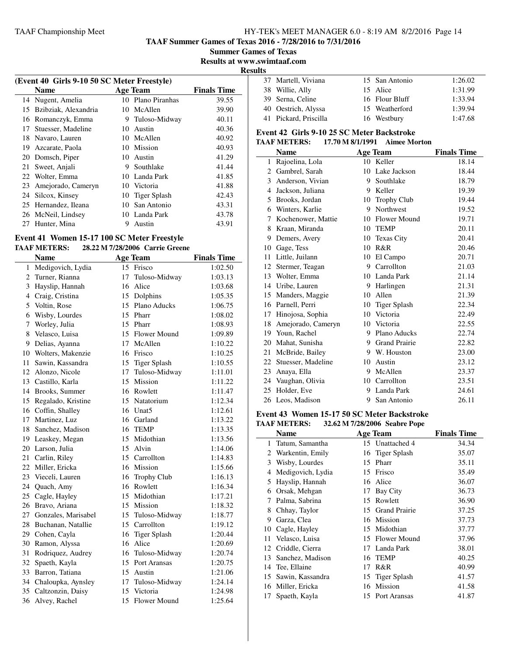**TAAF Summer Games of Texas 2016 - 7/28/2016 to 7/31/2016**

**Summer Games of Texas**

**Results at www.swimtaaf.com**

**Results**

| (Event 40 Girls 9-10 50 SC Meter Freestyle) |                      |    |                |                    |
|---------------------------------------------|----------------------|----|----------------|--------------------|
|                                             | Name                 |    | Age Team       | <b>Finals Time</b> |
| 14                                          | Nugent, Amelia       | 10 | Plano Piranhas | 39.55              |
| 15                                          | Bzibziak, Alexandria | 10 | McAllen        | 39.90              |
| 16                                          | Romanczyk, Emma      | 9  | Tuloso-Midway  | 40.11              |
| 17                                          | Stuesser, Madeline   | 10 | Austin         | 40.36              |
| 18                                          | Navaro, Lauren       | 10 | McAllen        | 40.92              |
| 19                                          | Azcarate, Paola      |    | 10 Mission     | 40.93              |
| 20                                          | Domsch, Piper        | 10 | Austin         | 41.29              |
| 21                                          | Sweet, Anjali        | 9  | Southlake      | 41.44              |
|                                             | 22 Wolter, Emma      | 10 | Landa Park     | 41.85              |
| 23                                          | Amejorado, Cameryn   | 10 | Victoria       | 41.88              |
| 24                                          | Silcox, Kinsey       | 10 | Tiger Splash   | 42.43              |
| 25                                          | Hernandez, Ileana    | 10 | San Antonio    | 43.31              |
|                                             | 26 McNeil, Lindsey   |    | 10 Landa Park  | 43.78              |
| 27                                          | Hunter, Mina         | 9  | Austin         | 43.91              |

#### **Event 41 Women 15-17 100 SC Meter Freestyle TAAF METERS: 28.22 M 7/28/2006 Carrie Greene**

 $\overline{a}$ 

|    | <b>Name</b>            |    | <b>Age Team</b>     | <b>Finals Time</b> |
|----|------------------------|----|---------------------|--------------------|
|    | 1 Medigovich, Lydia    |    | 15 Frisco           | 1:02.50            |
|    | 2 Turner, Rianna       | 17 | Tuloso-Midway       | 1:03.13            |
|    | 3 Hayslip, Hannah      | 16 | Alice               | 1:03.68            |
|    | 4 Craig, Cristina      |    | 15 Dolphins         | 1:05.35            |
| 5  | Voltin, Rose           |    | 15 Plano Aducks     | 1:06.75            |
| 6  | Wisby, Lourdes         |    | 15 Pharr            | 1:08.02            |
| 7  | Worley, Julia          |    | 15 Pharr            | 1:08.93            |
| 8  | Velasco, Luisa         |    | 15 Flower Mound     | 1:09.89            |
|    | 9 Delias, Ayanna       |    | 17 McAllen          | 1:10.22            |
|    | 10 Wolters, Makenzie   |    | 16 Frisco           | 1:10.25            |
| 11 | Sawin, Kassandra       |    | 15 Tiger Splash     | 1:10.55            |
|    | 12 Alonzo, Nicole      | 17 | Tuloso-Midway       | 1:11.01            |
|    | 13 Castillo, Karla     |    | 15 Mission          | 1:11.22            |
|    | 14 Brooks, Summer      |    | 16 Rowlett          | 1:11.47            |
|    | 15 Regalado, Kristine  |    | 15 Natatorium       | 1:12.34            |
|    | 16 Coffin, Shalley     |    | 16 Unat5            | 1:12.61            |
|    | 17 Martinez, Luz       |    | 16 Garland          | 1:13.22            |
|    | 18 Sanchez, Madison    |    | 16 TEMP             | 1:13.35            |
|    | 19 Leaskey, Megan      |    | 15 Midothian        | 1:13.56            |
|    | 20 Larson, Julia       |    | 15 Alvin            | 1:14.06            |
|    | 21 Carlin, Riley       |    | 15 Carrollton       | 1:14.83            |
|    | 22 Miller, Ericka      |    | 16 Mission          | 1:15.66            |
|    | 23 Vieceli, Lauren     | 16 | Trophy Club         | 1:16.13            |
|    | 24 Quach, Amy          |    | 16 Rowlett          | 1:16.34            |
|    | 25 Cagle, Hayley       |    | 15 Midothian        | 1:17.21            |
|    | 26 Bravo, Ariana       |    | 15 Mission          | 1:18.32            |
|    | 27 Gonzales, Marisabel | 15 | Tuloso-Midway       | 1:18.77            |
|    | 28 Buchanan, Natallie  |    | 15 Carrollton       | 1:19.12            |
|    | 29 Cohen, Cayla        | 16 | <b>Tiger Splash</b> | 1:20.44            |
|    | 30 Ramon, Alyssa       | 16 | Alice               | 1:20.69            |
| 31 | Rodriquez, Audrey      | 16 | Tuloso-Midway       | 1:20.74            |
| 32 | Spaeth, Kayla          |    | 15 Port Aransas     | 1:20.75            |
|    | 33 Barron, Tatiana     |    | 15 Austin           | 1:21.06            |
|    | 34 Chaloupka, Aynsley  | 17 | Tuloso-Midway       | 1:24.14            |
|    | 35 Caltzonzin, Daisy   | 15 | Victoria            | 1:24.98            |
| 36 | Alvey, Rachel          | 15 | <b>Flower Mound</b> | 1:25.64            |

| 37 Martell, Viviana   | 15 San Antonio | 1:26.02 |
|-----------------------|----------------|---------|
| 38 Willie, Ally       | 15 Alice       | 1:31.99 |
| 39 Serna, Celine      | 16 Flour Bluff | 1:33.94 |
| 40 Oestrich, Alyssa   | 15 Weatherford | 1:39.94 |
| 41 Pickard, Priscilla | 16 Westbury    | 1:47.68 |

#### **Event 42 Girls 9-10 25 SC Meter Backstroke**

#### **TAAF METERS: 17.70 M 8/1/1991 Aimee Morton**

|    | <b>Name</b>        |                 | <b>Age Team</b>      | <b>Finals Time</b> |
|----|--------------------|-----------------|----------------------|--------------------|
| 1  | Rajoelina, Lola    | 10              | Keller               | 18.14              |
| 2  | Gambrel, Sarah     | 10              | Lake Jackson         | 18.44              |
| 3  | Anderson, Vivian   | 9               | Southlake            | 18.79              |
| 4  | Jackson, Juliana   | 9               | Keller               | 19.39              |
| 5  | Brooks, Jordan     | 10              | <b>Trophy Club</b>   | 19.44              |
| 6  | Winters, Karlie    | 9               | Northwest            | 19.52              |
| 7  | Kochenower, Mattie | 10              | Flower Mound         | 19.71              |
| 8  | Kraan, Miranda     | 10              | <b>TEMP</b>          | 20.11              |
| 9  | Demers, Avery      | 10              | <b>Texas City</b>    | 20.41              |
| 10 | Gage, Tess         | 10              | R&R                  | 20.46              |
| 11 | Little, Juilann    | 10              | El Campo             | 20.71              |
| 12 | Stermer, Teagan    |                 | 9 Carrollton         | 21.03              |
| 13 | Wolter, Emma       | 10              | Landa Park           | 21.14              |
| 14 | Uribe, Lauren      | 9               | Harlingen            | 21.31              |
| 15 | Manders, Maggie    | 10              | Allen                | 21.39              |
| 16 | Parnell, Perri     | 10              | Tiger Splash         | 22.34              |
| 17 | Hinojosa, Sophia   | 10              | Victoria             | 22.49              |
| 18 | Amejorado, Cameryn | 10              | Victoria             | 22.55              |
| 19 | Youn, Rachel       | 9               | Plano Aducks         | 22.74              |
| 20 | Mahat, Sunisha     | 9               | <b>Grand Prairie</b> | 22.82              |
| 21 | McBride, Bailey    | 9.              | W. Houston           | 23.00              |
| 22 | Stuesser, Madeline | 10              | Austin               | 23.12              |
| 23 | Anaya, Ella        | 9               | McAllen              | 23.37              |
| 24 | Vaughan, Olivia    | 10 <sup>1</sup> | Carrollton           | 23.51              |
| 25 | Holder, Eve        | 9               | Landa Park           | 24.61              |
|    | 26 Leos, Madison   | 9               | San Antonio          | 26.11              |

#### **Event 43 Women 15-17 50 SC Meter Backstroke TAAF METERS: 32.62 M 7/28/2006 Seabre Pope**

|    | Name              |    | <b>Age Team</b>     | <b>Finals Time</b> |
|----|-------------------|----|---------------------|--------------------|
| 1  | Tatum, Samantha   |    | 15 Unattached 4     | 34.34              |
| 2  | Warkentin, Emily  |    | 16 Tiger Splash     | 35.07              |
| 3  | Wisby, Lourdes    | 15 | Pharr               | 35.11              |
| 4  | Medigovich, Lydia | 15 | Frisco              | 35.49              |
| 5  | Hayslip, Hannah   | 16 | Alice               | 36.07              |
| 6  | Orsak, Mehgan     | 17 | Bay City            | 36.73              |
| 7  | Palma, Sabrina    | 15 | Rowlett             | 36.90              |
| 8  | Chhay, Taylor     |    | 15 Grand Prairie    | 37.25              |
| 9  | Garza, Clea       |    | 16 Mission          | 37.73              |
| 10 | Cagle, Hayley     |    | 15 Midothian        | 37.77              |
| 11 | Velasco, Luisa    | 15 | <b>Flower Mound</b> | 37.96              |
| 12 | Criddle, Cierra   | 17 | Landa Park          | 38.01              |
| 13 | Sanchez, Madison  | 16 | <b>TEMP</b>         | 40.25              |
| 14 | Tee, Ellaine      | 17 | R&R                 | 40.99              |
| 15 | Sawin, Kassandra  |    | 15 Tiger Splash     | 41.57              |
| 16 | Miller, Ericka    | 16 | Mission             | 41.58              |
| 17 | Spaeth, Kayla     |    | 15 Port Aransas     | 41.87              |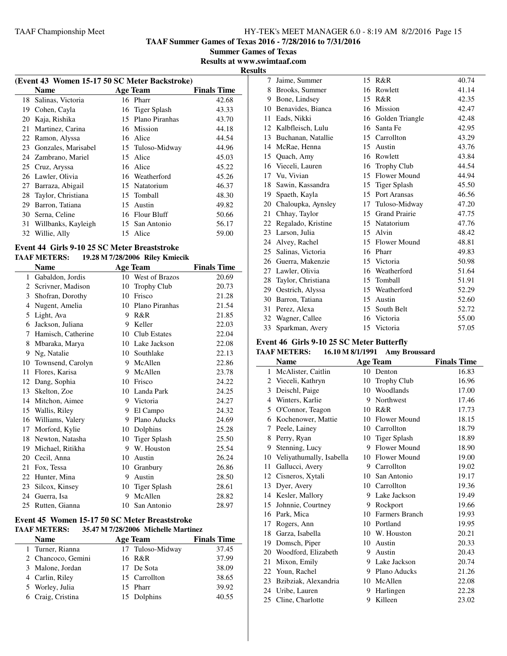**TAAF Summer Games of Texas 2016 - 7/28/2016 to 7/31/2016**

**Summer Games of Texas Results at www.swimtaaf.com**

**Results**

 $\overline{\phantom{0}}$ 

|    | (Event 43 Women 15-17 50 SC Meter Backstroke) |  |                   |                    |  |
|----|-----------------------------------------------|--|-------------------|--------------------|--|
|    |                                               |  |                   |                    |  |
|    | <b>Name</b>                                   |  | Age Team          | <b>Finals Time</b> |  |
| 18 | Salinas, Victoria                             |  | 16 Pharr          | 42.68              |  |
| 19 | Cohen, Cayla                                  |  | 16 Tiger Splash   | 43.33              |  |
| 20 | Kaja, Rishika                                 |  | 15 Plano Piranhas | 43.70              |  |
| 21 | Martinez, Carina                              |  | 16 Mission        | 44.18              |  |
| 22 | Ramon, Alyssa                                 |  | 16 Alice          | 44.54              |  |
| 23 | Gonzales, Marisabel                           |  | 15 Tuloso-Midway  | 44.96              |  |
|    | 24 Zambrano, Mariel                           |  | 15 Alice          | 45.03              |  |
|    | 25 Cruz, Aryssa                               |  | 16 Alice          | 45.22              |  |
| 26 | Lawler, Olivia                                |  | 16 Weatherford    | 45.26              |  |
| 27 | Barraza, Abigail                              |  | 15 Natatorium     | 46.37              |  |
| 28 | Taylor, Christiana                            |  | 15 Tomball        | 48.30              |  |
| 29 | Barron, Tatiana                               |  | 15 Austin         | 49.82              |  |
| 30 | Serna, Celine                                 |  | 16 Flour Bluff    | 50.66              |  |
| 31 | Willbanks, Kayleigh                           |  | 15 San Antonio    | 56.17              |  |
| 32 | Willie, Ally                                  |  | 15 Alice          | 59.00              |  |
|    |                                               |  |                   |                    |  |

#### **Event 44 Girls 9-10 25 SC Meter Breaststroke TAAF METERS: 19.28 M 7/28/2006 Riley Kmiecik**

|              | Name               |                 | <b>Age Team</b>     | <b>Finals Time</b> |
|--------------|--------------------|-----------------|---------------------|--------------------|
| $\mathbf{1}$ | Gabaldon, Jordis   | 10              | West of Brazos      | 20.69              |
| 2            | Scrivner, Madison  | 10              | <b>Trophy Club</b>  | 20.73              |
| 3            | Shofran, Dorothy   | 10              | Frisco              | 21.28              |
| 4            | Nugent, Amelia     | 10              | Plano Piranhas      | 21.54              |
| 5            | Light, Ava         | 9               | R&R                 | 21.85              |
| 6            | Jackson, Juliana   | 9               | Keller              | 22.03              |
| 7            | Hamisch, Catherine | 10 <sup>1</sup> | <b>Club Estates</b> | 22.04              |
| 8            | Mbaraka, Marya     | 10              | Lake Jackson        | 22.08              |
| 9            | Ng, Natalie        | 10              | Southlake           | 22.13              |
| 10           | Townsend, Carolyn  | 9               | McAllen             | 22.86              |
| 11           | Flores, Karisa     | 9               | McAllen             | 23.78              |
| 12           | Dang, Sophia       | 10              | Frisco              | 24.22              |
| 13           | Skelton, Zoe       | 10              | Landa Park          | 24.25              |
| 14           | Mitchon, Aimee     | 9               | Victoria            | 24.27              |
| 15           | Wallis, Riley      | 9               | El Campo            | 24.32              |
| 16           | Williams, Valery   | 9               | Plano Aducks        | 24.69              |
| 17           | Morford, Kylie     | 10              | Dolphins            | 25.28              |
| 18           | Newton, Natasha    | 10              | <b>Tiger Splash</b> | 25.50              |
| 19           | Michael, Ritikha   | 9               | W. Houston          | 25.54              |
| 20           | Cecil, Anna        | 10              | Austin              | 26.24              |
| 21           | Fox, Tessa         | 10              | Granbury            | 26.86              |
| 22           | Hunter, Mina       | 9               | Austin              | 28.50              |
| 23           | Silcox, Kinsey     | 10              | <b>Tiger Splash</b> | 28.61              |
| 24           | Guerra, Isa        | 9               | McAllen             | 28.82              |
| 25           | Rutten, Gianna     | 10              | San Antonio         | 28.97              |

### **Event 45 Women 15-17 50 SC Meter Breaststroke TAAF METERS: 35.47 M 7/28/2006 Michelle Martinez**

| <b>Name</b>        | Age Team         | <b>Finals Time</b> |
|--------------------|------------------|--------------------|
| 1 Turner, Rianna   | 17 Tuloso-Midway | 37.45              |
| 2 Chancoco, Gemini | 16 R&R           | 37.99              |
| 3 Malone, Jordan   | 17 De Sota       | 38.09              |
| 4 Carlin, Riley    | 15 Carrollton    | 38.65              |
| 5 Worley, Julia    | 15 Pharr         | 39.92              |
| 6 Craig, Cristina  | 15 Dolphins      | 40.55              |

| 7  | Jaime, Summer         | 15 | R&R                  | 40.74 |
|----|-----------------------|----|----------------------|-------|
| 8  | Brooks, Summer        | 16 | Rowlett              | 41.14 |
| 9  | Bone, Lindsey         | 15 | R&R                  | 42.35 |
| 10 | Benavides, Bianca     | 16 | Mission              | 42.47 |
| 11 | Eads, Nikki           | 16 | Golden Triangle      | 42.48 |
| 12 | Kalbfleisch, Lulu     | 16 | Santa Fe             | 42.95 |
|    | 13 Buchanan, Natallie | 15 | Carrollton           | 43.29 |
| 14 | McRae, Henna          | 15 | Austin               | 43.76 |
| 15 | Quach, Amy            |    | 16 Rowlett           | 43.84 |
| 16 | Vieceli, Lauren       | 16 | <b>Trophy Club</b>   | 44.54 |
|    | 17 Vu, Vivian         | 15 | <b>Flower Mound</b>  | 44.94 |
| 18 | Sawin, Kassandra      | 15 | <b>Tiger Splash</b>  | 45.50 |
| 19 | Spaeth, Kayla         | 15 | Port Aransas         | 46.56 |
| 20 | Chaloupka, Aynsley    | 17 | Tuloso-Midway        | 47.20 |
| 21 | Chhay, Taylor         | 15 | <b>Grand Prairie</b> | 47.75 |
| 22 | Regalado, Kristine    |    | 15 Natatorium        | 47.76 |
| 23 | Larson, Julia         | 15 | Alvin                | 48.42 |
| 24 | Alvey, Rachel         | 15 | <b>Flower Mound</b>  | 48.81 |
| 25 | Salinas, Victoria     |    | 16 Pharr             | 49.83 |
| 26 | Guerra, Makenzie      | 15 | Victoria             | 50.98 |
| 27 | Lawler, Olivia        |    | 16 Weatherford       | 51.64 |
| 28 | Taylor, Christiana    | 15 | Tomball              | 51.91 |
| 29 | Oestrich, Alyssa      |    | 15 Weatherford       | 52.29 |
| 30 | Barron, Tatiana       | 15 | Austin               | 52.60 |
| 31 | Perez, Alexa          | 15 | South Belt           | 52.72 |
| 32 | Wagner, Callee        |    | 16 Victoria          | 55.00 |
| 33 | Sparkman, Avery       | 15 | Victoria             | 57.05 |

# **Event 46 Girls 9-10 25 SC Meter Butterfly**

| <b>TAAF METERS:</b> | 16.10 M 8/1/1991 | <b>Amy Broussard</b> |
|---------------------|------------------|----------------------|
|---------------------|------------------|----------------------|

|    | <b>Name</b>              |    | <b>Age Team</b>     | <b>Finals Time</b> |
|----|--------------------------|----|---------------------|--------------------|
| 1  | McAlister, Caitlin       | 10 | Denton              | 16.83              |
| 2  | Vieceli, Kathryn         | 10 | <b>Trophy Club</b>  | 16.96              |
| 3  | Deischl, Paige           | 10 | Woodlands           | 17.00              |
| 4  | Winters, Karlie          | 9  | Northwest           | 17.46              |
| 5  | O'Connor, Teagon         | 10 | R&R                 | 17.73              |
| 6  | Kochenower, Mattie       | 10 | Flower Mound        | 18.15              |
| 7  | Peele, Lainey            | 10 | Carrollton          | 18.79              |
| 8  | Perry, Ryan              | 10 | <b>Tiger Splash</b> | 18.89              |
| 9  | Stenning, Lucy           | 9  | Flower Mound        | 18.90              |
| 10 | Veliyathumally, Isabella | 10 | Flower Mound        | 19.00              |
| 11 | Gallucci, Avery          | 9  | Carrollton          | 19.02              |
| 12 | Cisneros, Xytali         | 10 | San Antonio         | 19.17              |
| 13 | Dyer, Avery              | 10 | Carrollton          | 19.36              |
| 14 | Kesler, Mallory          | 9  | Lake Jackson        | 19.49              |
| 15 | Johnnie, Courtney        | 9  | Rockport            | 19.66              |
| 16 | Park, Mica               | 10 | Farmers Branch      | 19.93              |
| 17 | Rogers, Ann              | 10 | Portland            | 19.95              |
| 18 | Garza, Isabella          | 10 | W. Houston          | 20.21              |
| 19 | Domsch, Piper            | 10 | Austin              | 20.33              |
| 20 | Woodford, Elizabeth      | 9  | Austin              | 20.43              |
| 21 | Mixon, Emily             | 9  | Lake Jackson        | 20.74              |
| 22 | Youn, Rachel             | 9  | Plano Aducks        | 21.26              |
| 23 | Bzibziak, Alexandria     | 10 | McAllen             | 22.08              |
| 24 | Uribe, Lauren            | 9  | Harlingen           | 22.28              |
| 25 | Cline, Charlotte         | 9  | Killeen             | 23.02              |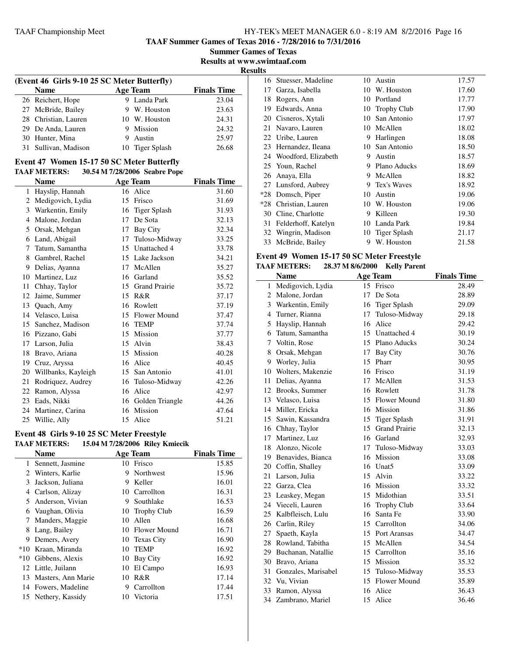**TAAF Summer Games of Texas 2016 - 7/28/2016 to 7/31/2016**

**Summer Games of Texas**

**Results at www.swimtaaf.com**

**Results**

| (Event 46 Girls 9-10 25 SC Meter Butterfly) |   |                 |                    |  |
|---------------------------------------------|---|-----------------|--------------------|--|
| <b>Name</b>                                 |   | Age Team        | <b>Finals Time</b> |  |
| 26 Reichert, Hope                           |   | 9 Landa Park    | 23.04              |  |
| 27 McBride, Bailey                          |   | 9 W. Houston    | 23.63              |  |
| 28 Christian, Lauren                        |   | 10 W. Houston   | 24.31              |  |
| 29 De Anda, Lauren                          | 9 | Mission         | 24.32              |  |
| 30 Hunter, Mina                             |   | Austin          | 25.97              |  |
| 31 Sullivan, Madison                        |   | 10 Tiger Splash | 26.68              |  |

# **Event 47 Women 15-17 50 SC Meter Butterfly**

|              | <b>TAAF METERS:</b> |    | 30.54 M 7/28/2006 Seabre Pope |                    |
|--------------|---------------------|----|-------------------------------|--------------------|
|              | <b>Name</b>         |    | Age Team                      | <b>Finals Time</b> |
| $\mathbf{1}$ | Hayslip, Hannah     | 16 | Alice                         | 31.60              |
| 2            | Medigovich, Lydia   | 15 | Frisco                        | 31.69              |
| 3            | Warkentin, Emily    | 16 | <b>Tiger Splash</b>           | 31.93              |
| 4            | Malone, Jordan      | 17 | De Sota                       | 32.13              |
| 5            | Orsak, Mehgan       | 17 | Bay City                      | 32.34              |
| 6            | Land, Abigail       | 17 | Tuloso-Midway                 | 33.25              |
| 7            | Tatum, Samantha     | 15 | Unattached 4                  | 33.78              |
| 8            | Gambrel, Rachel     | 15 | Lake Jackson                  | 34.21              |
| 9            | Delias, Ayanna      | 17 | McAllen                       | 35.27              |
| 10           | Martinez, Luz       | 16 | Garland                       | 35.52              |
| 11           | Chhay, Taylor       | 15 | <b>Grand Prairie</b>          | 35.72              |
| 12           | Jaime, Summer       | 15 | R&R                           | 37.17              |
| 13           | Quach, Amy          | 16 | Rowlett                       | 37.19              |
| 14           | Velasco, Luisa      | 15 | <b>Flower Mound</b>           | 37.47              |
| 15           | Sanchez, Madison    | 16 | <b>TEMP</b>                   | 37.74              |
| 16           | Pizzano, Gabi       | 15 | Mission                       | 37.77              |
| 17           | Larson, Julia       | 15 | Alvin                         | 38.43              |
| 18           | Bravo, Ariana       | 15 | Mission                       | 40.28              |
| 19           | Cruz, Aryssa        | 16 | Alice                         | 40.45              |
| 20           | Willbanks, Kayleigh | 15 | San Antonio                   | 41.01              |
| 21           | Rodriquez, Audrey   | 16 | Tuloso-Midway                 | 42.26              |
| 22           | Ramon, Alyssa       | 16 | Alice                         | 42.97              |
| 23           | Eads, Nikki         | 16 | Golden Triangle               | 44.26              |
| 24           | Martinez, Carina    | 16 | Mission                       | 47.64              |
| 25           | Willie, Ally        | 15 | Alice                         | 51.21              |
|              |                     |    |                               |                    |

#### **Event 48 Girls 9-10 25 SC Meter Freestyle TAAF METERS: 15.04 M 7/28/2006 Riley Kmiecik**

|                | <b>Name</b>        |    | <b>Age Team</b>    | <b>Finals Time</b> |
|----------------|--------------------|----|--------------------|--------------------|
| 1              | Sennett, Jasmine   | 10 | Frisco             | 15.85              |
| $\mathfrak{D}$ | Winters, Karlie    | 9  | <b>Northwest</b>   | 15.96              |
| 3              | Jackson, Juliana   | 9  | Keller             | 16.01              |
| 4              | Carlson, Alizay    | 10 | Carrollton         | 16.31              |
| 5              | Anderson, Vivian   | 9  | Southlake          | 16.53              |
| 6              | Vaughan, Olivia    | 10 | <b>Trophy Club</b> | 16.59              |
|                | Manders, Maggie    | 10 | Allen              | 16.68              |
| 8              | Lang, Bailey       | 10 | Flower Mound       | 16.71              |
| 9              | Demers, Avery      | 10 | <b>Texas City</b>  | 16.90              |
| $*10$          | Kraan, Miranda     | 10 | <b>TEMP</b>        | 16.92              |
| $*10$          | Gibbens, Alexis    | 10 | Bay City           | 16.92              |
|                | 12 Little, Juilann | 10 | El Campo           | 16.93              |
| 13             | Masters, Ann Marie | 10 | R&R                | 17.14              |
| 14             | Fowers, Madeline   | 9  | Carrollton         | 17.44              |
| 15             | Nethery, Kassidy   | 10 | Victoria           | 17.51              |
|                |                    |    |                    |                    |

|       | 16 Stuesser, Madeline  | 10 | Austin             | 17.57 |
|-------|------------------------|----|--------------------|-------|
| 17    | Garza, Isabella        | 10 | W. Houston         | 17.60 |
| 18    | Rogers, Ann            | 10 | Portland           | 17.77 |
| 19    | Edwards, Anna          | 10 | <b>Trophy Club</b> | 17.90 |
| 20    | Cisneros, Xytali       | 10 | San Antonio        | 17.97 |
| 21    | Navaro, Lauren         | 10 | McAllen            | 18.02 |
|       | 22 Uribe, Lauren       | 9  | Harlingen          | 18.08 |
| 23    | Hernandez, Ileana      | 10 | San Antonio        | 18.50 |
|       | 24 Woodford, Elizabeth | 9  | Austin             | 18.57 |
|       | 25 Youn, Rachel        | 9  | Plano Aducks       | 18.69 |
| 26    | Anaya, Ella            | 9. | McAllen            | 18.82 |
|       | 27 Lunsford, Aubrey    | 9. | Tex's Waves        | 18.92 |
| $*28$ | Domsch, Piper          | 10 | Austin             | 19.06 |
| $*28$ | Christian, Lauren      | 10 | W. Houston         | 19.06 |
| 30    | Cline, Charlotte       | 9  | Killeen            | 19.30 |
| 31    | Felderhoff, Katelyn    | 10 | Landa Park         | 19.84 |
| 32    | Wingrin, Madison       | 10 | Tiger Splash       | 21.17 |
| 33    | McBride, Bailey        | 9  | W. Houston         | 21.58 |
|       |                        |    |                    |       |

# **Event 49 Women 15-17 50 SC Meter Freestyle**

# **TAAF METERS: 28.37 M 8/6/2000 Kelly Parent**

|    | <b>Name</b>           |    | <b>Age Team</b>      | <b>Finals Time</b> |
|----|-----------------------|----|----------------------|--------------------|
| 1  | Medigovich, Lydia     |    | 15 Frisco            | 28.49              |
| 2  | Malone, Jordan        | 17 | De Sota              | 28.89              |
|    | 3 Warkentin, Emily    | 16 | <b>Tiger Splash</b>  | 29.09              |
| 4  | Turner, Rianna        | 17 | Tuloso-Midway        | 29.18              |
|    | 5 Hayslip, Hannah     | 16 | Alice                | 29.42              |
|    | 6 Tatum, Samantha     |    | 15 Unattached 4      | 30.19              |
|    | 7 Voltin, Rose        |    | 15 Plano Aducks      | 30.24              |
| 8  | Orsak, Mehgan         | 17 | <b>Bay City</b>      | 30.76              |
|    | 9 Worley, Julia       | 15 | Pharr                | 30.95              |
| 10 | Wolters, Makenzie     | 16 | Frisco               | 31.19              |
| 11 | Delias, Ayanna        | 17 | McAllen              | 31.53              |
|    | 12 Brooks, Summer     |    | 16 Rowlett           | 31.78              |
|    | 13 Velasco, Luisa     |    | 15 Flower Mound      | 31.80              |
|    | 14 Miller, Ericka     |    | 16 Mission           | 31.86              |
|    | 15 Sawin, Kassandra   |    | 15 Tiger Splash      | 31.91              |
|    | 16 Chhay, Taylor      | 15 | <b>Grand Prairie</b> | 32.13              |
| 17 | Martinez, Luz         | 16 | Garland              | 32.93              |
|    | 18 Alonzo, Nicole     | 17 | Tuloso-Midway        | 33.03              |
|    | 19 Benavides, Bianca  |    | 16 Mission           | 33.08              |
|    | 20 Coffin, Shalley    |    | 16 Unat5             | 33.09              |
| 21 | Larson, Julia         |    | 15 Alvin             | 33.22              |
|    | 22 Garza, Clea        |    | 16 Mission           | 33.32              |
|    | 23 Leaskey, Megan     | 15 | Midothian            | 33.51              |
|    | 24 Vieceli, Lauren    | 16 | <b>Trophy Club</b>   | 33.64              |
| 25 | Kalbfleisch, Lulu     | 16 | Santa Fe             | 33.90              |
|    | 26 Carlin, Riley      |    | 15 Carrollton        | 34.06              |
| 27 | Spaeth, Kayla         |    | 15 Port Aransas      | 34.47              |
| 28 | Rowland, Tabitha      | 15 | McAllen              | 34.54              |
|    | 29 Buchanan, Natallie | 15 | Carrollton           | 35.16              |
|    | 30 Bravo, Ariana      | 15 | Mission              | 35.32              |
| 31 | Gonzales, Marisabel   | 15 | Tuloso-Midway        | 35.53              |
|    | 32 Vu, Vivian         | 15 | Flower Mound         | 35.89              |
| 33 | Ramon, Alyssa         | 16 | Alice                | 36.43              |
| 34 | Zambrano, Mariel      | 15 | Alice                | 36.46              |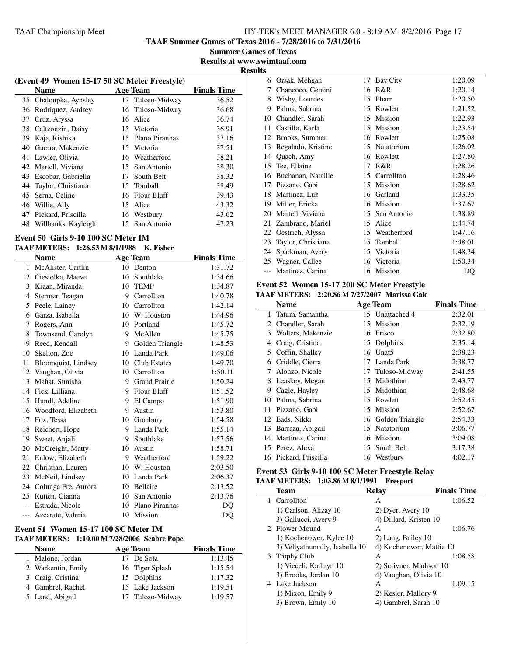**TAAF Summer Games of Texas 2016 - 7/28/2016 to 7/31/2016**

**Summer Games of Texas Results at www.swimtaaf.com**

**Results**

|    | (Event 49 Women 15-17 50 SC Meter Freestyle) |                   |                    |
|----|----------------------------------------------|-------------------|--------------------|
|    | <b>Name</b>                                  | <b>Age Team</b>   | <b>Finals Time</b> |
|    | 35 Chaloupka, Aynsley                        | 17 Tuloso-Midway  | 36.52              |
| 36 | Rodriquez, Audrey                            | 16 Tuloso-Midway  | 36.68              |
| 37 | Cruz, Aryssa                                 | 16 Alice          | 36.74              |
| 38 | Caltzonzin, Daisy                            | 15 Victoria       | 36.91              |
| 39 | Kaja, Rishika                                | 15 Plano Piranhas | 37.16              |
| 40 | Guerra, Makenzie                             | 15 Victoria       | 37.51              |
|    | 41 Lawler, Olivia                            | 16 Weatherford    | 38.21              |
|    | 42 Martell, Viviana                          | 15 San Antonio    | 38.30              |
| 43 | Escobar, Gabriella                           | 17 South Belt     | 38.32              |
| 44 | Taylor, Christiana                           | 15 Tomball        | 38.49              |
| 45 | Serna, Celine                                | 16 Flour Bluff    | 39.43              |
|    | 46 Willie, Ally                              | 15 Alice          | 43.32              |
| 47 | Pickard, Priscilla                           | 16 Westbury       | 43.62              |
| 48 | Willbanks, Kayleigh                          | 15 San Antonio    | 47.23              |

#### **Event 50 Girls 9-10 100 SC Meter IM**

#### **TAAF METERS: 1:26.53 M 8/1/1988 K. Fisher**

|       | <b>Name</b>          |         | <b>Age Team</b>     | <b>Finals Time</b> |
|-------|----------------------|---------|---------------------|--------------------|
| 1     | McAlister, Caitlin   | 10      | Denton              | 1:31.72            |
| 2     | Ciesiolka, Maeve     | 10      | Southlake           | 1:34.66            |
| 3     | Kraan, Miranda       | 10      | <b>TEMP</b>         | 1:34.87            |
| 4     | Stermer, Teagan      |         | 9 Carrollton        | 1:40.78            |
| 5     | Peele, Lainey        | 10      | Carrollton          | 1:42.14            |
| 6     | Garza, Isabella      |         | 10 W. Houston       | 1:44.96            |
| 7     | Rogers, Ann          |         | 10 Portland         | 1:45.72            |
| 8     | Townsend, Carolyn    | 9       | McAllen             | 1:45.75            |
| 9     | Reed, Kendall        | 9       | Golden Triangle     | 1:48.53            |
| 10    | Skelton, Zoe         | 10      | Landa Park          | 1:49.06            |
| 11    | Bloomquist, Lindsey  | 10      | <b>Club Estates</b> | 1:49.70            |
| 12    | Vaughan, Olivia      |         | 10 Carrollton       | 1:50.11            |
| 13    | Mahat, Sunisha       |         | 9 Grand Prairie     | 1:50.24            |
| 14    | Fick, Lilliana       | 9       | <b>Flour Bluff</b>  | 1:51.52            |
| 15    | Hundl, Adeline       | 9       | El Campo            | 1:51.90            |
| 16    | Woodford, Elizabeth  | 9       | Austin              | 1:53.80            |
| 17    | Fox, Tessa           | 10      | Granbury            | 1:54.58            |
| 18    | Reichert, Hope       | 9       | Landa Park          | 1:55.14            |
| 19    | Sweet, Anjali        | 9       | Southlake           | 1:57.56            |
| 20    | McCreight, Matty     | 10      | Austin              | 1:58.71            |
| 21    | Enlow, Elizabeth     |         | 9 Weatherford       | 1:59.22            |
|       | 22 Christian, Lauren |         | 10 W. Houston       | 2:03.50            |
| 23    | McNeil, Lindsey      | 10      | Landa Park          | 2:06.37            |
| 24    | Colunga Fre, Aurora  | 10      | Bellaire            | 2:13.52            |
| 25    | Rutten, Gianna       | $10-10$ | San Antonio         | 2:13.76            |
| $---$ | Estrada, Nicole      |         | 10 Plano Piranhas   | DO                 |
| $---$ | Azcarate, Valeria    | 10      | Mission             | DQ                 |
|       |                      |         |                     |                    |

#### **Event 51 Women 15-17 100 SC Meter IM TAAF METERS: 1:10.00 M 7/28/2006 Seabre Pope**

| <b>Name</b>        | Age Team         | <b>Finals Time</b> |
|--------------------|------------------|--------------------|
| 1 Malone, Jordan   | 17 De Sota       | 1:13.45            |
| 2 Warkentin, Emily | 16 Tiger Splash  | 1:15.54            |
| 3 Craig, Cristina  | 15 Dolphins      | 1:17.32            |
| 4 Gambrel, Rachel  | 15 Lake Jackson  | 1:19.51            |
| 5 Land, Abigail    | 17 Tuloso-Midway | 1:19.57            |

| 6  | Orsak, Mehgan      | 17 | <b>Bay City</b> | 1:20.09 |
|----|--------------------|----|-----------------|---------|
| 7  | Chancoco, Gemini   | 16 | R&R             | 1:20.14 |
| 8  | Wisby, Lourdes     | 15 | Pharr           | 1:20.50 |
| 9  | Palma, Sabrina     | 15 | Rowlett         | 1:21.52 |
| 10 | Chandler, Sarah    | 15 | Mission         | 1:22.93 |
| 11 | Castillo, Karla    | 15 | Mission         | 1:23.54 |
| 12 | Brooks, Summer     | 16 | Rowlett         | 1:25.08 |
| 13 | Regalado, Kristine | 15 | Natatorium      | 1:26.02 |
| 14 | Quach, Amy         | 16 | Rowlett         | 1:27.80 |
| 15 | Tee, Ellaine       | 17 | R&R             | 1:28.26 |
| 16 | Buchanan, Natallie | 15 | Carrollton      | 1:28.46 |
| 17 | Pizzano, Gabi      | 15 | Mission         | 1:28.62 |
| 18 | Martinez, Luz      | 16 | Garland         | 1:33.35 |
| 19 | Miller, Ericka     | 16 | Mission         | 1:37.67 |
| 20 | Martell, Viviana   | 15 | San Antonio     | 1:38.89 |
| 21 | Zambrano, Mariel   | 15 | Alice           | 1:44.74 |
| 22 | Oestrich, Alyssa   | 15 | Weatherford     | 1:47.16 |
| 23 | Taylor, Christiana | 15 | Tomball         | 1:48.01 |
| 24 | Sparkman, Avery    | 15 | Victoria        | 1:48.34 |
| 25 | Wagner, Callee     | 16 | Victoria        | 1:50.34 |
|    | Martinez, Carina   | 16 | Mission         | DQ      |
|    |                    |    |                 |         |

#### **Event 52 Women 15-17 200 SC Meter Freestyle TAAF METERS: 2:20.86 M 7/27/2007 Marissa Gale**

|    | <b>Name</b>           |    | <b>Age Team</b>    | <b>Finals Time</b> |
|----|-----------------------|----|--------------------|--------------------|
| 1. | Tatum, Samantha       |    | 15 Unattached 4    | 2:32.01            |
| 2. | Chandler, Sarah       |    | 15 Mission         | 2:32.19            |
| 3  | Wolters, Makenzie     |    | 16 Frisco          | 2:32.80            |
| 4  | Craig, Cristina       |    | 15 Dolphins        | 2:35.14            |
|    | 5 Coffin, Shalley     |    | 16 Unat5           | 2:38.23            |
| 6  | Criddle, Cierra       |    | 17 Landa Park      | 2:38.77            |
| 7  | Alonzo, Nicole        |    | 17 Tuloso-Midway   | 2:41.55            |
| 8  | Leaskey, Megan        |    | 15 Midothian       | 2:43.77            |
| 9  | Cagle, Hayley         | 15 | Midothian          | 2:48.68            |
| 10 | Palma, Sabrina        |    | 15 Rowlett         | 2:52.45            |
| 11 | Pizzano, Gabi         |    | 15 Mission         | 2:52.67            |
| 12 | Eads, Nikki           |    | 16 Golden Triangle | 2:54.33            |
| 13 | Barraza, Abigail      |    | 15 Natatorium      | 3:06.77            |
| 14 | Martinez, Carina      | 16 | Mission            | 3:09.08            |
|    | 15 Perez, Alexa       | 15 | South Belt         | 3:17.38            |
|    | 16 Pickard, Priscilla |    | 16 Westbury        | 4:02.17            |

#### **Event 53 Girls 9-10 100 SC Meter Freestyle Relay TAAF METERS: 1:03.86 M 8/1/1991 Freeport**

| <b>Team</b>                    | Relav                   | <b>Finals Time</b>       |
|--------------------------------|-------------------------|--------------------------|
| 1 Carrollton                   | А                       | 1:06.52                  |
| 1) Carlson, Alizay 10          | 2) Dyer, Avery 10       |                          |
| 3) Gallucci, Avery 9           | 4) Dillard, Kristen 10  |                          |
| 2 Flower Mound                 | A                       | 1:06.76                  |
| 1) Kochenower, Kylee 10        | 2) Lang, Bailey 10      |                          |
| 3) Veliyathumally, Isabella 10 |                         | 4) Kochenower, Mattie 10 |
| 3 Trophy Club                  | А                       | 1:08.58                  |
| 1) Vieceli, Kathryn 10         | 2) Scrivner, Madison 10 |                          |
| 3) Brooks, Jordan 10           | 4) Vaughan, Olivia 10   |                          |
| 4 Lake Jackson                 | A                       | 1:09.15                  |
| 1) Mixon, Emily 9              | 2) Kesler, Mallory 9    |                          |
| 3) Brown, Emily 10             | 4) Gambrel, Sarah 10    |                          |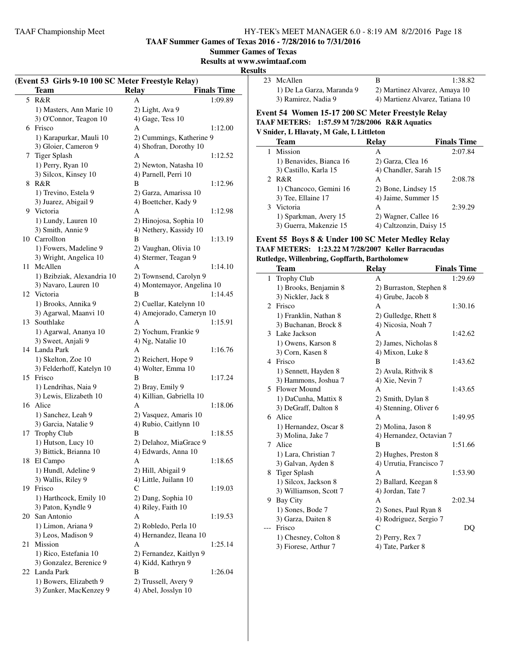**TAAF Summer Games of Texas 2016 - 7/28/2016 to 7/31/2016**

#### **Summer Games of Texas**

**Results at www.swimtaaf.com**

#### **Results**

| (Event 53 Girls 9-10 100 SC Meter Freestyle Relay) |                                              |                                          |                    |  |
|----------------------------------------------------|----------------------------------------------|------------------------------------------|--------------------|--|
|                                                    | <b>Team</b>                                  | <b>Relay</b>                             | <b>Finals Time</b> |  |
| 5                                                  | R&R                                          | А                                        | 1:09.89            |  |
|                                                    | 1) Masters, Ann Marie 10                     | 2) Light, Ava 9                          |                    |  |
|                                                    | 3) O'Connor, Teagon 10                       | 4) Gage, Tess 10                         |                    |  |
|                                                    | 6 Frisco                                     | А                                        | 1:12.00            |  |
|                                                    | 1) Karapurkar, Mauli 10                      | 2) Cummings, Katherine 9                 |                    |  |
|                                                    | 3) Gloier, Cameron 9                         | 4) Shofran, Dorothy 10                   |                    |  |
| 7                                                  | Tiger Splash                                 | А                                        | 1:12.52            |  |
|                                                    | 1) Perry, Ryan 10                            | 2) Newton, Natasha 10                    |                    |  |
|                                                    | 3) Silcox, Kinsey 10                         | 4) Parnell, Perri 10                     |                    |  |
| 8                                                  | R&R                                          | B                                        | 1:12.96            |  |
|                                                    | 1) Trevino, Estela 9                         | 2) Garza, Amarissa 10                    |                    |  |
|                                                    | 3) Juarez, Abigail 9                         | 4) Boettcher, Kady 9                     |                    |  |
| 9                                                  | Victoria                                     | A                                        | 1:12.98            |  |
|                                                    | 1) Lundy, Lauren 10                          | 2) Hinojosa, Sophia 10                   |                    |  |
|                                                    | 3) Smith, Annie 9                            | 4) Nethery, Kassidy 10                   |                    |  |
|                                                    | 10 Carrollton                                | B                                        | 1:13.19            |  |
|                                                    | 1) Fowers, Madeline 9                        | 2) Vaughan, Olivia 10                    |                    |  |
|                                                    | 3) Wright, Angelica 10                       | 4) Stermer, Teagan 9                     |                    |  |
| 11                                                 | McAllen                                      | A                                        | 1:14.10            |  |
|                                                    | 1) Bzibziak, Alexandria 10                   | 2) Townsend, Carolyn 9                   |                    |  |
|                                                    | 3) Navaro, Lauren 10                         | 4) Montemayor, Angelina 10               |                    |  |
| 12                                                 | Victoria                                     | В                                        | 1:14.45            |  |
|                                                    | 1) Brooks, Annika 9                          | 2) Cuellar, Katelynn 10                  |                    |  |
|                                                    | 3) Agarwal, Maanvi 10                        | 4) Amejorado, Cameryn 10                 |                    |  |
| 13                                                 | Southlake                                    | А                                        | 1:15.91            |  |
|                                                    | 1) Agarwal, Ananya 10                        | 2) Yochum, Frankie 9                     |                    |  |
|                                                    | 3) Sweet, Anjali 9                           | 4) Ng, Natalie 10                        |                    |  |
|                                                    | 14 Landa Park                                | A                                        | 1:16.76            |  |
|                                                    | 1) Skelton, Zoe 10                           | 2) Reichert, Hope 9                      |                    |  |
|                                                    | 3) Felderhoff, Katelyn 10                    | 4) Wolter, Emma 10                       |                    |  |
| 15                                                 | Frisco                                       | B                                        | 1:17.24            |  |
|                                                    | 1) Lendrihas, Naia 9                         | 2) Bray, Emily 9                         |                    |  |
|                                                    | 3) Lewis, Elizabeth 10                       | 4) Killian, Gabriella 10                 |                    |  |
|                                                    | 16 Alice                                     | А                                        | 1:18.06            |  |
|                                                    | 1) Sanchez, Leah 9                           | 2) Vasquez, Amaris 10                    |                    |  |
|                                                    | 3) Garcia, Natalie 9                         | 4) Rubio, Caitlynn 10                    |                    |  |
| 17                                                 | Trophy Club                                  | В                                        | 1:18.55            |  |
|                                                    | 1) Hutson, Lucy 10                           | 2) Delahoz, MiaGrace 9                   |                    |  |
|                                                    | 3) Bittick, Brianna 10                       | 4) Edwards, Anna 10                      |                    |  |
| 18                                                 | El Campo                                     | Α                                        | 1:18.65            |  |
|                                                    | 1) Hundl, Adeline 9<br>3) Wallis, Riley 9    | 2) Hill, Abigail 9                       |                    |  |
|                                                    | 19 Frisco                                    | 4) Little, Juilann 10<br>C               | 1:19.03            |  |
|                                                    |                                              |                                          |                    |  |
|                                                    | 1) Harthcock, Emily 10<br>3) Paton, Kyndle 9 | 2) Dang, Sophia 10<br>4) Riley, Faith 10 |                    |  |
| 20                                                 | San Antonio                                  | Α                                        | 1:19.53            |  |
|                                                    | 1) Limon, Ariana 9                           | 2) Robledo, Perla 10                     |                    |  |
|                                                    | 3) Leos, Madison 9                           | 4) Hernandez, Ileana 10                  |                    |  |
| 21                                                 | Mission                                      | А                                        | 1:25.14            |  |
|                                                    | 1) Rico, Estefania 10                        | 2) Fernandez, Kaitlyn 9                  |                    |  |
|                                                    | 3) Gonzalez, Berenice 9                      | 4) Kidd, Kathryn 9                       |                    |  |
| 22                                                 | Landa Park                                   | B                                        | 1:26.04            |  |
|                                                    | 1) Bowers, Elizabeth 9                       | 2) Trussell, Avery 9                     |                    |  |
|                                                    | 3) Zunker, MacKenzey 9                       | 4) Abel, Josslyn 10                      |                    |  |
|                                                    |                                              |                                          |                    |  |

| 23 McAllen                |                                 | 1:38.82 |
|---------------------------|---------------------------------|---------|
| 1) De La Garza, Maranda 9 | 2) Martinez Alvarez, Amaya 10   |         |
| 3) Ramirez, Nadia 9       | 4) Martienz Alvarez, Tatiana 10 |         |

#### **Event 54 Women 15-17 200 SC Meter Freestyle Relay TAAF METERS: 1:57.59 M 7/28/2006 R&R Aquatics V Snider, L Hlavaty, M Gale, L Littleton**

| Team                    | Relay                   | <b>Finals Time</b> |
|-------------------------|-------------------------|--------------------|
| Mission                 | А                       | 2:07.84            |
| 1) Benavides, Bianca 16 | 2) Garza, Clea 16       |                    |
| 3) Castillo, Karla 15   | 4) Chandler, Sarah 15   |                    |
| 2 R&R                   | А                       | 2:08.78            |
| 1) Chancoco, Gemini 16  | 2) Bone, Lindsey 15     |                    |
| 3) Tee, Ellaine 17      | 4) Jaime, Summer 15     |                    |
| 3 Victoria              | A                       | 2:39.29            |
| 1) Sparkman, Avery 15   | 2) Wagner, Callee 16    |                    |
| 3) Guerra, Makenzie 15  | 4) Caltzonzin, Daisy 15 |                    |

#### **Event 55 Boys 8 & Under 100 SC Meter Medley Relay TAAF METERS: 1:23.22 M 7/28/2007 Keller Barracudas Rutledge, Willenbring, Gopffarth, Bartholomew**

|                | Team                   | <b>Relay</b>             | <b>Finals Time</b> |
|----------------|------------------------|--------------------------|--------------------|
| 1              | <b>Trophy Club</b>     | A                        | 1:29.69            |
|                | 1) Brooks, Benjamin 8  | 2) Burraston, Stephen 8  |                    |
|                | 3) Nickler, Jack 8     | 4) Grube, Jacob 8        |                    |
| $\mathfrak{D}$ | Frisco                 | А                        | 1:30.16            |
|                | 1) Franklin, Nathan 8  | 2) Gulledge, Rhett 8     |                    |
|                | 3) Buchanan, Brock 8   | 4) Nicosia, Noah 7       |                    |
|                | 3 Lake Jackson         | A                        | 1:42.62            |
|                | 1) Owens, Karson 8     | 2) James, Nicholas 8     |                    |
|                | 3) Corn, Kasen 8       | 4) Mixon, Luke 8         |                    |
|                | 4 Frisco               | B                        | 1:43.62            |
|                | 1) Sennett, Hayden 8   | 2) Avula, Rithvik 8      |                    |
|                | 3) Hammons, Joshua 7   | 4) Xie, Nevin 7          |                    |
|                | 5 Flower Mound         | A                        | 1:43.65            |
|                | 1) DaCunha, Mattix 8   | 2) Smith, Dylan 8        |                    |
|                | 3) DeGraff, Dalton 8   | 4) Stenning, Oliver 6    |                    |
|                | 6 Alice                | А                        | 1:49.95            |
|                | 1) Hernandez, Oscar 8  | 2) Molina, Jason 8       |                    |
|                | 3) Molina, Jake 7      | 4) Hernandez, Octavian 7 |                    |
| 7              | Alice                  | B                        | 1:51.66            |
|                | 1) Lara, Christian 7   | 2) Hughes, Preston 8     |                    |
|                | 3) Galvan, Ayden 8     | 4) Urrutia, Francisco 7  |                    |
| 8              | <b>Tiger Splash</b>    | A                        | 1:53.90            |
|                | 1) Silcox, Jackson 8   | 2) Ballard, Keegan 8     |                    |
|                | 3) Williamson, Scott 7 | 4) Jordan, Tate 7        |                    |
|                | 9 Bay City             | A                        | 2:02.34            |
|                | 1) Sones, Bode 7       | 2) Sones, Paul Ryan 8    |                    |
|                | 3) Garza, Daiten 8     | 4) Rodriguez, Sergio 7   |                    |
|                | Frisco                 | $\mathcal{C}$            | DQ                 |
|                | 1) Chesney, Colton 8   | 2) Perry, Rex 7          |                    |
|                | 3) Fiorese, Arthur 7   | 4) Tate, Parker 8        |                    |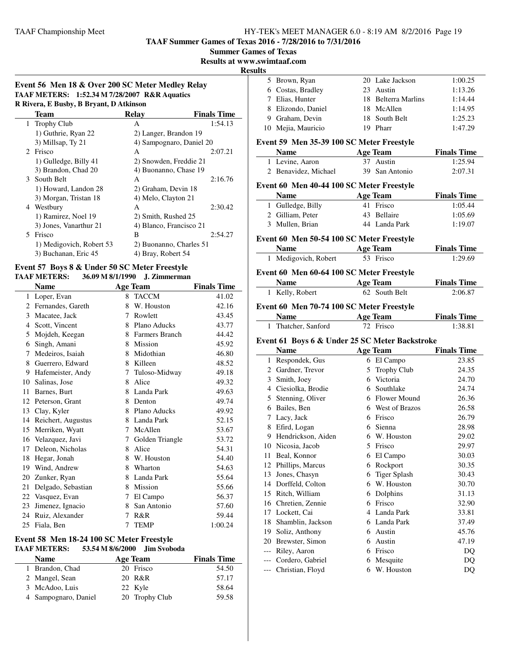**TAAF Summer Games of Texas 2016 - 7/28/2016 to 7/31/2016**

**Summer Games of Texas**

**Results at www.swimtaaf.com**

**Results**

| Event 56 Men 18 & Over 200 SC Meter Medley Relay |
|--------------------------------------------------|
| TAAF METERS: 1:52.34 M 7/28/2007 R&R Aquatics    |
| <b>D</b> Divers F Ruchy R Revent D Atkinson      |

| к китега, в разот, в ргтане, в жиннями |                          |                          |                    |  |  |  |
|----------------------------------------|--------------------------|--------------------------|--------------------|--|--|--|
|                                        | Team                     | Relay                    | <b>Finals Time</b> |  |  |  |
|                                        | 1 Trophy Club            | A                        | 1:54.13            |  |  |  |
|                                        | 1) Guthrie, Ryan 22      | 2) Langer, Brandon 19    |                    |  |  |  |
|                                        | 3) Millsap, Ty 21        | 4) Sampognaro, Daniel 20 |                    |  |  |  |
|                                        | 2 Frisco                 | A                        | 2:07.21            |  |  |  |
|                                        | 1) Gulledge, Billy 41    | 2) Snowden, Freddie 21   |                    |  |  |  |
|                                        | 3) Brandon, Chad 20      | 4) Buonanno, Chase 19    |                    |  |  |  |
|                                        | 3 South Belt             | A                        | 2:16.76            |  |  |  |
|                                        | 1) Howard, Landon 28     | 2) Graham, Devin 18      |                    |  |  |  |
|                                        | 3) Morgan, Tristan 18    | 4) Melo, Clayton 21      |                    |  |  |  |
|                                        | 4 Westbury               | A                        | 2:30.42            |  |  |  |
|                                        | 1) Ramirez, Noel 19      | 2) Smith, Rushed 25      |                    |  |  |  |
|                                        | 3) Jones, Vanarthur 21   | 4) Blanco, Francisco 21  |                    |  |  |  |
| 5.                                     | Frisco                   | B                        | 2:54.27            |  |  |  |
|                                        | 1) Medigovich, Robert 53 | 2) Buonanno, Charles 51  |                    |  |  |  |
|                                        | 3) Buchanan, Eric 45     | 4) Bray, Robert 54       |                    |  |  |  |
|                                        |                          |                          |                    |  |  |  |

### **Event 57 Boys 8 & Under 50 SC Meter Freestyle**

#### **TAAF METERS: 36.09 M 8/1/1990 J. Zimmerman**

| <b>Name</b> |                    |   | <b>Age Team</b>       | <b>Finals Time</b> |
|-------------|--------------------|---|-----------------------|--------------------|
| 1           | Loper, Evan        | 8 | <b>TACCM</b>          | 41.02              |
| 2           | Fernandes, Gareth  | 8 | W. Houston            | 42.16              |
| 3           | Macatee, Jack      | 7 | Rowlett               | 43.45              |
| 4           | Scott, Vincent     | 8 | Plano Aducks          | 43.77              |
| 5           | Mojdeh, Keegan     | 8 | <b>Farmers Branch</b> | 44.42              |
| 6           | Singh, Amani       | 8 | Mission               | 45.92              |
| 7           | Medeiros, Isaiah   | 8 | Midothian             | 46.80              |
| 8           | Guerrero, Edward   | 8 | Killeen               | 48.52              |
| 9           | Hafemeister, Andy  | 7 | Tuloso-Midway         | 49.18              |
| 10          | Salinas, Jose      | 8 | Alice                 | 49.32              |
| 11          | Barnes, Burt       | 8 | Landa Park            | 49.63              |
| 12          | Peterson, Grant    | 8 | Denton                | 49.74              |
| 13          | Clay, Kyler        | 8 | Plano Aducks          | 49.92              |
| 14          | Reichert, Augustus | 8 | Landa Park            | 52.15              |
| 15          | Merriken, Wyatt    | 7 | McAllen               | 53.67              |
| 16          | Velazquez, Javi    | 7 | Golden Triangle       | 53.72              |
| 17          | Deleon, Nicholas   | 8 | Alice                 | 54.31              |
| 18          | Hegar, Jonah       | 8 | W. Houston            | 54.40              |
| 19          | Wind, Andrew       | 8 | Wharton               | 54.63              |
| 20          | Zunker, Ryan       | 8 | Landa Park            | 55.64              |
| 21          | Delgado, Sebastian | 8 | Mission               | 55.66              |
| 22          | Vasquez, Evan      | 7 | El Campo              | 56.37              |
| 23          | Jimenez, Ignacio   | 8 | San Antonio           | 57.60              |
| 24          | Ruiz, Alexander    | 7 | R&R                   | 59.44              |
| 25          | Fiala, Ben         | 7 | <b>TEMP</b>           | 1:00.24            |

#### **Event 58 Men 18-24 100 SC Meter Freestyle TAAF METERS: 53.54 M 8/6/2000 Jim Svoboda**

| <b>Name</b>          | <b>Age Team</b> | <b>Finals Time</b> |
|----------------------|-----------------|--------------------|
| 1 Brandon, Chad      | 20 Frisco       | 54.50              |
| 2 Mangel, Sean       | 20 R&R          | 57.17              |
| 3 McAdoo, Luis       | 22 Kyle         | 58.64              |
| 4 Sampognaro, Daniel | 20 Trophy Club  | 59.58              |

| 5 Brown, Ryan      | 20 Lake Jackson     | 1:00.25 |
|--------------------|---------------------|---------|
| 6 Costas, Bradley  | 23 Austin           | 1:13.26 |
| 7 Elias, Hunter    | 18 Belterra Marlins | 1:14.44 |
| 8 Elizondo, Daniel | 18 McAllen          | 1:14.95 |
| 9 Graham, Devin    | 18 South Belt       | 1:25.23 |
| 10 Mejia, Mauricio | 19 Pharr            | 1:47.29 |
|                    |                     |         |

#### **Event 59 Men 35-39 100 SC Meter Freestyle**

|    | <b>Name</b>                                    |    | <b>Age Team</b>              | <b>Finals Time</b> |
|----|------------------------------------------------|----|------------------------------|--------------------|
|    | 1 Levine, Aaron                                |    | 37 Austin                    | 1:25.94            |
|    | 2 Benavidez, Michael                           |    | 39 San Antonio               | 2:07.31            |
|    | Event 60 Men 40-44 100 SC Meter Freestyle      |    |                              |                    |
|    | <b>Name</b>                                    |    | <b>Age Team</b>              | <b>Finals Time</b> |
|    | 1 Gulledge, Billy                              | 41 | Frisco                       | 1:05.44            |
|    | 2 Gilliam, Peter                               | 43 | Bellaire                     | 1:05.69            |
|    | 3 Mullen, Brian                                |    | 44 Landa Park                | 1:19.07            |
|    |                                                |    |                              |                    |
|    | Event 60 Men 50-54 100 SC Meter Freestyle      |    |                              |                    |
|    | Name                                           |    | <b>Age Team</b><br>53 Frisco | <b>Finals Time</b> |
| 1  | Medigovich, Robert                             |    |                              | 1:29.69            |
|    | Event 60 Men 60-64 100 SC Meter Freestyle      |    |                              |                    |
|    | <b>Name</b>                                    |    | <b>Age Team</b>              | <b>Finals Time</b> |
| 1  | Kelly, Robert                                  |    | 62 South Belt                | 2:06.87            |
|    | Event 60 Men 70-74 100 SC Meter Freestyle      |    |                              |                    |
|    | Name                                           |    | <b>Age Team</b>              | <b>Finals Time</b> |
| 1  | Thatcher, Sanford                              |    | 72 Frisco                    | 1:38.81            |
|    | Event 61 Boys 6 & Under 25 SC Meter Backstroke |    |                              |                    |
|    | <b>Name</b>                                    |    | <b>Age Team</b>              | <b>Finals Time</b> |
| 1  | Respondek, Gus                                 |    | 6 El Campo                   | 23.85              |
|    | 2 Gardner, Trevor                              | 5  | <b>Trophy Club</b>           | 24.35              |
|    | 3 Smith, Joey                                  |    | 6 Victoria                   | 24.70              |
|    | 4 Ciesiolka, Brodie                            |    | 6 Southlake                  | 24.74              |
|    | 5 Stenning, Oliver                             |    | 6 Flower Mound               | 26.36              |
|    | 6 Bailes, Ben                                  |    | 6 West of Brazos             | 26.58              |
|    | 7 Lacy, Jack                                   |    | 6 Frisco                     | 26.79              |
|    | 8 Efird, Logan                                 | 6  | Sienna                       | 28.98              |
|    | 9 Hendrickson, Aiden                           |    | 6 W. Houston                 | 29.02              |
|    | 10 Nicosia, Jacob                              |    | 5 Frisco                     | 29.97              |
| 11 | Beal, Konnor                                   |    | 6 El Campo                   | 30.03              |
|    | 12 Phillips, Marcus                            |    | 6 Rockport                   | 30.35              |
|    | 13 Jones, Chasyn                               |    | 6 Tiger Splash               | 30.43              |
|    | 14 Dorffeld, Colton                            |    | 6 W. Houston                 | 30.70              |
|    | 15 Ritch, William                              |    | 6 Dolphins                   | 31.13              |
|    | 16 Chretien, Zennie                            |    | 6 Frisco                     | 32.90              |
|    | 17 Lockett, Cai                                |    | 4 Landa Park                 | 33.81              |
|    | 18 Shamblin, Jackson                           |    | 6 Landa Park                 | 37.49              |
|    | 19 Soliz, Anthony                              |    | 6 Austin                     | 45.76              |
|    | 20 Brewster, Simon                             |    | 6 Austin                     | 47.19              |
|    | --- Riley, Aaron                               |    | 6 Frisco                     | DQ                 |
|    | --- Cordero, Gabriel                           |    | 6 Mesquite                   | DQ                 |
|    | --- Christian, Floyd                           | 6  | W. Houston                   | DQ                 |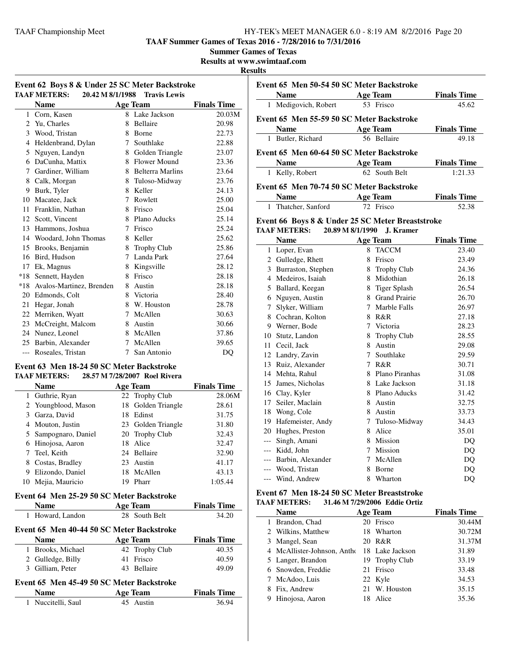**TAAF Summer Games of Texas 2016 - 7/28/2016 to 7/31/2016**

**Summer Games of Texas**

**Results at www.swimtaaf.com**

#### **Results**

| Event 62 Boys 8 & Under 25 SC Meter Backstroke<br><b>TAAF METERS:</b><br>20.42 M 8/1/1988<br><b>Travis Lewis</b> |                              |   |                    |                    |
|------------------------------------------------------------------------------------------------------------------|------------------------------|---|--------------------|--------------------|
|                                                                                                                  | <b>Name</b>                  |   | Age Team           | <b>Finals Time</b> |
| $\mathbf{1}$                                                                                                     | Corn. Kasen                  |   | 8 Lake Jackson     | 20.03M             |
|                                                                                                                  | 2 Yu, Charles                | 8 | Bellaire           | 20.98              |
| 3                                                                                                                | Wood, Tristan                |   | 8 Borne            | 22.73              |
| 4                                                                                                                | Heldenbrand, Dylan           | 7 | Southlake          | 22.88              |
| 5                                                                                                                | Nguyen, Landyn               |   | 8 Golden Triangle  | 23.07              |
| 6                                                                                                                | DaCunha, Mattix              |   | 8 Flower Mound     | 23.36              |
| 7                                                                                                                | Gardiner, William            |   | 8 Belterra Marlins | 23.64              |
|                                                                                                                  | 8 Calk, Morgan               |   | 8 Tuloso-Midway    | 23.76              |
| 9                                                                                                                | Burk, Tyler                  |   | 8 Keller           | 24.13              |
| 10                                                                                                               | Macatee, Jack                | 7 | Rowlett            | 25.00              |
| 11                                                                                                               | Franklin, Nathan             |   | 8 Frisco           | 25.04              |
|                                                                                                                  | 12 Scott, Vincent            |   | 8 Plano Aducks     | 25.14              |
| 13                                                                                                               | Hammons, Joshua              | 7 | Frisco             | 25.24              |
| 14                                                                                                               | Woodard, John Thomas         | 8 | Keller             | 25.62              |
| 15                                                                                                               | Brooks, Benjamin             | 8 | Trophy Club        | 25.86              |
| 16                                                                                                               | Bird, Hudson                 | 7 | Landa Park         | 27.64              |
| 17                                                                                                               | Ek, Magnus                   | 8 | Kingsville         | 28.12              |
| *18                                                                                                              | Sennett, Hayden              | 8 | Frisco             | 28.18              |
|                                                                                                                  | *18 Avalos-Martinez, Brenden | 8 | Austin             | 28.18              |
|                                                                                                                  | 20 Edmonds, Colt             | 8 | Victoria           | 28.40              |
| 21                                                                                                               | Hegar, Jonah                 | 8 | W. Houston         | 28.78              |
| 22                                                                                                               | Merriken, Wyatt              |   | 7 McAllen          | 30.63              |
| 23                                                                                                               | McCreight, Malcom            |   | 8 Austin           | 30.66              |
| 24                                                                                                               | Nunez, Leonel                | 8 | McAllen            | 37.86              |
| 25                                                                                                               | Barbin, Alexander            | 7 | McAllen            | 39.65              |
| $---$                                                                                                            | Roseales, Tristan            | 7 | San Antonio        | DQ                 |

#### **Event 63 Men 18-24 50 SC Meter Backstroke TAAF METERS: 28.57 M 7/28/2007 Roel Rivera**

|   | <b>Name</b>          | <b>Age Team</b> |                    | <b>Finals Time</b> |
|---|----------------------|-----------------|--------------------|--------------------|
|   | 1 Guthrie, Ryan      |                 | 22 Trophy Club     | 28.06M             |
|   | 2 Youngblood, Mason  |                 | 18 Golden Triangle | 28.61              |
|   | 3 Garza, David       |                 | 18 Edinst          | 31.75              |
|   | 4 Mouton, Justin     |                 | 23 Golden Triangle | 31.80              |
|   | 5 Sampognaro, Daniel |                 | 20 Trophy Club     | 32.43              |
|   | 6 Hinojosa, Aaron    |                 | 18 Alice           | 32.47              |
|   | 7 Teel, Keith        |                 | 24 Bellaire        | 32.90              |
|   | 8 Costas, Bradley    |                 | 23 Austin          | 41.17              |
| 9 | Elizondo, Daniel     |                 | 18 McAllen         | 43.13              |
|   | Mejia, Mauricio      | 19              | Pharr              | 1:05.44            |

### **Event 64 Men 25-29 50 SC Meter Backstroke**

| <b>Name</b>                                                                                             | <b>Age Team</b>                           | <b>Finals Time</b> |  |  |  |  |
|---------------------------------------------------------------------------------------------------------|-------------------------------------------|--------------------|--|--|--|--|
| 1 Howard, Landon                                                                                        | 28 South Belt                             | 34.20              |  |  |  |  |
|                                                                                                         | Event 65 Men 40-44 50 SC Meter Backstroke |                    |  |  |  |  |
| <b>Name</b>                                                                                             | Age Team                                  | <b>Finals Time</b> |  |  |  |  |
| 1 Brooks, Michael                                                                                       | 42 Trophy Club                            | 40.35              |  |  |  |  |
| 2 Gulledge, Billy                                                                                       | 41 Frisco                                 | 40.59              |  |  |  |  |
| Gilliam, Peter<br>3.                                                                                    | 43 Bellaire                               | 49.09              |  |  |  |  |
| $E_{\text{max}}$ (F M $_{\text{max}}$ 45 40 50 CC M $_{\text{max}}$ D $_{\text{max}}$ L $_{\text{max}}$ |                                           |                    |  |  |  |  |

# **Event 65 Men 45-49 50 SC Meter Backstroke**<br>Name **Age Tham**

| <b>Name</b>      | Age Team  | <b>Finals Time</b> |
|------------------|-----------|--------------------|
| Nuccitelli, Saul | 45 Austin | 36.94              |

|              | Event 65 Men 50-54 50 SC Meter Backstroke        |                  |                  |                    |  |  |
|--------------|--------------------------------------------------|------------------|------------------|--------------------|--|--|
|              | Name                                             |                  | <b>Age Team</b>  | <b>Finals Time</b> |  |  |
| 1            | Medigovich, Robert                               |                  | 53 Frisco        | 45.62              |  |  |
|              | Event 65 Men 55-59 50 SC Meter Backstroke        |                  |                  |                    |  |  |
|              | Name                                             |                  | <b>Age Team</b>  | <b>Finals Time</b> |  |  |
| 1            | Butler, Richard                                  |                  | 56 Bellaire      | 49.18              |  |  |
|              |                                                  |                  |                  |                    |  |  |
|              | Event 65 Men 60-64 50 SC Meter Backstroke        |                  |                  |                    |  |  |
|              | Name                                             |                  | <b>Age Team</b>  | <b>Finals Time</b> |  |  |
| 1            | Kelly, Robert                                    |                  | 62 South Belt    | 1:21.33            |  |  |
|              | Event 65 Men 70-74 50 SC Meter Backstroke        |                  |                  |                    |  |  |
|              | <b>Name</b>                                      |                  | <b>Age Team</b>  | <b>Finals Time</b> |  |  |
| $\mathbf{1}$ | Thatcher, Sanford                                |                  | 72 Frisco        | 52.38              |  |  |
|              | Event 66 Boys 8 & Under 25 SC Meter Breaststroke |                  |                  |                    |  |  |
|              | <b>TAAF METERS:</b>                              | 20.89 M 8/1/1990 | J. Kramer        |                    |  |  |
|              | <b>Name</b>                                      |                  | <b>Age Team</b>  | <b>Finals Time</b> |  |  |
|              | 1 Loper, Evan                                    |                  | 8 TACCM          | 23.40              |  |  |
|              | 2 Gulledge, Rhett                                |                  | 8 Frisco         | 23.49              |  |  |
|              | 3 Burraston, Stephen                             |                  | 8 Trophy Club    | 24.36              |  |  |
|              | 4 Medeiros, Isaiah                               |                  | 8 Midothian      | 26.18              |  |  |
|              | 5 Ballard, Keegan                                |                  | 8 Tiger Splash   | 26.54              |  |  |
|              | 6 Nguyen, Austin                                 |                  | 8 Grand Prairie  | 26.70              |  |  |
|              | 7 Slyker, William                                |                  | 7 Marble Falls   | 26.97              |  |  |
|              | 8 Cochran, Kolton                                |                  | 8 R&R            | 27.18              |  |  |
|              | 9 Werner, Bode                                   |                  | 7 Victoria       | 28.23              |  |  |
|              | 10 Stutz, Landon                                 |                  | 8 Trophy Club    | 28.55              |  |  |
|              | 11 Cecil, Jack                                   |                  | 8 Austin         | 29.08              |  |  |
|              | 12 Landry, Zavin                                 |                  | 7 Southlake      | 29.59              |  |  |
|              | 13 Ruiz, Alexander                               |                  | 7 R&R            | 30.71              |  |  |
|              | 14 Mehta, Rahul                                  |                  | 8 Plano Piranhas | 31.08              |  |  |
|              | 15 James, Nicholas                               |                  | 8 Lake Jackson   | 31.18              |  |  |
|              | 16 Clay, Kyler                                   |                  | 8 Plano Aducks   | 31.42              |  |  |
|              | 17 Seiler, Maclain                               |                  | 8 Austin         | 32.75              |  |  |
|              | 18 Wong, Cole                                    |                  | 8 Austin         | 33.73              |  |  |
|              | 19 Hafemeister, Andy                             |                  | 7 Tuloso-Midway  | 34.43              |  |  |
|              | 20 Hughes, Preston                               |                  | 8 Alice          | 35.01              |  |  |
|              | --- Singh, Amani                                 |                  | 8 Mission        | DQ                 |  |  |
|              | --- Kidd, John                                   |                  | 7 Mission        | DQ                 |  |  |
|              | --- Barbin, Alexander                            | 7                | McAllen          | DQ                 |  |  |
|              | --- Wood, Tristan                                |                  | 8 Borne          | DO                 |  |  |
|              | --- Wind, Andrew                                 |                  | 8 Wharton        | DQ                 |  |  |
|              |                                                  |                  |                  |                    |  |  |

#### **Event 67 Men 18-24 50 SC Meter Breaststroke TAAF METERS: 31.46 M 7/29/2006 Eddie Ortiz**

|   | Name                        |    | <b>Age Team</b> | <b>Finals Time</b> |
|---|-----------------------------|----|-----------------|--------------------|
|   | 1 Brandon, Chad             |    | 20 Frisco       | 30.44M             |
|   | 2 Wilkins, Matthew          |    | 18 Wharton      | 30.72M             |
|   | 3 Mangel, Sean              |    | 20 R&R          | 31.37M             |
|   | 4 McAllister-Johnson, Antho |    | 18 Lake Jackson | 31.89              |
|   | 5 Langer, Brandon           |    | 19 Trophy Club  | 33.19              |
|   | 6 Snowden, Freddie          |    | 21 Frisco       | 33.48              |
|   | 7 McAdoo, Luis              |    | 22 Kyle         | 34.53              |
|   | Fix, Andrew                 |    | 21 W. Houston   | 35.15              |
| 9 | Hinojosa, Aaron             | 18 | Alice           | 35.36              |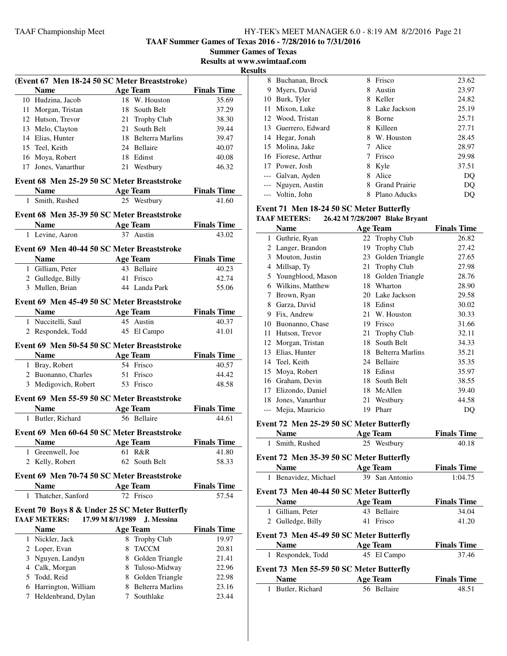**TAAF Summer Games of Texas 2016 - 7/28/2016 to 7/31/2016**

**Summer Games of Texas Results at www.swimtaaf.com**

**Results**

j.

 $\overline{a}$ 

|   |                                               |                  | (Event 67 Men 18-24 50 SC Meter Breaststroke) |                    |
|---|-----------------------------------------------|------------------|-----------------------------------------------|--------------------|
|   | <b>Name</b>                                   |                  | <b>Age Team</b>                               | <b>Finals Time</b> |
|   | 10 Hudzina, Jacob                             |                  | 18 W. Houston                                 | 35.69              |
|   | 11 Morgan, Tristan                            |                  | 18 South Belt                                 | 37.29              |
|   | 12 Hutson, Trevor                             |                  | 21 Trophy Club                                | 38.30              |
|   | 13 Melo, Clayton                              |                  | 21 South Belt                                 | 39.44              |
|   | 14 Elias, Hunter                              |                  | 18 Belterra Marlins                           | 39.47              |
|   | 15 Teel, Keith                                |                  | 24 Bellaire                                   | 40.07              |
|   | 16 Moya, Robert                               |                  | 18 Edinst                                     | 40.08              |
|   | 17 Jones, Vanarthur                           |                  | 21 Westbury                                   | 46.32              |
|   | Event 68 Men 25-29 50 SC Meter Breaststroke   |                  |                                               |                    |
|   | Name $\qquad \qquad \qquad$                   |                  | Age Team                                      | <b>Finals Time</b> |
|   | 1 Smith, Rushed                               |                  | 25 Westbury                                   | 41.60              |
|   | Event 68 Men 35-39 50 SC Meter Breaststroke   |                  |                                               |                    |
|   | <b>Name</b>                                   |                  | <b>Age Team</b>                               | <b>Finals Time</b> |
|   | 1 Levine, Aaron                               |                  | 37 Austin                                     | 43.02              |
|   | Event 69 Men 40-44 50 SC Meter Breaststroke   |                  |                                               |                    |
|   | <b>Name</b>                                   |                  | <b>Age Team</b>                               | <b>Finals Time</b> |
|   | 1 Gilliam, Peter                              |                  | 43 Bellaire                                   | 40.23              |
|   | 2 Gulledge, Billy                             |                  | 41 Frisco                                     | 42.74              |
|   | 3 Mullen, Brian                               |                  | 44 Landa Park                                 | 55.06              |
|   |                                               |                  |                                               |                    |
|   | Event 69 Men 45-49 50 SC Meter Breaststroke   |                  |                                               |                    |
|   | <b>Name</b>                                   |                  | <b>Age Team</b>                               | <b>Finals Time</b> |
|   | 1 Nuccitelli, Saul                            |                  | 45 Austin                                     | 40.37              |
|   | 2 Respondek, Todd                             |                  | 45 El Campo                                   | 41.01              |
|   | Event 69 Men 50-54 50 SC Meter Breaststroke   |                  |                                               |                    |
|   |                                               |                  |                                               |                    |
|   | <b>Name</b>                                   |                  | <b>Age Team</b>                               | <b>Finals Time</b> |
|   | 1 Bray, Robert                                |                  | 54 Frisco                                     | 40.57              |
|   | 2 Buonanno, Charles                           |                  | 51 Frisco                                     | 44.42              |
|   | 3 Medigovich, Robert                          |                  | 53 Frisco                                     | 48.58              |
|   | Event 69 Men 55-59 50 SC Meter Breaststroke   |                  |                                               |                    |
|   | Name Age Team                                 |                  |                                               | <b>Finals Time</b> |
|   | 1 Butler, Richard                             |                  | 56 Bellaire                                   | 44.61              |
|   | Event 69 Men 60-64 50 SC Meter Breaststroke   |                  |                                               |                    |
|   | Name                                          |                  | <u>Age Team</u>                               | <b>Finals Time</b> |
| 1 | Greenwell, Joe                                | 61               | R&R                                           | 41.80              |
| 2 | Kelly, Robert                                 |                  | 62 South Belt                                 | 58.33              |
|   | Event 69 Men 70-74 50 SC Meter Breaststroke   |                  |                                               |                    |
|   | <b>Name</b>                                   |                  | <b>Age Team</b>                               | <b>Finals Time</b> |
|   | 1 Thatcher, Sanford                           |                  | 72 Frisco                                     | 57.54              |
|   |                                               |                  |                                               |                    |
|   | Event 70 Boys 8 & Under 25 SC Meter Butterfly |                  | J. Messina                                    |                    |
|   | <b>TAAF METERS:</b><br><b>Name</b>            | 17.99 M 8/1/1989 | <b>Age Team</b>                               |                    |
|   |                                               | 8                |                                               | 19.97              |
|   | 1 Nickler, Jack                               | 8                | <b>Trophy Club</b>                            | <b>Finals Time</b> |
|   | 2 Loper, Evan                                 |                  | <b>TACCM</b>                                  | 20.81              |
|   | 3 Nguyen, Landyn                              |                  | 8 Golden Triangle                             | 21.41              |
|   | 4 Calk, Morgan                                |                  | 8 Tuloso-Midway                               | 22.96              |
|   | 5 Todd, Reid<br>6 Harrington, William         |                  | 8 Golden Triangle<br>8 Belterra Marlins       | 22.98<br>23.16     |

| 8     | Buchanan, Brock     | 8 | Frisco               | 23.62 |
|-------|---------------------|---|----------------------|-------|
| 9     | Myers, David        | 8 | Austin               | 23.97 |
| 10    | Burk, Tyler         | 8 | Keller               | 24.82 |
| 11.   | Mixon, Luke         | 8 | Lake Jackson         | 25.19 |
|       | 12 Wood, Tristan    | 8 | <b>Borne</b>         | 25.71 |
|       | 13 Guerrero, Edward | 8 | Killeen              | 27.71 |
|       | 14 Hegar, Jonah     | 8 | W. Houston           | 28.45 |
|       | 15 Molina, Jake     | 7 | Alice                | 28.97 |
|       | 16 Fiorese, Arthur  |   | Frisco               | 29.98 |
|       | 17 Power, Josh      | 8 | Kyle                 | 37.51 |
| $---$ | Galvan, Ayden       | 8 | Alice                | DQ    |
|       | --- Nguyen, Austin  | 8 | <b>Grand Prairie</b> | DO    |
|       | --- Voltin, John    | 8 | Plano Aducks         | DO    |

#### **Event 71 Men 18-24 50 SC Meter Butterfly**

#### **TAAF METERS: 26.42 M 7/28/2007 Blake Bryant Name Age Team Finals Time** 1 Guthrie, Ryan 22 Trophy Club 26.82 2 Langer, Brandon 19 Trophy Club 27.42 3 Mouton, Justin 23 Golden Triangle 27.65 4 Millsap, Ty 21 Trophy Club 27.98 5 Youngblood, Mason 18 Golden Triangle 28.76 6 Wilkins, Matthew 18 Wharton 28.90 7 Brown, Ryan 20 Lake Jackson 29.58 8 Garza, David 18 Edinst 30.02 9 Fix, Andrew 21 W. Houston 30.33 10 Buonanno, Chase 19 Frisco 31.66 11 Hutson, Trevor 21 Trophy Club 32.11 12 Morgan, Tristan 18 South Belt 34.33 13 Elias, Hunter 18 Belterra Marlins 35.21 14 Teel, Keith 24 Bellaire 35.35 15 Moya, Robert 18 Edinst 35.97 16 Graham, Devin 18 South Belt 38.55 17 Elizondo, Daniel 18 McAllen 39.40 18 Jones, Vanarthur 21 Westbury 44.58 --- Mejia, Mauricio 19 Pharr DQ **Event 72 Men 25-29 50 SC Meter Butterfly**

| Event <i>12</i> inten 23-29 30 SC intelet Butterny |                 |                    |  |  |
|----------------------------------------------------|-----------------|--------------------|--|--|
| <b>Name</b>                                        | <b>Age Team</b> | <b>Finals Time</b> |  |  |
| 1 Smith, Rushed                                    | 25 Westbury     | 40.18              |  |  |
| Event 72 Men 35-39 50 SC Meter Butterfly           |                 |                    |  |  |
| <b>Name</b>                                        | <b>Age Team</b> | <b>Finals Time</b> |  |  |
| 1 Benavidez, Michael                               | 39 San Antonio  | 1:04.75            |  |  |
| Event 73 Men 40-44 50 SC Meter Butterfly           |                 |                    |  |  |
| <b>Name</b>                                        | <b>Age Team</b> | <b>Finals Time</b> |  |  |
| 1 Gilliam, Peter                                   | 43 Bellaire     | 34.04              |  |  |
| 2 Gulledge, Billy                                  | Frisco<br>41    | 41.20              |  |  |
| Event 73 Men 45-49 50 SC Meter Butterfly           |                 |                    |  |  |
| <b>Name</b>                                        | <b>Age Team</b> | <b>Finals Time</b> |  |  |
| Respondek, Todd<br>$\mathbf{1}$                    | 45 El Campo     | 37.46              |  |  |
| Event 73 Men 55-59 50 SC Meter Butterfly           |                 |                    |  |  |
| <b>Name</b>                                        | <b>Age Team</b> | <b>Finals Time</b> |  |  |
| Butler, Richard<br>1                               | 56 Bellaire     | 48.51              |  |  |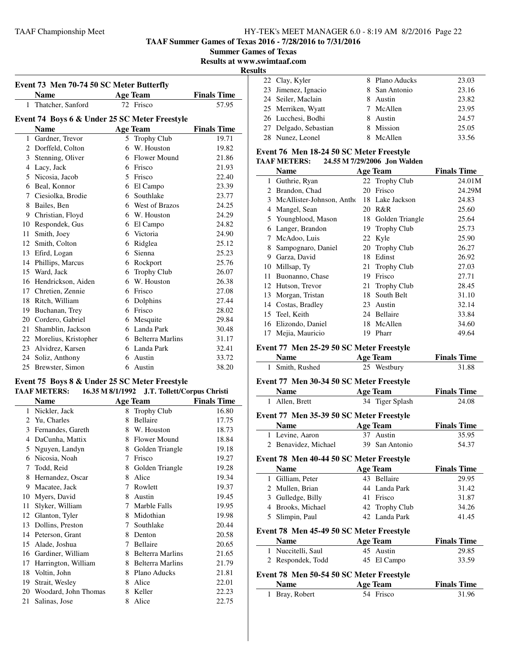**TAAF Summer Games of Texas 2016 - 7/28/2016 to 7/31/2016**

**Summer Games of Texas**

**Results at www.swimtaaf.com**

**Results**

|                                               | Event 73 Men 70-74 50 SC Meter Butterfly |                |                              |                             |  |  |
|-----------------------------------------------|------------------------------------------|----------------|------------------------------|-----------------------------|--|--|
|                                               | <b>Name</b>                              |                | <b>Age Team</b><br>72 Frisco | <b>Finals Time</b><br>57.95 |  |  |
|                                               | 1 Thatcher, Sanford                      |                |                              |                             |  |  |
| Event 74 Boys 6 & Under 25 SC Meter Freestyle |                                          |                |                              |                             |  |  |
|                                               | <b>Name</b>                              |                | <b>Age Team</b>              | <b>Finals Time</b>          |  |  |
| $\mathbf{1}$                                  | Gardner, Trevor                          | 5.             | <b>Trophy Club</b>           | 19.71                       |  |  |
| 2                                             | Dorffeld, Colton                         | 6              | W. Houston                   | 19.82                       |  |  |
| 3                                             | Stenning, Oliver                         | 6              | Flower Mound                 | 21.86                       |  |  |
| 4                                             | Lacy, Jack                               | 6              | Frisco                       | 21.93                       |  |  |
| 5                                             | Nicosia, Jacob                           | $\overline{5}$ | Frisco                       | 22.40                       |  |  |
| 6                                             | Beal, Konnor                             | 6              | El Campo                     | 23.39                       |  |  |
| 7                                             | Ciesiolka, Brodie                        | 6              | Southlake                    | 23.77                       |  |  |
| 8                                             | Bailes, Ben                              | 6              | West of Brazos               | 24.25                       |  |  |
| 9                                             | Christian, Floyd                         | 6              | W. Houston                   | 24.29                       |  |  |
| 10                                            | Respondek, Gus                           | 6              | El Campo                     | 24.82                       |  |  |
| 11                                            | Smith, Joey                              |                | 6 Victoria                   | 24.90                       |  |  |
| 12                                            | Smith, Colton                            | 6              | Ridglea                      | 25.12                       |  |  |
| 13                                            | Efird, Logan                             | 6              | Sienna                       | 25.23                       |  |  |
| 14                                            | Phillips, Marcus                         | 6              | Rockport                     | 25.76                       |  |  |
| 15                                            | Ward, Jack                               | 6              | <b>Trophy Club</b>           | 26.07                       |  |  |
| 16                                            | Hendrickson, Aiden                       | 6              | W. Houston                   | 26.38                       |  |  |
| 17                                            | Chretien, Zennie                         | 6              | Frisco                       | 27.08                       |  |  |
| 18                                            | Ritch, William                           | 6              | Dolphins                     | 27.44                       |  |  |
| 19                                            | Buchanan, Trey                           | 6              | Frisco                       | 28.02                       |  |  |
| 20                                            | Cordero, Gabriel                         | 6              | Mesquite                     | 29.84                       |  |  |
| 21                                            | Shamblin, Jackson                        | 6              | Landa Park                   | 30.48                       |  |  |
| 22                                            | Morelius, Kristopher                     | 6              | <b>Belterra Marlins</b>      | 31.17                       |  |  |
| 23                                            | Alvidrez, Karsen                         | 6              | Landa Park                   | 32.41                       |  |  |
| 24                                            | Soliz, Anthony                           | 6              | Austin                       | 33.72                       |  |  |
| 25                                            | Brewster, Simon                          |                | 6 Austin                     | 38.20                       |  |  |

#### **Event 75 Boys 8 & Under 25 SC Meter Freestyle TAAF METERS: 16.35 M 8/1/1992 J.T. Tollett/Corpus Christi**

|              | <b>Name</b>          |   | <b>Age Team</b>         | <b>Finals Time</b> |
|--------------|----------------------|---|-------------------------|--------------------|
| $\mathbf{1}$ | Nickler, Jack        | 8 | <b>Trophy Club</b>      | 16.80              |
| 2            | Yu, Charles          | 8 | <b>Bellaire</b>         | 17.75              |
| 3            | Fernandes, Gareth    | 8 | W. Houston              | 18.73              |
| 4            | DaCunha, Mattix      | 8 | Flower Mound            | 18.84              |
| 5            | Nguyen, Landyn       | 8 | Golden Triangle         | 19.18              |
| 6            | Nicosia, Noah        | 7 | Frisco                  | 19.27              |
| 7            | Todd, Reid           | 8 | Golden Triangle         | 19.28              |
| 8            | Hernandez, Oscar     | 8 | Alice                   | 19.34              |
| 9            | Macatee, Jack        | 7 | Rowlett                 | 19.37              |
| 10           | Myers, David         | 8 | Austin                  | 19.45              |
| 11           | Slyker, William      | 7 | Marble Falls            | 19.95              |
| 12           | Glanton, Tyler       | 8 | Midothian               | 19.98              |
| 13           | Dollins, Preston     | 7 | Southlake               | 20.44              |
| 14           | Peterson, Grant      | 8 | Denton                  | 20.58              |
| 15           | Alade, Joshua        | 7 | Bellaire                | 20.65              |
| 16           | Gardiner, William    | 8 | <b>Belterra Marlins</b> | 21.65              |
| 17           | Harrington, William  | 8 | <b>Belterra Marlins</b> | 21.79              |
| 18           | Voltin, John         | 8 | Plano Aducks            | 21.81              |
| 19           | Strait, Wesley       | 8 | Alice                   | 22.01              |
| 20           | Woodard, John Thomas | 8 | Keller                  | 22.23              |
| 21           | Salinas, Jose        | 8 | Alice                   | 22.75              |

| w |                       |                |       |
|---|-----------------------|----------------|-------|
|   | 22 Clay, Kyler        | 8 Plano Aducks | 23.03 |
|   | 23 Jimenez, Ignacio   | 8 San Antonio  | 23.16 |
|   | 24 Seiler, Maclain    | 8 Austin       | 23.82 |
|   | 25 Merriken, Wyatt    | 7 McAllen      | 23.95 |
|   | 26 Lucchesi, Bodhi    | 8 Austin       | 24.57 |
|   | 27 Delgado, Sebastian | 8 Mission      | 25.05 |
|   | 28 Nunez, Leonel      | 8 McAllen      | 33.56 |
|   |                       |                |       |

#### **Event 76 Men 18-24 50 SC Meter Freestyle TAAF METERS: 24.55 M 7/29/2006 Jon Walden**

|              |                           |    | $\sim$ 11. $\mu$ - 11. $\mu$ - 10. $\mu$ - 10. $\mu$ |                    |
|--------------|---------------------------|----|------------------------------------------------------|--------------------|
|              | <b>Name</b>               |    | <b>Age Team</b>                                      | <b>Finals Time</b> |
| $\mathbf{1}$ | Guthrie, Ryan             |    | 22 Trophy Club                                       | 24.01M             |
| 2            | Brandon, Chad             | 20 | Frisco                                               | 24.29M             |
| 3            | McAllister-Johnson, Antho |    | 18 Lake Jackson                                      | 24.83              |
| 4            | Mangel, Sean              | 20 | R&R                                                  | 25.60              |
| 5.           | Youngblood, Mason         | 18 | Golden Triangle                                      | 25.64              |
| 6            | Langer, Brandon           | 19 | <b>Trophy Club</b>                                   | 25.73              |
| 7            | McAdoo, Luis              | 22 | Kyle                                                 | 25.90              |
| 8            | Sampognaro, Daniel        | 20 | <b>Trophy Club</b>                                   | 26.27              |
| 9            | Garza, David              | 18 | Edinst                                               | 26.92              |
| 10           | Millsap, Ty               | 21 | <b>Trophy Club</b>                                   | 27.03              |
| 11           | Buonanno, Chase           | 19 | Frisco                                               | 27.71              |
| 12           | Hutson, Trevor            | 21 | <b>Trophy Club</b>                                   | 28.45              |
| 13           | Morgan, Tristan           | 18 | South Belt                                           | 31.10              |
| 14           | Costas, Bradley           | 23 | Austin                                               | 32.14              |
| 15           | Teel, Keith               | 24 | Bellaire                                             | 33.84              |
| 16           | Elizondo, Daniel          | 18 | McAllen                                              | 34.60              |
| 17           | Mejia, Mauricio           | 19 | Pharr                                                | 49.64              |
|              |                           |    |                                                      |                    |

#### **Event 77 Men 25-29 50 SC Meter Freestyle**

| <b>Name</b>                              | Age Team    | <b>Finals Time</b> |
|------------------------------------------|-------------|--------------------|
| 1 Smith, Rushed                          | 25 Westbury | 31.88              |
| Event 77 Men 30-34 50 SC Meter Freestyle |             |                    |

# **Name Age Team Finals Time** Allen, Brett 34 Tiger Splash 24.08

#### **Event 77 Men 35-39 50 SC Meter Freestyle**

| <b>Name</b>          | Age Team       | <b>Finals Time</b> |
|----------------------|----------------|--------------------|
| 1 Levine, Aaron      | 37 Austin      | 35.95              |
| 2 Benavidez, Michael | 39 San Antonio | 54.37              |

#### **Event 78 Men 40-44 50 SC Meter Freestyle**

|                                          | <b>Name</b>        | <b>Age Team</b> | <b>Finals Time</b> |  |
|------------------------------------------|--------------------|-----------------|--------------------|--|
| 1                                        | Gilliam, Peter     | 43 Bellaire     | 29.95              |  |
|                                          | 2 Mullen, Brian    | 44 Landa Park   | 31.42              |  |
| 3                                        | Gulledge, Billy    | 41 Frisco       | 31.87              |  |
| 4                                        | Brooks, Michael    | 42 Trophy Club  | 34.26              |  |
| 5                                        | Slimpin, Paul      | 42 Landa Park   | 41.45              |  |
| Event 78 Men 45-49 50 SC Meter Freestyle |                    |                 |                    |  |
|                                          | <b>Name</b>        | <b>Age Team</b> | <b>Finals Time</b> |  |
|                                          | 1 Nuccitelli, Saul | 45 Austin       | 29.85              |  |
| 2                                        | Respondek, Todd    | 45 El Campo     | 33.59              |  |
| Event 78 Men 50-54 50 SC Meter Freestyle |                    |                 |                    |  |
|                                          | <b>Name</b>        | <b>Age Team</b> | <b>Finals Time</b> |  |
| 1                                        | Bray, Robert       | 54 Frisco       | 31.96              |  |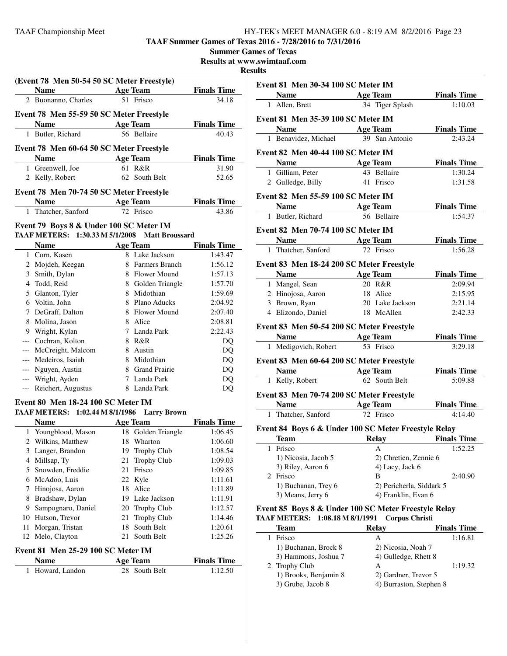**TAAF Summer Games of Texas 2016 - 7/28/2016 to 7/31/2016**

|    |                                               |    |                         |                             | <b>Summer Games of Texas</b><br><b>Results at www.swimtaaf.co</b><br><b>Results</b> |
|----|-----------------------------------------------|----|-------------------------|-----------------------------|-------------------------------------------------------------------------------------|
|    | (Event 78 Men 50-54 50 SC Meter Freestyle)    |    |                         |                             |                                                                                     |
|    | <b>Name</b>                                   |    | Age Team                | <b>Finals Time</b>          | Event 81 M                                                                          |
|    | 2 Buonanno, Charles                           |    | 51 Frisco               | 34.18                       | <b>Name</b>                                                                         |
|    |                                               |    |                         |                             | 1 Allen, E                                                                          |
|    | Event 78 Men 55-59 50 SC Meter Freestyle      |    |                         |                             | Event 81 M                                                                          |
|    | Name Age Team<br>1 Butler, Richard            |    | 56 Bellaire             | <b>Finals Time</b><br>40.43 | <b>Name</b>                                                                         |
|    |                                               |    |                         |                             | 1 Benavio                                                                           |
|    | Event 78 Men 60-64 50 SC Meter Freestyle      |    |                         |                             | Event 82 M                                                                          |
|    | <b>Name</b><br><b>Age Team</b>                |    |                         | <b>Finals Time</b>          | <b>Name</b>                                                                         |
|    | 1 Greenwell, Joe                              |    | 61 R&R                  | 31.90                       | 1 Gilliam                                                                           |
|    | 2 Kelly, Robert                               |    | 62 South Belt           | 52.65                       | 2 Gulledg                                                                           |
|    | Event 78 Men 70-74 50 SC Meter Freestyle      |    |                         |                             |                                                                                     |
|    | <b>Name</b>                                   |    | <b>Age Team</b>         | <b>Finals Time</b>          | Event 82 M                                                                          |
|    | 1 Thatcher, Sanford                           |    | 72 Frisco               | 43.86                       | <b>Name</b>                                                                         |
|    |                                               |    |                         |                             | 1 Butler,                                                                           |
|    | Event 79 Boys 8 & Under 100 SC Meter IM       |    |                         |                             | Event 82 M                                                                          |
|    | TAAF METERS: 1:30.33 M 5/1/2008               |    | <b>Matt Broussard</b>   |                             | <b>Name</b>                                                                         |
|    | <b>Name</b>                                   |    | <b>Age Team</b>         | <b>Finals Time</b>          | 1 Thatche                                                                           |
|    | 1 Corn, Kasen                                 |    | 8 Lake Jackson          | 1:43.47                     |                                                                                     |
|    | 2 Mojdeh, Keegan                              |    | 8 Farmers Branch        | 1:56.12                     | Event 83 M                                                                          |
|    | 3 Smith, Dylan                                |    | 8 Flower Mound          | 1:57.13                     | <b>Name</b>                                                                         |
|    | 4 Todd, Reid                                  |    | 8 Golden Triangle       | 1:57.70                     | 1 Mangel                                                                            |
|    | 5 Glanton, Tyler                              |    | 8 Midothian             | 1:59.69                     | 2 Hinojos                                                                           |
|    | 6 Voltin, John                                |    | 8 Plano Aducks          | 2:04.92                     | 3 Brown,                                                                            |
|    | 7 DeGraff, Dalton                             |    | 8 Flower Mound          | 2:07.40                     | 4 Elizond                                                                           |
|    | 8 Molina, Jason                               |    | 8 Alice                 | 2:08.81                     | Event 83 M                                                                          |
|    | 9 Wright, Kylan                               |    | 7 Landa Park            | 2:22.43                     | <b>Name</b>                                                                         |
|    | --- Cochran, Kolton                           |    | 8 R&R                   | DQ                          | 1 Medigo                                                                            |
|    | --- McCreight, Malcom<br>--- Medeiros, Isaiah |    | 8 Austin<br>8 Midothian | DQ                          |                                                                                     |
|    |                                               |    | 8 Grand Prairie         | DQ                          | Event 83 M                                                                          |
|    | --- Nguyen, Austin<br>--- Wright, Ayden       |    | 7 Landa Park            | DQ                          | <b>Name</b>                                                                         |
|    | --- Reichert, Augustus                        |    | 8 Landa Park            | DQ                          | 1 Kelly, F                                                                          |
|    |                                               |    |                         | DQ                          | Event 83 M                                                                          |
|    | <b>Event 80 Men 18-24 100 SC Meter IM</b>     |    |                         |                             | <b>Name</b>                                                                         |
|    | TAAF METERS: 1:02.44 M 8/1/1986 Larry Brown   |    |                         |                             | 1<br>Thatche                                                                        |
|    | <b>Name</b>                                   |    | <b>Age Team</b>         | <b>Finals Time</b>          |                                                                                     |
|    | 1 Youngblood, Mason                           |    | 18 Golden Triangle      | 1:06.45                     | Event 84 Bo                                                                         |
|    | 2 Wilkins, Matthew                            |    | 18 Wharton              | 1:06.60                     | <b>Team</b>                                                                         |
| 3  | Langer, Brandon                               | 19 | Trophy Club             | 1:08.54                     | 1 Frisco                                                                            |
| 4  | Millsap, Ty                                   | 21 | Trophy Club             | 1:09.03                     | 1) Nico                                                                             |
| 5  | Snowden, Freddie                              | 21 | Frisco                  | 1:09.85                     | 3) Riley<br>2 Frisco                                                                |
|    | 6 McAdoo, Luis                                |    | 22 Kyle                 | 1:11.61                     | 1) Buch                                                                             |
| 7  | Hinojosa, Aaron                               |    | 18 Alice                | 1:11.89                     | 3) Mean                                                                             |
| 8  | Bradshaw, Dylan                               |    | 19 Lake Jackson         | 1:11.91                     |                                                                                     |
| 9  | Sampognaro, Daniel                            | 20 | Trophy Club             | 1:12.57                     | Event 85 Bo                                                                         |
|    | 10 Hutson, Trevor                             | 21 | Trophy Club             | 1:14.46                     | <b>TAAF METE</b>                                                                    |
| 11 | Morgan, Tristan                               | 18 | South Belt              | 1:20.61                     | <b>Team</b>                                                                         |
| 12 | Melo, Clayton                                 | 21 | South Belt              | 1:25.26                     | 1 Frisco                                                                            |
|    | Event 81 Men 25-29 100 SC Meter IM            |    |                         |                             | 1) Buch                                                                             |
|    | <b>Name</b>                                   |    | <b>Age Team</b>         | <b>Finals Time</b>          | 3) Ham                                                                              |
|    | 1 Howard, Landon                              | 28 | South Belt              | 1:12.50                     | 2 Trophy                                                                            |
|    |                                               |    |                         |                             | $1)$ Broo                                                                           |

| Event 81 Men 30-34 100 SC Meter IM<br>Name Age Team<br><b>Finals Time</b><br>34 Tiger Splash<br>1:10.03<br>Event 81 Men 35-39 100 SC Meter IM<br><b>Solution Security Age Team</b><br><b>Finals Time</b><br>39 San Antonio<br>2:43.24<br>Event 82 Men 40-44 100 SC Meter IM<br><b>Finals Time</b><br>Name Age Team<br>43 Bellaire<br>1:30.24<br>41 Frisco<br>1:31.58<br>Event 82 Men 55-59 100 SC Meter IM<br>Name Age Team<br><b>Finals Time</b><br>56 Bellaire<br>1:54.37<br>Event 82 Men 70-74 100 SC Meter IM<br>Name Age Team<br><b>Finals Time</b><br>72 Frisco<br>1:56.28<br>Event 83 Men 18-24 200 SC Meter Freestyle<br>Name Age Team<br><b>Finals Time</b><br>20 R&R<br>2:09.94<br>18 Alice<br>2:15.95<br>20 Lake Jackson<br>2:21.14<br>18 McAllen<br>2:42.33<br>Event 83 Men 50-54 200 SC Meter Freestyle<br>Name Age Team<br><b>Finals Time</b> |
|-------------------------------------------------------------------------------------------------------------------------------------------------------------------------------------------------------------------------------------------------------------------------------------------------------------------------------------------------------------------------------------------------------------------------------------------------------------------------------------------------------------------------------------------------------------------------------------------------------------------------------------------------------------------------------------------------------------------------------------------------------------------------------------------------------------------------------------------------------------|
|                                                                                                                                                                                                                                                                                                                                                                                                                                                                                                                                                                                                                                                                                                                                                                                                                                                             |
|                                                                                                                                                                                                                                                                                                                                                                                                                                                                                                                                                                                                                                                                                                                                                                                                                                                             |
|                                                                                                                                                                                                                                                                                                                                                                                                                                                                                                                                                                                                                                                                                                                                                                                                                                                             |
|                                                                                                                                                                                                                                                                                                                                                                                                                                                                                                                                                                                                                                                                                                                                                                                                                                                             |
|                                                                                                                                                                                                                                                                                                                                                                                                                                                                                                                                                                                                                                                                                                                                                                                                                                                             |
|                                                                                                                                                                                                                                                                                                                                                                                                                                                                                                                                                                                                                                                                                                                                                                                                                                                             |
|                                                                                                                                                                                                                                                                                                                                                                                                                                                                                                                                                                                                                                                                                                                                                                                                                                                             |
|                                                                                                                                                                                                                                                                                                                                                                                                                                                                                                                                                                                                                                                                                                                                                                                                                                                             |
|                                                                                                                                                                                                                                                                                                                                                                                                                                                                                                                                                                                                                                                                                                                                                                                                                                                             |
|                                                                                                                                                                                                                                                                                                                                                                                                                                                                                                                                                                                                                                                                                                                                                                                                                                                             |
|                                                                                                                                                                                                                                                                                                                                                                                                                                                                                                                                                                                                                                                                                                                                                                                                                                                             |
|                                                                                                                                                                                                                                                                                                                                                                                                                                                                                                                                                                                                                                                                                                                                                                                                                                                             |
|                                                                                                                                                                                                                                                                                                                                                                                                                                                                                                                                                                                                                                                                                                                                                                                                                                                             |
|                                                                                                                                                                                                                                                                                                                                                                                                                                                                                                                                                                                                                                                                                                                                                                                                                                                             |
|                                                                                                                                                                                                                                                                                                                                                                                                                                                                                                                                                                                                                                                                                                                                                                                                                                                             |
|                                                                                                                                                                                                                                                                                                                                                                                                                                                                                                                                                                                                                                                                                                                                                                                                                                                             |
|                                                                                                                                                                                                                                                                                                                                                                                                                                                                                                                                                                                                                                                                                                                                                                                                                                                             |
|                                                                                                                                                                                                                                                                                                                                                                                                                                                                                                                                                                                                                                                                                                                                                                                                                                                             |
|                                                                                                                                                                                                                                                                                                                                                                                                                                                                                                                                                                                                                                                                                                                                                                                                                                                             |
|                                                                                                                                                                                                                                                                                                                                                                                                                                                                                                                                                                                                                                                                                                                                                                                                                                                             |
|                                                                                                                                                                                                                                                                                                                                                                                                                                                                                                                                                                                                                                                                                                                                                                                                                                                             |
|                                                                                                                                                                                                                                                                                                                                                                                                                                                                                                                                                                                                                                                                                                                                                                                                                                                             |
| 53 Frisco<br>3:29.18                                                                                                                                                                                                                                                                                                                                                                                                                                                                                                                                                                                                                                                                                                                                                                                                                                        |
| Event 83 Men 60-64 200 SC Meter Freestyle                                                                                                                                                                                                                                                                                                                                                                                                                                                                                                                                                                                                                                                                                                                                                                                                                   |
| Name Age Team<br><b>Finals Time</b><br>62 South Belt<br>5:09.88                                                                                                                                                                                                                                                                                                                                                                                                                                                                                                                                                                                                                                                                                                                                                                                             |
|                                                                                                                                                                                                                                                                                                                                                                                                                                                                                                                                                                                                                                                                                                                                                                                                                                                             |
| Event 83 Men 70-74 200 SC Meter Freestyle                                                                                                                                                                                                                                                                                                                                                                                                                                                                                                                                                                                                                                                                                                                                                                                                                   |
| <b>Age Team</b><br><b>Finals Time</b>                                                                                                                                                                                                                                                                                                                                                                                                                                                                                                                                                                                                                                                                                                                                                                                                                       |
| 72 Frisco<br>4:14.40                                                                                                                                                                                                                                                                                                                                                                                                                                                                                                                                                                                                                                                                                                                                                                                                                                        |
| Event 84 Boys 6 & Under 100 SC Meter Freestyle Relay                                                                                                                                                                                                                                                                                                                                                                                                                                                                                                                                                                                                                                                                                                                                                                                                        |
| <b>Finals Time</b>                                                                                                                                                                                                                                                                                                                                                                                                                                                                                                                                                                                                                                                                                                                                                                                                                                          |
| 1:52.25                                                                                                                                                                                                                                                                                                                                                                                                                                                                                                                                                                                                                                                                                                                                                                                                                                                     |
| 2) Chretien, Zennie 6                                                                                                                                                                                                                                                                                                                                                                                                                                                                                                                                                                                                                                                                                                                                                                                                                                       |
| 4) Lacy, Jack 6                                                                                                                                                                                                                                                                                                                                                                                                                                                                                                                                                                                                                                                                                                                                                                                                                                             |
| 2:40.90                                                                                                                                                                                                                                                                                                                                                                                                                                                                                                                                                                                                                                                                                                                                                                                                                                                     |
| 2) Pericherla, Siddark 5                                                                                                                                                                                                                                                                                                                                                                                                                                                                                                                                                                                                                                                                                                                                                                                                                                    |
| 4) Franklin, Evan 6                                                                                                                                                                                                                                                                                                                                                                                                                                                                                                                                                                                                                                                                                                                                                                                                                                         |
| Event 85 Boys 8 & Under 100 SC Meter Freestyle Relay                                                                                                                                                                                                                                                                                                                                                                                                                                                                                                                                                                                                                                                                                                                                                                                                        |
| <b>Corpus Christi</b>                                                                                                                                                                                                                                                                                                                                                                                                                                                                                                                                                                                                                                                                                                                                                                                                                                       |
| <b>Finals Time</b>                                                                                                                                                                                                                                                                                                                                                                                                                                                                                                                                                                                                                                                                                                                                                                                                                                          |
| 1:16.81                                                                                                                                                                                                                                                                                                                                                                                                                                                                                                                                                                                                                                                                                                                                                                                                                                                     |
| 2) Nicosia, Noah 7                                                                                                                                                                                                                                                                                                                                                                                                                                                                                                                                                                                                                                                                                                                                                                                                                                          |
|                                                                                                                                                                                                                                                                                                                                                                                                                                                                                                                                                                                                                                                                                                                                                                                                                                                             |
| 4) Gulledge, Rhett 8                                                                                                                                                                                                                                                                                                                                                                                                                                                                                                                                                                                                                                                                                                                                                                                                                                        |
| 1:19.32<br>2) Gardner, Trevor 5                                                                                                                                                                                                                                                                                                                                                                                                                                                                                                                                                                                                                                                                                                                                                                                                                             |
| <b>Relay</b><br><b>Relay</b>                                                                                                                                                                                                                                                                                                                                                                                                                                                                                                                                                                                                                                                                                                                                                                                                                                |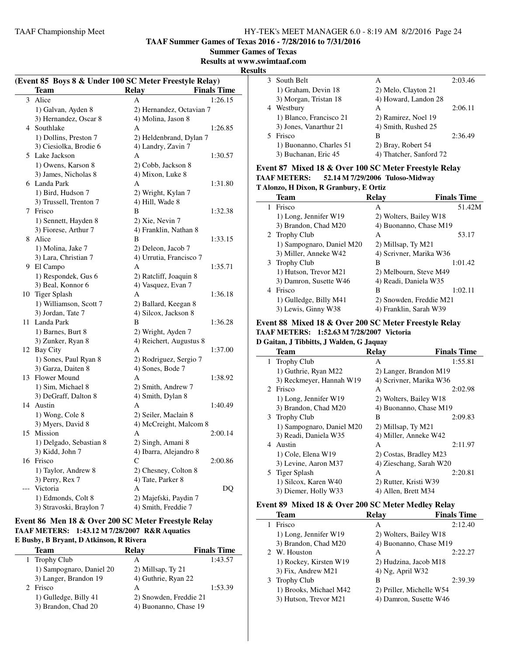**TAAF Summer Games of Texas 2016 - 7/28/2016 to 7/31/2016**

**Summer Games of Texas**

**Results at www.swimtaaf.com**

#### **Results**

| (Event 85 Boys 8 & Under 100 SC Meter Freestyle Relay) |                         |                                              |    |  |
|--------------------------------------------------------|-------------------------|----------------------------------------------|----|--|
|                                                        | <b>Team</b>             | <b>Finals Time</b><br><b>Relay</b>           |    |  |
| 3                                                      | Alice                   | 1:26.15<br>А                                 |    |  |
|                                                        | 1) Galvan, Ayden 8      | 2) Hernandez, Octavian 7                     |    |  |
|                                                        | 3) Hernandez, Oscar 8   | 4) Molina, Jason 8                           |    |  |
|                                                        | 4 Southlake             | 1:26.85<br>A                                 |    |  |
|                                                        | 1) Dollins, Preston 7   | 2) Heldenbrand, Dylan 7                      |    |  |
|                                                        | 3) Ciesiolka, Brodie 6  | 4) Landry, Zavin 7                           |    |  |
| 5.                                                     | Lake Jackson            | A<br>1:30.57                                 |    |  |
|                                                        | 1) Owens, Karson 8      | 2) Cobb, Jackson 8                           |    |  |
|                                                        | 3) James, Nicholas 8    | 4) Mixon, Luke 8                             |    |  |
|                                                        | 6 Landa Park            | A<br>1:31.80                                 |    |  |
|                                                        | 1) Bird, Hudson 7       | 2) Wright, Kylan 7                           |    |  |
|                                                        | 3) Trussell, Trenton 7  | 4) Hill, Wade 8                              |    |  |
| 7                                                      | Frisco                  | B<br>1:32.38                                 |    |  |
|                                                        | 1) Sennett, Hayden 8    | 2) Xie, Nevin 7                              |    |  |
|                                                        | 3) Fiorese, Arthur 7    | 4) Franklin, Nathan 8                        |    |  |
|                                                        | 8 Alice                 | B<br>1:33.15                                 |    |  |
|                                                        | 1) Molina, Jake 7       | 2) Deleon, Jacob 7                           |    |  |
|                                                        | 3) Lara, Christian 7    | 4) Urrutia, Francisco 7                      |    |  |
|                                                        | 9 El Campo              | 1:35.71<br>A                                 |    |  |
|                                                        | 1) Respondek, Gus 6     | 2) Ratcliff, Joaquin 8                       |    |  |
|                                                        | 3) Beal, Konnor 6       | 4) Vasquez, Evan 7                           |    |  |
|                                                        | 10 Tiger Splash         | A<br>1:36.18                                 |    |  |
|                                                        | 1) Williamson, Scott 7  |                                              |    |  |
|                                                        | 3) Jordan, Tate 7       | 2) Ballard, Keegan 8<br>4) Silcox, Jackson 8 |    |  |
| 11.                                                    | Landa Park              | B<br>1:36.28                                 |    |  |
|                                                        |                         |                                              |    |  |
|                                                        | 1) Barnes, Burt 8       | 2) Wright, Ayden 7                           |    |  |
|                                                        | 3) Zunker, Ryan 8       | 4) Reichert, Augustus 8                      |    |  |
|                                                        | 12 Bay City             | A<br>1:37.00                                 |    |  |
|                                                        | 1) Sones, Paul Ryan 8   | 2) Rodriguez, Sergio 7                       |    |  |
|                                                        | 3) Garza, Daiten 8      | 4) Sones, Bode 7                             |    |  |
|                                                        | 13 Flower Mound         | A<br>1:38.92                                 |    |  |
|                                                        | 1) Sim, Michael 8       | 2) Smith, Andrew 7                           |    |  |
|                                                        | 3) DeGraff, Dalton 8    | 4) Smith, Dylan 8                            |    |  |
|                                                        | 14 Austin               | 1:40.49<br>А                                 |    |  |
|                                                        | 1) Wong, Cole 8         | 2) Seiler, Maclain 8                         |    |  |
|                                                        | 3) Myers, David 8       | 4) McCreight, Malcom 8                       |    |  |
| 15                                                     | Mission                 | Α<br>2:00.14                                 |    |  |
|                                                        | 1) Delgado, Sebastian 8 | 2) Singh, Amani 8                            |    |  |
|                                                        | 3) Kidd, John 7         | 4) Ibarra, Alejandro 8                       |    |  |
|                                                        | 16 Frisco               | C<br>2:00.86                                 |    |  |
|                                                        | 1) Taylor, Andrew 8     | 2) Chesney, Colton 8                         |    |  |
|                                                        | 3) Perry, Rex 7         | 4) Tate, Parker 8                            |    |  |
|                                                        | Victoria                | Α                                            | DQ |  |
|                                                        | 1) Edmonds, Colt 8      | 2) Majefski, Paydin 7                        |    |  |
|                                                        | 3) Stravoski, Braylon 7 | 4) Smith, Freddie 7                          |    |  |

# **Event 86 Men 18 & Over 200 SC Meter Freestyle Relay TAAF METERS: 1:43.12 M 7/28/2007 R&R Aquatics**

#### **E Busby, B Bryant, D Atkinson, R Rivera**

| Team                     | Relav                  | <b>Finals Time</b> |
|--------------------------|------------------------|--------------------|
| 1 Trophy Club            | А                      | 1:43.57            |
| 1) Sampognaro, Daniel 20 | 2) Millsap, Ty 21      |                    |
| 3) Langer, Brandon 19    | 4) Guthrie, Ryan 22    |                    |
| 2 Frisco                 | А                      | 1:53.39            |
| 1) Gulledge, Billy 41    | 2) Snowden, Freddie 21 |                    |
| 3) Brandon, Chad 20      | 4) Buonanno, Chase 19  |                    |

|   | 3 South Belt            | А                       | 2:03.46 |
|---|-------------------------|-------------------------|---------|
|   | 1) Graham, Devin 18     | 2) Melo, Clayton 21     |         |
|   | 3) Morgan, Tristan 18   | 4) Howard, Landon 28    |         |
| 4 | Westbury                | А                       | 2:06.11 |
|   | 1) Blanco, Francisco 21 | 2) Ramirez, Noel 19     |         |
|   | 3) Jones, Vanarthur 21  | 4) Smith, Rushed 25     |         |
|   | 5 Frisco                | в                       | 2:36.49 |
|   | 1) Buonanno, Charles 51 | 2) Bray, Robert 54      |         |
|   | 3) Buchanan, Eric 45    | 4) Thatcher, Sanford 72 |         |

#### **Event 87 Mixed 18 & Over 100 SC Meter Freestyle Relay TAAF METERS: 52.14 M 7/29/2006 Tuloso-Midway T Alonzo, H Dixon, R Granbury, E Ortiz**

|   | <b>Team</b>               | Relay                   | <b>Finals Time</b> |
|---|---------------------------|-------------------------|--------------------|
| 1 | Frisco                    | A                       | 51.42M             |
|   | 1) Long, Jennifer W19     | 2) Wolters, Bailey W18  |                    |
|   | 3) Brandon, Chad M20      | 4) Buonanno, Chase M19  |                    |
|   | 2 Trophy Club             | A                       | 53.17              |
|   | 1) Sampognaro, Daniel M20 | 2) Millsap, Ty M21      |                    |
|   | 3) Miller, Anneke W42     | 4) Scrivner, Marika W36 |                    |
|   | 3 Trophy Club             | В                       | 1:01.42            |
|   | 1) Hutson, Trevor M21     | 2) Melbourn, Steve M49  |                    |
|   | 3) Damron, Susette W46    | 4) Readi, Daniela W35   |                    |
| 4 | Frisco                    | B                       | 1:02.11            |
|   | 1) Gulledge, Billy M41    | 2) Snowden, Freddie M21 |                    |
|   | 3) Lewis, Ginny W38       | 4) Franklin, Sarah W39  |                    |

#### **Event 88 Mixed 18 & Over 200 SC Meter Freestyle Relay TAAF METERS: 1:52.63 M 7/28/2007 Victoria**

#### **D Gaitan, J Tibbitts, J Walden, G Jaquay**

|   | <b>Team</b>               | <b>Relay</b>            | <b>Finals Time</b> |
|---|---------------------------|-------------------------|--------------------|
|   | 1 Trophy Club             | А                       | 1:55.81            |
|   | 1) Guthrie, Ryan M22      | 2) Langer, Brandon M19  |                    |
|   | 3) Reckmeyer, Hannah W19  | 4) Scrivner, Marika W36 |                    |
|   | 2 Frisco                  | A                       | 2:02.98            |
|   | 1) Long, Jennifer W19     | 2) Wolters, Bailey W18  |                    |
|   | 3) Brandon, Chad M20      | 4) Buonanno, Chase M19  |                    |
|   | 3 Trophy Club             | B                       | 2:09.83            |
|   | 1) Sampognaro, Daniel M20 | 2) Millsap, Ty M21      |                    |
|   | 3) Readi, Daniela W35     | 4) Miller, Anneke W42   |                    |
| 4 | Austin                    | A                       | 2:11.97            |
|   | 1) Cole, Elena W19        | 2) Costas, Bradley M23  |                    |
|   | 3) Levine, Aaron M37      | 4) Zieschang, Sarah W20 |                    |
|   | 5 Tiger Splash            | A                       | 2:20.81            |
|   | 1) Silcox, Karen W40      | 2) Rutter, Kristi W39   |                    |
|   | 3) Diemer, Holly W33      | 4) Allen, Brett M34     |                    |

#### **Event 89 Mixed 18 & Over 200 SC Meter Medley Relay**

| <b>Team</b>            | <b>Relay</b>             | <b>Finals Time</b> |
|------------------------|--------------------------|--------------------|
| Frisco                 | A                        | 2:12.40            |
| 1) Long, Jennifer W19  | 2) Wolters, Bailey W18   |                    |
| 3) Brandon, Chad M20   | 4) Buonanno, Chase M19   |                    |
| 2 W. Houston           | А                        | 2:22.27            |
| 1) Rockey, Kirsten W19 | 2) Hudzina, Jacob M18    |                    |
| 3) Fix, Andrew M21     | 4) Ng, April W32         |                    |
| 3 Trophy Club          | в                        | 2:39.39            |
| 1) Brooks, Michael M42 | 2) Priller, Michelle W54 |                    |
| 3) Hutson, Trevor M21  | 4) Damron, Susette W46   |                    |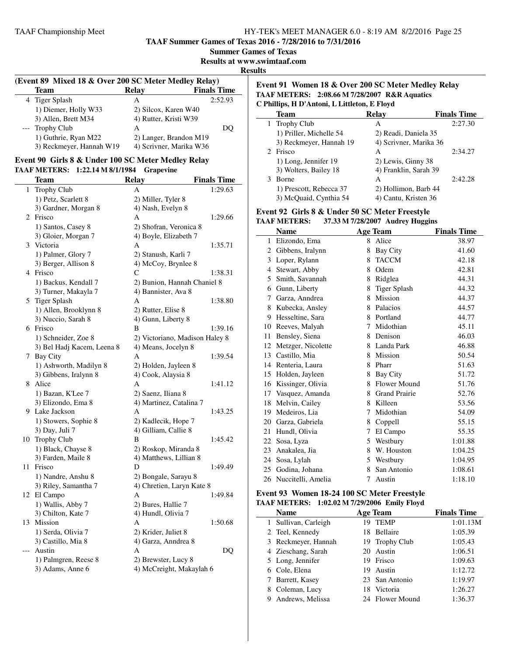**TAAF Summer Games of Texas 2016 - 7/28/2016 to 7/31/2016**

**Results at www.swimtaaf.com**

**Results**

| (Event 89 Mixed 18 & Over 200 SC Meter Medley Relay) |                         |                    |  |  |
|------------------------------------------------------|-------------------------|--------------------|--|--|
| <b>Team</b>                                          | <b>Relay</b>            | <b>Finals Time</b> |  |  |
| 4 Tiger Splash                                       | А                       | 2:52.93            |  |  |
| 1) Diemer, Holly W33                                 | 2) Silcox, Karen W40    |                    |  |  |
| 3) Allen, Brett M34                                  | 4) Rutter, Kristi W39   |                    |  |  |
| --- Trophy Club                                      | A                       | DO                 |  |  |
| 1) Guthrie, Ryan M22                                 | 2) Langer, Brandon M19  |                    |  |  |
| 3) Reckmeyer, Hannah W19                             | 4) Scrivner, Marika W36 |                    |  |  |

#### **Event 90 Girls 8 & Under 100 SC Meter Medley Relay TAAF METERS: 1:22.14 M 8/1/1984 Grapevine**

|       | <b>Team</b>                | <b>Relay</b>                   | <b>Finals Time</b> |
|-------|----------------------------|--------------------------------|--------------------|
| 1     | Trophy Club                | А                              | 1:29.63            |
|       | 1) Petz, Scarlett 8        | 2) Miller, Tyler 8             |                    |
|       | 3) Gardner, Morgan 8       | 4) Nash, Evelyn 8              |                    |
|       | 2 Frisco                   | А                              | 1:29.66            |
|       | 1) Santos, Casey 8         | 2) Shofran, Veronica 8         |                    |
|       | 3) Gloier, Morgan 7        | 4) Boyle, Elizabeth 7          |                    |
|       | 3 Victoria                 | A                              | 1:35.71            |
|       | 1) Palmer, Glory 7         | 2) Stanush, Karli 7            |                    |
|       | 3) Berger, Allison 8       | 4) McCoy, Brynlee 8            |                    |
|       | 4 Frisco                   | C                              | 1:38.31            |
|       | 1) Backus, Kendall 7       | 2) Bunion, Hannah Chaniel 8    |                    |
|       | 3) Turner, Makayla 7       | 4) Bannister, Ava 8            |                    |
| 5     | <b>Tiger Splash</b>        | А                              | 1:38.80            |
|       | 1) Allen, Brooklynn 8      | 2) Rutter, Elise 8             |                    |
|       | 3) Nuccio, Sarah 8         | 4) Gunn, Liberty 8             |                    |
|       | 6 Frisco                   | B                              | 1:39.16            |
|       | 1) Schneider, Zoe 8        | 2) Victoriano, Madison Haley 8 |                    |
|       | 3) Bel Hadj Kacem, Leena 8 | 4) Means, Jocelyn 8            |                    |
|       | 7 Bay City                 | А                              | 1:39.54            |
|       | 1) Ashworth, Madilyn 8     | 2) Holden, Jayleen 8           |                    |
|       | 3) Gibbens, Iralynn 8      | 4) Cook, Alaysia 8             |                    |
|       | 8 Alice                    | A                              | 1:41.12            |
|       | 1) Bazan, K'Lee 7          | 2) Saenz, Iliana 8             |                    |
|       | 3) Elizondo, Ema 8         | 4) Martinez, Catalina 7        |                    |
|       | 9 Lake Jackson             | A                              | 1:43.25            |
|       | 1) Stowers, Sophie 8       | 2) Kadlecik, Hope 7            |                    |
|       | 3) Day, Juli 7             | 4) Gilliam, Callie 8           |                    |
|       | 10 Trophy Club             | B                              | 1:45.42            |
|       | 1) Black, Chayse 8         | 2) Roskop, Miranda 8           |                    |
|       | 3) Farden, Maile 8         | 4) Matthews, Lillian 8         |                    |
| 11    | Frisco                     | D                              | 1:49.49            |
|       | 1) Nandre, Anshu 8         | 2) Bongale, Sarayu 8           |                    |
|       | 3) Riley, Samantha 7       | 4) Chretien, Laryn Kate 8      |                    |
|       | 12 El Campo                | А                              | 1:49.84            |
|       | 1) Wallis, Abby 7          | 2) Bures, Hallie 7             |                    |
|       | 3) Chilton, Kate 7         | 4) Hundl, Olivia 7             |                    |
| 13    | Mission                    | A                              | 1:50.68            |
|       | 1) Serda, Olivia 7         | 2) Krider, Juliet 8            |                    |
|       | 3) Castillo, Mia 8         | 4) Garza, Anndrea 8            |                    |
| $---$ | Austin                     | A                              | DQ                 |
|       | 1) Palmgren, Reese 8       | 2) Brewster, Lucy 8            |                    |
|       | 3) Adams, Anne 6           | 4) McCreight, Makaylah 6       |                    |

#### **Event 91 Women 18 & Over 200 SC Meter Medley Relay TAAF METERS: 2:08.66 M 7/28/2007 R&R Aquatics C Phillips, H D'Antoni, L Littleton, E Floyd**

| <b>Team</b>             | <b>Relay</b>           | <b>Finals Time</b> |
|-------------------------|------------------------|--------------------|
| 1 Trophy Club           | А                      | 2:27.30            |
| 1) Priller, Michelle 54 | 2) Readi, Daniela 35   |                    |
| 3) Reckmeyer, Hannah 19 | 4) Scrivner, Marika 36 |                    |
| 2 Frisco                | А                      | 2:34.27            |
| 1) Long, Jennifer 19    | 2) Lewis, Ginny 38     |                    |
| 3) Wolters, Bailey 18   | 4) Franklin, Sarah 39  |                    |
| <b>Borne</b>            | А                      | 2:42.28            |
| 1) Prescott, Rebecca 37 | 2) Hollimon, Barb 44   |                    |
| 3) McQuaid, Cynthia 54  | 4) Cantu, Kristen 36   |                    |

#### **Event 92 Girls 8 & Under 50 SC Meter Freestyle TAAF METERS: 37.33 M 7/28/2007 Audrey Huggins**

| IAAF MEIERS:<br>37.33 M 7720/2007 Audrey Huggins |                    |    |                      |                    |  |  |
|--------------------------------------------------|--------------------|----|----------------------|--------------------|--|--|
|                                                  | <b>Name</b>        |    | <b>Age Team</b>      | <b>Finals Time</b> |  |  |
| 1                                                | Elizondo, Ema      |    | 8 Alice              | 38.97              |  |  |
| 2                                                | Gibbens, Iralynn   | 8  | <b>Bay City</b>      | 41.60              |  |  |
| 3                                                | Loper, Rylann      | 8  | <b>TACCM</b>         | 42.18              |  |  |
| 4                                                | Stewart, Abby      | 8  | Odem                 | 42.81              |  |  |
| 5                                                | Smith, Savannah    | 8  | Ridglea              | 44.31              |  |  |
| 6                                                | Gunn, Liberty      | 8  | <b>Tiger Splash</b>  | 44.32              |  |  |
| 7                                                | Garza, Anndrea     | 8  | Mission              | 44.37              |  |  |
| 8                                                | Kubecka, Ansley    | 8  | Palacios             | 44.57              |  |  |
| 9                                                | Hesseltine, Sara   |    | 8 Portland           | 44.77              |  |  |
| 10                                               | Reeves, Malyah     | 7  | Midothian            | 45.11              |  |  |
| 11                                               | Bensley, Siena     | 8  | Denison              | 46.03              |  |  |
| 12                                               | Metzger, Nicolette |    | 8 Landa Park         | 46.88              |  |  |
| 13                                               | Castillo, Mia      | 8  | Mission              | 50.54              |  |  |
|                                                  | 14 Renteria, Laura | 8  | Pharr                | 51.63              |  |  |
| 15                                               | Holden, Jayleen    | 8  | Bay City             | 51.72              |  |  |
| 16                                               | Kissinger, Olivia  | 8  | Flower Mound         | 51.76              |  |  |
| 17                                               | Vasquez, Amanda    | 8  | <b>Grand Prairie</b> | 52.76              |  |  |
| 18                                               | Melvin, Cailey     | 8  | Killeen              | 53.56              |  |  |
| 19                                               | Medeiros, Lia      | 7  | Midothian            | 54.09              |  |  |
| 20                                               | Garza, Gabriela    | 8  | Coppell              | 55.15              |  |  |
| 21                                               | Hundl, Olivia      | 7  | El Campo             | 55.35              |  |  |
| 22                                               | Sosa, Lyza         |    | 5 Westbury           | 1:01.88            |  |  |
| 23                                               | Anakalea, Jia      | 8  | W. Houston           | 1:04.25            |  |  |
| 24                                               | Sosa, Lylah        | 5. | Westbury             | 1:04.95            |  |  |
| 25                                               | Godina, Johana     | 8  | San Antonio          | 1:08.61            |  |  |
| 26                                               | Nuccitelli, Amelia | 7  | Austin               | 1:18.10            |  |  |

#### **Event 93 Women 18-24 100 SC Meter Freestyle TAAF METERS: 1:02.02 M 7/29/2006 Emily Floyd**

 $\overline{\phantom{a}}$ 

| <b>Name</b>          |     | <b>Age Team</b> | <b>Finals Time</b> |  |
|----------------------|-----|-----------------|--------------------|--|
| 1 Sullivan, Carleigh | 19  | <b>TEMP</b>     | 1:01.13M           |  |
| 2 Teel, Kennedy      |     | 18 Bellaire     | 1:05.39            |  |
| 3 Reckmeyer, Hannah  |     | 19 Trophy Club  | 1:05.43            |  |
| 4 Zieschang, Sarah   | 20  | Austin          | 1:06.51            |  |
| 5 Long, Jennifer     | 19. | Frisco          | 1:09.63            |  |
| 6 Cole, Elena        | 19  | Austin          | 1:12.72            |  |
| 7 Barrett, Kasey     |     | 23 San Antonio  | 1:19.97            |  |
| Coleman, Lucy        |     | 18 Victoria     | 1:26.27            |  |
| Andrews, Melissa     |     | 24 Flower Mound | 1:36.37            |  |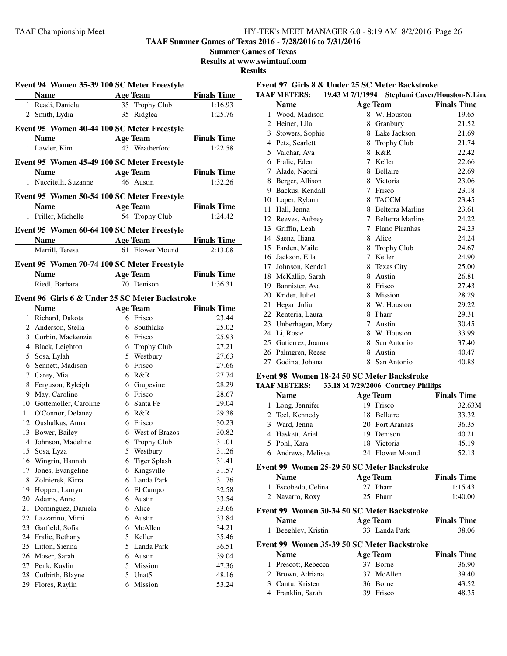**TAAF Summer Games of Texas 2016 - 7/28/2016 to 7/31/2016**

**Summer Games of Texas**

**Results at www.swimtaaf.com**

#### **Results**

| Event 94 Women 35-39 100 SC Meter Freestyle |                                                       |                                                 |                    |  |  |  |
|---------------------------------------------|-------------------------------------------------------|-------------------------------------------------|--------------------|--|--|--|
|                                             | Name                                                  | <b>Age Team</b>                                 | <b>Finals Time</b> |  |  |  |
|                                             | 1 Readi, Daniela                                      | 35 Trophy Club                                  | 1:16.93            |  |  |  |
|                                             | 2 Smith, Lydia                                        | 35 Ridglea                                      | 1:25.76            |  |  |  |
|                                             |                                                       |                                                 |                    |  |  |  |
|                                             |                                                       | Event 95 Women 40-44 100 SC Meter Freestyle     |                    |  |  |  |
|                                             | <b>Name</b>                                           | Age Team                                        | <b>Finals Time</b> |  |  |  |
|                                             | 1 Lawler, Kim                                         | 43 Weatherford                                  | 1:22.58            |  |  |  |
|                                             |                                                       | Event 95 Women 45-49 100 SC Meter Freestyle     |                    |  |  |  |
|                                             | <b>Name</b>                                           | <b>Age Team</b>                                 | <u>Finals Time</u> |  |  |  |
|                                             | 1 Nuccitelli, Suzanne                                 | 46 Austin                                       | 1:32.26            |  |  |  |
|                                             |                                                       | Event 95 Women 50-54 100 SC Meter Freestyle     |                    |  |  |  |
|                                             | Name $\frac{1}{\sqrt{1-\frac{1}{2}}\cdot\frac{1}{2}}$ | <b>Age Team</b>                                 | <b>Finals Time</b> |  |  |  |
|                                             | 1 Priller, Michelle                                   | 54 Trophy Club                                  | 1:24.42            |  |  |  |
|                                             |                                                       |                                                 |                    |  |  |  |
|                                             |                                                       | Event 95 Women 60-64 100 SC Meter Freestyle     |                    |  |  |  |
|                                             | <b>Name</b>                                           | <b>Age Team</b><br>61 Flower Mound              | <b>Finals Time</b> |  |  |  |
|                                             | 1 Merrill, Teresa                                     |                                                 | 2:13.08            |  |  |  |
|                                             |                                                       | Event 95 Women 70-74 100 SC Meter Freestyle     |                    |  |  |  |
|                                             | <b>Name</b>                                           | <b>Age Team</b>                                 | <b>Finals Time</b> |  |  |  |
|                                             | 1 Riedl, Barbara                                      | 70 Denison                                      | 1:36.31            |  |  |  |
|                                             |                                                       | Event 96 Girls 6 & Under 25 SC Meter Backstroke |                    |  |  |  |
|                                             | <b>Name</b>                                           | Age Team                                        | <b>Finals Time</b> |  |  |  |
|                                             | 1 Richard, Dakota                                     | 6 Frisco                                        | 23.44              |  |  |  |
|                                             | 2 Anderson, Stella                                    | 6 Southlake                                     | 25.02              |  |  |  |
|                                             | 3 Corbin, Mackenzie                                   | 6 Frisco                                        | 25.93              |  |  |  |
|                                             | 4 Black, Leighton                                     | 6 Trophy Club                                   | 27.21              |  |  |  |
|                                             | 5 Sosa, Lylah                                         | 5 Westbury                                      | 27.63              |  |  |  |
|                                             | 6 Sennett, Madison                                    | 6 Frisco                                        | 27.66              |  |  |  |
|                                             | 7 Carey, Mia                                          | 6 R&R                                           | 27.74              |  |  |  |
|                                             | 8 Ferguson, Ryleigh                                   | 6 Grapevine                                     | 28.29              |  |  |  |
|                                             | 9 May, Caroline                                       | 6 Frisco                                        | 28.67              |  |  |  |
|                                             | 10 Gottemoller, Caroline                              | 6 Santa Fe                                      | 29.04              |  |  |  |
|                                             | 11 O'Connor, Delaney                                  | 6 R&R                                           | 29.38              |  |  |  |
|                                             | 12 Oushalkas, Anna                                    | 6 Frisco                                        | 30.23              |  |  |  |
|                                             | 13 Bower, Bailey                                      | 6 West of Brazos                                | 30.82              |  |  |  |
|                                             | 14 Johnson, Madeline                                  | 6 Trophy Club                                   | 31.01              |  |  |  |
| 15                                          |                                                       |                                                 | 31.26              |  |  |  |
| 16                                          | Sosa, Lyza<br>Wingrin, Hannah                         | 5 Westbury<br>6 Tiger Splash                    | 31.41              |  |  |  |
| 17                                          | Jones, Evangeline                                     | 6 Kingsville                                    | 31.57              |  |  |  |
| 18                                          | Zolnierek, Kirra                                      | 6 Landa Park                                    | 31.76              |  |  |  |
|                                             | 19 Hopper, Lauryn                                     |                                                 |                    |  |  |  |
|                                             | 20 Adams, Anne                                        | 6 El Campo<br>6 Austin                          | 32.58<br>33.54     |  |  |  |
| 21                                          | Dominguez, Daniela                                    | 6 Alice                                         | 33.66              |  |  |  |
|                                             | 22 Lazzarino, Mimi                                    | 6 Austin                                        |                    |  |  |  |
| 23                                          | Garfield, Sofia                                       | 6 McAllen                                       | 33.84<br>34.21     |  |  |  |
|                                             | 24 Fralic, Bethany                                    | 5 Keller                                        | 35.46              |  |  |  |
| 25                                          | Litton, Sienna                                        | 5 Landa Park                                    | 36.51              |  |  |  |
|                                             | 26 Moser, Sarah                                       | 6 Austin                                        | 39.04              |  |  |  |
|                                             | 27 Penk, Kaylin                                       | 5 Mission                                       | 47.36              |  |  |  |
| 28                                          | Cutbirth, Blayne                                      | 5 Unat5                                         | 48.16              |  |  |  |
| 29                                          | Flores, Raylin                                        | 6 Mission                                       | 53.24              |  |  |  |
|                                             |                                                       |                                                 |                    |  |  |  |

| Event 97 Girls 8 & Under 25 SC Meter Backstroke                       |                    |        |                         |                    |  |  |  |  |
|-----------------------------------------------------------------------|--------------------|--------|-------------------------|--------------------|--|--|--|--|
| <b>TAAF METERS:</b><br>19.43 M 7/1/1994 Stephani Caver/Houston-N.Line |                    |        |                         |                    |  |  |  |  |
|                                                                       | <b>Name</b>        |        | <b>Age Team</b>         | <b>Finals Time</b> |  |  |  |  |
|                                                                       | 1 Wood, Madison    | 8      | W. Houston              | 19.65              |  |  |  |  |
| 2                                                                     | Heiner, Lila       | 8      | Granbury                | 21.52              |  |  |  |  |
|                                                                       | 3 Stowers, Sophie  |        | 8 Lake Jackson          | 21.69              |  |  |  |  |
| $\overline{4}$                                                        | Petz, Scarlett     | 8      | <b>Trophy Club</b>      | 21.74              |  |  |  |  |
| 5.                                                                    | Valchar, Ava       | 8      | R&R                     | 22.42              |  |  |  |  |
|                                                                       | 6 Fralic, Eden     | 7      | Keller                  | 22.66              |  |  |  |  |
| $\tau$                                                                | Alade, Naomi       |        | 8 Bellaire              | 22.69              |  |  |  |  |
|                                                                       | 8 Berger, Allison  |        | 8 Victoria              | 23.06              |  |  |  |  |
| 9                                                                     | Backus, Kendall    | 7      | Frisco                  | 23.18              |  |  |  |  |
|                                                                       | 10 Loper, Rylann   | 8      | <b>TACCM</b>            | 23.45              |  |  |  |  |
| 11                                                                    | Hall, Jenna        | 8      | <b>Belterra Marlins</b> | 23.61              |  |  |  |  |
| 12                                                                    | Reeves, Aubrey     |        | 7 Belterra Marlins      | 24.22              |  |  |  |  |
| 13                                                                    | Griffin, Leah      | 7      | Plano Piranhas          | 24.23              |  |  |  |  |
|                                                                       | 14 Saenz, Iliana   | 8      | Alice                   | 24.24              |  |  |  |  |
|                                                                       | 15 Farden, Maile   | 8      | <b>Trophy Club</b>      | 24.67              |  |  |  |  |
|                                                                       | 16 Jackson, Ella   | 7      | Keller                  | 24.90              |  |  |  |  |
|                                                                       | 17 Johnson, Kendal | 8      | Texas City              | 25.00              |  |  |  |  |
| 18                                                                    | McKallip, Sarah    | 8      | Austin                  | 26.81              |  |  |  |  |
| 19                                                                    | Bannister, Ava     | 8      | Frisco                  | 27.43              |  |  |  |  |
| 20                                                                    | Krider, Juliet     | 8      | Mission                 | 28.29              |  |  |  |  |
| 21                                                                    | Hegar, Julia       | 8      | W. Houston              | 29.22              |  |  |  |  |
| 22                                                                    | Renteria, Laura    | 8      | Pharr                   | 29.31              |  |  |  |  |
| 23                                                                    | Unberhagen, Mary   | $\tau$ | Austin                  | 30.45              |  |  |  |  |
| 24                                                                    | Li, Rosie          |        | 8 W. Houston            | 33.99              |  |  |  |  |
| 25                                                                    | Gutierrez, Joanna  |        | 8 San Antonio           | 37.40              |  |  |  |  |
|                                                                       | 26 Palmgren, Reese |        | 8 Austin                | 40.47              |  |  |  |  |
| 27                                                                    | Godina, Johana     | 8      | San Antonio             | 40.88              |  |  |  |  |
|                                                                       |                    |        |                         |                    |  |  |  |  |

#### **Event 98 Women 18-24 50 SC Meter Backstroke**

#### **TAAF METERS: 33.18 M 7/29/2006 Courtney Phillips**

| <b>Name</b>        | <b>Age Team</b> | <b>Finals Time</b> |
|--------------------|-----------------|--------------------|
| 1 Long, Jennifer   | 19 Frisco       | 32.63M             |
| 2 Teel, Kennedy    | 18 Bellaire     | 33.32              |
| 3 Ward, Jenna      | 20 Port Aransas | 36.35              |
| 4 Haskett, Ariel   | 19 Denison      | 40.21              |
| 5 Pohl, Kara       | 18 Victoria     | 45.19              |
| 6 Andrews, Melissa | 24 Flower Mound | 52.13              |

#### **Event 99 Women 25-29 50 SC Meter Backstroke**

| <b>Name</b>        | Age Team | <b>Finals Time</b> |
|--------------------|----------|--------------------|
| 1 Escobedo, Celina | 27 Pharr | 1:15.43            |
| 2 Navarro, Roxy    | 25 Pharr | 1:40.00            |

# **Event 99 Women 30-34 50 SC Meter Backstroke**

 $\overline{a}$ 

 $\overline{a}$ 

| <b>Name</b> |                                             |     | <b>Age Team</b> | <b>Finals Time</b> |
|-------------|---------------------------------------------|-----|-----------------|--------------------|
|             | 1 Beeghley, Kristin                         |     | 33 Landa Park   | 38.06              |
|             | Event 99 Women 35-39 50 SC Meter Backstroke |     |                 |                    |
|             | <b>Name</b>                                 |     | Age Team        | <b>Finals Time</b> |
|             | 1 Prescott, Rebecca                         |     | 37 Borne        | 36.90              |
|             | 2 Brown, Adriana                            |     | 37 McAllen      | 39.40              |
|             | 3 Cantu, Kristen                            |     | 36 Borne        | 43.52              |
|             | 4 Franklin, Sarah                           | 39. | Frisco          | 48.35              |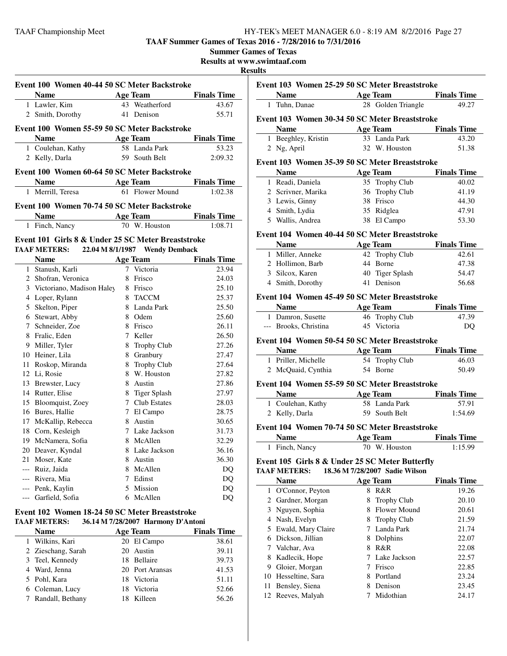**TAAF Summer Games of Texas 2016 - 7/28/2016 to 7/31/2016 Summer Games of Texas**

|       |                                                    |   |                                       |                    | Results at www.swimtaaf.com<br><b>Results</b> |
|-------|----------------------------------------------------|---|---------------------------------------|--------------------|-----------------------------------------------|
|       | Event 100 Women 40-44 50 SC Meter Backstroke       |   |                                       |                    | Event 103 Wo                                  |
|       | <b>Name</b>                                        |   | <b>Example 2 Age Team</b>             | <b>Finals Time</b> | <b>Name</b>                                   |
|       | 1 Lawler, Kim                                      |   | 43 Weatherford                        | 43.67              | 1 Tuhn, Dan                                   |
|       | 2 Smith, Dorothy 41 Denison                        |   |                                       | 55.71              |                                               |
|       |                                                    |   |                                       |                    | Event 103 Wo                                  |
|       | Event 100 Women 55-59 50 SC Meter Backstroke       |   |                                       |                    | <b>Name</b>                                   |
|       | <b>Example 2 Age Team</b><br><b>Name</b>           |   |                                       | <b>Finals Time</b> | 1 Beeghley,                                   |
|       | 1 Coulehan, Kathy 58 Landa Park                    |   |                                       | 53.23              | 2 Ng, April                                   |
|       | 2 Kelly, Darla                                     |   | 59 South Belt                         | 2:09.32            | Event 103 Wo                                  |
|       | Event 100 Women 60-64 50 SC Meter Backstroke       |   |                                       |                    | <b>Name</b>                                   |
|       | Name                                               |   | <b>Example 2 Age Team</b>             | <b>Finals Time</b> | 1 Readi, Dar                                  |
|       | 1 Merrill, Teresa                                  |   | 61 Flower Mound                       | 1:02.38            | 2 Scrivner, N                                 |
|       |                                                    |   |                                       |                    | 3 Lewis, Gir                                  |
|       | Event 100 Women 70-74 50 SC Meter Backstroke       |   |                                       |                    | 4 Smith, Lyc                                  |
|       | <b>Name</b>                                        |   | <b>Example 2 Age Team</b> Finals Time |                    | 5 Wallis, An                                  |
|       | 1 Finch, Nancy                                     |   | 70 W. Houston                         | 1:08.71            |                                               |
|       | Event 101 Girls 8 & Under 25 SC Meter Breaststroke |   |                                       |                    | Event 104 Wo                                  |
|       | TAAF METERS: 22.04 M 8/1/1987 Wendy Demback        |   |                                       |                    | <b>Name</b>                                   |
|       | Name Age Team                                      |   |                                       | <b>Finals Time</b> | 1 Miller, An<br>2 Hollimon,                   |
|       | 1 Stanush, Karli                                   |   | 7 Victoria                            | 23.94              | 3 Silcox, Ka                                  |
|       | 2 Shofran, Veronica                                |   | 8 Frisco                              | 24.03              | 4 Smith, Dor                                  |
|       | 3 Victoriano, Madison Haley                        |   | 8 Frisco                              | 25.10              |                                               |
|       | 4 Loper, Rylann                                    |   | 8 TACCM                               | 25.37              | Event 104 Wo                                  |
|       | 5 Skelton, Piper                                   |   | 8 Landa Park                          | 25.50              | <b>Name</b>                                   |
|       | 6 Stewart, Abby                                    |   | 8 Odem                                | 25.60              | 1 Damron, S                                   |
|       | 7 Schneider, Zoe                                   |   | 8 Frisco                              | 26.11              | --- Brooks, Cl                                |
|       | 8 Fralic, Eden                                     |   | 7 Keller                              | 26.50              | Event 104 Wo                                  |
|       | 9 Miller, Tyler                                    |   | 8 Trophy Club                         | 27.26              | <b>Name</b>                                   |
|       | 10 Heiner, Lila                                    |   | 8 Granbury                            | 27.47              | 1 Priller, Mi                                 |
|       | 11 Roskop, Miranda                                 |   | 8 Trophy Club                         | 27.64              | 2 McQuaid,                                    |
|       | 12 Li, Rosie                                       |   | 8 W. Houston                          | 27.82              |                                               |
|       | 13 Brewster, Lucy                                  |   | 8 Austin                              | 27.86              | Event 104 Wo                                  |
|       | 14 Rutter, Elise                                   |   | 8 Tiger Splash                        | 27.97              | <b>Name</b>                                   |
|       | 15 Bloomquist, Zoey                                |   | 7 Club Estates                        | 28.03              | 1 Coulehan,                                   |
|       | 16 Bures, Hallie                                   |   | 7 El Campo                            | 28.75              | 2 Kelly, Dar                                  |
|       | 17 McKallip, Rebecca                               |   | 8 Austin                              | 30.65              | Event 104 Wo                                  |
|       | 18 Corn, Kesleigh                                  | 7 | Lake Jackson                          | 31.73              | <b>Name</b>                                   |
| 19.   | McNamera, Sofia                                    | 8 | McAllen                               | 32.29              | 1 Finch, Nar                                  |
|       | 20 Deaver, Kyndal                                  | 8 | Lake Jackson                          | 36.16              |                                               |
| 21    | Moser, Kate                                        | 8 | Austin                                | 36.30              | Event 105 Gir                                 |
| ---   | Ruiz, Jaida                                        | 8 | McAllen                               | DQ                 | <b>TAAF METERS</b>                            |
| $---$ | Rivera, Mia                                        |   | 7 Edinst                              | DQ                 | <b>Name</b>                                   |
| $---$ | Penk, Kaylin                                       |   | 5 Mission                             | DQ                 | 1 O'Connor,                                   |
|       | --- Garfield, Sofia                                |   | 6 McAllen                             | DQ                 | $2$ Gardner $\Lambda$                         |

#### **Event 102 Women 18-24 50 SC Meter Breaststroke TAAF METERS: 36.14 M 7/28/2007 Harmony D'Antoni**

| <b>Name</b>        | <b>Age Team</b> | <b>Finals Time</b> |
|--------------------|-----------------|--------------------|
| 1 Wilkins, Kari    | 20 El Campo     | 38.61              |
| 2 Zieschang, Sarah | 20 Austin       | 39.11              |
| 3 Teel, Kennedy    | 18 Bellaire     | 39.73              |
| 4 Ward, Jenna      | 20 Port Aransas | 41.53              |
| 5 Pohl, Kara       | 18 Victoria     | 51.11              |
| 6 Coleman, Lucy    | 18 Victoria     | 52.66              |
| 7 Randall, Bethany | Killeen         | 56.26              |

|                                                                                                                                                                                                                               | Age Team Finals Time                               |                    |
|-------------------------------------------------------------------------------------------------------------------------------------------------------------------------------------------------------------------------------|----------------------------------------------------|--------------------|
| 1 Tuhn, Danae                                                                                                                                                                                                                 | 28 Golden Triangle                                 | 49.27              |
|                                                                                                                                                                                                                               | Event 103 Women 30-34 50 SC Meter Breaststroke     |                    |
|                                                                                                                                                                                                                               | Name Age Team Finals Time                          |                    |
| 1 Beeghley, Kristin                                                                                                                                                                                                           | 33 Landa Park                                      | 43.20              |
| 2 Ng, April                                                                                                                                                                                                                   | 32 W. Houston                                      | 51.38              |
|                                                                                                                                                                                                                               | Event 103 Women 35-39 50 SC Meter Breaststroke     |                    |
| Name                                                                                                                                                                                                                          | <b>Age Team</b>                                    | <b>Finals Time</b> |
| 1 Readi, Daniela                                                                                                                                                                                                              | 35 Trophy Club                                     | 40.02              |
| 2 Scrivner, Marika                                                                                                                                                                                                            | 36 Trophy Club                                     | 41.19              |
| 3 Lewis, Ginny                                                                                                                                                                                                                | 38 Frisco                                          | 44.30              |
| 4 Smith, Lydia                                                                                                                                                                                                                | 35 Ridglea                                         | 47.91              |
| 5 Wallis, Andrea                                                                                                                                                                                                              | 38 El Campo                                        | 53.30              |
|                                                                                                                                                                                                                               | Event 104 Women 40-44 50 SC Meter Breaststroke     |                    |
| <b>Name</b>                                                                                                                                                                                                                   | <b>Age Team</b>                                    | <b>Finals Time</b> |
| 1 Miller, Anneke                                                                                                                                                                                                              | 42 Trophy Club                                     | 42.61              |
| 2 Hollimon, Barb                                                                                                                                                                                                              | 44 Borne                                           | 47.38              |
| 3 Silcox, Karen                                                                                                                                                                                                               | 40 Tiger Splash                                    | 54.47              |
| 4 Smith, Dorothy                                                                                                                                                                                                              | 41 Denison                                         | 56.68              |
|                                                                                                                                                                                                                               | Event 104 Women 45-49 50 SC Meter Breaststroke     |                    |
| <b>Name</b>                                                                                                                                                                                                                   | <b>Age Team</b>                                    | <b>Finals Time</b> |
| 1 Damron, Susette                                                                                                                                                                                                             | 46 Trophy Club                                     | 47.39              |
| --- Brooks, Christina                                                                                                                                                                                                         | 45 Victoria                                        | DQ                 |
|                                                                                                                                                                                                                               | Event 104 Women 50-54 50 SC Meter Breaststroke     |                    |
| <b>Name</b>                                                                                                                                                                                                                   | <b>Age Team</b>                                    | <b>Finals Time</b> |
| 1 Priller, Michelle                                                                                                                                                                                                           | 54 Trophy Club                                     | 46.03              |
| 2 McQuaid, Cynthia                                                                                                                                                                                                            | 54 Borne                                           | 50.49              |
|                                                                                                                                                                                                                               | Event 104 Women 55-59 50 SC Meter Breaststroke     |                    |
| <b>Name</b>                                                                                                                                                                                                                   | <b>Age Team</b>                                    | <b>Finals Time</b> |
| 1 Coulehan, Kathy                                                                                                                                                                                                             | 58 Landa Park                                      | 57.91              |
| 2 Kelly, Darla                                                                                                                                                                                                                | 59 South Belt                                      | 1:54.69            |
|                                                                                                                                                                                                                               | Event 104 Women 70-74 50 SC Meter Breaststroke     |                    |
| Name and the same state of the state of the state of the state of the state of the state of the state of the state of the state of the state of the state of the state of the state of the state of the state of the state of | Age Team                                           | <b>Finals Time</b> |
| 1 Finch, Nancy                                                                                                                                                                                                                | 70 W. Houston                                      | 1:15.99            |
|                                                                                                                                                                                                                               | Event 105 Girls 8 & Under 25 SC Meter Butterfly    |                    |
|                                                                                                                                                                                                                               | <b>TAAF METERS:</b> 18.36 M 7/28/2007 Sadie Wilson |                    |
| <b>Name</b>                                                                                                                                                                                                                   | <b>Age Team</b>                                    | <b>Finals Time</b> |
| 1 O'Connor, Peyton                                                                                                                                                                                                            | 8 R&R                                              | 19.26              |

|    | гуаніс               |   | дес теаш            | гшаю тше |
|----|----------------------|---|---------------------|----------|
|    | 1 O'Connor, Peyton   | 8 | R&R                 | 19.26    |
|    | 2 Gardner, Morgan    | 8 | <b>Trophy Club</b>  | 20.10    |
|    | 3 Nguyen, Sophia     | 8 | <b>Flower Mound</b> | 20.61    |
| 4  | Nash, Evelyn         |   | 8 Trophy Club       | 21.59    |
|    | 5 Ewald, Mary Claire |   | Landa Park          | 21.74    |
| 6  | Dickson, Jillian     | 8 | Dolphins            | 22.07    |
|    | Valchar, Ava         | 8 | R&R                 | 22.08    |
| 8  | Kadlecik, Hope       |   | Lake Jackson        | 22.57    |
| 9  | Gloier, Morgan       |   | Frisco              | 22.85    |
|    | 10 Hesseltine, Sara  | 8 | Portland            | 23.24    |
| 11 | Bensley, Siena       | 8 | Denison             | 23.45    |
|    | 12 Reeves, Malyah    |   | Midothian           | 24.17    |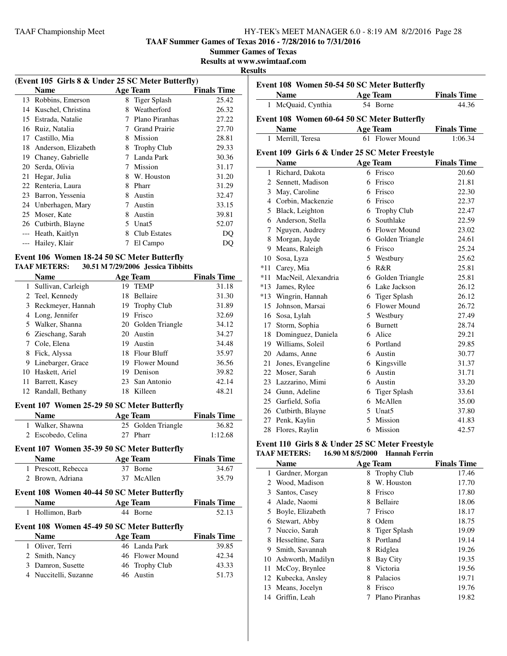**TAAF Summer Games of Texas 2016 - 7/28/2016 to 7/31/2016**

**Summer Games of Texas**

**Results at www.swimtaaf.com**

#### **Results**

| (Event 105 Girls 8 & Under 25 SC Meter Butterfly) |                     |   |                      |                    |
|---------------------------------------------------|---------------------|---|----------------------|--------------------|
|                                                   | Name                |   | Age Team             | <b>Finals Time</b> |
| 13                                                | Robbins, Emerson    | 8 | Tiger Splash         | 25.42              |
| 14                                                | Kuschel, Christina  | 8 | Weatherford          | 26.32              |
| 15                                                | Estrada, Natalie    |   | Plano Piranhas       | 27.22              |
| 16                                                | Ruiz, Natalia       |   | <b>Grand Prairie</b> | 27.70              |
| 17                                                | Castillo, Mia       | 8 | Mission              | 28.81              |
| 18                                                | Anderson, Elizabeth | 8 | <b>Trophy Club</b>   | 29.33              |
| 19                                                | Chaney, Gabrielle   |   | Landa Park           | 30.36              |
| 20                                                | Serda, Olivia       | 7 | Mission              | 31.17              |
| 21                                                | Hegar, Julia        | 8 | W. Houston           | 31.20              |
| 22                                                | Renteria, Laura     | 8 | Pharr                | 31.29              |
| 23                                                | Barron, Yessenia    | 8 | Austin               | 32.47              |
| 24                                                | Unberhagen, Mary    | 7 | Austin               | 33.15              |
| 25                                                | Moser, Kate         | 8 | Austin               | 39.81              |
|                                                   | 26 Cutbirth, Blayne | 5 | Unat <sub>5</sub>    | 52.07              |
|                                                   | Heath, Kaitlyn      | 8 | Club Estates         | DO                 |
|                                                   | Hailey, Klair       |   | El Campo             | DO                 |
|                                                   |                     |   |                      |                    |

#### **Event 106 Women 18-24 50 SC Meter Butterfly TAAF METERS: 30.51 M 7/29/2006 Jessica Tibbitts**

|    | <b>Name</b>         |     | <b>Age Team</b>     | <b>Finals Time</b> |
|----|---------------------|-----|---------------------|--------------------|
| 1  | Sullivan, Carleigh  | 19  | <b>TEMP</b>         | 31.18              |
|    | 2 Teel, Kennedy     | 18  | Bellaire            | 31.30              |
|    | 3 Reckmeyer, Hannah |     | 19 Trophy Club      | 31.89              |
| 4  | Long, Jennifer      | 19  | Frisco              | 32.69              |
|    | 5 Walker, Shanna    |     | 20 Golden Triangle  | 34.12              |
|    | 6 Zieschang, Sarah  | 20. | Austin              | 34.27              |
|    | 7 Cole, Elena       | 19  | Austin              | 34.48              |
| 8  | Fick, Alyssa        | 18  | Flour Bluff         | 35.97              |
| 9  | Linebarger, Grace   | 19  | <b>Flower Mound</b> | 36.56              |
|    | 10 Haskett, Ariel   | 19  | Denison             | 39.82              |
| 11 | Barrett, Kasey      |     | 23 San Antonio      | 42.14              |
|    | 12 Randall, Bethany | 18  | Killeen             | 48.21              |

#### **Event 107 Women 25-29 50 SC Meter Butterfly**

| <b>Name</b>        | Age Team           | <b>Finals Time</b> |
|--------------------|--------------------|--------------------|
| 1 Walker, Shawna   | 25 Golden Triangle | 36.82              |
| 2 Escobedo, Celina | 27 Pharr           | 1:12.68            |

#### **Event 107 Women 35-39 50 SC Meter Butterfly**

|   | Event for avoinen 99-99 90 BC meter Dutterity      |                 |                    |  |  |  |
|---|----------------------------------------------------|-----------------|--------------------|--|--|--|
|   | <b>Name</b>                                        | <b>Age Team</b> | <b>Finals Time</b> |  |  |  |
| 1 | Prescott, Rebecca                                  | 37 Borne        | 34.67              |  |  |  |
| 2 | Brown, Adriana                                     | 37 McAllen      | 35.79              |  |  |  |
|   | <b>Event 108 Women 40-44 50 SC Meter Butterfly</b> |                 |                    |  |  |  |
|   | <b>Name</b>                                        | <b>Age Team</b> | <b>Finals Time</b> |  |  |  |
|   |                                                    |                 |                    |  |  |  |
| 1 | Hollimon, Barb                                     | 44 Borne        | 52.13              |  |  |  |
|   | Event 108 Women 45-49 50 SC Meter Butterfly        |                 |                    |  |  |  |
|   | <b>Name</b>                                        | <b>Age Team</b> | <b>Finals Time</b> |  |  |  |
| 1 | Oliver, Terri                                      | 46 Landa Park   | 39.85              |  |  |  |
| 2 | Smith, Nancy                                       | 46 Flower Mound | 42.34              |  |  |  |
| 3 | Damron, Susette                                    | 46 Trophy Club  | 43.33              |  |  |  |
|   | 4 Nuccitelli, Suzanne                              | 46 Austin       | 51.73              |  |  |  |

| uns |                                                 |                 |                    |
|-----|-------------------------------------------------|-----------------|--------------------|
|     | Event 108 Women 50-54 50 SC Meter Butterfly     |                 |                    |
|     | <b>Name</b>                                     | <b>Age Team</b> | <b>Finals Time</b> |
|     | 1 McQuaid, Cynthia                              | 54 Borne        | 44.36              |
|     | Event 108 Women 60-64 50 SC Meter Butterfly     |                 |                    |
|     | <b>Name</b>                                     | <b>Age Team</b> | <b>Finals Time</b> |
|     | Merrill, Teresa                                 | 61 Flower Mound | 1:06.34            |
|     | Event 109 Girls 6 & Under 25 SC Meter Freestyle |                 |                    |
|     | <b>Name</b>                                     | <b>Age Team</b> | <b>Finals Time</b> |
| 1   | Richard, Dakota                                 | 6 Frisco        | 20.60              |
|     | 2 Sennett, Madison                              | 6 Frisco        | 21.81              |
|     | 3 May, Caroline                                 | Frisco          | 22.30              |
|     | Corbin, Mackenzie                               | Frisco          | 22.37              |

| 4     | Corbin, Mackenzie   | 6 | Frisco              | 22.37 |
|-------|---------------------|---|---------------------|-------|
| 5     | Black, Leighton     | 6 | <b>Trophy Club</b>  | 22.47 |
| 6     | Anderson, Stella    | 6 | Southlake           | 22.59 |
| 7     | Nguyen, Audrey      | 6 | Flower Mound        | 23.02 |
| 8     | Morgan, Jayde       | 6 | Golden Triangle     | 24.61 |
| 9     | Means, Raleigh      | 6 | Frisco              | 25.24 |
| 10    | Sosa, Lyza          | 5 | Westbury            | 25.62 |
| $*11$ | Carey, Mia          | 6 | R&R                 | 25.81 |
| $*11$ | MacNeil, Alexandria | 6 | Golden Triangle     | 25.81 |
| $*13$ | James, Rylee        | 6 | Lake Jackson        | 26.12 |
|       | *13 Wingrin, Hannah | 6 | <b>Tiger Splash</b> | 26.12 |
| 15    | Johnson, Marsai     | 6 | Flower Mound        | 26.72 |
| 16    | Sosa, Lylah         | 5 | Westbury            | 27.49 |
| 17    | Storm, Sophia       | 6 | <b>Burnett</b>      | 28.74 |
| 18    | Dominguez, Daniela  | 6 | Alice               | 29.21 |
| 19    | Williams, Soleil    | 6 | Portland            | 29.85 |
| 20    | Adams, Anne         | 6 | Austin              | 30.77 |
| 21    | Jones, Evangeline   | 6 | Kingsville          | 31.37 |
| 22    | Moser, Sarah        | 6 | Austin              | 31.71 |
| 23    | Lazzarino, Mimi     | 6 | Austin              | 33.20 |
| 24    | Gunn, Adeline       | 6 | <b>Tiger Splash</b> | 33.61 |
| 25    | Garfield, Sofia     | 6 | McAllen             | 35.00 |
| 26    | Cutbirth, Blayne    | 5 | Unat <sub>5</sub>   | 37.80 |
| 27    | Penk, Kaylin        | 5 | Mission             | 41.83 |
| 28    | Flores, Raylin      | 6 | Mission             | 42.57 |

#### **Event 110 Girls 8 & Under 25 SC Meter Freestyle TAAF METERS: 16.90 M 8/5/2000 Hannah Ferrin**

|     | <b>Name</b>        |   | <b>Age Team</b>    | <b>Finals Time</b> |
|-----|--------------------|---|--------------------|--------------------|
| 1   | Gardner, Morgan    | 8 | <b>Trophy Club</b> | 17.46              |
| 2   | Wood, Madison      | 8 | W. Houston         | 17.70              |
| 3   | Santos, Casey      | 8 | Frisco             | 17.80              |
| 4   | Alade, Naomi       | 8 | <b>Bellaire</b>    | 18.06              |
| 5   | Boyle, Elizabeth   |   | Frisco             | 18.17              |
| 6   | Stewart, Abby      | 8 | Odem               | 18.75              |
| 7   | Nuccio, Sarah      | 8 | Tiger Splash       | 19.09              |
| 8   | Hesseltine, Sara   | 8 | Portland           | 19.14              |
| 9   | Smith, Savannah    | 8 | Ridglea            | 19.26              |
| 10  | Ashworth, Madilyn  | 8 | Bay City           | 19.35              |
| 11- | McCoy, Brynlee     | 8 | Victoria           | 19.56              |
|     | 12 Kubecka, Ansley | 8 | Palacios           | 19.71              |
| 13  | Means, Jocelyn     | 8 | Frisco             | 19.76              |
| 14  | Griffin, Leah      |   | Plano Piranhas     | 19.82              |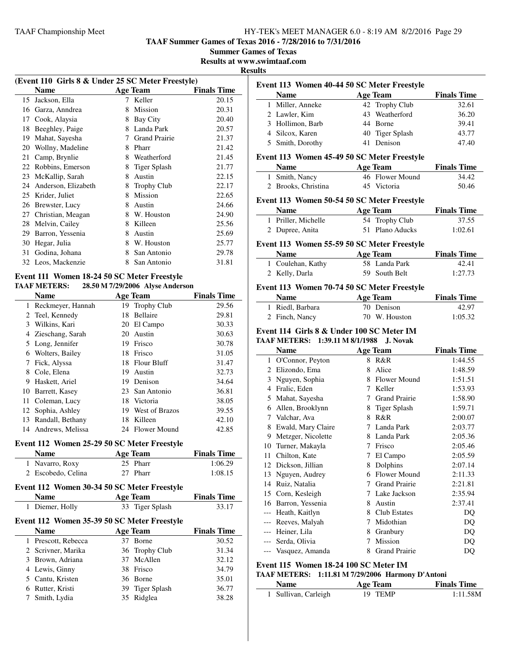**TAAF Summer Games of Texas 2016 - 7/28/2016 to 7/31/2016**

**Summer Games of Texas**

**Results at www.swimtaaf.com**

#### **Results**

|    | (Event 110 Girls 8 & Under 25 SC Meter Freestyle)                   |   |                      |                    |  |
|----|---------------------------------------------------------------------|---|----------------------|--------------------|--|
|    | <b>Name</b>                                                         |   | Age Team             | <b>Finals Time</b> |  |
| 15 | Jackson, Ella                                                       | 7 | Keller               | 20.15              |  |
| 16 | Garza, Anndrea                                                      | 8 | Mission              | 20.31              |  |
| 17 | Cook, Alaysia                                                       | 8 | Bay City             | 20.40              |  |
| 18 | Beeghley, Paige                                                     | 8 | Landa Park           | 20.57              |  |
| 19 | Mahat, Sayesha                                                      | 7 | <b>Grand Prairie</b> | 21.37              |  |
| 20 | Wollny, Madeline                                                    | 8 | Pharr                | 21.42              |  |
| 21 | Camp, Brynlie                                                       | 8 | Weatherford          | 21.45              |  |
| 22 | Robbins, Emerson                                                    | 8 | <b>Tiger Splash</b>  | 21.77              |  |
| 23 | McKallip, Sarah                                                     | 8 | Austin               | 22.15              |  |
| 24 | Anderson, Elizabeth                                                 | 8 | Trophy Club          | 22.17              |  |
| 25 | Krider, Juliet                                                      | 8 | Mission              | 22.65              |  |
| 26 | Brewster, Lucy                                                      | 8 | Austin               | 24.66              |  |
| 27 | Christian, Meagan                                                   | 8 | W. Houston           | 24.90              |  |
| 28 | Melvin, Cailey                                                      | 8 | Killeen              | 25.56              |  |
| 29 | Barron, Yessenia                                                    | 8 | Austin               | 25.69              |  |
| 30 | Hegar, Julia                                                        | 8 | W. Houston           | 25.77              |  |
| 31 | Godina, Johana                                                      | 8 | San Antonio          | 29.78              |  |
| 32 | Leos, Mackenzie                                                     | 8 | San Antonio          | 31.81              |  |
|    | $E_{\text{max}}$ (111 M), ,  10 A4 E0 CC M , $E_{\text{max}}$ (1.1) |   |                      |                    |  |

#### **Event 111 Women 18-24 50 SC Meter Freestyle** 28.50 M 7/29/2006 A lyse Anderson

|              | AAF METEKS:         |    | 20.50 M <i>112912</i> 000 Alyse Angerson |                    |
|--------------|---------------------|----|------------------------------------------|--------------------|
|              | Name                |    | Age Team                                 | <b>Finals Time</b> |
| $\mathbf{1}$ | Reckmeyer, Hannah   | 19 | <b>Trophy Club</b>                       | 29.56              |
|              | 2 Teel, Kennedy     | 18 | Bellaire                                 | 29.81              |
|              | 3 Wilkins, Kari     |    | 20 El Campo                              | 30.33              |
|              | 4 Zieschang, Sarah  | 20 | Austin                                   | 30.63              |
|              | 5 Long, Jennifer    | 19 | Frisco                                   | 30.78              |
| 6            | Wolters, Bailey     | 18 | Frisco                                   | 31.05              |
| 7            | Fick, Alyssa        | 18 | <b>Flour Bluff</b>                       | 31.47              |
| 8            | Cole, Elena         | 19 | Austin                                   | 32.73              |
| 9            | Haskett, Ariel      | 19 | Denison                                  | 34.64              |
| 10           | Barrett, Kasey      |    | 23 San Antonio                           | 36.81              |
| 11           | Coleman, Lucy       | 18 | Victoria                                 | 38.05              |
|              | 12 Sophia, Ashley   | 19 | West of Brazos                           | 39.55              |
| 13           | Randall, Bethany    | 18 | Killeen                                  | 42.10              |
|              | 14 Andrews, Melissa |    | 24 Flower Mound                          | 42.85              |

#### **Event 112 Women 25-29 50 SC Meter Freestyle**

| <b>Name</b>        | Age Team | <b>Finals Time</b> |
|--------------------|----------|--------------------|
| 1 Navarro, Roxy    | 25 Pharr | 1:06.29            |
| 2 Escobedo, Celina | 27 Pharr | 1:08.15            |

# **Event 112 Women 30-34 50 SC Meter Freestyle**

|   | <b>Name</b>                                 | <b>Age Team</b> | <b>Finals Time</b> |
|---|---------------------------------------------|-----------------|--------------------|
| 1 | Diemer, Holly                               | 33 Tiger Splash | 33.17              |
|   | Event 112 Women 35-39 50 SC Meter Freestyle |                 |                    |
|   | <b>Name</b>                                 | <b>Age Team</b> | <b>Finals Time</b> |
|   | Prescott, Rebecca                           | 37 Borne        | 30.52              |
|   | 2 Scrivner, Marika                          | 36 Trophy Club  | 31.34              |
|   | 3 Brown, Adriana                            | 37 McAllen      | 32.12              |
|   | 4 Lewis, Ginny                              | 38 Frisco       | 34.79              |
|   | Cantu, Kristen                              | 36 Borne        | 35.01              |
| 6 | Rutter, Kristi                              | 39 Tiger Splash | 36.77              |
|   | Smith, Lydia                                | 35 Ridglea      | 38.28              |
|   |                                             |                 |                    |

| Event 113 Women 40-44 50 SC Meter Freestyle |                                                   |                 |                 |                    |
|---------------------------------------------|---------------------------------------------------|-----------------|-----------------|--------------------|
|                                             | <b>Name</b>                                       | <b>Age Team</b> |                 | <b>Finals Time</b> |
|                                             | 1 Miller, Anneke                                  | 42 Trophy Club  |                 | 32.61              |
|                                             | 2 Lawler, Kim                                     | 43 Weatherford  |                 | 36.20              |
|                                             | 3 Hollimon, Barb                                  | 44 Borne        |                 | 39.41              |
|                                             | 4 Silcox, Karen                                   | 40 Tiger Splash |                 | 43.77              |
|                                             | 5 Smith, Dorothy                                  | 41 Denison      |                 | 47.40              |
|                                             | Event 113 Women 45-49 50 SC Meter Freestyle       |                 |                 |                    |
|                                             | <b>Name</b>                                       | <b>Age Team</b> |                 | <b>Finals Time</b> |
|                                             | 1 Smith, Nancy                                    |                 | 46 Flower Mound | 34.42              |
|                                             | 2 Brooks, Christina                               | 45 Victoria     |                 | 50.46              |
|                                             |                                                   |                 |                 |                    |
|                                             | Event 113 Women 50-54 50 SC Meter Freestyle       |                 |                 |                    |
|                                             | <b>Name</b>                                       | <b>Age Team</b> |                 | <b>Finals Time</b> |
|                                             | 1 Priller, Michelle                               | 54 Trophy Club  |                 | 37.55              |
|                                             | 2 Dupree, Anita                                   | 51 Plano Aducks |                 | 1:02.61            |
|                                             | Event 113 Women 55-59 50 SC Meter Freestyle       |                 |                 |                    |
|                                             | <b>Name</b>                                       | <b>Age Team</b> |                 | <b>Finals Time</b> |
|                                             | 1 Coulehan, Kathy                                 | 58 Landa Park   |                 | 42.41              |
|                                             | 2 Kelly, Darla                                    | 59 South Belt   |                 | 1:27.73            |
|                                             | Event 113 Women 70-74 50 SC Meter Freestyle       |                 |                 |                    |
|                                             | <b>Name</b>                                       | Age Team        |                 | <b>Finals Time</b> |
|                                             | 1 Riedl, Barbara                                  | 70 Denison      |                 | 42.97              |
|                                             | 2 Finch, Nancy                                    | 70 W. Houston   |                 | 1:05.32            |
|                                             | Event 114 Girls 8 & Under 100 SC Meter IM         |                 |                 |                    |
|                                             | TAAF METERS: 1:39.11 M 8/1/1988                   |                 | <b>J. Novak</b> |                    |
|                                             | <b>Name</b>                                       | <b>Age Team</b> |                 | <b>Finals Time</b> |
|                                             | 1 O'Connor, Peyton                                | 8 R&R           |                 | 1:44.55            |
|                                             | 2 Elizondo, Ema                                   | Alice<br>8      |                 | 1:48.59            |
|                                             | 3 Nguyen, Sophia                                  |                 | 8 Flower Mound  | 1:51.51            |
|                                             | 4 Fralic, Eden                                    | 7 Keller        |                 | 1:53.93            |
|                                             | 5 Mahat, Sayesha                                  |                 | 7 Grand Prairie | 1:58.90            |
|                                             | 6 Allen, Brooklynn                                | 8 Tiger Splash  |                 | 1:59.71            |
|                                             | 7 Valchar, Ava                                    | 8 R&R           |                 | 2:00.07            |
|                                             | 8 Ewald, Mary Claire                              | 7 Landa Park    |                 | 2:03.77            |
|                                             | 9 Metzger, Nicolette                              | 8 Landa Park    |                 | 2:05.36            |
|                                             | 10 Turner, Makayla                                | 7 Frisco        |                 | 2:05.46            |
|                                             | 11 Chilton, Kate                                  | 7 El Campo      |                 | 2:05.59            |
|                                             | 12 Dickson, Jillian                               | 8 Dolphins      |                 | 2:07.14            |
|                                             | 13 Nguyen, Audrey                                 |                 | 6 Flower Mound  | 2:11.33            |
|                                             | 14 Ruiz, Natalia                                  |                 | 7 Grand Prairie | 2:21.81            |
|                                             | 15 Corn, Kesleigh                                 |                 | 7 Lake Jackson  | 2:35.94            |
|                                             | 16 Barron, Yessenia                               | 8 Austin        |                 | 2:37.41            |
|                                             | --- Heath, Kaitlyn                                | 8 Club Estates  |                 | DQ                 |
|                                             | --- Reeves, Malyah                                | 7 Midothian     |                 | DQ                 |
|                                             | --- Heiner, Lila                                  | 8 Granbury      |                 | DQ                 |
|                                             | --- Serda, Olivia                                 | 7 Mission       |                 | DQ                 |
|                                             | --- Vasquez, Amanda                               |                 | 8 Grand Prairie | DQ                 |
|                                             | Event 115 Women 18-24 100 SC Meter IM             |                 |                 |                    |
|                                             | TAAF METERS: 1:11.81 M 7/29/2006 Harmony D'Antoni |                 |                 |                    |
|                                             | Name                                              | <b>Age Team</b> |                 | <b>Finals Time</b> |

### Sullivan, Carleigh 19 TEMP 1:11.58M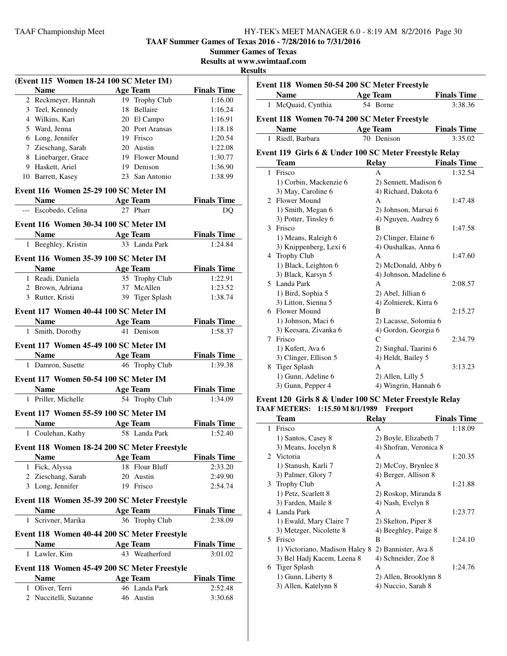**TAAF Summer Games of Texas 2016 - 7/28/2016 to 7/31/2016**

| <b>Summer Games of Texas</b> |  |  |
|------------------------------|--|--|
|------------------------------|--|--|

**Results at www.swimtaaf.com**

#### **Results**

| (Event 115 Women 18-24 100 SC Meter IM)              |                 |                    |  |
|------------------------------------------------------|-----------------|--------------------|--|
| <b>Name</b>                                          | <b>Age Team</b> | <b>Finals Time</b> |  |
| 2 Reckmeyer, Hannah                                  | 19 Trophy Club  | 1:16.00            |  |
| 3 Teel, Kennedy                                      | 18 Bellaire     | 1:16.24            |  |
| 4 Wilkins, Kari                                      | 20 El Campo     | 1:16.91            |  |
| 5 Ward, Jenna                                        | 20 Port Aransas | 1:18.18            |  |
| 6 Long, Jennifer                                     | 19 Frisco       | 1:20.54            |  |
| 7 Zieschang, Sarah                                   | 20 Austin       | 1:22.08            |  |
| 8 Linebarger, Grace                                  | 19 Flower Mound | 1:30.77            |  |
| 9 Haskett, Ariel                                     | 19 Denison      | 1:36.90            |  |
| 10 Barrett, Kasey                                    | 23 San Antonio  | 1:38.99            |  |
| Event 116 Women 25-29 100 SC Meter IM                |                 |                    |  |
| Name $\qquad \qquad$                                 | <b>Age Team</b> | <b>Finals Time</b> |  |
| --- Escobedo, Celina                                 | 27 Pharr        | DQ                 |  |
|                                                      |                 |                    |  |
| Event 116 Women 30-34 100 SC Meter IM<br><b>Name</b> | <b>Age Team</b> | <b>Finals Time</b> |  |
| 1 Beeghley, Kristin                                  | 33 Landa Park   | 1:24.84            |  |
|                                                      |                 |                    |  |
| Event 116 Women 35-39 100 SC Meter IM                |                 |                    |  |
| <b>Name</b>                                          | <b>Age Team</b> | <b>Finals Time</b> |  |
| 1 Readi, Daniela                                     | 35 Trophy Club  | 1:22.91            |  |
| 2 Brown, Adriana                                     | 37 McAllen      | 1:23.52            |  |
| 3 Rutter, Kristi                                     | 39 Tiger Splash | 1:38.74            |  |
| Event 117 Women 40-44 100 SC Meter IM                |                 |                    |  |
| Name $\qquad \qquad$                                 | Age Team        | <b>Finals Time</b> |  |
| 1 Smith, Dorothy                                     | 41 Denison      | 1:58.37            |  |
|                                                      |                 |                    |  |
| Event 117 Women 45-49 100 SC Meter IM                |                 |                    |  |
| <b>Name</b>                                          | <b>Age Team</b> | <b>Finals Time</b> |  |
| 1 Damron, Susette                                    | 46 Trophy Club  | 1:39.38            |  |
| Event 117 Women 50-54 100 SC Meter IM                |                 |                    |  |
|                                                      | <b>Age Team</b> | <b>Finals Time</b> |  |
| 1 Priller, Michelle                                  | 54 Trophy Club  | 1:34.09            |  |
| Event 117 Women 55-59 100 SC Meter IM                |                 |                    |  |
| Name                                                 | <b>Age Team</b> | <b>Finals Time</b> |  |
| 1 Coulehan, Kathy                                    | 58 Landa Park   | 1:52.40            |  |
| Event 118 Women 18-24 200 SC Meter Freestyle         |                 |                    |  |
| <b>Name</b>                                          | <b>Age Team</b> | <b>Finals Time</b> |  |
| 1 Fick, Alyssa                                       | 18 Flour Bluff  | 2:33.20            |  |
| 2 Zieschang, Sarah                                   | 20 Austin       | 2:49.90            |  |
| 3 Long, Jennifer                                     | 19 Frisco       | 2:54.74            |  |
|                                                      |                 |                    |  |
| Event 118 Women 35-39 200 SC Meter Freestyle         |                 |                    |  |
| <b>Name</b>                                          | <b>Age Team</b> | <b>Finals Time</b> |  |
| Scrivner, Marika<br>$\mathbf{1}$                     | 36 Trophy Club  | 2:38.09            |  |
| Event 118 Women 40-44 200 SC Meter Freestyle         |                 |                    |  |
| <b>Name</b>                                          | Age Team        | <b>Finals Time</b> |  |
| 1 Lawler, Kim                                        | 43 Weatherford  | 3:01.02            |  |
| Event 118 Women 45-49 200 SC Meter Freestyle         |                 |                    |  |
| <b>Name</b>                                          | <b>Age Team</b> | <b>Finals Time</b> |  |
| 1 Oliver, Terri                                      | 46 Landa Park   | 2:52.48            |  |
| 2 Nuccitelli, Suzanne                                | 46 Austin       | 3:30.68            |  |
|                                                      |                 |                    |  |

| Event 118 Women 50-54 200 SC Meter Freestyle |                                                        |                        |                    |
|----------------------------------------------|--------------------------------------------------------|------------------------|--------------------|
|                                              | <b>Name</b>                                            | <b>Age Team</b>        | <b>Finals Time</b> |
|                                              | 1 McQuaid, Cynthia                                     | 54 Borne               | 3:38.36            |
|                                              | Event 118 Women 70-74 200 SC Meter Freestyle           |                        |                    |
|                                              | <b>Name</b>                                            | <b>Age Team</b>        | <b>Finals Time</b> |
|                                              | 1 Riedl, Barbara                                       | 70 Denison             | 3:35.02            |
|                                              | Event 119 Girls 6 & Under 100 SC Meter Freestyle Relay |                        |                    |
|                                              | <b>Team</b>                                            | <b>Relay</b>           | <b>Finals Time</b> |
| 1                                            | Frisco                                                 | A                      | 1:32.54            |
|                                              | 1) Corbin, Mackenzie 6                                 | 2) Sennett, Madison 6  |                    |
|                                              | 3) May, Caroline 6                                     | 4) Richard, Dakota 6   |                    |
|                                              | 2 Flower Mound                                         | A                      | 1:47.48            |
|                                              | 1) Smith, Megan 6                                      | 2) Johnson, Marsai 6   |                    |
|                                              | 3) Potter, Tinsley 6                                   | 4) Nguyen, Audrey 6    |                    |
| 3                                            | Frisco                                                 | B                      | 1:47.58            |
|                                              | 1) Means, Raleigh 6                                    | 2) Clinger, Elaine 6   |                    |
|                                              | 3) Knippenberg, Lexi 6                                 | 4) Oushalkas, Anna 6   |                    |
|                                              | 4 Trophy Club                                          | A                      | 1:47.60            |
|                                              | 1) Black, Leighton 6                                   | 2) McDonald, Abby 6    |                    |
|                                              | 3) Black, Karsyn 5                                     | 4) Johnson, Madeline 6 |                    |
|                                              | 5 Landa Park                                           | A                      | 2:08.57            |
|                                              | 1) Bird, Sophia 5                                      | 2) Abel, Jillian 6     |                    |
|                                              | 3) Litton, Sienna 5                                    | 4) Zolnierek, Kirra 6  |                    |
|                                              | 6 Flower Mound                                         | B                      | 2:15.27            |
|                                              | 1) Johnson, Maci 6                                     | 2) Lacasse, Solomia 6  |                    |
|                                              | 3) Keesara, Zivanka 6                                  | 4) Gordon, Georgia 6   |                    |
| 7                                            | Frisco                                                 | $\mathcal{C}$          | 2:34.79            |
|                                              | 1) Kufert, Ava 6                                       | 2) Singhal, Taarini 6  |                    |
|                                              | 3) Clinger, Ellison 5                                  | 4) Heldt, Bailey 5     |                    |
| 8                                            | <b>Tiger Splash</b>                                    | A                      | 3:13.23            |
|                                              | 1) Gunn, Adeline 6                                     | 2) Allen, Lilly 5      |                    |
|                                              | 3) Gunn, Pepper 4                                      | 4) Wingrin, Hannah 6   |                    |

#### **Event 120 Girls 8 & Under 100 SC Meter Freestyle Relay TAAF METERS: 1:15.50 M 8/1/1989 Freeport**

|    | <b>Team</b>                    | <b>Relay</b>           | <b>Finals Time</b> |
|----|--------------------------------|------------------------|--------------------|
| 1  | Frisco                         | A                      | 1:18.09            |
|    | 1) Santos, Casey 8             | 2) Boyle, Elizabeth 7  |                    |
|    | 3) Means, Jocelyn 8            | 4) Shofran, Veronica 8 |                    |
|    | 2 Victoria                     | A                      | 1:20.35            |
|    | 1) Stanush, Karli 7            | 2) McCoy, Brynlee 8    |                    |
|    | 3) Palmer, Glory 7             | 4) Berger, Allison 8   |                    |
|    | 3 Trophy Club                  | A                      | 1:21.88            |
|    | 1) Petz, Scarlett 8            | 2) Roskop, Miranda 8   |                    |
|    | 3) Farden, Maile 8             | 4) Nash, Evelyn 8      |                    |
|    | 4 Landa Park                   | A                      | 1:23.77            |
|    | 1) Ewald, Mary Claire 7        | 2) Skelton, Piper 8    |                    |
|    | 3) Metzger, Nicolette 8        | 4) Beeghley, Paige 8   |                    |
| 5. | Frisco                         | B                      | 1:24.10            |
|    | 1) Victoriano, Madison Haley 8 | 2) Bannister, Ava 8    |                    |
|    | 3) Bel Hadj Kacem, Leena 8     | 4) Schneider, Zoe 8    |                    |
|    | 6 Tiger Splash                 | А                      | 1:24.76            |
|    | 1) Gunn, Liberty 8             | 2) Allen, Brooklynn 8  |                    |
|    | 3) Allen, Katelynn 8           | 4) Nuccio, Sarah 8     |                    |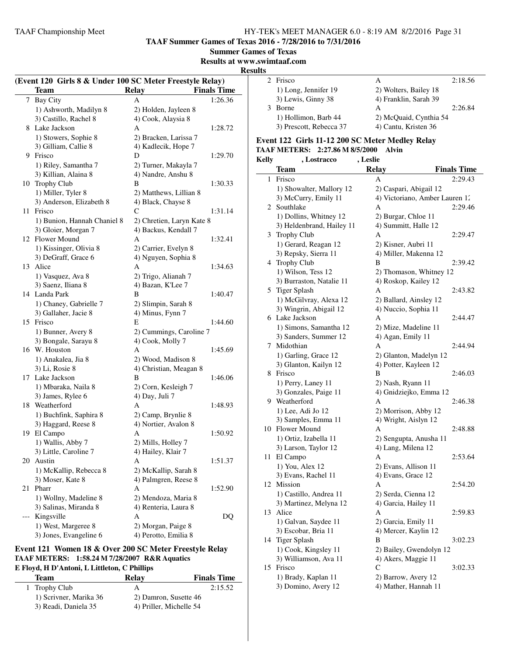**TAAF Summer Games of Texas 2016 - 7/28/2016 to 7/31/2016**

**Summer Games of Texas**

**Results at www.swimtaaf.com**

#### **Results**

 $\overline{\phantom{a}}$ 

|     | (Event 120 Girls 8 & Under 100 SC Meter Freestyle Relay)<br><b>Team</b> | <b>Relay</b>                                 | <b>Finals Time</b> |
|-----|-------------------------------------------------------------------------|----------------------------------------------|--------------------|
| 7   | <b>Bay City</b>                                                         | А                                            | 1:26.36            |
|     | 1) Ashworth, Madilyn 8                                                  | 2) Holden, Jayleen 8                         |                    |
|     | 3) Castillo, Rachel 8                                                   | 4) Cook, Alaysia 8                           |                    |
|     | 8 Lake Jackson                                                          | A                                            | 1:28.72            |
|     | 1) Stowers, Sophie 8                                                    |                                              |                    |
|     | 3) Gilliam, Callie 8                                                    | 2) Bracken, Larissa 7<br>4) Kadlecik, Hope 7 |                    |
|     | 9 Frisco                                                                | D                                            |                    |
|     |                                                                         |                                              | 1:29.70            |
|     | 1) Riley, Samantha 7                                                    | 2) Turner, Makayla 7                         |                    |
|     | 3) Killian, Alaina 8                                                    | 4) Nandre, Anshu 8                           |                    |
|     | 10 Trophy Club                                                          | В                                            | 1:30.33            |
|     | 1) Miller, Tyler 8                                                      | 2) Matthews, Lillian 8                       |                    |
|     | 3) Anderson, Elizabeth 8                                                | 4) Black, Chayse 8                           |                    |
| 11  | Frisco                                                                  | C                                            | 1:31.14            |
|     | 1) Bunion, Hannah Chaniel 8                                             | 2) Chretien, Laryn Kate 8                    |                    |
|     | 3) Gloier, Morgan 7                                                     | 4) Backus, Kendall 7                         |                    |
|     | 12 Flower Mound                                                         | А                                            | 1:32.41            |
|     | 1) Kissinger, Olivia 8                                                  | 2) Carrier, Evelyn 8                         |                    |
|     | 3) DeGraff, Grace 6                                                     | 4) Nguyen, Sophia 8                          |                    |
| 13  | Alice                                                                   | A                                            | 1:34.63            |
|     | 1) Vasquez, Ava 8                                                       | 2) Trigo, Alianah 7                          |                    |
|     | 3) Saenz, Iliana 8                                                      | 4) Bazan, K'Lee 7                            |                    |
|     | 14 Landa Park                                                           | B                                            | 1:40.47            |
|     | 1) Chaney, Gabrielle 7                                                  | 2) Slimpin, Sarah 8                          |                    |
|     | 3) Gallaher, Jacie 8                                                    | 4) Minus, Fynn 7                             |                    |
|     | 15 Frisco                                                               | Е                                            | 1:44.60            |
|     | 1) Bunner, Avery 8                                                      | 2) Cummings, Caroline 7                      |                    |
|     | 3) Bongale, Sarayu 8                                                    | 4) Cook, Molly 7                             |                    |
|     | 16 W. Houston                                                           | A                                            | 1:45.69            |
|     | 1) Anakalea, Jia 8                                                      | 2) Wood, Madison 8                           |                    |
|     | 3) Li, Rosie 8                                                          | 4) Christian, Meagan 8                       |                    |
|     | 17 Lake Jackson                                                         | B                                            | 1:46.06            |
|     | 1) Mbaraka, Naila 8                                                     | 2) Corn, Kesleigh 7                          |                    |
|     | 3) James, Rylee 6                                                       | 4) Day, Juli 7                               |                    |
|     | 18 Weatherford                                                          | A                                            | 1:48.93            |
|     | 1) Buchfink, Saphira 8                                                  | 2) Camp, Brynlie 8                           |                    |
|     | 3) Haggard, Reese 8                                                     | 4) Nortier, Avalon 8                         |                    |
| 19  | El Campo                                                                | А                                            | 1:50.92            |
|     | 1) Wallis, Abby 7                                                       | 2) Mills, Holley 7                           |                    |
|     | 3) Little, Caroline 7                                                   | 4) Hailey, Klair 7                           |                    |
| 20  | Austin                                                                  | А                                            | 1:51.37            |
|     | 1) McKallip, Rebecca 8                                                  | 2) McKallip, Sarah 8                         |                    |
|     | 3) Moser, Kate 8                                                        | 4) Palmgren, Reese 8                         |                    |
| 21  | Pharr                                                                   | A                                            | 1:52.90            |
|     | 1) Wollny, Madeline 8                                                   | 2) Mendoza, Maria 8                          |                    |
|     | 3) Salinas, Miranda 8                                                   |                                              |                    |
|     | Kingsville                                                              | 4) Renteria, Laura 8<br>А                    |                    |
| --- |                                                                         |                                              | DQ                 |
|     | 1) West, Margeree 8                                                     | 2) Morgan, Paige 8                           |                    |
|     | 3) Jones, Evangeline 6                                                  | 4) Perotto, Emilia 8                         |                    |

#### **Event 121 Women 18 & Over 200 SC Meter Freestyle Relay TAAF METERS: 1:58.24 M 7/28/2007 R&R Aquatics E Floyd, H D'Antoni, L Littleton, C Phillips**

| Team                   | Relay                   | <b>Finals Time</b> |
|------------------------|-------------------------|--------------------|
| 1 Trophy Club          | А                       | 2:15.52            |
| 1) Scrivner, Marika 36 | 2) Damron, Susette 46   |                    |
| 3) Readi, Daniela 35   | 4) Priller, Michelle 54 |                    |

| 2 Frisco                |                        | 2:18.56 |
|-------------------------|------------------------|---------|
| 1) Long, Jennifer 19    | 2) Wolters, Bailey 18  |         |
| 3) Lewis, Ginny 38      | 4) Franklin, Sarah 39  |         |
| <b>Borne</b>            | А                      | 2:26.84 |
| 1) Hollimon, Barb 44    | 2) McQuaid, Cynthia 54 |         |
| 3) Prescott, Rebecca 37 | 4) Cantu, Kristen 36   |         |

#### **Event 122 Girls 11-12 200 SC Meter Medley Relay TAAF METERS: 2:27.86 M 8/5/2000 Alvin**

| Kelly | , Lostracco               | , Leslie                |                                |
|-------|---------------------------|-------------------------|--------------------------------|
|       | Team                      | <b>Relay</b>            | <b>Finals Time</b>             |
| 1     | Frisco                    | А                       | 2:29.43                        |
|       | 1) Showalter, Mallory 12  | 2) Caspari, Abigail 12  |                                |
|       | 3) McCurry, Emily 11      |                         | 4) Victoriano, Amber Lauren 12 |
| 2     | Southlake                 | А                       | 2:29.46                        |
|       | 1) Dollins, Whitney 12    | 2) Burgar, Chloe 11     |                                |
|       | 3) Heldenbrand, Hailey 11 | 4) Summitt, Halle 12    |                                |
| 3     | <b>Trophy Club</b>        | А                       | 2:29.47                        |
|       | 1) Gerard, Reagan 12      | 2) Kisner, Aubri 11     |                                |
|       | 3) Repsky, Sierra 11      | 4) Miller, Makenna 12   |                                |
|       | 4 Trophy Club             | В                       | 2:39.42                        |
|       | 1) Wilson, Tess 12        | 2) Thomason, Whitney 12 |                                |
|       | 3) Burraston, Natalie 11  | 4) Roskop, Kailey 12    |                                |
|       | 5 Tiger Splash            | А                       | 2:43.82                        |
|       | 1) McGilvray, Alexa 12    | 2) Ballard, Ainsley 12  |                                |
|       | 3) Wingrin, Abigail 12    | 4) Nuccio, Sophia 11    |                                |
|       | 6 Lake Jackson            | A                       | 2:44.47                        |
|       | 1) Simons, Samantha 12    | 2) Mize, Madeline 11    |                                |
|       | 3) Sanders, Summer 12     | 4) Agan, Emily 11       |                                |
| 7     | Midothian                 | А                       | 2:44.94                        |
|       | 1) Garling, Grace 12      | 2) Glanton, Madelyn 12  |                                |
|       | 3) Glanton, Kailyn 12     | 4) Potter, Kayleen 12   |                                |
| 8     | Frisco                    | B                       | 2:46.03                        |
|       | 1) Perry, Laney 11        | 2) Nash, Ryann 11       |                                |
|       | 3) Gonzales, Paige 11     | 4) Gnidziejko, Emma 12  |                                |
|       | 9 Weatherford             | А                       | 2:46.38                        |
|       | 1) Lee, Adi Jo 12         | 2) Morrison, Abby 12    |                                |
|       | 3) Samples, Emma 11       | 4) Wright, Aislyn 12    |                                |
|       | 10 Flower Mound           | А                       | 2:48.88                        |
|       | 1) Ortiz, Izabella 11     | 2) Sengupta, Anusha 11  |                                |
|       | 3) Larson, Taylor 12      | 4) Lang, Milena 12      |                                |
| 11    | El Campo                  | А                       | 2:53.64                        |
|       | 1) You, Alex 12           | 2) Evans, Allison 11    |                                |
|       | 3) Evans, Rachel 11       | 4) Evans, Grace 12      |                                |
| 12    | Mission                   | А                       | 2:54.20                        |
|       | 1) Castillo, Andrea 11    | 2) Serda, Cienna 12     |                                |
|       | 3) Martinez, Melyna 12    | 4) Garcia, Hailey 11    |                                |
|       | 13 Alice                  | А                       | 2:59.83                        |
|       | 1) Galvan, Saydee 11      | 2) Garcia, Emily 11     |                                |
|       | 3) Escobar, Bria 11       | 4) Mercer, Kaylin 12    |                                |
|       | 14 Tiger Splash           | В                       | 3:02.23                        |
|       | 1) Cook, Kingsley 11      | 2) Bailey, Gwendolyn 12 |                                |
|       | 3) Williamson, Ava 11     | 4) Akers, Maggie 11     |                                |
| 15    | Frisco                    | С                       | 3:02.33                        |
|       | 1) Brady, Kaplan 11       | 2) Barrow, Avery 12     |                                |
|       | 3) Domino, Avery 12       | 4) Mather, Hannah 11    |                                |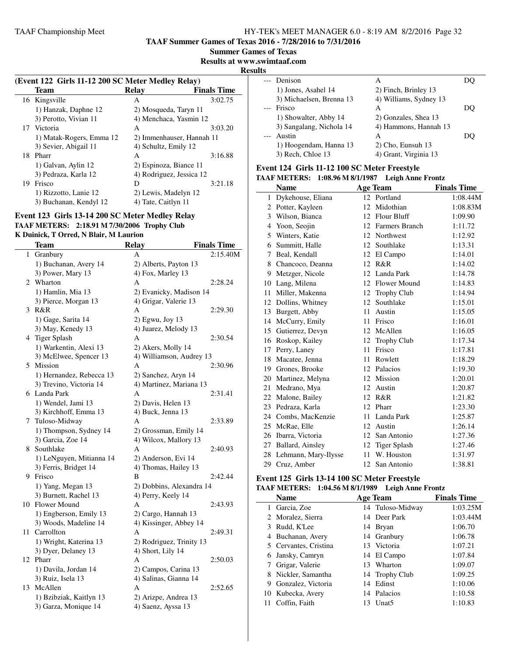**TAAF Summer Games of Texas 2016 - 7/28/2016 to 7/31/2016**

**Summer Games of Texas**

#### **Results at www.swimtaaf.com**

#### **Results**

| (Event 122 Girls 11-12 200 SC Meter Medley Relay) |                           |                    |  |
|---------------------------------------------------|---------------------------|--------------------|--|
| Team                                              | Relay                     | <b>Finals Time</b> |  |
| 16 Kingsville                                     | A                         | 3:02.75            |  |
| 1) Hanzak, Daphne 12                              | 2) Mosqueda, Taryn 11     |                    |  |
| 3) Perotto, Vivian 11                             | 4) Menchaca, Yasmin 12    |                    |  |
| 17 Victoria                                       | A                         | 3:03.20            |  |
| 1) Matak-Rogers, Emma 12                          | 2) Immenhauser, Hannah 11 |                    |  |
| 3) Sevier, Abigail 11                             | 4) Schultz, Emily 12      |                    |  |
| Pharr                                             | A                         | 3:16.88            |  |
| 1) Galvan, Aylin 12                               | 2) Espinoza, Biance 11    |                    |  |
| 3) Pedraza, Karla 12                              | 4) Rodriguez, Jessica 12  |                    |  |
| Frisco                                            | D                         | 3:21.18            |  |
| 1) Rizzotto, Lanie 12                             | 2) Lewis, Madelyn 12      |                    |  |
| 3) Buchanan, Kendyl 12                            | 4) Tate, Caitlyn 11       |                    |  |
|                                                   |                           |                    |  |

#### **Event 123 Girls 13-14 200 SC Meter Medley Relay TAAF METERS: 2:18.91 M 7/30/2006 Trophy Club K Duinick, T Orred, N Blair, M Laurion**

|    | Team                     | <b>Relay</b>             | <b>Finals Time</b> |
|----|--------------------------|--------------------------|--------------------|
| 1  | Granbury                 | A                        | 2:15.40M           |
|    | 1) Buchanan, Avery 14    | 2) Alberts, Payton 13    |                    |
|    | 3) Power, Mary 13        | 4) Fox, Marley 13        |                    |
| 2  | Wharton                  | А                        | 2:28.24            |
|    | 1) Hamlin, Mia 13        | 2) Evanicky, Madison 14  |                    |
|    | 3) Pierce, Morgan 13     | 4) Grigar, Valerie 13    |                    |
| 3  | R&R                      | А                        | 2:29.30            |
|    | 1) Gage, Sarita 14       | 2) Egwu, Joy 13          |                    |
|    | 3) May, Kenedy 13        | 4) Juarez, Melody 13     |                    |
|    | 4 Tiger Splash           | A                        | 2:30.54            |
|    | 1) Warkentin, Alexi 13   | 2) Akers, Molly 14       |                    |
|    | 3) McElwee, Spencer 13   | 4) Williamson, Audrey 13 |                    |
|    | 5 Mission                | A                        | 2:30.96            |
|    | 1) Hernandez, Rebecca 13 | 2) Sanchez, Aryn 14      |                    |
|    | 3) Trevino, Victoria 14  | 4) Martinez, Mariana 13  |                    |
|    | 6 Landa Park             | A                        | 2:31.41            |
|    | 1) Wendel, Jami 13       | 2) Davis, Helen 13       |                    |
|    | 3) Kirchhoff, Emma 13    | 4) Buck, Jenna 13        |                    |
| 7  | Tuloso-Midway            | А                        | 2:33.89            |
|    | 1) Thompson, Sydney 14   | 2) Grossman, Emily 14    |                    |
|    | 3) Garcia, Zoe 14        | 4) Wilcox, Mallory 13    |                    |
| 8  | Southlake                | А                        | 2:40.93            |
|    | 1) LeNguyen, Mitianna 14 | 2) Anderson, Evi 14      |                    |
|    | 3) Ferris, Bridget 14    | 4) Thomas, Hailey 13     |                    |
|    | 9 Frisco                 | B                        | 2:42.44            |
|    | 1) Yang, Megan 13        | 2) Dobbins, Alexandra 14 |                    |
|    | 3) Burnett, Rachel 13    | 4) Perry, Keely 14       |                    |
| 10 | Flower Mound             | А                        | 2:43.93            |
|    | 1) Engberson, Emily 13   | 2) Cargo, Hannah 13      |                    |
|    | 3) Woods, Madeline 14    | 4) Kissinger, Abbey 14   |                    |
| 11 | Carrollton               | A                        | 2:49.31            |
|    | 1) Wright, Katerina 13   | 2) Rodriguez, Trinity 13 |                    |
|    | 3) Dyer, Delaney 13      | 4) Short, Lily 14        |                    |
|    | 12 Pharr                 | А                        | 2:50.03            |
|    | 1) Davila, Jordan 14     | 2) Campos, Carina 13     |                    |
|    | 3) Ruiz, Isela 13        | 4) Salinas, Gianna 14    |                    |
| 13 | McAllen                  | Α                        | 2:52.65            |
|    | 1) Bzibziak, Kaitlyn 13  | 2) Arizpe, Andrea 13     |                    |
|    | 3) Garza, Monique 14     | 4) Saenz, Ayssa 13       |                    |

| w |                          |                        |     |
|---|--------------------------|------------------------|-----|
|   | Denison                  | А                      |     |
|   | 1) Jones, Asahel 14      | 2) Finch, Brinley 13   |     |
|   | 3) Michaelsen, Brenna 13 | 4) Williams, Sydney 13 |     |
|   | Frisco                   | А                      | DO. |
|   | 1) Showalter, Abby 14    | 2) Gonzales, Shea 13   |     |
|   | 3) Sangalang, Nichola 14 | 4) Hammons, Hannah 13  |     |
|   | Austin                   | А                      | DO  |
|   | 1) Hoogendam, Hanna 13   | 2) Cho, Eunsuh 13      |     |
|   | 3) Rech, Chloe 13        | 4) Grant, Virginia 13  |     |

#### **Event 124 Girls 11-12 100 SC Meter Freestyle TAAF METERS: 1:08.96 M 8/1/1987 Leigh Anne Frontz**

|                | <b>Name</b>          |    | <b>Age Team</b>     | <b>Finals Time</b> |
|----------------|----------------------|----|---------------------|--------------------|
| 1              | Dykehouse, Eliana    |    | 12 Portland         | 1:08.44M           |
|                | 2 Potter, Kayleen    |    | 12 Midothian        | 1:08.83M           |
| 3              | Wilson, Bianca       |    | 12 Flour Bluff      | 1:09.90            |
| $\overline{4}$ | Yoon, Seojin         |    | 12 Farmers Branch   | 1:11.72            |
| 5              | Winters, Katie       | 12 | Northwest           | 1:12.92            |
| 6              | Summitt, Halle       |    | 12 Southlake        | 1:13.31            |
| 7              | Beal, Kendall        | 12 | El Campo            | 1:14.01            |
| 8              | Chancoco, Deanna     |    | 12 R&R              | 1:14.02            |
| 9              | Metzger, Nicole      | 12 | Landa Park          | 1:14.78            |
| 10             | Lang, Milena         | 12 | <b>Flower Mound</b> | 1:14.83            |
| 11             | Miller, Makenna      | 12 | <b>Trophy Club</b>  | 1:14.94            |
| 12             | Dollins, Whitney     | 12 | Southlake           | 1:15.01            |
| 13             | Burgett, Abby        | 11 | Austin              | 1:15.05            |
| 14             | McCurry, Emily       | 11 | Frisco              | 1:16.01            |
| 15             | Gutierrez, Devyn     |    | 12 McAllen          | 1:16.05            |
| 16             | Roskop, Kailey       |    | 12 Trophy Club      | 1:17.34            |
| 17             | Perry, Laney         | 11 | Frisco              | 1:17.81            |
| 18             | Macatee, Jenna       | 11 | Rowlett             | 1:18.29            |
| 19             | Grones, Brooke       |    | 12 Palacios         | 1:19.30            |
| 20             | Martinez, Melyna     |    | 12 Mission          | 1:20.01            |
| 21             | Medrano, Mya         | 12 | Austin              | 1:20.87            |
| 22             | Malone, Bailey       | 12 | R&R                 | 1:21.82            |
| 23             | Pedraza, Karla       |    | 12 Pharr            | 1:23.30            |
|                | 24 Combs, MacKenzie  | 11 | Landa Park          | 1:25.87            |
| 25             | McRae, Elle          |    | 12 Austin           | 1:26.14            |
| 26             | Ibarra, Victoria     | 12 | San Antonio         | 1:27.36            |
| 27             | Ballard, Ainsley     | 12 | <b>Tiger Splash</b> | 1:27.46            |
| 28             | Lehmann, Mary-Ilysse | 11 | W. Houston          | 1:31.97            |
| 29             | Cruz, Amber          | 12 | San Antonio         | 1:38.81            |

#### **Event 125 Girls 13-14 100 SC Meter Freestyle TAAF METERS: 1:04.56 M 8/1/1989 Leigh Anne Frontz**

|   | <b>Name</b>           |     | <b>Age Team</b>   | <b>Finals Time</b> |
|---|-----------------------|-----|-------------------|--------------------|
|   | 1 Garcia, Zoe         |     | 14 Tuloso-Midway  | 1:03.25M           |
|   | 2 Moralez, Sierra     |     | 14 Deer Park      | 1:03.44M           |
|   | 3 Rudd, K'Lee         |     | 14 Bryan          | 1:06.70            |
|   | 4 Buchanan, Avery     |     | 14 Granbury       | 1:06.78            |
|   | 5 Cervantes, Cristina |     | 13 Victoria       | 1:07.21            |
|   | 6 Jansky, Camryn      |     | 14 El Campo       | 1:07.84            |
|   | 7 Grigar, Valerie     | 13. | Wharton           | 1:09.07            |
|   | 8 Nickler, Samantha   |     | 14 Trophy Club    | 1:09.25            |
| 9 | Gonzalez, Victoria    |     | 14 Edinst         | 1:10.06            |
|   | 10 Kubecka, Avery     |     | 14 Palacios       | 1:10.58            |
|   | Coffin, Faith         | 13  | Unat <sub>5</sub> | 1:10.83            |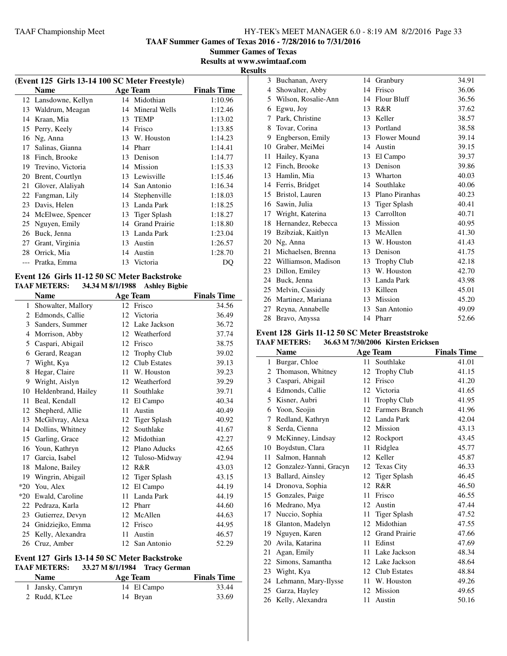**TAAF Summer Games of Texas 2016 - 7/28/2016 to 7/31/2016**

**Summer Games of Texas Results at www.swimtaaf.com**

**Results**

|    | (Event 125 Girls 13-14 100 SC Meter Freestyle) |    |                      |                    |  |  |
|----|------------------------------------------------|----|----------------------|--------------------|--|--|
|    | <b>Name</b>                                    |    | <b>Age Team</b>      | <b>Finals Time</b> |  |  |
|    | 12 Lansdowne, Kellyn                           |    | 14 Midothian         | 1:10.96            |  |  |
| 13 | Waldrum, Meagan                                | 14 | Mineral Wells        | 1:12.46            |  |  |
| 14 | Kraan, Mia                                     | 13 | <b>TEMP</b>          | 1:13.02            |  |  |
| 15 | Perry, Keely                                   | 14 | Frisco               | 1:13.85            |  |  |
| 16 | Ng, Anna                                       | 13 | W. Houston           | 1:14.23            |  |  |
| 17 | Salinas, Gianna                                | 14 | Pharr                | 1:14.41            |  |  |
| 18 | Finch, Brooke                                  | 13 | Denison              | 1:14.77            |  |  |
| 19 | Trevino, Victoria                              | 14 | Mission              | 1:15.33            |  |  |
| 20 | Brent, Courtlyn                                | 13 | Lewisville           | 1:15.46            |  |  |
| 21 | Glover, Alaliyah                               | 14 | San Antonio          | 1:16.34            |  |  |
| 22 | Fangman, Lily                                  | 14 | Stephenville         | 1:18.03            |  |  |
| 23 | Davis, Helen                                   | 13 | Landa Park           | 1:18.25            |  |  |
| 24 | McElwee, Spencer                               | 13 | <b>Tiger Splash</b>  | 1:18.27            |  |  |
| 25 | Nguyen, Emily                                  | 14 | <b>Grand Prairie</b> | 1:18.80            |  |  |
| 26 | Buck, Jenna                                    | 13 | Landa Park           | 1:23.04            |  |  |
| 27 | Grant, Virginia                                | 13 | Austin               | 1:26.57            |  |  |
| 28 | Orrick, Mia                                    | 14 | Austin               | 1:28.70            |  |  |
|    | Pratka, Emma                                   | 13 | Victoria             | DQ                 |  |  |
|    |                                                |    |                      |                    |  |  |

#### **Event 126 Girls 11-12 50 SC Meter Backstroke TAAF METERS: 34.34 M 8/1/1988 Ashley Bigbie**

|       | Name                |    | <b>Age Team</b>     | <b>Finals Time</b> |
|-------|---------------------|----|---------------------|--------------------|
| 1     | Showalter, Mallory  | 12 | Frisco              | 34.56              |
| 2     | Edmonds, Callie     | 12 | Victoria            | 36.49              |
| 3     | Sanders, Summer     | 12 | Lake Jackson        | 36.72              |
| 4     | Morrison, Abby      | 12 | Weatherford         | 37.74              |
| 5     | Caspari, Abigail    | 12 | Frisco              | 38.75              |
| 6     | Gerard, Reagan      | 12 | Trophy Club         | 39.02              |
| 7     | Wight, Kya          | 12 | <b>Club Estates</b> | 39.13              |
| 8     | Hegar, Claire       | 11 | W. Houston          | 39.23              |
| 9     | Wright, Aislyn      | 12 | Weatherford         | 39.29              |
| 10    | Heldenbrand, Hailey | 11 | Southlake           | 39.71              |
| 11    | Beal, Kendall       | 12 | El Campo            | 40.34              |
| 12    | Shepherd, Allie     | 11 | Austin              | 40.49              |
| 13    | McGilvray, Alexa    | 12 | <b>Tiger Splash</b> | 40.92              |
| 14    | Dollins, Whitney    | 12 | Southlake           | 41.67              |
| 15    | Garling, Grace      | 12 | Midothian           | 42.27              |
| 16    | Youn, Kathryn       | 12 | Plano Aducks        | 42.65              |
| 17    | Garcia, Isabel      | 12 | Tuloso-Midway       | 42.94              |
| 18    | Malone, Bailey      | 12 | R&R                 | 43.03              |
| 19    | Wingrin, Abigail    | 12 | <b>Tiger Splash</b> | 43.15              |
| $*20$ | You, Alex           | 12 | El Campo            | 44.19              |
| $*20$ | Ewald, Caroline     | 11 | Landa Park          | 44.19              |
| 22    | Pedraza, Karla      | 12 | Pharr               | 44.60              |
| 23    | Gutierrez, Devyn    | 12 | McAllen             | 44.63              |
| 24    | Gnidziejko, Emma    | 12 | Frisco              | 44.95              |
| 25    | Kelly, Alexandra    | 11 | Austin              | 46.57              |
| 26    | Cruz, Amber         |    | 12 San Antonio      | 52.29              |

# **Event 127 Girls 13-14 50 SC Meter Backstroke**

# **TAAF METERS: 33.27 M 8/1/1984 Tracy German**<br>Name **Age** Team

| <b>Name</b>      | Age Team    | <b>Finals Time</b> |
|------------------|-------------|--------------------|
| 1 Jansky, Camryn | 14 El Campo | 33.44              |
| 2 Rudd, K'Lee    | 14 Bryan    | 33.69              |

|    | 3 Buchanan, Avery      | 14 | Granbury           | 34.91 |
|----|------------------------|----|--------------------|-------|
| 4  | Showalter, Abby        | 14 | Frisco             | 36.06 |
| 5  | Wilson, Rosalie-Ann    | 14 | Flour Bluff        | 36.56 |
| 6  | Egwu, Joy              | 13 | R&R                | 37.62 |
| 7  | Park, Christine        | 13 | Keller             | 38.57 |
| 8  | Tovar, Corina          | 13 | Portland           | 38.58 |
| 9  | Engberson, Emily       |    | 13 Flower Mound    | 39.14 |
| 10 | Graber, MeiMei         | 14 | Austin             | 39.15 |
| 11 | Hailey, Kyana          | 13 | El Campo           | 39.37 |
| 12 | Finch, Brooke          | 13 | Denison            | 39.86 |
| 13 | Hamlin, Mia            | 13 | Wharton            | 40.03 |
| 14 | Ferris, Bridget        | 14 | Southlake          | 40.06 |
| 15 | Bristol, Lauren        | 13 | Plano Piranhas     | 40.23 |
| 16 | Sawin, Julia           | 13 | Tiger Splash       | 40.41 |
| 17 | Wright, Katerina       | 13 | Carrollton         | 40.71 |
| 18 | Hernandez, Rebecca     |    | 13 Mission         | 40.95 |
| 19 | Bzibziak, Kaitlyn      | 13 | McAllen            | 41.30 |
| 20 | Ng, Anna               | 13 | W. Houston         | 41.43 |
| 21 | Michaelsen, Brenna     | 13 | Denison            | 41.75 |
|    | 22 Williamson, Madison | 13 | <b>Trophy Club</b> | 42.18 |
| 23 | Dillon, Emiley         | 13 | W. Houston         | 42.70 |
| 24 | Buck, Jenna            | 13 | Landa Park         | 43.98 |
| 25 | Melvin, Cassidy        |    | 13 Killeen         | 45.01 |
| 26 | Martinez, Mariana      | 13 | Mission            | 45.20 |
| 27 | Reyna, Annabelle       | 13 | San Antonio        | 49.09 |
| 28 | Bravo, Anyssa          |    | 14 Pharr           | 52.66 |

# **Event 128 Girls 11-12 50 SC Meter Breaststroke**

|    | <b>TAAF METERS:</b>    |    | 36.63 M 7/30/2006 Kirsten Ericksen |                    |
|----|------------------------|----|------------------------------------|--------------------|
|    | <b>Name</b>            |    | <b>Age Team</b>                    | <b>Finals Time</b> |
| 1  | Burgar, Chloe          | 11 | Southlake                          | 41.01              |
| 2  | Thomason, Whitney      | 12 | <b>Trophy Club</b>                 | 41.15              |
| 3  | Caspari, Abigail       | 12 | Frisco                             | 41.20              |
| 4  | Edmonds, Callie        | 12 | Victoria                           | 41.65              |
| 5  | Kisner, Aubri          | 11 | <b>Trophy Club</b>                 | 41.95              |
| 6  | Yoon, Seojin           | 12 | Farmers Branch                     | 41.96              |
| 7  | Redland, Kathryn       | 12 | Landa Park                         | 42.04              |
| 8  | Serda, Cienna          | 12 | Mission                            | 43.13              |
| 9  | McKinney, Lindsay      | 12 | Rockport                           | 43.45              |
| 10 | Boydstun, Clara        | 11 | Ridglea                            | 45.77              |
| 11 | Salmon, Hannah         | 12 | Keller                             | 45.87              |
| 12 | Gonzalez-Yanni, Gracyn | 12 | <b>Texas City</b>                  | 46.33              |
| 13 | Ballard, Ainsley       | 12 | Tiger Splash                       | 46.45              |
| 14 | Dronova, Sophia        | 12 | R&R                                | 46.50              |
| 15 | Gonzales, Paige        | 11 | Frisco                             | 46.55              |
| 16 | Medrano, Mya           | 12 | Austin                             | 47.44              |
| 17 | Nuccio, Sophia         | 11 | <b>Tiger Splash</b>                | 47.52              |
| 18 | Glanton, Madelyn       | 12 | Midothian                          | 47.55              |
| 19 | Nguyen, Karen          | 12 | <b>Grand Prairie</b>               | 47.66              |
| 20 | Avila, Katarina        | 11 | Edinst                             | 47.69              |
| 21 | Agan, Emily            | 11 | Lake Jackson                       | 48.34              |
| 22 | Simons, Samantha       | 12 | Lake Jackson                       | 48.64              |
| 23 | Wight, Kya             | 12 | <b>Club Estates</b>                | 48.84              |
| 24 | Lehmann, Mary-Ilysse   | 11 | W. Houston                         | 49.26              |
| 25 | Garza, Hayley          | 12 | Mission                            | 49.65              |
| 26 | Kelly, Alexandra       | 11 | Austin                             | 50.16              |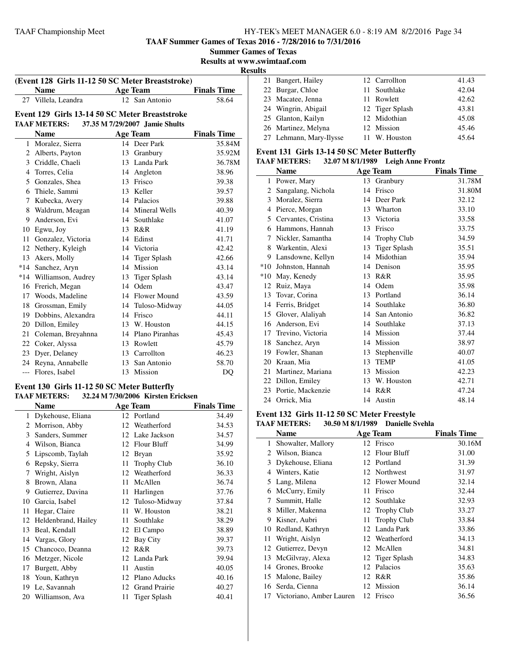**TAAF Summer Games of Texas 2016 - 7/28/2016 to 7/31/2016 Summer Games of Texas**

**Results at www.swimtaaf.com**

j.

|                | (Event 128 Girls 11-12 50 SC Meter Breaststroke) |    |                                |                    |  |  |
|----------------|--------------------------------------------------|----|--------------------------------|--------------------|--|--|
|                | <b>Name</b>                                      |    | <b>Age Team</b>                | <b>Finals Time</b> |  |  |
|                | 27 Villela, Leandra                              |    | 12 San Antonio                 | 58.64              |  |  |
|                | Event 129 Girls 13-14 50 SC Meter Breaststroke   |    |                                |                    |  |  |
|                | <b>TAAF METERS:</b>                              |    | 37.35 M 7/29/2007 Jamie Shults |                    |  |  |
|                | <b>Name</b>                                      |    | <b>Age Team</b>                | <b>Finals Time</b> |  |  |
|                | 1 Moralez, Sierra                                |    | 14 Deer Park                   | 35.84M             |  |  |
| $\overline{2}$ | Alberts, Payton                                  | 13 | Granbury                       | 35.92M             |  |  |
|                | 3 Criddle, Chaeli                                |    | 13 Landa Park                  | 36.78M             |  |  |
|                | 4 Torres, Celia                                  |    | 14 Angleton                    | 38.96              |  |  |
|                | 5 Gonzales, Shea                                 |    | 13 Frisco                      | 39.38              |  |  |
|                | 6 Thiele, Sammi                                  |    | 13 Keller                      | 39.57              |  |  |
|                | 7 Kubecka, Avery                                 |    | 14 Palacios                    | 39.88              |  |  |
| 8              | Waldrum, Meagan                                  |    | 14 Mineral Wells               | 40.39              |  |  |
| 9              | Anderson, Evi                                    | 14 | Southlake                      | 41.07              |  |  |
| 10             | Egwu, Joy                                        |    | 13 R&R                         | 41.19              |  |  |
| 11             | Gonzalez, Victoria                               |    | 14 Edinst                      | 41.71              |  |  |
| 12             | Nethery, Kyleigh                                 |    | 14 Victoria                    | 42.42              |  |  |
|                | 13 Akers, Molly                                  |    | 14 Tiger Splash                | 42.66              |  |  |
|                | *14 Sanchez, Aryn                                |    | 14 Mission                     | 43.14              |  |  |
|                | *14 Williamson, Audrey                           | 13 | <b>Tiger Splash</b>            | 43.14              |  |  |
| 16             | Frerich, Megan                                   | 14 | Odem                           | 43.47              |  |  |
| 17             | Woods, Madeline                                  |    | 14 Flower Mound                | 43.59              |  |  |
|                | 18 Grossman, Emily                               |    | 14 Tuloso-Midway               | 44.05              |  |  |
|                | 19 Dobbins, Alexandra                            |    | 14 Frisco                      | 44.11              |  |  |
| 20             | Dillon, Emiley                                   |    | 13 W. Houston                  | 44.15              |  |  |
| 21             | Coleman, Breyahnna                               |    | 14 Plano Piranhas              | 45.43              |  |  |
| 22             | Coker, Alyssa                                    |    | 13 Rowlett                     | 45.79              |  |  |
| 23             | Dyer, Delaney                                    |    | 13 Carrollton                  | 46.23              |  |  |
|                | 24 Reyna, Annabelle                              |    | 13 San Antonio                 | 58.70              |  |  |
|                | --- Flores, Isabel                               |    | 13 Mission                     | DQ                 |  |  |

#### **Event 130 Girls 11-12 50 SC Meter Butterfly TAAF METERS: 32.24 M 7/30/2006 Kirsten Ericksen**

|    | Name                |    | <b>Age Team</b>      | <b>Finals Time</b> |
|----|---------------------|----|----------------------|--------------------|
| 1  | Dykehouse, Eliana   |    | 12 Portland          | 34.49              |
| 2  | Morrison, Abby      | 12 | Weatherford          | 34.53              |
| 3  | Sanders, Summer     | 12 | Lake Jackson         | 34.57              |
| 4  | Wilson, Bianca      | 12 | Flour Bluff          | 34.99              |
| 5  | Lipscomb, Taylah    | 12 | Bryan                | 35.92              |
| 6  | Repsky, Sierra      | 11 | <b>Trophy Club</b>   | 36.10              |
| 7  | Wright, Aislyn      | 12 | Weatherford          | 36.33              |
| 8  | Brown, Alana        | 11 | McAllen              | 36.74              |
| 9  | Gutierrez, Davina   | 11 | Harlingen            | 37.76              |
| 10 | Garcia, Isabel      |    | 12 Tuloso-Midway     | 37.84              |
| 11 | Hegar, Claire       | 11 | W. Houston           | 38.21              |
| 12 | Heldenbrand, Hailey | 11 | Southlake            | 38.29              |
| 13 | Beal, Kendall       | 12 | El Campo             | 38.89              |
| 14 | Vargas, Glory       | 12 | Bay City             | 39.37              |
| 15 | Chancoco, Deanna    | 12 | R&R                  | 39.73              |
| 16 | Metzger, Nicole     | 12 | Landa Park           | 39.94              |
| 17 | Burgett, Abby       | 11 | Austin               | 40.05              |
| 18 | Youn, Kathryn       | 12 | Plano Aducks         | 40.16              |
| 19 | Le, Savannah        | 12 | <b>Grand Prairie</b> | 40.27              |
| 20 | Williamson, Ava     | 11 | Tiger Splash         | 40.41              |

| <b>desults</b> |                         |                 |       |
|----------------|-------------------------|-----------------|-------|
|                | 21 Bangert, Hailey      | 12 Carrollton   | 41.43 |
|                | 22 Burgar, Chloe        | 11 Southlake    | 42.04 |
|                | 23 Macatee, Jenna       | 11 Rowlett      | 42.62 |
|                | 24 Wingrin, Abigail     | 12 Tiger Splash | 43.81 |
|                | 25 Glanton, Kailyn      | 12 Midothian    | 45.08 |
|                | 26 Martinez, Melyna     | 12 Mission      | 45.46 |
|                | 27 Lehmann, Mary-Ilysse | 11 W. Houston   | 45.64 |

# **Event 131 Girls 13-14 50 SC Meter Butterfly**

|              | <b>TAAF METERS:</b> |    | 32.07 M 8/1/1989 Leigh Anne Frontz |                    |
|--------------|---------------------|----|------------------------------------|--------------------|
|              | Name                |    | <b>Age Team</b>                    | <b>Finals Time</b> |
| $\mathbf{1}$ | Power, Mary         |    | 13 Granbury                        | 31.78M             |
| 2            | Sangalang, Nichola  | 14 | Frisco                             | 31.80M             |
| 3            | Moralez, Sierra     | 14 | Deer Park                          | 32.12              |
| 4            | Pierce, Morgan      | 13 | Wharton                            | 33.10              |
| 5            | Cervantes, Cristina | 13 | Victoria                           | 33.58              |
| 6            | Hammons, Hannah     | 13 | Frisco                             | 33.75              |
| 7            | Nickler, Samantha   | 14 | <b>Trophy Club</b>                 | 34.59              |
| 8            | Warkentin, Alexi    | 13 | <b>Tiger Splash</b>                | 35.51              |
| 9            | Lansdowne, Kellyn   | 14 | Midothian                          | 35.94              |
| $*10$        | Johnston, Hannah    | 14 | Denison                            | 35.95              |
| $*10$        | May, Kenedy         | 13 | R&R                                | 35.95              |
| 12           | Ruiz, Maya          | 14 | Odem                               | 35.98              |
| 13           | Tovar, Corina       | 13 | Portland                           | 36.14              |
| 14           | Ferris, Bridget     | 14 | Southlake                          | 36.80              |
| 15           | Glover, Alaliyah    | 14 | San Antonio                        | 36.82              |
| 16           | Anderson, Evi       | 14 | Southlake                          | 37.13              |
| 17           | Trevino, Victoria   |    | 14 Mission                         | 37.44              |
| 18           | Sanchez, Aryn       | 14 | Mission                            | 38.97              |
| 19           | Fowler, Shanan      | 13 | Stephenville                       | 40.07              |
| 20           | Kraan, Mia          | 13 | <b>TEMP</b>                        | 41.05              |
| 21           | Martinez, Mariana   |    | 13 Mission                         | 42.23              |
| 22           | Dillon, Emiley      | 13 | W. Houston                         | 42.71              |
| 23           | Portie, Mackenzie   | 14 | R&R                                | 47.24              |
| 24           | Orrick, Mia         |    | 14 Austin                          | 48.14              |

#### **Event 132 Girls 11-12 50 SC Meter Freestyle**<br>TAAE METERS: 30 50 M 8/1/1989 Danielle S **TAAF METERS: 30.50 M 8/1/1989 Danielle Svehla**

|    | ІААР ІЛЕТЕЛО.               |    | $30.30$ M $0/1/1707$ Danielle Syema |                    |
|----|-----------------------------|----|-------------------------------------|--------------------|
|    | Name                        |    | Age Team                            | <b>Finals Time</b> |
| 1  | Showalter, Mallory          |    | 12 Frisco                           | 30.16M             |
| 2  | Wilson, Bianca              | 12 | Flour Bluff                         | 31.00              |
| 3  | Dykehouse, Eliana           |    | 12 Portland                         | 31.39              |
| 4  | Winters, Katie              |    | 12 Northwest                        | 31.97              |
| 5  | Lang, Milena                |    | 12 Flower Mound                     | 32.14              |
| 6  | McCurry, Emily              | 11 | Frisco                              | 32.44              |
| 7  | Summitt, Halle              | 12 | Southlake                           | 32.93              |
| 8  | Miller, Makenna             |    | 12 Trophy Club                      | 33.27              |
| 9  | Kisner, Aubri               | 11 | <b>Trophy Club</b>                  | 33.84              |
| 10 | Redland, Kathryn            |    | 12 Landa Park                       | 33.86              |
| 11 | Wright, Aislyn              |    | 12 Weatherford                      | 34.13              |
| 12 | Gutierrez, Devyn            |    | 12 McAllen                          | 34.81              |
| 13 | McGilvray, Alexa            |    | 12 Tiger Splash                     | 34.83              |
| 14 | Grones, Brooke              |    | 12 Palacios                         | 35.63              |
| 15 | Malone, Bailey              | 12 | R&R                                 | 35.86              |
| 16 | Serda, Cienna               |    | 12 Mission                          | 36.14              |
|    | 17 Victoriano, Amber Lauren |    | 12 Frisco                           | 36.56              |
|    |                             |    |                                     |                    |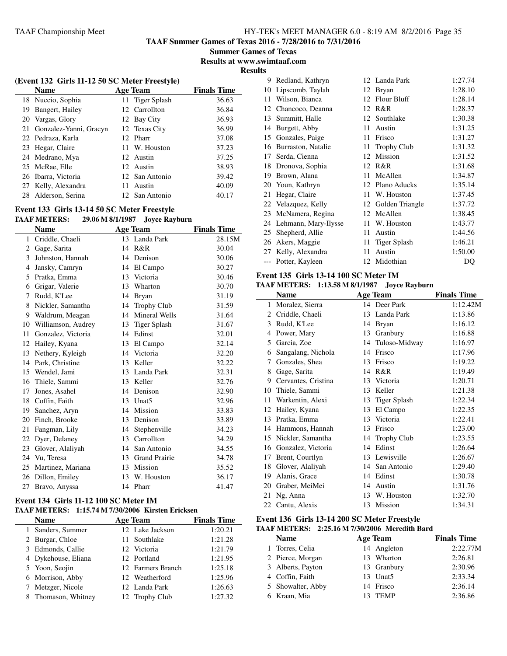**TAAF Summer Games of Texas 2016 - 7/28/2016 to 7/31/2016**

**Summer Games of Texas Results at www.swimtaaf.com**

**Results**

|                                        | (Event 132 Girls 11-12 50 SC Meter Freestyle) |                 |       |  |  |
|----------------------------------------|-----------------------------------------------|-----------------|-------|--|--|
| <b>Finals Time</b><br>Age Team<br>Name |                                               |                 |       |  |  |
|                                        | 18 Nuccio, Sophia                             | 11 Tiger Splash | 36.63 |  |  |
| 19                                     | Bangert, Hailey                               | 12 Carrollton   | 36.84 |  |  |
| 20                                     | Vargas, Glory                                 | 12 Bay City     | 36.93 |  |  |
| 21                                     | Gonzalez-Yanni, Gracyn                        | 12 Texas City   | 36.99 |  |  |
|                                        | 22 Pedraza, Karla                             | 12 Pharr        | 37.08 |  |  |
|                                        | 23 Hegar, Claire                              | 11 W. Houston   | 37.23 |  |  |
|                                        | 24 Medrano, Mya                               | 12 Austin       | 37.25 |  |  |
|                                        | 25 McRae, Elle                                | 12 Austin       | 38.93 |  |  |
|                                        | 26 Ibarra, Victoria                           | 12 San Antonio  | 39.42 |  |  |
|                                        | 27 Kelly, Alexandra                           | Austin<br>11    | 40.09 |  |  |
| 28                                     | Alderson, Serina                              | 12 San Antonio  | 40.17 |  |  |

#### **Event 133 Girls 13-14 50 SC Meter Freestyle TAAF METERS: 29.06 M 8/1/1987 Joyce Rayburn**

|    | ілді інгірім,      |    | 27.00 M 0/1/170/ JUYCE Kayburn |                    |
|----|--------------------|----|--------------------------------|--------------------|
|    | <b>Name</b>        |    | <b>Age Team</b>                | <b>Finals Time</b> |
| 1  | Criddle, Chaeli    |    | 13 Landa Park                  | 28.15M             |
| 2  | Gage, Sarita       |    | 14 R&R                         | 30.04              |
| 3  | Johnston, Hannah   | 14 | Denison                        | 30.06              |
| 4  | Jansky, Camryn     |    | 14 El Campo                    | 30.27              |
| 5. | Pratka, Emma       |    | 13 Victoria                    | 30.46              |
| 6  | Grigar, Valerie    | 13 | Wharton                        | 30.70              |
| 7  | Rudd, K'Lee        | 14 | <b>Bryan</b>                   | 31.19              |
| 8  | Nickler, Samantha  | 14 | Trophy Club                    | 31.59              |
| 9  | Waldrum, Meagan    | 14 | Mineral Wells                  | 31.64              |
| 10 | Williamson, Audrey | 13 | Tiger Splash                   | 31.67              |
| 11 | Gonzalez, Victoria | 14 | Edinst                         | 32.01              |
| 12 | Hailey, Kyana      | 13 | El Campo                       | 32.14              |
| 13 | Nethery, Kyleigh   |    | 14 Victoria                    | 32.20              |
| 14 | Park, Christine    | 13 | Keller                         | 32.22              |
|    | 15 Wendel, Jami    | 13 | Landa Park                     | 32.31              |
| 16 | Thiele, Sammi      |    | 13 Keller                      | 32.76              |
| 17 | Jones, Asahel      |    | 14 Denison                     | 32.90              |
| 18 | Coffin, Faith      |    | 13 Unat5                       | 32.96              |
| 19 | Sanchez, Aryn      | 14 | Mission                        | 33.83              |
| 20 | Finch, Brooke      | 13 | Denison                        | 33.89              |
| 21 | Fangman, Lily      | 14 | Stephenville                   | 34.23              |
| 22 | Dyer, Delaney      | 13 | Carrollton                     | 34.29              |
| 23 | Glover, Alaliyah   | 14 | San Antonio                    | 34.55              |
| 24 | Vu, Teresa         | 13 | <b>Grand Prairie</b>           | 34.78              |
| 25 | Martinez, Mariana  | 13 | Mission                        | 35.52              |
| 26 | Dillon, Emiley     |    | 13 W. Houston                  | 36.17              |
| 27 | Bravo, Anyssa      |    | 14 Pharr                       | 41.47              |

#### **Event 134 Girls 11-12 100 SC Meter IM TAAF METERS: 1:15.74 M 7/30/2006 Kirsten Ericksen**

| <b>Name</b>         | <b>Age Team</b>   | <b>Finals Time</b> |
|---------------------|-------------------|--------------------|
| 1 Sanders, Summer   | 12 Lake Jackson   | 1:20.21            |
| 2 Burgar, Chloe     | 11 Southlake      | 1:21.28            |
| 3 Edmonds, Callie   | 12 Victoria       | 1:21.79            |
| 4 Dykehouse, Eliana | 12 Portland       | 1:21.95            |
| 5 Yoon, Seojin      | 12 Farmers Branch | 1:25.18            |
| 6 Morrison, Abby    | 12 Weatherford    | 1:25.96            |
| 7 Metzger, Nicole   | 12 Landa Park     | 1:26.63            |
| 8 Thomason, Whitney | 12 Trophy Club    | 1:27.32            |

| 9     | Redland, Kathryn        |    | 12 Landa Park      | 1:27.74 |
|-------|-------------------------|----|--------------------|---------|
| 10    | Lipscomb, Taylah        | 12 | Bryan              | 1:28.10 |
| 11    | Wilson, Bianca          |    | 12 Flour Bluff     | 1:28.14 |
| 12    | Chancoco, Deanna        |    | 12 R&R             | 1:28.37 |
| 13    | Summitt, Halle          | 12 | Southlake          | 1:30.38 |
| 14    | Burgett, Abby           | 11 | Austin             | 1:31.25 |
| 15    | Gonzales, Paige         | 11 | Frisco             | 1:31.27 |
| 16    | Burraston, Natalie      | 11 | <b>Trophy Club</b> | 1:31.32 |
| 17    | Serda, Cienna           | 12 | Mission            | 1:31.52 |
| 18    | Dronova, Sophia         |    | 12 R&R             | 1:31.68 |
| 19    | Brown, Alana            | 11 | McAllen            | 1:34.87 |
| 20    | Youn, Kathryn           |    | 12 Plano Aducks    | 1:35.14 |
| 21    | Hegar, Claire           | 11 | W. Houston         | 1:37.45 |
|       | 22 Velazquez, Kelly     |    | 12 Golden Triangle | 1:37.72 |
| 23    | McNamera, Regina        | 12 | McAllen            | 1:38.45 |
|       | 24 Lehmann, Mary-Ilysse | 11 | W. Houston         | 1:43.77 |
| 25    | Shepherd, Allie         | 11 | Austin             | 1:44.56 |
| 26    | Akers, Maggie           | 11 | Tiger Splash       | 1:46.21 |
| 27    | Kelly, Alexandra        | 11 | Austin             | 1:50.00 |
| $---$ | Potter, Kayleen         |    | 12 Midothian       | DQ      |

#### **Event 135 Girls 13-14 100 SC Meter IM**<br>TAAEMETERS: 1412.58 M 8/1/1987 **Lewis TAAF METERS: 1:13.58 M 8/1/1987 Joyce Rayburn**

|    | TAAF METERS: 1:13.58 M 8/1/1987 - Joyce Rayburn |    |                     |                    |
|----|-------------------------------------------------|----|---------------------|--------------------|
|    | <b>Name</b>                                     |    | Age Team            | <b>Finals Time</b> |
| 1  | Moralez, Sierra                                 |    | 14 Deer Park        | 1:12.42M           |
| 2  | Criddle, Chaeli                                 | 13 | Landa Park          | 1:13.86            |
| 3  | Rudd, K'Lee                                     |    | 14 Bryan            | 1:16.12            |
| 4  | Power, Mary                                     | 13 | Granbury            | 1:16.88            |
| 5  | Garcia, Zoe                                     | 14 | Tuloso-Midway       | 1:16.97            |
| 6  | Sangalang, Nichola                              | 14 | Frisco              | 1:17.96            |
| 7  | Gonzales, Shea                                  | 13 | Frisco              | 1:19.22            |
| 8  | Gage, Sarita                                    | 14 | R&R                 | 1:19.49            |
| 9  | Cervantes, Cristina                             | 13 | Victoria            | 1:20.71            |
| 10 | Thiele, Sammi                                   | 13 | Keller              | 1:21.38            |
| 11 | Warkentin, Alexi                                | 13 | <b>Tiger Splash</b> | 1:22.34            |
| 12 | Hailey, Kyana                                   | 13 | El Campo            | 1:22.35            |
| 13 | Pratka, Emma                                    | 13 | Victoria            | 1:22.41            |
| 14 | Hammons, Hannah                                 | 13 | Frisco              | 1:23.00            |
| 15 | Nickler, Samantha                               | 14 | <b>Trophy Club</b>  | 1:23.55            |
| 16 | Gonzalez, Victoria                              | 14 | Edinst              | 1:26.64            |
| 17 | Brent, Courtlyn                                 | 13 | Lewisville          | 1:26.67            |
| 18 | Glover, Alaliyah                                | 14 | San Antonio         | 1:29.40            |
| 19 | Alanis, Grace                                   | 14 | Edinst              | 1:30.78            |
| 20 | Graber, MeiMei                                  | 14 | Austin              | 1:31.76            |
| 21 | Ng, Anna                                        | 13 | W. Houston          | 1:32.70            |
|    | 22 Cantu, Alexis                                | 13 | Mission             | 1:34.31            |
|    |                                                 |    |                     |                    |

#### **Event 136 Girls 13-14 200 SC Meter Freestyle TAAF METERS: 2:25.16 M 7/30/2006 Meredith Bard**

 $\overline{a}$ 

| <b>Name</b>       | <b>Age Team</b> | <b>Finals Time</b> |
|-------------------|-----------------|--------------------|
| 1 Torres, Celia   | 14 Angleton     | 2:22.77M           |
| 2 Pierce, Morgan  | 13 Wharton      | 2:26.81            |
| 3 Alberts, Payton | 13 Granbury     | 2:30.96            |
| 4 Coffin, Faith   | 13 Unat5        | 2:33.34            |
| 5 Showalter, Abby | 14 Frisco       | 2:36.14            |
| 6 Kraan, Mia      | TEMP            | 2:36.86            |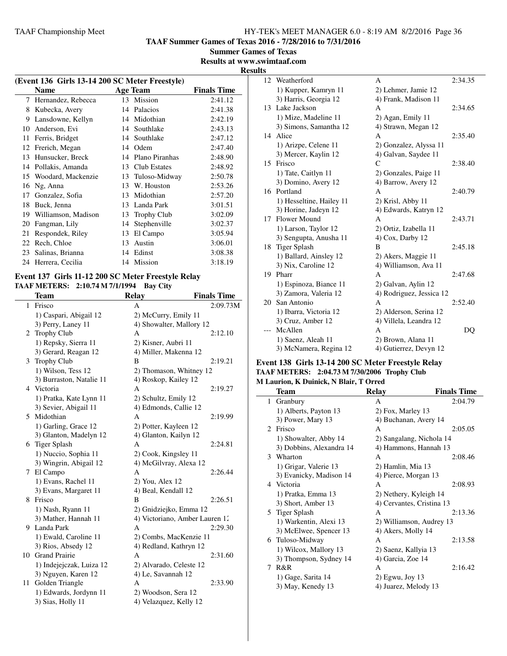**TAAF Summer Games of Texas 2016 - 7/28/2016 to 7/31/2016**

**Summer Games of Texas Results at www.swimtaaf.com**

# **Results**

| (Event 136 Girls 13-14 200 SC Meter Freestyle) |                     |    |                    |                    |
|------------------------------------------------|---------------------|----|--------------------|--------------------|
|                                                | Name                |    | Age Team           | <b>Finals Time</b> |
| 7                                              | Hernandez, Rebecca  |    | 13 Mission         | 2:41.12            |
| 8                                              | Kubecka, Avery      | 14 | Palacios           | 2:41.38            |
| 9                                              | Lansdowne, Kellyn   | 14 | Midothian          | 2:42.19            |
| 10                                             | Anderson, Evi       | 14 | Southlake          | 2:43.13            |
| 11                                             | Ferris, Bridget     | 14 | Southlake          | 2:47.12            |
| 12                                             | Frerich, Megan      | 14 | Odem               | 2:47.40            |
| 13                                             | Hunsucker, Breck    | 14 | Plano Piranhas     | 2:48.90            |
| 14                                             | Pollakis, Amanda    | 13 | Club Estates       | 2:48.92            |
| 15                                             | Woodard, Mackenzie  | 13 | Tuloso-Midway      | 2:50.78            |
| 16                                             | Ng, Anna            | 13 | W. Houston         | 2:53.26            |
| 17                                             | Gonzalez, Sofia     | 13 | Midothian          | 2:57.20            |
| 18                                             | Buck, Jenna         | 13 | Landa Park         | 3:01.51            |
| 19                                             | Williamson, Madison | 13 | <b>Trophy Club</b> | 3:02.09            |
| 20                                             | Fangman, Lily       | 14 | Stephenville       | 3:02.37            |
| 21                                             | Respondek, Riley    | 13 | El Campo           | 3:05.94            |
| 22                                             | Rech, Chloe         | 13 | Austin             | 3:06.01            |
| 23                                             | Salinas, Brianna    | 14 | Edinst             | 3:08.38            |
| 24                                             | Herrera, Cecilia    | 14 | Mission            | 3:18.19            |
|                                                |                     |    |                    |                    |

#### **Event 137 Girls 11-12 200 SC Meter Freestyle Relay TAAF METERS: 2:10.74 M 7/1/1994 Bay City**

|    | <b>Team</b>              | <b>Relay</b>                   | <b>Finals Time</b> |
|----|--------------------------|--------------------------------|--------------------|
| 1  | Frisco                   | A                              | 2:09.73M           |
|    | 1) Caspari, Abigail 12   | 2) McCurry, Emily 11           |                    |
|    | 3) Perry, Laney 11       | 4) Showalter, Mallory 12       |                    |
| 2  | <b>Trophy Club</b>       | A                              | 2:12.10            |
|    | 1) Repsky, Sierra 11     | 2) Kisner, Aubri 11            |                    |
|    | 3) Gerard, Reagan 12     | 4) Miller, Makenna 12          |                    |
| 3  | <b>Trophy Club</b>       | B                              | 2:19.21            |
|    | 1) Wilson, Tess 12       | 2) Thomason, Whitney 12        |                    |
|    | 3) Burraston, Natalie 11 | 4) Roskop, Kailey 12           |                    |
| 4  | Victoria                 | A                              | 2:19.27            |
|    | 1) Pratka, Kate Lynn 11  | 2) Schultz, Emily 12           |                    |
|    | 3) Sevier, Abigail 11    | 4) Edmonds, Callie 12          |                    |
| 5  | Midothian                | A                              | 2:19.99            |
|    | 1) Garling, Grace 12     | 2) Potter, Kayleen 12          |                    |
|    | 3) Glanton, Madelyn 12   | 4) Glanton, Kailyn 12          |                    |
| 6  | <b>Tiger Splash</b>      | А                              | 2:24.81            |
|    | 1) Nuccio, Sophia 11     | 2) Cook, Kingsley 11           |                    |
|    | 3) Wingrin, Abigail 12   | 4) McGilvray, Alexa 12         |                    |
| 7  | El Campo                 | A                              | 2:26.44            |
|    | 1) Evans, Rachel 11      | 2) You, Alex 12                |                    |
|    | 3) Evans, Margaret 11    | 4) Beal, Kendall 12            |                    |
| 8  | Frisco                   | B                              | 2:26.51            |
|    | 1) Nash, Ryann 11        | 2) Gnidziejko, Emma 12         |                    |
|    | 3) Mather, Hannah 11     | 4) Victoriano, Amber Lauren 12 |                    |
| 9  | Landa Park               | A                              | 2:29.30            |
|    | 1) Ewald, Caroline 11    | 2) Combs, MacKenzie 11         |                    |
|    | 3) Rios, Absedy 12       | 4) Redland, Kathryn 12         |                    |
| 10 | <b>Grand Prairie</b>     | А                              | 2:31.60            |
|    | 1) Indejejczak, Luiza 12 | 2) Alvarado, Celeste 12        |                    |
|    | 3) Nguyen, Karen 12      | 4) Le, Savannah 12             |                    |
| 11 | Golden Triangle          | A                              | 2:33.90            |
|    | 1) Edwards, Jordynn 11   | 2) Woodson, Sera 12            |                    |
|    | 3) Sias, Holly 11        | 4) Velazquez, Kelly 12         |                    |

|    | 12 Weatherford           | А                        | 2:34.35 |
|----|--------------------------|--------------------------|---------|
|    | 1) Kupper, Kamryn 11     | 2) Lehmer, Jamie 12      |         |
|    | 3) Harris, Georgia 12    | 4) Frank, Madison 11     |         |
|    | 13 Lake Jackson          | A                        | 2:34.65 |
|    | 1) Mize, Madeline 11     | 2) Agan, Emily 11        |         |
|    | 3) Simons, Samantha 12   | 4) Strawn, Megan 12      |         |
|    | 14 Alice                 | A                        | 2:35.40 |
|    | 1) Arizpe, Celene 11     | 2) Gonzalez, Alyssa 11   |         |
|    | 3) Mercer, Kaylin 12     | 4) Galvan, Saydee 11     |         |
|    | 15 Frisco                | C                        | 2:38.40 |
|    | 1) Tate, Caitlyn 11      | 2) Gonzales, Paige 11    |         |
|    | 3) Domino, Avery 12      | 4) Barrow, Avery 12      |         |
|    | 16 Portland              | A                        | 2:40.79 |
|    | 1) Hesseltine, Hailey 11 | 2) Krisl, Abby 11        |         |
|    | 3) Horine, Jadeyn 12     | 4) Edwards, Katryn 12    |         |
| 17 | Flower Mound             | A                        | 2:43.71 |
|    | 1) Larson, Taylor 12     | 2) Ortiz, Izabella 11    |         |
|    | 3) Sengupta, Anusha 11   | $(4)$ Cox, Darby 12      |         |
|    | 18 Tiger Splash          | B                        | 2:45.18 |
|    | 1) Ballard, Ainsley 12   | 2) Akers, Maggie 11      |         |
|    | 3) Nix, Caroline 12      | 4) Williamson, Ava 11    |         |
|    | 19 Pharr                 | A                        | 2:47.68 |
|    | 1) Espinoza, Biance 11   | 2) Galvan, Aylin 12      |         |
|    | 3) Zamora, Valeria 12    | 4) Rodriguez, Jessica 12 |         |
| 20 | San Antonio              | A                        | 2:52.40 |
|    | 1) Ibarra, Victoria 12   | 2) Alderson, Serina 12   |         |
|    | 3) Cruz, Amber 12        | 4) Villela, Leandra 12   |         |
|    | McAllen                  | A                        | DQ      |
|    | 1) Saenz, Aleah 11       | 2) Brown, Alana 11       |         |
|    | 3) McNamera, Regina 12   | 4) Gutierrez, Devyn 12   |         |

#### **Event 138 Girls 13-14 200 SC Meter Freestyle Relay TAAF METERS: 2:04.73 M 7/30/2006 Trophy Club M Laurion, K Duinick, N Blair, T Orred**

|                             | Team                     | <b>Relay</b>              | <b>Finals Time</b> |
|-----------------------------|--------------------------|---------------------------|--------------------|
| 1                           | Granbury                 | A                         | 2:04.79            |
|                             | 1) Alberts, Payton 13    | 2) Fox, Marley 13         |                    |
|                             | 3) Power, Mary 13        | 4) Buchanan, Avery 14     |                    |
| $\mathcal{D}_{\mathcal{L}}$ | Frisco                   | A                         | 2:05.05            |
|                             | 1) Showalter, Abby 14    | 2) Sangalang, Nichola 14  |                    |
|                             | 3) Dobbins, Alexandra 14 | 4) Hammons, Hannah 13     |                    |
|                             | 3 Wharton                | A                         | 2:08.46            |
|                             | 1) Grigar, Valerie 13    | 2) Hamlin, Mia 13         |                    |
|                             | 3) Evanicky, Madison 14  | 4) Pierce, Morgan 13      |                    |
|                             | 4 Victoria               | A                         | 2:08.93            |
|                             | 1) Pratka, Emma 13       | 2) Nethery, Kyleigh 14    |                    |
|                             | 3) Short, Amber 13       | 4) Cervantes, Cristina 13 |                    |
|                             | 5 Tiger Splash           | A                         | 2:13.36            |
|                             | 1) Warkentin, Alexi 13   | 2) Williamson, Audrey 13  |                    |
|                             | 3) McElwee, Spencer 13   | 4) Akers, Molly 14        |                    |
|                             | 6 Tuloso-Midway          | A                         | 2:13.58            |
|                             | 1) Wilcox, Mallory 13    | 2) Saenz, Kallyia 13      |                    |
|                             | 3) Thompson, Sydney 14   | 4) Garcia, Zoe 14         |                    |
| 7                           | R&R                      | A                         | 2:16.42            |
|                             | 1) Gage, Sarita 14       | $2)$ Egwu, Joy 13         |                    |
|                             | 3) May, Kenedy 13        | 4) Juarez, Melody 13      |                    |